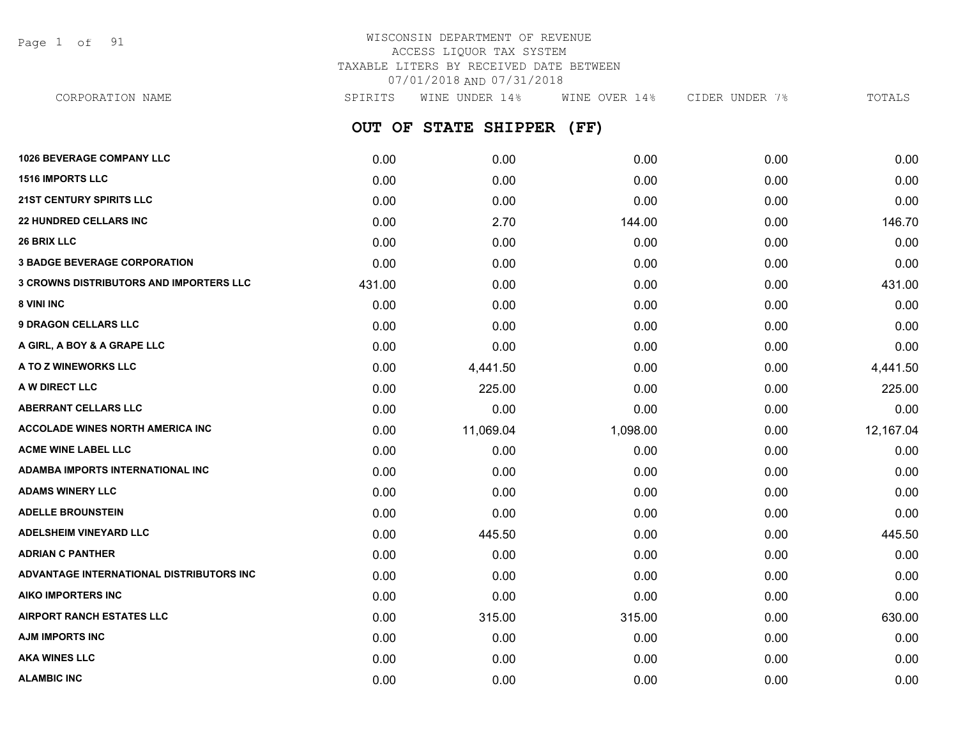Page 1 of 91

# WISCONSIN DEPARTMENT OF REVENUE ACCESS LIQUOR TAX SYSTEM TAXABLE LITERS BY RECEIVED DATE BETWEEN 07/01/2018 AND 07/31/2018

**OUT OF STATE SHIPPER (FF) 1026 BEVERAGE COMPANY LLC** 0.00 0.00 0.00 0.00 0.00 **1516 IMPORTS LLC** 0.00 0.00 0.00 0.00 0.00 **21ST CENTURY SPIRITS LLC** 0.00 0.00 0.00 0.00 0.00 **22 HUNDRED CELLARS INC** 0.00 2.70 144.00 0.00 146.70 **26 BRIX LLC** 0.00 0.00 0.00 0.00 0.00 **3 BADGE BEVERAGE CORPORATION** 0.00 0.00 0.00 0.00 0.00 **3 CROWNS DISTRIBUTORS AND IMPORTERS LLC** 431.00 0.00 0.00 0.00 431.00 **8 VINI INC** 0.00 0.00 0.00 0.00 0.00 **9 DRAGON CELLARS LLC** 0.00 0.00 0.00 0.00 0.00 **A GIRL, A BOY & A GRAPE LLC** 0.00 0.00 0.00 0.00 0.00 **A TO Z WINEWORKS LLC** 0.00 4,441.50 0.00 0.00 4,441.50 **A W DIRECT LLC** 0.00 225.00 0.00 0.00 225.00 **ABERRANT CELLARS LLC** 0.00 0.00 0.00 0.00 0.00 **ACCOLADE WINES NORTH AMERICA INC** 0.00 11,069.04 1,098.00 0.00 12,167.04 **ACME WINE LABEL LLC** 0.00 0.00 0.00 0.00 0.00 **ADAMBA IMPORTS INTERNATIONAL INC** 0.00 0.00 0.00 0.00 0.00 **ADAMS WINERY LLC** 0.00 0.00 0.00 0.00 0.00 **ADELLE BROUNSTEIN** 0.00 0.00 0.00 0.00 0.00 **ADELSHEIM VINEYARD LLC** 0.00 445.50 0.00 0.00 445.50 **ADRIAN C PANTHER** 0.00 0.00 0.00 0.00 0.00 **ADVANTAGE INTERNATIONAL DISTRIBUTORS INC** 0.00 0.00 0.00 0.00 0.00 **AIKO IMPORTERS INC** 0.00 0.00 0.00 0.00 0.00 **AIRPORT RANCH ESTATES LLC** 0.00 315.00 315.00 0.00 630.00 **AJM IMPORTS INC** 0.00 0.00 0.00 0.00 0.00 **AKA WINES LLC** 0.00 0.00 0.00 0.00 0.00 CORPORATION NAME SPIRITS WINE UNDER 14% WINE OVER 14% CIDER UNDER 7% TOTALS

**ALAMBIC INC** 0.00 0.00 0.00 0.00 0.00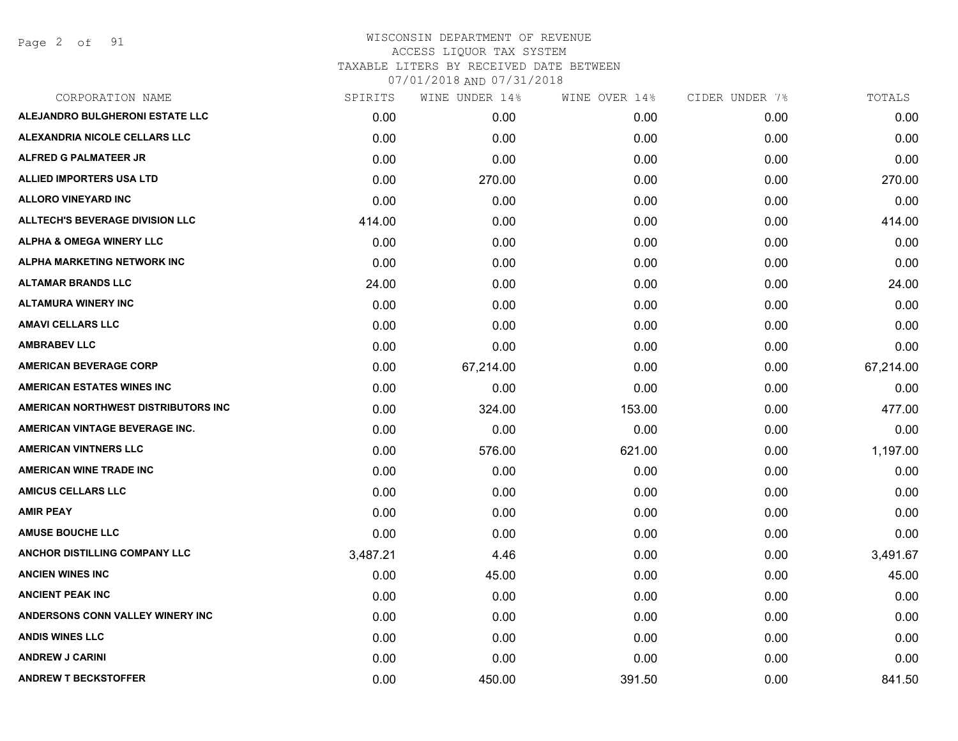Page 2 of 91

| CORPORATION NAME                       | SPIRITS  | WINE UNDER 14% | WINE OVER 14% | CIDER UNDER 7% | TOTALS    |
|----------------------------------------|----------|----------------|---------------|----------------|-----------|
| ALEJANDRO BULGHERONI ESTATE LLC        | 0.00     | 0.00           | 0.00          | 0.00           | 0.00      |
| <b>ALEXANDRIA NICOLE CELLARS LLC</b>   | 0.00     | 0.00           | 0.00          | 0.00           | 0.00      |
| ALFRED G PALMATEER JR                  | 0.00     | 0.00           | 0.00          | 0.00           | 0.00      |
| ALLIED IMPORTERS USA LTD               | 0.00     | 270.00         | 0.00          | 0.00           | 270.00    |
| <b>ALLORO VINEYARD INC</b>             | 0.00     | 0.00           | 0.00          | 0.00           | 0.00      |
| <b>ALLTECH'S BEVERAGE DIVISION LLC</b> | 414.00   | 0.00           | 0.00          | 0.00           | 414.00    |
| <b>ALPHA &amp; OMEGA WINERY LLC</b>    | 0.00     | 0.00           | 0.00          | 0.00           | 0.00      |
| ALPHA MARKETING NETWORK INC            | 0.00     | 0.00           | 0.00          | 0.00           | 0.00      |
| <b>ALTAMAR BRANDS LLC</b>              | 24.00    | 0.00           | 0.00          | 0.00           | 24.00     |
| <b>ALTAMURA WINERY INC</b>             | 0.00     | 0.00           | 0.00          | 0.00           | 0.00      |
| <b>AMAVI CELLARS LLC</b>               | 0.00     | 0.00           | 0.00          | 0.00           | 0.00      |
| <b>AMBRABEV LLC</b>                    | 0.00     | 0.00           | 0.00          | 0.00           | 0.00      |
| <b>AMERICAN BEVERAGE CORP</b>          | 0.00     | 67,214.00      | 0.00          | 0.00           | 67,214.00 |
| <b>AMERICAN ESTATES WINES INC</b>      | 0.00     | 0.00           | 0.00          | 0.00           | 0.00      |
| AMERICAN NORTHWEST DISTRIBUTORS INC    | 0.00     | 324.00         | 153.00        | 0.00           | 477.00    |
| AMERICAN VINTAGE BEVERAGE INC.         | 0.00     | 0.00           | 0.00          | 0.00           | 0.00      |
| <b>AMERICAN VINTNERS LLC</b>           | 0.00     | 576.00         | 621.00        | 0.00           | 1,197.00  |
| <b>AMERICAN WINE TRADE INC</b>         | 0.00     | 0.00           | 0.00          | 0.00           | 0.00      |
| <b>AMICUS CELLARS LLC</b>              | 0.00     | 0.00           | 0.00          | 0.00           | 0.00      |
| <b>AMIR PEAY</b>                       | 0.00     | 0.00           | 0.00          | 0.00           | 0.00      |
| <b>AMUSE BOUCHE LLC</b>                | 0.00     | 0.00           | 0.00          | 0.00           | 0.00      |
| ANCHOR DISTILLING COMPANY LLC          | 3,487.21 | 4.46           | 0.00          | 0.00           | 3,491.67  |
| <b>ANCIEN WINES INC</b>                | 0.00     | 45.00          | 0.00          | 0.00           | 45.00     |
| <b>ANCIENT PEAK INC</b>                | 0.00     | 0.00           | 0.00          | 0.00           | 0.00      |
| ANDERSONS CONN VALLEY WINERY INC       | 0.00     | 0.00           | 0.00          | 0.00           | 0.00      |
| <b>ANDIS WINES LLC</b>                 | 0.00     | 0.00           | 0.00          | 0.00           | 0.00      |
| <b>ANDREW J CARINI</b>                 | 0.00     | 0.00           | 0.00          | 0.00           | 0.00      |
| <b>ANDREW T BECKSTOFFER</b>            | 0.00     | 450.00         | 391.50        | 0.00           | 841.50    |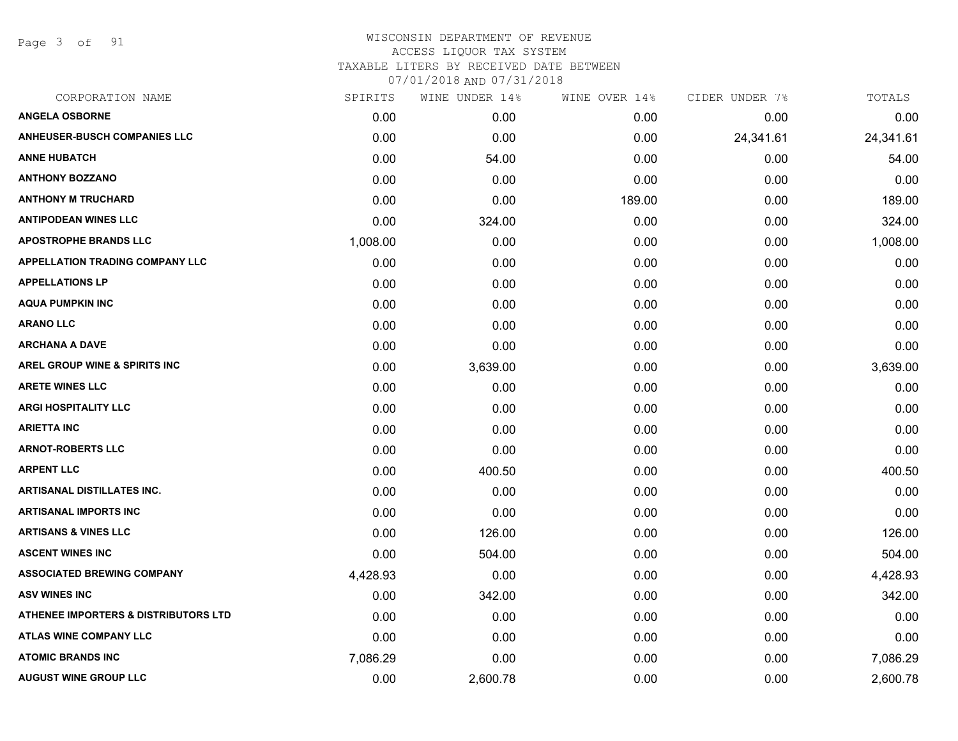Page 3 of 91

| CORPORATION NAME                                | SPIRITS  | WINE UNDER 14% | WINE OVER 14% | CIDER UNDER 7% | TOTALS    |
|-------------------------------------------------|----------|----------------|---------------|----------------|-----------|
| <b>ANGELA OSBORNE</b>                           | 0.00     | 0.00           | 0.00          | 0.00           | 0.00      |
| <b>ANHEUSER-BUSCH COMPANIES LLC</b>             | 0.00     | 0.00           | 0.00          | 24,341.61      | 24,341.61 |
| <b>ANNE HUBATCH</b>                             | 0.00     | 54.00          | 0.00          | 0.00           | 54.00     |
| <b>ANTHONY BOZZANO</b>                          | 0.00     | 0.00           | 0.00          | 0.00           | 0.00      |
| <b>ANTHONY M TRUCHARD</b>                       | 0.00     | 0.00           | 189.00        | 0.00           | 189.00    |
| <b>ANTIPODEAN WINES LLC</b>                     | 0.00     | 324.00         | 0.00          | 0.00           | 324.00    |
| <b>APOSTROPHE BRANDS LLC</b>                    | 1,008.00 | 0.00           | 0.00          | 0.00           | 1,008.00  |
| <b>APPELLATION TRADING COMPANY LLC</b>          | 0.00     | 0.00           | 0.00          | 0.00           | 0.00      |
| <b>APPELLATIONS LP</b>                          | 0.00     | 0.00           | 0.00          | 0.00           | 0.00      |
| <b>AQUA PUMPKIN INC</b>                         | 0.00     | 0.00           | 0.00          | 0.00           | 0.00      |
| <b>ARANO LLC</b>                                | 0.00     | 0.00           | 0.00          | 0.00           | 0.00      |
| <b>ARCHANA A DAVE</b>                           | 0.00     | 0.00           | 0.00          | 0.00           | 0.00      |
| AREL GROUP WINE & SPIRITS INC                   | 0.00     | 3,639.00       | 0.00          | 0.00           | 3,639.00  |
| <b>ARETE WINES LLC</b>                          | 0.00     | 0.00           | 0.00          | 0.00           | 0.00      |
| <b>ARGI HOSPITALITY LLC</b>                     | 0.00     | 0.00           | 0.00          | 0.00           | 0.00      |
| <b>ARIETTA INC</b>                              | 0.00     | 0.00           | 0.00          | 0.00           | 0.00      |
| <b>ARNOT-ROBERTS LLC</b>                        | 0.00     | 0.00           | 0.00          | 0.00           | 0.00      |
| <b>ARPENT LLC</b>                               | 0.00     | 400.50         | 0.00          | 0.00           | 400.50    |
| <b>ARTISANAL DISTILLATES INC.</b>               | 0.00     | 0.00           | 0.00          | 0.00           | 0.00      |
| <b>ARTISANAL IMPORTS INC</b>                    | 0.00     | 0.00           | 0.00          | 0.00           | 0.00      |
| <b>ARTISANS &amp; VINES LLC</b>                 | 0.00     | 126.00         | 0.00          | 0.00           | 126.00    |
| <b>ASCENT WINES INC</b>                         | 0.00     | 504.00         | 0.00          | 0.00           | 504.00    |
| <b>ASSOCIATED BREWING COMPANY</b>               | 4,428.93 | 0.00           | 0.00          | 0.00           | 4,428.93  |
| <b>ASV WINES INC</b>                            | 0.00     | 342.00         | 0.00          | 0.00           | 342.00    |
| <b>ATHENEE IMPORTERS &amp; DISTRIBUTORS LTD</b> | 0.00     | 0.00           | 0.00          | 0.00           | 0.00      |
| <b>ATLAS WINE COMPANY LLC</b>                   | 0.00     | 0.00           | 0.00          | 0.00           | 0.00      |
| <b>ATOMIC BRANDS INC</b>                        | 7,086.29 | 0.00           | 0.00          | 0.00           | 7,086.29  |
| <b>AUGUST WINE GROUP LLC</b>                    | 0.00     | 2,600.78       | 0.00          | 0.00           | 2,600.78  |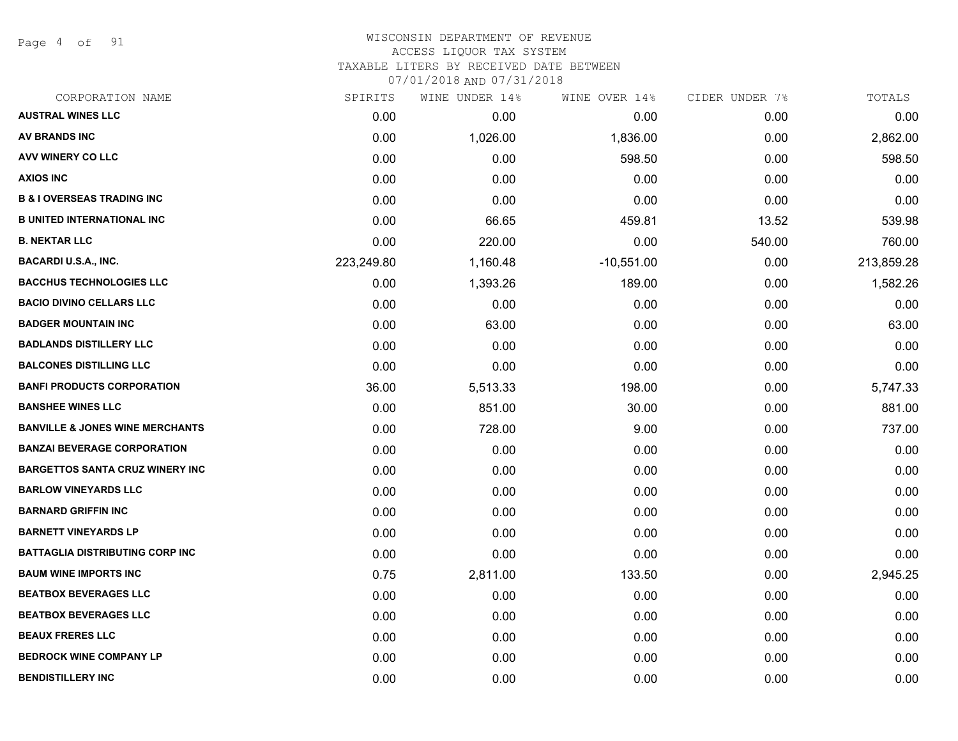Page 4 of 91

#### WISCONSIN DEPARTMENT OF REVENUE ACCESS LIQUOR TAX SYSTEM TAXABLE LITERS BY RECEIVED DATE BETWEEN

| CORPORATION NAME                           | SPIRITS    | WINE UNDER 14% | WINE OVER 14% | CIDER UNDER 7% | TOTALS     |
|--------------------------------------------|------------|----------------|---------------|----------------|------------|
| <b>AUSTRAL WINES LLC</b>                   | 0.00       | 0.00           | 0.00          | 0.00           | 0.00       |
| <b>AV BRANDS INC</b>                       | 0.00       | 1,026.00       | 1,836.00      | 0.00           | 2,862.00   |
| AVV WINERY CO LLC                          | 0.00       | 0.00           | 598.50        | 0.00           | 598.50     |
| <b>AXIOS INC</b>                           | 0.00       | 0.00           | 0.00          | 0.00           | 0.00       |
| <b>B &amp; I OVERSEAS TRADING INC</b>      | 0.00       | 0.00           | 0.00          | 0.00           | 0.00       |
| <b>B UNITED INTERNATIONAL INC</b>          | 0.00       | 66.65          | 459.81        | 13.52          | 539.98     |
| <b>B. NEKTAR LLC</b>                       | 0.00       | 220.00         | 0.00          | 540.00         | 760.00     |
| <b>BACARDI U.S.A., INC.</b>                | 223,249.80 | 1,160.48       | $-10,551.00$  | 0.00           | 213,859.28 |
| <b>BACCHUS TECHNOLOGIES LLC</b>            | 0.00       | 1,393.26       | 189.00        | 0.00           | 1,582.26   |
| <b>BACIO DIVINO CELLARS LLC</b>            | 0.00       | 0.00           | 0.00          | 0.00           | 0.00       |
| <b>BADGER MOUNTAIN INC</b>                 | 0.00       | 63.00          | 0.00          | 0.00           | 63.00      |
| <b>BADLANDS DISTILLERY LLC</b>             | 0.00       | 0.00           | 0.00          | 0.00           | 0.00       |
| <b>BALCONES DISTILLING LLC</b>             | 0.00       | 0.00           | 0.00          | 0.00           | 0.00       |
| <b>BANFI PRODUCTS CORPORATION</b>          | 36.00      | 5,513.33       | 198.00        | 0.00           | 5,747.33   |
| <b>BANSHEE WINES LLC</b>                   | 0.00       | 851.00         | 30.00         | 0.00           | 881.00     |
| <b>BANVILLE &amp; JONES WINE MERCHANTS</b> | 0.00       | 728.00         | 9.00          | 0.00           | 737.00     |
| <b>BANZAI BEVERAGE CORPORATION</b>         | 0.00       | 0.00           | 0.00          | 0.00           | 0.00       |
| <b>BARGETTOS SANTA CRUZ WINERY INC</b>     | 0.00       | 0.00           | 0.00          | 0.00           | 0.00       |
| <b>BARLOW VINEYARDS LLC</b>                | 0.00       | 0.00           | 0.00          | 0.00           | 0.00       |
| <b>BARNARD GRIFFIN INC</b>                 | 0.00       | 0.00           | 0.00          | 0.00           | 0.00       |
| <b>BARNETT VINEYARDS LP</b>                | 0.00       | 0.00           | 0.00          | 0.00           | 0.00       |
| <b>BATTAGLIA DISTRIBUTING CORP INC</b>     | 0.00       | 0.00           | 0.00          | 0.00           | 0.00       |
| <b>BAUM WINE IMPORTS INC</b>               | 0.75       | 2,811.00       | 133.50        | 0.00           | 2,945.25   |
| <b>BEATBOX BEVERAGES LLC</b>               | 0.00       | 0.00           | 0.00          | 0.00           | 0.00       |
| <b>BEATBOX BEVERAGES LLC</b>               | 0.00       | 0.00           | 0.00          | 0.00           | 0.00       |
| <b>BEAUX FRERES LLC</b>                    | 0.00       | 0.00           | 0.00          | 0.00           | 0.00       |
| <b>BEDROCK WINE COMPANY LP</b>             | 0.00       | 0.00           | 0.00          | 0.00           | 0.00       |
| <b>BENDISTILLERY INC</b>                   | 0.00       | 0.00           | 0.00          | 0.00           | 0.00       |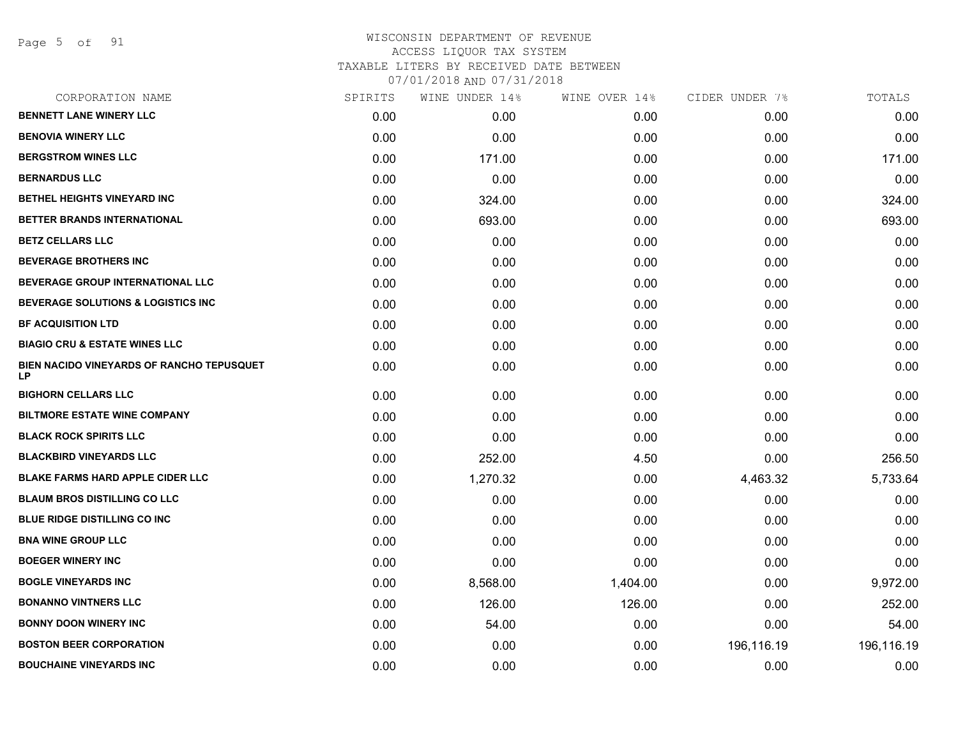Page 5 of 91

| CORPORATION NAME                                | SPIRITS | WINE UNDER 14% | WINE OVER 14% | CIDER UNDER 7% | TOTALS     |
|-------------------------------------------------|---------|----------------|---------------|----------------|------------|
| <b>BENNETT LANE WINERY LLC</b>                  | 0.00    | 0.00           | 0.00          | 0.00           | 0.00       |
| <b>BENOVIA WINERY LLC</b>                       | 0.00    | 0.00           | 0.00          | 0.00           | 0.00       |
| <b>BERGSTROM WINES LLC</b>                      | 0.00    | 171.00         | 0.00          | 0.00           | 171.00     |
| <b>BERNARDUS LLC</b>                            | 0.00    | 0.00           | 0.00          | 0.00           | 0.00       |
| BETHEL HEIGHTS VINEYARD INC                     | 0.00    | 324.00         | 0.00          | 0.00           | 324.00     |
| BETTER BRANDS INTERNATIONAL                     | 0.00    | 693.00         | 0.00          | 0.00           | 693.00     |
| <b>BETZ CELLARS LLC</b>                         | 0.00    | 0.00           | 0.00          | 0.00           | 0.00       |
| <b>BEVERAGE BROTHERS INC</b>                    | 0.00    | 0.00           | 0.00          | 0.00           | 0.00       |
| BEVERAGE GROUP INTERNATIONAL LLC                | 0.00    | 0.00           | 0.00          | 0.00           | 0.00       |
| <b>BEVERAGE SOLUTIONS &amp; LOGISTICS INC</b>   | 0.00    | 0.00           | 0.00          | 0.00           | 0.00       |
| <b>BF ACQUISITION LTD</b>                       | 0.00    | 0.00           | 0.00          | 0.00           | 0.00       |
| <b>BIAGIO CRU &amp; ESTATE WINES LLC</b>        | 0.00    | 0.00           | 0.00          | 0.00           | 0.00       |
| BIEN NACIDO VINEYARDS OF RANCHO TEPUSQUET<br>LP | 0.00    | 0.00           | 0.00          | 0.00           | 0.00       |
| <b>BIGHORN CELLARS LLC</b>                      | 0.00    | 0.00           | 0.00          | 0.00           | 0.00       |
| <b>BILTMORE ESTATE WINE COMPANY</b>             | 0.00    | 0.00           | 0.00          | 0.00           | 0.00       |
| <b>BLACK ROCK SPIRITS LLC</b>                   | 0.00    | 0.00           | 0.00          | 0.00           | 0.00       |
| <b>BLACKBIRD VINEYARDS LLC</b>                  | 0.00    | 252.00         | 4.50          | 0.00           | 256.50     |
| <b>BLAKE FARMS HARD APPLE CIDER LLC</b>         | 0.00    | 1,270.32       | 0.00          | 4,463.32       | 5,733.64   |
| <b>BLAUM BROS DISTILLING CO LLC</b>             | 0.00    | 0.00           | 0.00          | 0.00           | 0.00       |
| <b>BLUE RIDGE DISTILLING CO INC.</b>            | 0.00    | 0.00           | 0.00          | 0.00           | 0.00       |
| <b>BNA WINE GROUP LLC</b>                       | 0.00    | 0.00           | 0.00          | 0.00           | 0.00       |
| <b>BOEGER WINERY INC</b>                        | 0.00    | 0.00           | 0.00          | 0.00           | 0.00       |
| <b>BOGLE VINEYARDS INC</b>                      | 0.00    | 8,568.00       | 1,404.00      | 0.00           | 9,972.00   |
| <b>BONANNO VINTNERS LLC</b>                     | 0.00    | 126.00         | 126.00        | 0.00           | 252.00     |
| <b>BONNY DOON WINERY INC</b>                    | 0.00    | 54.00          | 0.00          | 0.00           | 54.00      |
| <b>BOSTON BEER CORPORATION</b>                  | 0.00    | 0.00           | 0.00          | 196,116.19     | 196,116.19 |
| <b>BOUCHAINE VINEYARDS INC</b>                  | 0.00    | 0.00           | 0.00          | 0.00           | 0.00       |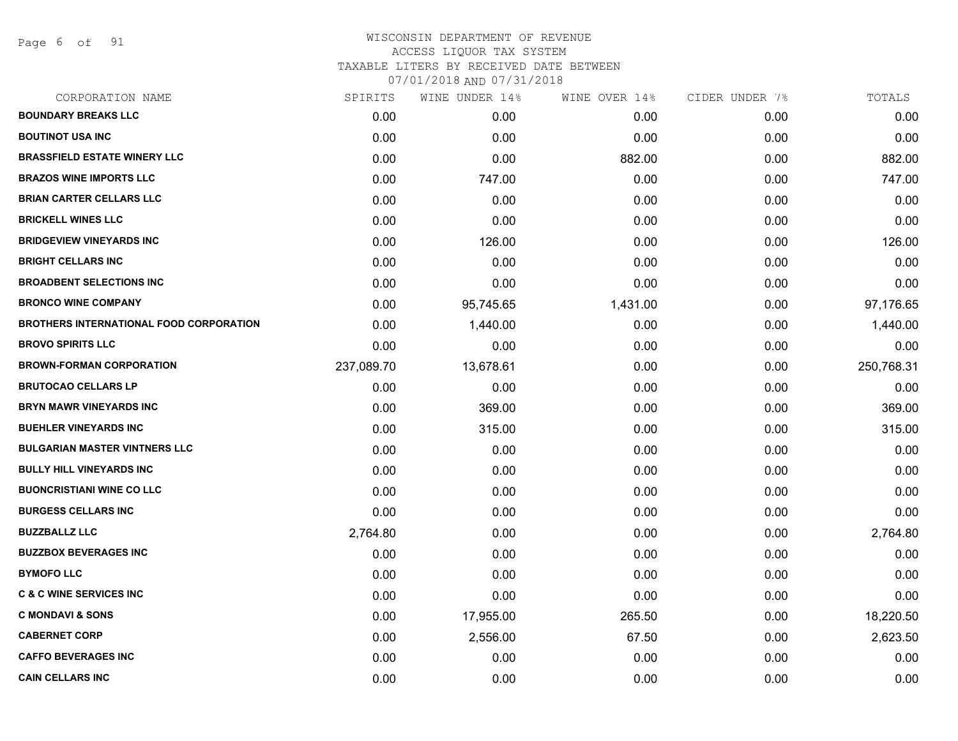Page 6 of 91

| CORPORATION NAME                               | SPIRITS    | WINE UNDER 14% | WINE OVER 14% | CIDER UNDER 7% | TOTALS     |
|------------------------------------------------|------------|----------------|---------------|----------------|------------|
| <b>BOUNDARY BREAKS LLC</b>                     | 0.00       | 0.00           | 0.00          | 0.00           | 0.00       |
| <b>BOUTINOT USA INC</b>                        | 0.00       | 0.00           | 0.00          | 0.00           | 0.00       |
| <b>BRASSFIELD ESTATE WINERY LLC</b>            | 0.00       | 0.00           | 882.00        | 0.00           | 882.00     |
| <b>BRAZOS WINE IMPORTS LLC</b>                 | 0.00       | 747.00         | 0.00          | 0.00           | 747.00     |
| <b>BRIAN CARTER CELLARS LLC</b>                | 0.00       | 0.00           | 0.00          | 0.00           | 0.00       |
| <b>BRICKELL WINES LLC</b>                      | 0.00       | 0.00           | 0.00          | 0.00           | 0.00       |
| <b>BRIDGEVIEW VINEYARDS INC</b>                | 0.00       | 126.00         | 0.00          | 0.00           | 126.00     |
| <b>BRIGHT CELLARS INC</b>                      | 0.00       | 0.00           | 0.00          | 0.00           | 0.00       |
| <b>BROADBENT SELECTIONS INC</b>                | 0.00       | 0.00           | 0.00          | 0.00           | 0.00       |
| <b>BRONCO WINE COMPANY</b>                     | 0.00       | 95,745.65      | 1,431.00      | 0.00           | 97,176.65  |
| <b>BROTHERS INTERNATIONAL FOOD CORPORATION</b> | 0.00       | 1,440.00       | 0.00          | 0.00           | 1,440.00   |
| <b>BROVO SPIRITS LLC</b>                       | 0.00       | 0.00           | 0.00          | 0.00           | 0.00       |
| <b>BROWN-FORMAN CORPORATION</b>                | 237,089.70 | 13,678.61      | 0.00          | 0.00           | 250,768.31 |
| <b>BRUTOCAO CELLARS LP</b>                     | 0.00       | 0.00           | 0.00          | 0.00           | 0.00       |
| <b>BRYN MAWR VINEYARDS INC</b>                 | 0.00       | 369.00         | 0.00          | 0.00           | 369.00     |
| <b>BUEHLER VINEYARDS INC</b>                   | 0.00       | 315.00         | 0.00          | 0.00           | 315.00     |
| <b>BULGARIAN MASTER VINTNERS LLC</b>           | 0.00       | 0.00           | 0.00          | 0.00           | 0.00       |
| <b>BULLY HILL VINEYARDS INC</b>                | 0.00       | 0.00           | 0.00          | 0.00           | 0.00       |
| <b>BUONCRISTIANI WINE CO LLC</b>               | 0.00       | 0.00           | 0.00          | 0.00           | 0.00       |
| <b>BURGESS CELLARS INC</b>                     | 0.00       | 0.00           | 0.00          | 0.00           | 0.00       |
| <b>BUZZBALLZ LLC</b>                           | 2,764.80   | 0.00           | 0.00          | 0.00           | 2,764.80   |
| <b>BUZZBOX BEVERAGES INC</b>                   | 0.00       | 0.00           | 0.00          | 0.00           | 0.00       |
| <b>BYMOFO LLC</b>                              | 0.00       | 0.00           | 0.00          | 0.00           | 0.00       |
| <b>C &amp; C WINE SERVICES INC</b>             | 0.00       | 0.00           | 0.00          | 0.00           | 0.00       |
| <b>C MONDAVI &amp; SONS</b>                    | 0.00       | 17,955.00      | 265.50        | 0.00           | 18,220.50  |
| <b>CABERNET CORP</b>                           | 0.00       | 2,556.00       | 67.50         | 0.00           | 2,623.50   |
| <b>CAFFO BEVERAGES INC</b>                     | 0.00       | 0.00           | 0.00          | 0.00           | 0.00       |
| <b>CAIN CELLARS INC</b>                        | 0.00       | 0.00           | 0.00          | 0.00           | 0.00       |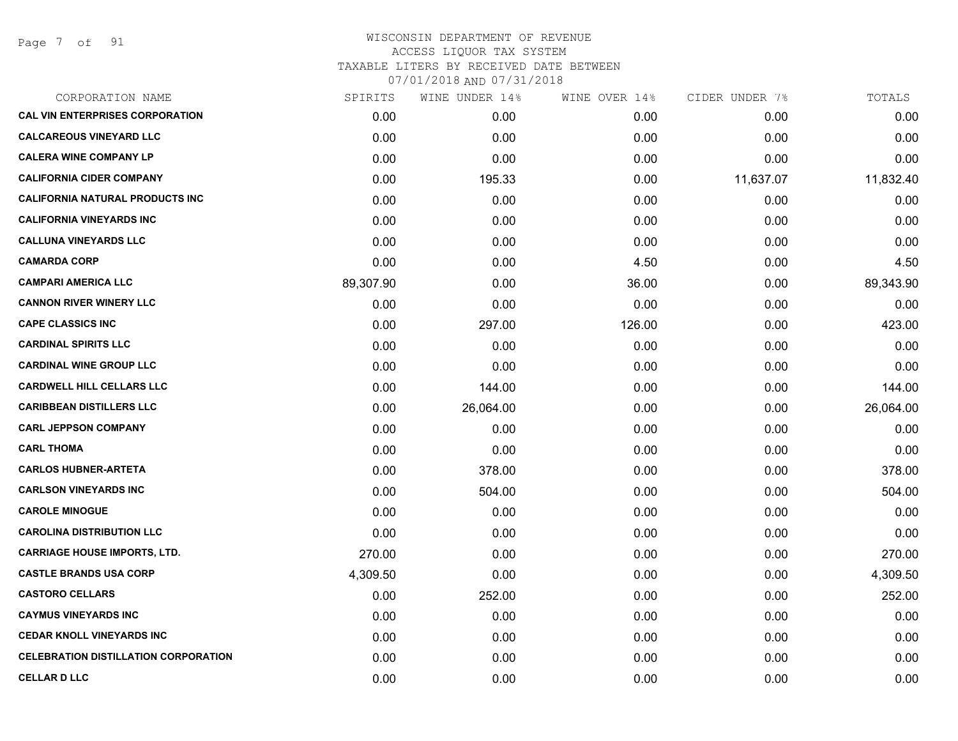Page 7 of 91

| CORPORATION NAME                            | SPIRITS   | WINE UNDER 14% | WINE OVER 14% | CIDER UNDER 7% | TOTALS    |
|---------------------------------------------|-----------|----------------|---------------|----------------|-----------|
| <b>CAL VIN ENTERPRISES CORPORATION</b>      | 0.00      | 0.00           | 0.00          | 0.00           | 0.00      |
| <b>CALCAREOUS VINEYARD LLC</b>              | 0.00      | 0.00           | 0.00          | 0.00           | 0.00      |
| <b>CALERA WINE COMPANY LP</b>               | 0.00      | 0.00           | 0.00          | 0.00           | 0.00      |
| <b>CALIFORNIA CIDER COMPANY</b>             | 0.00      | 195.33         | 0.00          | 11,637.07      | 11,832.40 |
| <b>CALIFORNIA NATURAL PRODUCTS INC</b>      | 0.00      | 0.00           | 0.00          | 0.00           | 0.00      |
| <b>CALIFORNIA VINEYARDS INC</b>             | 0.00      | 0.00           | 0.00          | 0.00           | 0.00      |
| <b>CALLUNA VINEYARDS LLC</b>                | 0.00      | 0.00           | 0.00          | 0.00           | 0.00      |
| <b>CAMARDA CORP</b>                         | 0.00      | 0.00           | 4.50          | 0.00           | 4.50      |
| <b>CAMPARI AMERICA LLC</b>                  | 89,307.90 | 0.00           | 36.00         | 0.00           | 89,343.90 |
| <b>CANNON RIVER WINERY LLC</b>              | 0.00      | 0.00           | 0.00          | 0.00           | 0.00      |
| <b>CAPE CLASSICS INC</b>                    | 0.00      | 297.00         | 126.00        | 0.00           | 423.00    |
| <b>CARDINAL SPIRITS LLC</b>                 | 0.00      | 0.00           | 0.00          | 0.00           | 0.00      |
| <b>CARDINAL WINE GROUP LLC</b>              | 0.00      | 0.00           | 0.00          | 0.00           | 0.00      |
| <b>CARDWELL HILL CELLARS LLC</b>            | 0.00      | 144.00         | 0.00          | 0.00           | 144.00    |
| <b>CARIBBEAN DISTILLERS LLC</b>             | 0.00      | 26,064.00      | 0.00          | 0.00           | 26,064.00 |
| <b>CARL JEPPSON COMPANY</b>                 | 0.00      | 0.00           | 0.00          | 0.00           | 0.00      |
| <b>CARL THOMA</b>                           | 0.00      | 0.00           | 0.00          | 0.00           | 0.00      |
| <b>CARLOS HUBNER-ARTETA</b>                 | 0.00      | 378.00         | 0.00          | 0.00           | 378.00    |
| <b>CARLSON VINEYARDS INC</b>                | 0.00      | 504.00         | 0.00          | 0.00           | 504.00    |
| <b>CAROLE MINOGUE</b>                       | 0.00      | 0.00           | 0.00          | 0.00           | 0.00      |
| <b>CAROLINA DISTRIBUTION LLC</b>            | 0.00      | 0.00           | 0.00          | 0.00           | 0.00      |
| <b>CARRIAGE HOUSE IMPORTS, LTD.</b>         | 270.00    | 0.00           | 0.00          | 0.00           | 270.00    |
| <b>CASTLE BRANDS USA CORP</b>               | 4,309.50  | 0.00           | 0.00          | 0.00           | 4,309.50  |
| <b>CASTORO CELLARS</b>                      | 0.00      | 252.00         | 0.00          | 0.00           | 252.00    |
| <b>CAYMUS VINEYARDS INC</b>                 | 0.00      | 0.00           | 0.00          | 0.00           | 0.00      |
| <b>CEDAR KNOLL VINEYARDS INC</b>            | 0.00      | 0.00           | 0.00          | 0.00           | 0.00      |
| <b>CELEBRATION DISTILLATION CORPORATION</b> | 0.00      | 0.00           | 0.00          | 0.00           | 0.00      |
| <b>CELLAR D LLC</b>                         | 0.00      | 0.00           | 0.00          | 0.00           | 0.00      |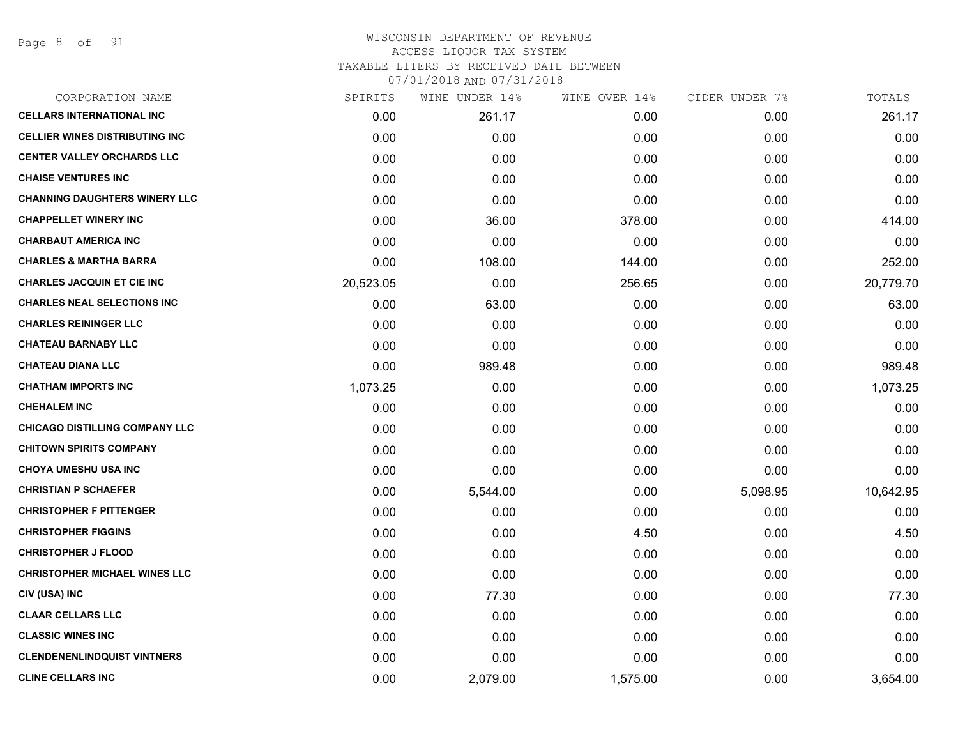Page 8 of 91

| CORPORATION NAME                      | SPIRITS   | WINE UNDER 14% | WINE OVER 14% | CIDER UNDER 7% | TOTALS    |
|---------------------------------------|-----------|----------------|---------------|----------------|-----------|
| <b>CELLARS INTERNATIONAL INC</b>      | 0.00      | 261.17         | 0.00          | 0.00           | 261.17    |
| <b>CELLIER WINES DISTRIBUTING INC</b> | 0.00      | 0.00           | 0.00          | 0.00           | 0.00      |
| <b>CENTER VALLEY ORCHARDS LLC</b>     | 0.00      | 0.00           | 0.00          | 0.00           | 0.00      |
| <b>CHAISE VENTURES INC</b>            | 0.00      | 0.00           | 0.00          | 0.00           | 0.00      |
| <b>CHANNING DAUGHTERS WINERY LLC</b>  | 0.00      | 0.00           | 0.00          | 0.00           | 0.00      |
| <b>CHAPPELLET WINERY INC</b>          | 0.00      | 36.00          | 378.00        | 0.00           | 414.00    |
| <b>CHARBAUT AMERICA INC</b>           | 0.00      | 0.00           | 0.00          | 0.00           | 0.00      |
| <b>CHARLES &amp; MARTHA BARRA</b>     | 0.00      | 108.00         | 144.00        | 0.00           | 252.00    |
| <b>CHARLES JACQUIN ET CIE INC</b>     | 20,523.05 | 0.00           | 256.65        | 0.00           | 20,779.70 |
| <b>CHARLES NEAL SELECTIONS INC</b>    | 0.00      | 63.00          | 0.00          | 0.00           | 63.00     |
| <b>CHARLES REININGER LLC</b>          | 0.00      | 0.00           | 0.00          | 0.00           | 0.00      |
| <b>CHATEAU BARNABY LLC</b>            | 0.00      | 0.00           | 0.00          | 0.00           | 0.00      |
| <b>CHATEAU DIANA LLC</b>              | 0.00      | 989.48         | 0.00          | 0.00           | 989.48    |
| <b>CHATHAM IMPORTS INC</b>            | 1,073.25  | 0.00           | 0.00          | 0.00           | 1,073.25  |
| <b>CHEHALEM INC</b>                   | 0.00      | 0.00           | 0.00          | 0.00           | 0.00      |
| CHICAGO DISTILLING COMPANY LLC        | 0.00      | 0.00           | 0.00          | 0.00           | 0.00      |
| <b>CHITOWN SPIRITS COMPANY</b>        | 0.00      | 0.00           | 0.00          | 0.00           | 0.00      |
| <b>CHOYA UMESHU USA INC</b>           | 0.00      | 0.00           | 0.00          | 0.00           | 0.00      |
| <b>CHRISTIAN P SCHAEFER</b>           | 0.00      | 5,544.00       | 0.00          | 5,098.95       | 10,642.95 |
| <b>CHRISTOPHER F PITTENGER</b>        | 0.00      | 0.00           | 0.00          | 0.00           | 0.00      |
| <b>CHRISTOPHER FIGGINS</b>            | 0.00      | 0.00           | 4.50          | 0.00           | 4.50      |
| <b>CHRISTOPHER J FLOOD</b>            | 0.00      | 0.00           | 0.00          | 0.00           | 0.00      |
| <b>CHRISTOPHER MICHAEL WINES LLC</b>  | 0.00      | 0.00           | 0.00          | 0.00           | 0.00      |
| CIV (USA) INC                         | 0.00      | 77.30          | 0.00          | 0.00           | 77.30     |
| <b>CLAAR CELLARS LLC</b>              | 0.00      | 0.00           | 0.00          | 0.00           | 0.00      |
| <b>CLASSIC WINES INC</b>              | 0.00      | 0.00           | 0.00          | 0.00           | 0.00      |
| <b>CLENDENENLINDQUIST VINTNERS</b>    | 0.00      | 0.00           | 0.00          | 0.00           | 0.00      |
| <b>CLINE CELLARS INC</b>              | 0.00      | 2,079.00       | 1,575.00      | 0.00           | 3,654.00  |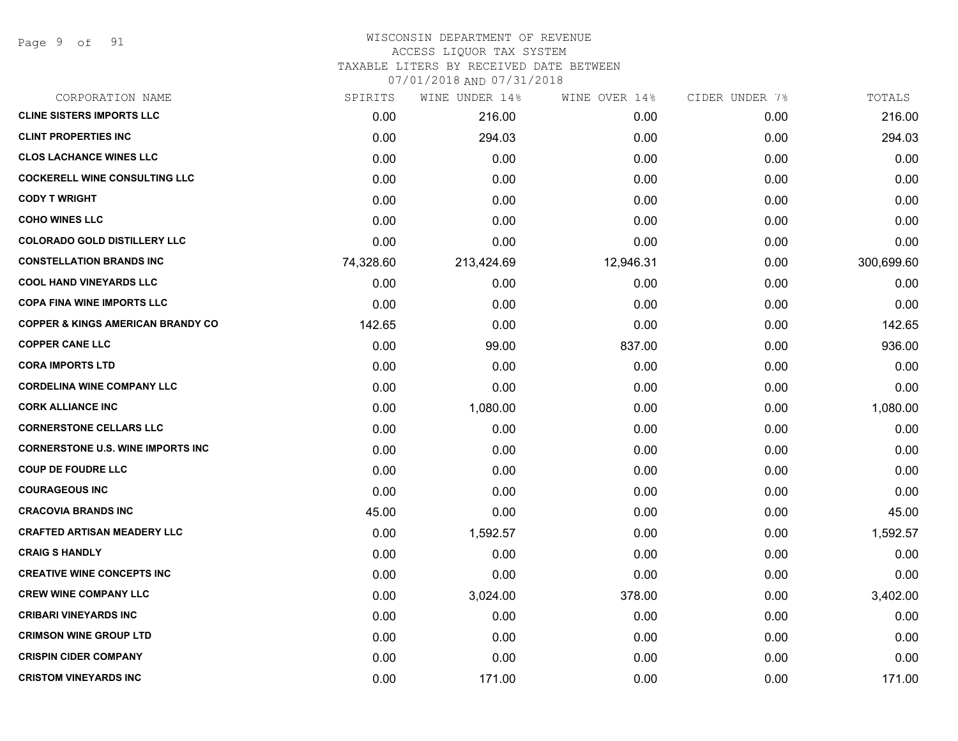#### WISCONSIN DEPARTMENT OF REVENUE ACCESS LIQUOR TAX SYSTEM

TAXABLE LITERS BY RECEIVED DATE BETWEEN

| CORPORATION NAME                             | SPIRITS   | WINE UNDER 14% | WINE OVER 14% | CIDER UNDER 7% | TOTALS     |
|----------------------------------------------|-----------|----------------|---------------|----------------|------------|
| <b>CLINE SISTERS IMPORTS LLC</b>             | 0.00      | 216.00         | 0.00          | 0.00           | 216.00     |
| <b>CLINT PROPERTIES INC</b>                  | 0.00      | 294.03         | 0.00          | 0.00           | 294.03     |
| <b>CLOS LACHANCE WINES LLC</b>               | 0.00      | 0.00           | 0.00          | 0.00           | 0.00       |
| <b>COCKERELL WINE CONSULTING LLC</b>         | 0.00      | 0.00           | 0.00          | 0.00           | 0.00       |
| <b>CODY T WRIGHT</b>                         | 0.00      | 0.00           | 0.00          | 0.00           | 0.00       |
| <b>COHO WINES LLC</b>                        | 0.00      | 0.00           | 0.00          | 0.00           | 0.00       |
| <b>COLORADO GOLD DISTILLERY LLC</b>          | 0.00      | 0.00           | 0.00          | 0.00           | 0.00       |
| <b>CONSTELLATION BRANDS INC</b>              | 74,328.60 | 213,424.69     | 12,946.31     | 0.00           | 300,699.60 |
| <b>COOL HAND VINEYARDS LLC</b>               | 0.00      | 0.00           | 0.00          | 0.00           | 0.00       |
| <b>COPA FINA WINE IMPORTS LLC</b>            | 0.00      | 0.00           | 0.00          | 0.00           | 0.00       |
| <b>COPPER &amp; KINGS AMERICAN BRANDY CO</b> | 142.65    | 0.00           | 0.00          | 0.00           | 142.65     |
| <b>COPPER CANE LLC</b>                       | 0.00      | 99.00          | 837.00        | 0.00           | 936.00     |
| <b>CORA IMPORTS LTD</b>                      | 0.00      | 0.00           | 0.00          | 0.00           | 0.00       |
| <b>CORDELINA WINE COMPANY LLC</b>            | 0.00      | 0.00           | 0.00          | 0.00           | 0.00       |
| <b>CORK ALLIANCE INC</b>                     | 0.00      | 1,080.00       | 0.00          | 0.00           | 1,080.00   |
| <b>CORNERSTONE CELLARS LLC</b>               | 0.00      | 0.00           | 0.00          | 0.00           | 0.00       |
| <b>CORNERSTONE U.S. WINE IMPORTS INC</b>     | 0.00      | 0.00           | 0.00          | 0.00           | 0.00       |
| <b>COUP DE FOUDRE LLC</b>                    | 0.00      | 0.00           | 0.00          | 0.00           | 0.00       |
| <b>COURAGEOUS INC</b>                        | 0.00      | 0.00           | 0.00          | 0.00           | 0.00       |
| <b>CRACOVIA BRANDS INC</b>                   | 45.00     | 0.00           | 0.00          | 0.00           | 45.00      |
| <b>CRAFTED ARTISAN MEADERY LLC</b>           | 0.00      | 1,592.57       | 0.00          | 0.00           | 1,592.57   |
| <b>CRAIG S HANDLY</b>                        | 0.00      | 0.00           | 0.00          | 0.00           | 0.00       |
| <b>CREATIVE WINE CONCEPTS INC</b>            | 0.00      | 0.00           | 0.00          | 0.00           | 0.00       |
| <b>CREW WINE COMPANY LLC</b>                 | 0.00      | 3,024.00       | 378.00        | 0.00           | 3,402.00   |
| <b>CRIBARI VINEYARDS INC</b>                 | 0.00      | 0.00           | 0.00          | 0.00           | 0.00       |
| <b>CRIMSON WINE GROUP LTD</b>                | 0.00      | 0.00           | 0.00          | 0.00           | 0.00       |
| <b>CRISPIN CIDER COMPANY</b>                 | 0.00      | 0.00           | 0.00          | 0.00           | 0.00       |
| <b>CRISTOM VINEYARDS INC</b>                 | 0.00      | 171.00         | 0.00          | 0.00           | 171.00     |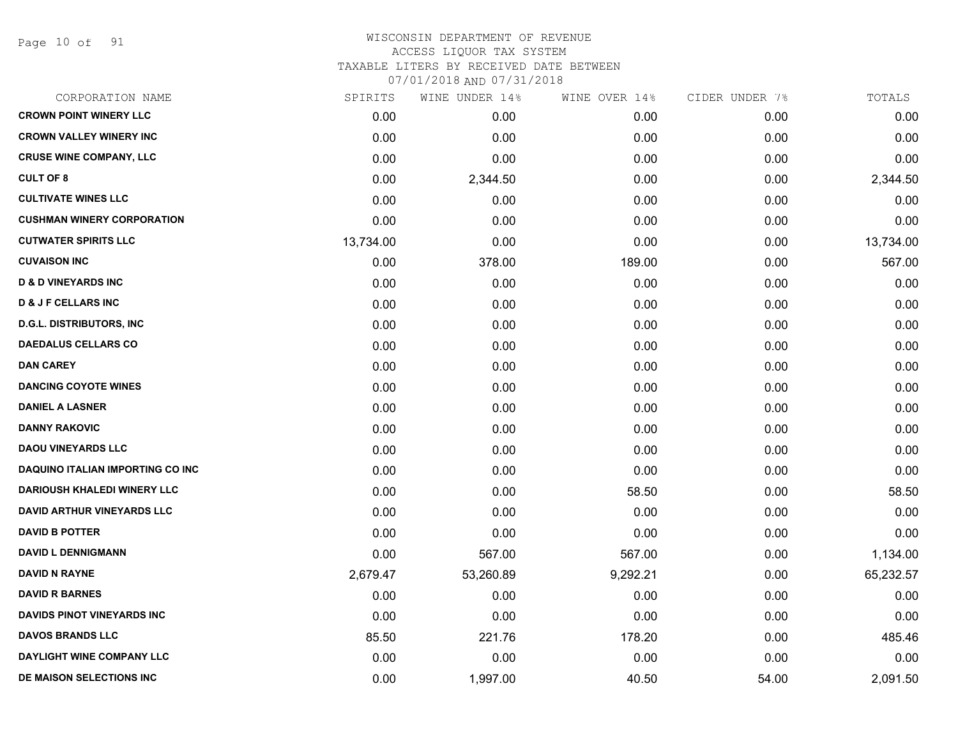Page 10 of 91

#### WISCONSIN DEPARTMENT OF REVENUE ACCESS LIQUOR TAX SYSTEM TAXABLE LITERS BY RECEIVED DATE BETWEEN

| CORPORATION NAME                   | SPIRITS   | WINE UNDER 14% | WINE OVER 14% | CIDER UNDER 7% | TOTALS    |
|------------------------------------|-----------|----------------|---------------|----------------|-----------|
| <b>CROWN POINT WINERY LLC</b>      | 0.00      | 0.00           | 0.00          | 0.00           | 0.00      |
| <b>CROWN VALLEY WINERY INC</b>     | 0.00      | 0.00           | 0.00          | 0.00           | 0.00      |
| <b>CRUSE WINE COMPANY, LLC</b>     | 0.00      | 0.00           | 0.00          | 0.00           | 0.00      |
| <b>CULT OF 8</b>                   | 0.00      | 2,344.50       | 0.00          | 0.00           | 2,344.50  |
| <b>CULTIVATE WINES LLC</b>         | 0.00      | 0.00           | 0.00          | 0.00           | 0.00      |
| <b>CUSHMAN WINERY CORPORATION</b>  | 0.00      | 0.00           | 0.00          | 0.00           | 0.00      |
| <b>CUTWATER SPIRITS LLC</b>        | 13,734.00 | 0.00           | 0.00          | 0.00           | 13,734.00 |
| <b>CUVAISON INC</b>                | 0.00      | 378.00         | 189.00        | 0.00           | 567.00    |
| <b>D &amp; D VINEYARDS INC</b>     | 0.00      | 0.00           | 0.00          | 0.00           | 0.00      |
| <b>D &amp; J F CELLARS INC</b>     | 0.00      | 0.00           | 0.00          | 0.00           | 0.00      |
| <b>D.G.L. DISTRIBUTORS, INC</b>    | 0.00      | 0.00           | 0.00          | 0.00           | 0.00      |
| <b>DAEDALUS CELLARS CO</b>         | 0.00      | 0.00           | 0.00          | 0.00           | 0.00      |
| DAN CAREY                          | 0.00      | 0.00           | 0.00          | 0.00           | 0.00      |
| <b>DANCING COYOTE WINES</b>        | 0.00      | 0.00           | 0.00          | 0.00           | 0.00      |
| <b>DANIEL A LASNER</b>             | 0.00      | 0.00           | 0.00          | 0.00           | 0.00      |
| <b>DANNY RAKOVIC</b>               | 0.00      | 0.00           | 0.00          | 0.00           | 0.00      |
| <b>DAOU VINEYARDS LLC</b>          | 0.00      | 0.00           | 0.00          | 0.00           | 0.00      |
| DAQUINO ITALIAN IMPORTING CO INC   | 0.00      | 0.00           | 0.00          | 0.00           | 0.00      |
| <b>DARIOUSH KHALEDI WINERY LLC</b> | 0.00      | 0.00           | 58.50         | 0.00           | 58.50     |
| <b>DAVID ARTHUR VINEYARDS LLC</b>  | 0.00      | 0.00           | 0.00          | 0.00           | 0.00      |
| <b>DAVID B POTTER</b>              | 0.00      | 0.00           | 0.00          | 0.00           | 0.00      |
| <b>DAVID L DENNIGMANN</b>          | 0.00      | 567.00         | 567.00        | 0.00           | 1,134.00  |
| <b>DAVID N RAYNE</b>               | 2,679.47  | 53,260.89      | 9,292.21      | 0.00           | 65,232.57 |
| <b>DAVID R BARNES</b>              | 0.00      | 0.00           | 0.00          | 0.00           | 0.00      |
| <b>DAVIDS PINOT VINEYARDS INC</b>  | 0.00      | 0.00           | 0.00          | 0.00           | 0.00      |
| <b>DAVOS BRANDS LLC</b>            | 85.50     | 221.76         | 178.20        | 0.00           | 485.46    |
| DAYLIGHT WINE COMPANY LLC          | 0.00      | 0.00           | 0.00          | 0.00           | 0.00      |
| DE MAISON SELECTIONS INC           | 0.00      | 1,997.00       | 40.50         | 54.00          | 2,091.50  |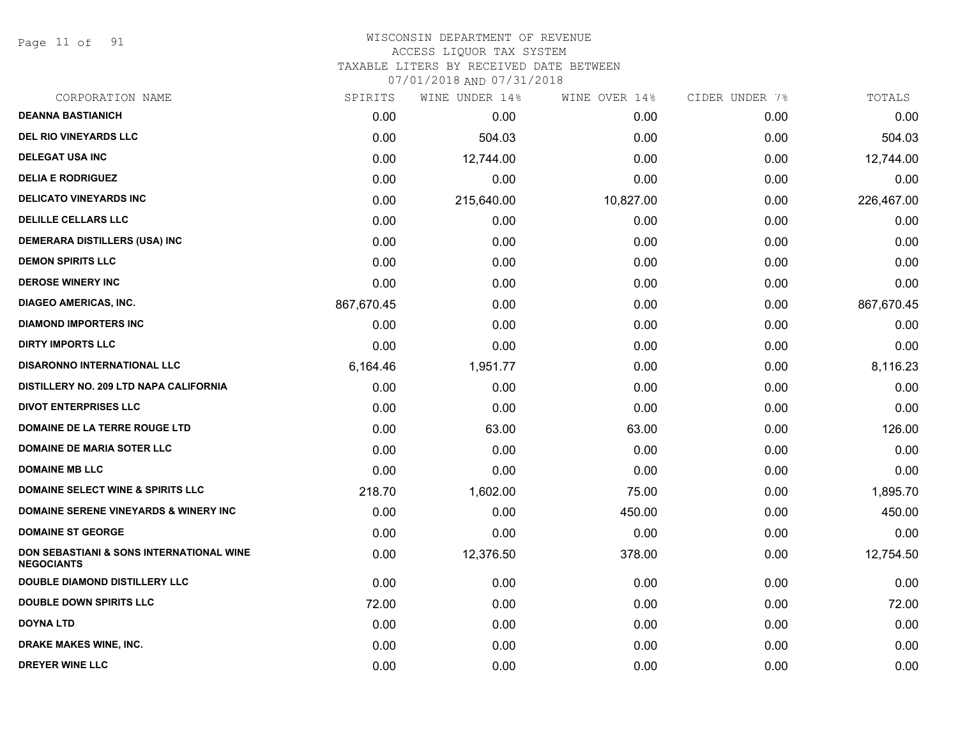Page 11 of 91

#### WISCONSIN DEPARTMENT OF REVENUE ACCESS LIQUOR TAX SYSTEM

TAXABLE LITERS BY RECEIVED DATE BETWEEN

| CORPORATION NAME                                                         | SPIRITS    | WINE UNDER 14% | WINE OVER 14% | CIDER UNDER 7% | TOTALS     |
|--------------------------------------------------------------------------|------------|----------------|---------------|----------------|------------|
| <b>DEANNA BASTIANICH</b>                                                 | 0.00       | 0.00           | 0.00          | 0.00           | 0.00       |
| <b>DEL RIO VINEYARDS LLC</b>                                             | 0.00       | 504.03         | 0.00          | 0.00           | 504.03     |
| <b>DELEGAT USA INC</b>                                                   | 0.00       | 12,744.00      | 0.00          | 0.00           | 12,744.00  |
| <b>DELIA E RODRIGUEZ</b>                                                 | 0.00       | 0.00           | 0.00          | 0.00           | 0.00       |
| <b>DELICATO VINEYARDS INC</b>                                            | 0.00       | 215,640.00     | 10,827.00     | 0.00           | 226,467.00 |
| <b>DELILLE CELLARS LLC</b>                                               | 0.00       | 0.00           | 0.00          | 0.00           | 0.00       |
| <b>DEMERARA DISTILLERS (USA) INC</b>                                     | 0.00       | 0.00           | 0.00          | 0.00           | 0.00       |
| <b>DEMON SPIRITS LLC</b>                                                 | 0.00       | 0.00           | 0.00          | 0.00           | 0.00       |
| <b>DEROSE WINERY INC</b>                                                 | 0.00       | 0.00           | 0.00          | 0.00           | 0.00       |
| <b>DIAGEO AMERICAS, INC.</b>                                             | 867,670.45 | 0.00           | 0.00          | 0.00           | 867,670.45 |
| <b>DIAMOND IMPORTERS INC</b>                                             | 0.00       | 0.00           | 0.00          | 0.00           | 0.00       |
| <b>DIRTY IMPORTS LLC</b>                                                 | 0.00       | 0.00           | 0.00          | 0.00           | 0.00       |
| <b>DISARONNO INTERNATIONAL LLC</b>                                       | 6,164.46   | 1,951.77       | 0.00          | 0.00           | 8,116.23   |
| DISTILLERY NO. 209 LTD NAPA CALIFORNIA                                   | 0.00       | 0.00           | 0.00          | 0.00           | 0.00       |
| <b>DIVOT ENTERPRISES LLC</b>                                             | 0.00       | 0.00           | 0.00          | 0.00           | 0.00       |
| DOMAINE DE LA TERRE ROUGE LTD                                            | 0.00       | 63.00          | 63.00         | 0.00           | 126.00     |
| <b>DOMAINE DE MARIA SOTER LLC</b>                                        | 0.00       | 0.00           | 0.00          | 0.00           | 0.00       |
| <b>DOMAINE MB LLC</b>                                                    | 0.00       | 0.00           | 0.00          | 0.00           | 0.00       |
| <b>DOMAINE SELECT WINE &amp; SPIRITS LLC</b>                             | 218.70     | 1,602.00       | 75.00         | 0.00           | 1,895.70   |
| <b>DOMAINE SERENE VINEYARDS &amp; WINERY INC</b>                         | 0.00       | 0.00           | 450.00        | 0.00           | 450.00     |
| <b>DOMAINE ST GEORGE</b>                                                 | 0.00       | 0.00           | 0.00          | 0.00           | 0.00       |
| <b>DON SEBASTIANI &amp; SONS INTERNATIONAL WINE</b><br><b>NEGOCIANTS</b> | 0.00       | 12,376.50      | 378.00        | 0.00           | 12,754.50  |
| <b>DOUBLE DIAMOND DISTILLERY LLC</b>                                     | 0.00       | 0.00           | 0.00          | 0.00           | 0.00       |
| <b>DOUBLE DOWN SPIRITS LLC</b>                                           | 72.00      | 0.00           | 0.00          | 0.00           | 72.00      |
| <b>DOYNA LTD</b>                                                         | 0.00       | 0.00           | 0.00          | 0.00           | 0.00       |
| <b>DRAKE MAKES WINE, INC.</b>                                            | 0.00       | 0.00           | 0.00          | 0.00           | 0.00       |
| <b>DREYER WINE LLC</b>                                                   | 0.00       | 0.00           | 0.00          | 0.00           | 0.00       |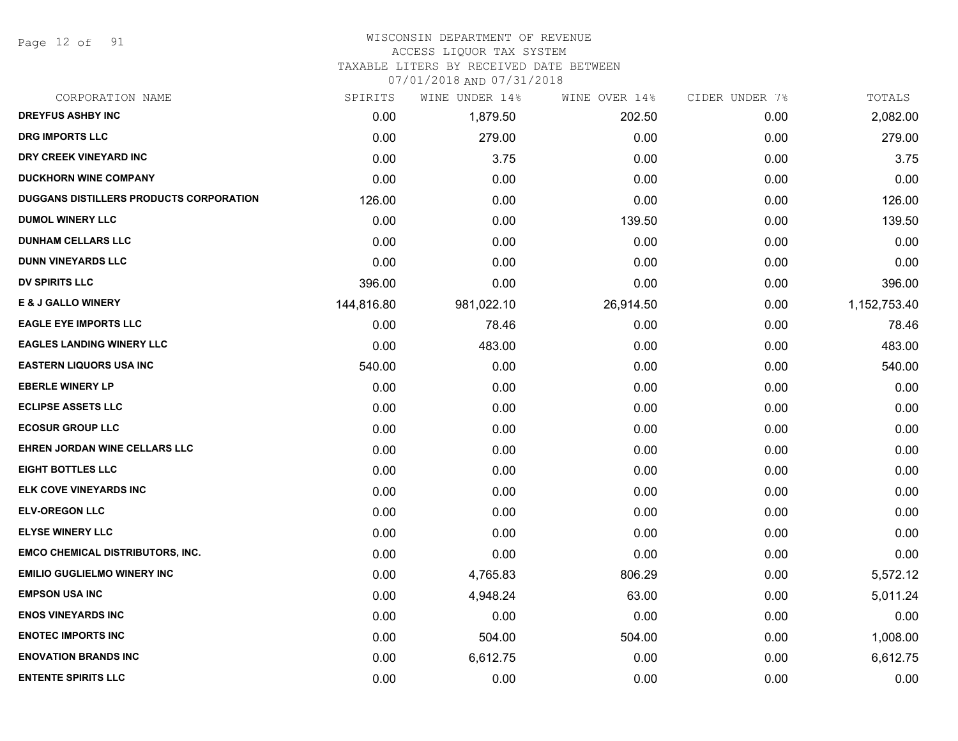Page 12 of 91

## WISCONSIN DEPARTMENT OF REVENUE

#### ACCESS LIQUOR TAX SYSTEM

TAXABLE LITERS BY RECEIVED DATE BETWEEN

| CORPORATION NAME                        | SPIRITS    | WINE UNDER 14% | WINE OVER 14% | CIDER UNDER 7% | TOTALS       |
|-----------------------------------------|------------|----------------|---------------|----------------|--------------|
| <b>DREYFUS ASHBY INC</b>                | 0.00       | 1,879.50       | 202.50        | 0.00           | 2,082.00     |
| <b>DRG IMPORTS LLC</b>                  | 0.00       | 279.00         | 0.00          | 0.00           | 279.00       |
| DRY CREEK VINEYARD INC                  | 0.00       | 3.75           | 0.00          | 0.00           | 3.75         |
| <b>DUCKHORN WINE COMPANY</b>            | 0.00       | 0.00           | 0.00          | 0.00           | 0.00         |
| DUGGANS DISTILLERS PRODUCTS CORPORATION | 126.00     | 0.00           | 0.00          | 0.00           | 126.00       |
| <b>DUMOL WINERY LLC</b>                 | 0.00       | 0.00           | 139.50        | 0.00           | 139.50       |
| <b>DUNHAM CELLARS LLC</b>               | 0.00       | 0.00           | 0.00          | 0.00           | 0.00         |
| <b>DUNN VINEYARDS LLC</b>               | 0.00       | 0.00           | 0.00          | 0.00           | 0.00         |
| <b>DV SPIRITS LLC</b>                   | 396.00     | 0.00           | 0.00          | 0.00           | 396.00       |
| <b>E &amp; J GALLO WINERY</b>           | 144,816.80 | 981,022.10     | 26,914.50     | 0.00           | 1,152,753.40 |
| <b>EAGLE EYE IMPORTS LLC</b>            | 0.00       | 78.46          | 0.00          | 0.00           | 78.46        |
| <b>EAGLES LANDING WINERY LLC</b>        | 0.00       | 483.00         | 0.00          | 0.00           | 483.00       |
| <b>EASTERN LIQUORS USA INC</b>          | 540.00     | 0.00           | 0.00          | 0.00           | 540.00       |
| <b>EBERLE WINERY LP</b>                 | 0.00       | 0.00           | 0.00          | 0.00           | 0.00         |
| <b>ECLIPSE ASSETS LLC</b>               | 0.00       | 0.00           | 0.00          | 0.00           | 0.00         |
| <b>ECOSUR GROUP LLC</b>                 | 0.00       | 0.00           | 0.00          | 0.00           | 0.00         |
| EHREN JORDAN WINE CELLARS LLC           | 0.00       | 0.00           | 0.00          | 0.00           | 0.00         |
| <b>EIGHT BOTTLES LLC</b>                | 0.00       | 0.00           | 0.00          | 0.00           | 0.00         |
| ELK COVE VINEYARDS INC                  | 0.00       | 0.00           | 0.00          | 0.00           | 0.00         |
| <b>ELV-OREGON LLC</b>                   | 0.00       | 0.00           | 0.00          | 0.00           | 0.00         |
| <b>ELYSE WINERY LLC</b>                 | 0.00       | 0.00           | 0.00          | 0.00           | 0.00         |
| <b>EMCO CHEMICAL DISTRIBUTORS, INC.</b> | 0.00       | 0.00           | 0.00          | 0.00           | 0.00         |
| <b>EMILIO GUGLIELMO WINERY INC</b>      | 0.00       | 4,765.83       | 806.29        | 0.00           | 5,572.12     |
| <b>EMPSON USA INC</b>                   | 0.00       | 4,948.24       | 63.00         | 0.00           | 5,011.24     |
| <b>ENOS VINEYARDS INC</b>               | 0.00       | 0.00           | 0.00          | 0.00           | 0.00         |
| <b>ENOTEC IMPORTS INC</b>               | 0.00       | 504.00         | 504.00        | 0.00           | 1,008.00     |
| <b>ENOVATION BRANDS INC</b>             | 0.00       | 6,612.75       | 0.00          | 0.00           | 6,612.75     |
| <b>ENTENTE SPIRITS LLC</b>              | 0.00       | 0.00           | 0.00          | 0.00           | 0.00         |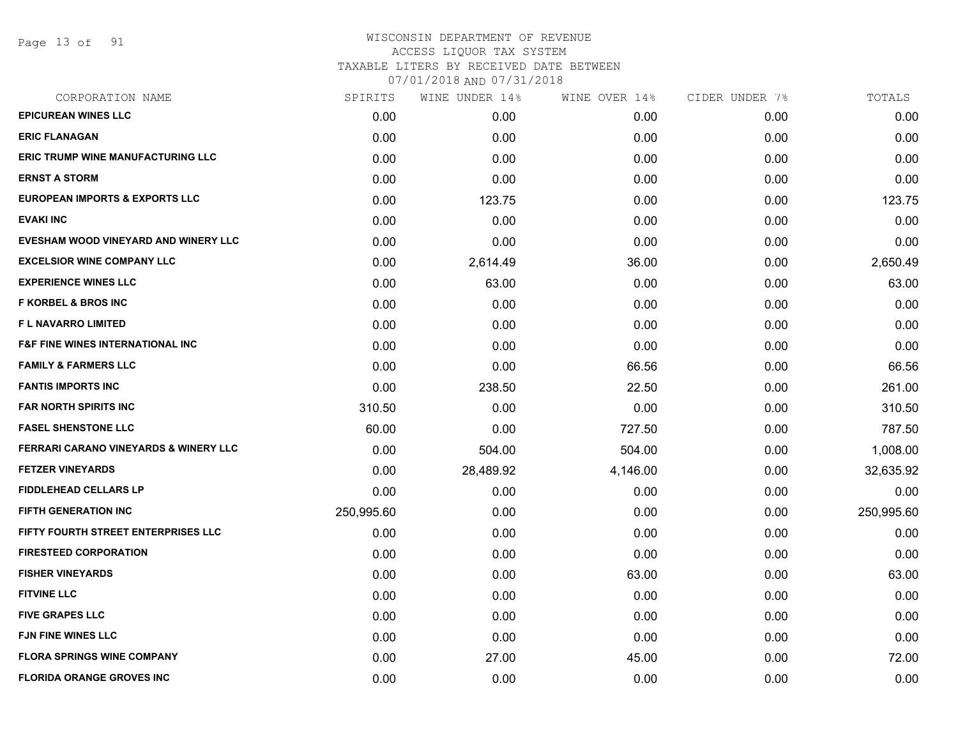Page 13 of 91

# WISCONSIN DEPARTMENT OF REVENUE ACCESS LIQUOR TAX SYSTEM TAXABLE LITERS BY RECEIVED DATE BETWEEN

| CORPORATION NAME                                 | SPIRITS    | WINE UNDER 14% | WINE OVER 14% | CIDER UNDER 7% | TOTALS     |
|--------------------------------------------------|------------|----------------|---------------|----------------|------------|
| <b>EPICUREAN WINES LLC</b>                       | 0.00       | 0.00           | 0.00          | 0.00           | 0.00       |
| <b>ERIC FLANAGAN</b>                             | 0.00       | 0.00           | 0.00          | 0.00           | 0.00       |
| <b>ERIC TRUMP WINE MANUFACTURING LLC</b>         | 0.00       | 0.00           | 0.00          | 0.00           | 0.00       |
| <b>ERNST A STORM</b>                             | 0.00       | 0.00           | 0.00          | 0.00           | 0.00       |
| <b>EUROPEAN IMPORTS &amp; EXPORTS LLC</b>        | 0.00       | 123.75         | 0.00          | 0.00           | 123.75     |
| <b>EVAKI INC</b>                                 | 0.00       | 0.00           | 0.00          | 0.00           | 0.00       |
| EVESHAM WOOD VINEYARD AND WINERY LLC             | 0.00       | 0.00           | 0.00          | 0.00           | 0.00       |
| <b>EXCELSIOR WINE COMPANY LLC</b>                | 0.00       | 2,614.49       | 36.00         | 0.00           | 2,650.49   |
| <b>EXPERIENCE WINES LLC</b>                      | 0.00       | 63.00          | 0.00          | 0.00           | 63.00      |
| <b>F KORBEL &amp; BROS INC</b>                   | 0.00       | 0.00           | 0.00          | 0.00           | 0.00       |
| F L NAVARRO LIMITED                              | 0.00       | 0.00           | 0.00          | 0.00           | 0.00       |
| <b>F&amp;F FINE WINES INTERNATIONAL INC</b>      | 0.00       | 0.00           | 0.00          | 0.00           | 0.00       |
| <b>FAMILY &amp; FARMERS LLC</b>                  | 0.00       | 0.00           | 66.56         | 0.00           | 66.56      |
| <b>FANTIS IMPORTS INC</b>                        | 0.00       | 238.50         | 22.50         | 0.00           | 261.00     |
| <b>FAR NORTH SPIRITS INC</b>                     | 310.50     | 0.00           | 0.00          | 0.00           | 310.50     |
| <b>FASEL SHENSTONE LLC</b>                       | 60.00      | 0.00           | 727.50        | 0.00           | 787.50     |
| <b>FERRARI CARANO VINEYARDS &amp; WINERY LLC</b> | 0.00       | 504.00         | 504.00        | 0.00           | 1,008.00   |
| <b>FETZER VINEYARDS</b>                          | 0.00       | 28,489.92      | 4,146.00      | 0.00           | 32,635.92  |
| <b>FIDDLEHEAD CELLARS LP</b>                     | 0.00       | 0.00           | 0.00          | 0.00           | 0.00       |
| <b>FIFTH GENERATION INC</b>                      | 250,995.60 | 0.00           | 0.00          | 0.00           | 250,995.60 |
| FIFTY FOURTH STREET ENTERPRISES LLC              | 0.00       | 0.00           | 0.00          | 0.00           | 0.00       |
| <b>FIRESTEED CORPORATION</b>                     | 0.00       | 0.00           | 0.00          | 0.00           | 0.00       |
| <b>FISHER VINEYARDS</b>                          | 0.00       | 0.00           | 63.00         | 0.00           | 63.00      |
| <b>FITVINE LLC</b>                               | 0.00       | 0.00           | 0.00          | 0.00           | 0.00       |
| <b>FIVE GRAPES LLC</b>                           | 0.00       | 0.00           | 0.00          | 0.00           | 0.00       |
| <b>FJN FINE WINES LLC</b>                        | 0.00       | 0.00           | 0.00          | 0.00           | 0.00       |
| <b>FLORA SPRINGS WINE COMPANY</b>                | 0.00       | 27.00          | 45.00         | 0.00           | 72.00      |
| <b>FLORIDA ORANGE GROVES INC</b>                 | 0.00       | 0.00           | 0.00          | 0.00           | 0.00       |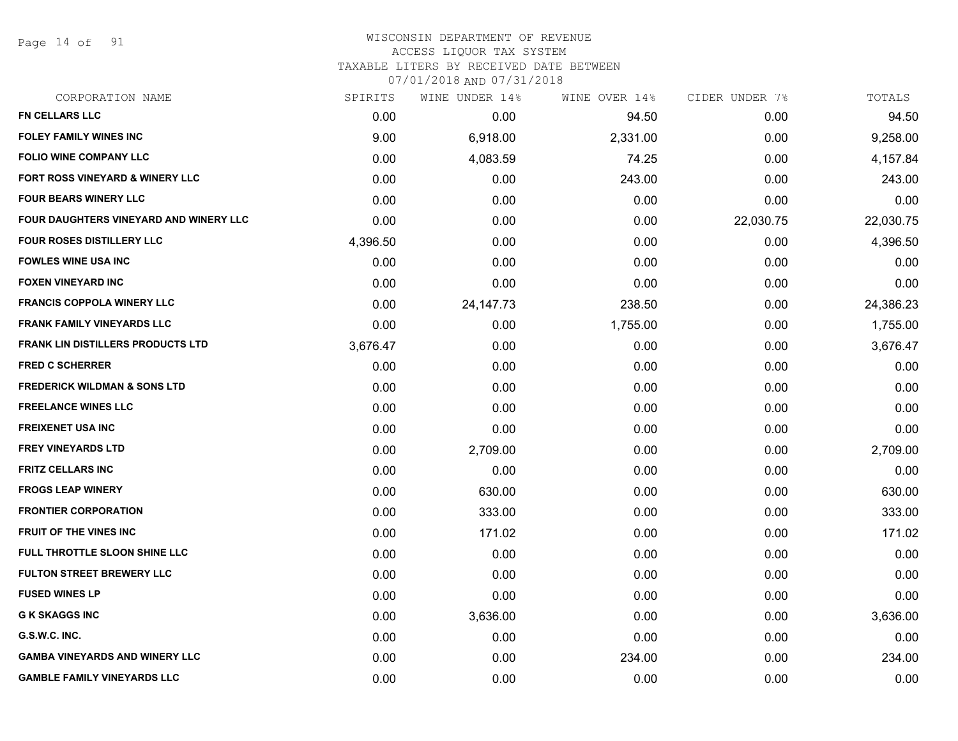Page 14 of 91

#### WISCONSIN DEPARTMENT OF REVENUE ACCESS LIQUOR TAX SYSTEM

TAXABLE LITERS BY RECEIVED DATE BETWEEN

| CORPORATION NAME                           | SPIRITS  | WINE UNDER 14% | WINE OVER 14% | CIDER UNDER 7% | TOTALS    |
|--------------------------------------------|----------|----------------|---------------|----------------|-----------|
| <b>FN CELLARS LLC</b>                      | 0.00     | 0.00           | 94.50         | 0.00           | 94.50     |
| FOLEY FAMILY WINES INC                     | 9.00     | 6,918.00       | 2,331.00      | 0.00           | 9,258.00  |
| <b>FOLIO WINE COMPANY LLC</b>              | 0.00     | 4,083.59       | 74.25         | 0.00           | 4,157.84  |
| <b>FORT ROSS VINEYARD &amp; WINERY LLC</b> | 0.00     | 0.00           | 243.00        | 0.00           | 243.00    |
| <b>FOUR BEARS WINERY LLC</b>               | 0.00     | 0.00           | 0.00          | 0.00           | 0.00      |
| FOUR DAUGHTERS VINEYARD AND WINERY LLC     | 0.00     | 0.00           | 0.00          | 22,030.75      | 22,030.75 |
| FOUR ROSES DISTILLERY LLC                  | 4,396.50 | 0.00           | 0.00          | 0.00           | 4,396.50  |
| <b>FOWLES WINE USA INC</b>                 | 0.00     | 0.00           | 0.00          | 0.00           | 0.00      |
| <b>FOXEN VINEYARD INC</b>                  | 0.00     | 0.00           | 0.00          | 0.00           | 0.00      |
| <b>FRANCIS COPPOLA WINERY LLC</b>          | 0.00     | 24, 147. 73    | 238.50        | 0.00           | 24,386.23 |
| <b>FRANK FAMILY VINEYARDS LLC</b>          | 0.00     | 0.00           | 1,755.00      | 0.00           | 1,755.00  |
| <b>FRANK LIN DISTILLERS PRODUCTS LTD</b>   | 3,676.47 | 0.00           | 0.00          | 0.00           | 3,676.47  |
| <b>FRED C SCHERRER</b>                     | 0.00     | 0.00           | 0.00          | 0.00           | 0.00      |
| <b>FREDERICK WILDMAN &amp; SONS LTD</b>    | 0.00     | 0.00           | 0.00          | 0.00           | 0.00      |
| <b>FREELANCE WINES LLC</b>                 | 0.00     | 0.00           | 0.00          | 0.00           | 0.00      |
| <b>FREIXENET USA INC</b>                   | 0.00     | 0.00           | 0.00          | 0.00           | 0.00      |
| <b>FREY VINEYARDS LTD</b>                  | 0.00     | 2,709.00       | 0.00          | 0.00           | 2,709.00  |
| <b>FRITZ CELLARS INC</b>                   | 0.00     | 0.00           | 0.00          | 0.00           | 0.00      |
| <b>FROGS LEAP WINERY</b>                   | 0.00     | 630.00         | 0.00          | 0.00           | 630.00    |
| <b>FRONTIER CORPORATION</b>                | 0.00     | 333.00         | 0.00          | 0.00           | 333.00    |
| <b>FRUIT OF THE VINES INC</b>              | 0.00     | 171.02         | 0.00          | 0.00           | 171.02    |
| FULL THROTTLE SLOON SHINE LLC              | 0.00     | 0.00           | 0.00          | 0.00           | 0.00      |
| <b>FULTON STREET BREWERY LLC</b>           | 0.00     | 0.00           | 0.00          | 0.00           | 0.00      |
| <b>FUSED WINES LP</b>                      | 0.00     | 0.00           | 0.00          | 0.00           | 0.00      |
| <b>G K SKAGGS INC</b>                      | 0.00     | 3,636.00       | 0.00          | 0.00           | 3,636.00  |
| G.S.W.C. INC.                              | 0.00     | 0.00           | 0.00          | 0.00           | 0.00      |
| <b>GAMBA VINEYARDS AND WINERY LLC</b>      | 0.00     | 0.00           | 234.00        | 0.00           | 234.00    |
| <b>GAMBLE FAMILY VINEYARDS LLC</b>         | 0.00     | 0.00           | 0.00          | 0.00           | 0.00      |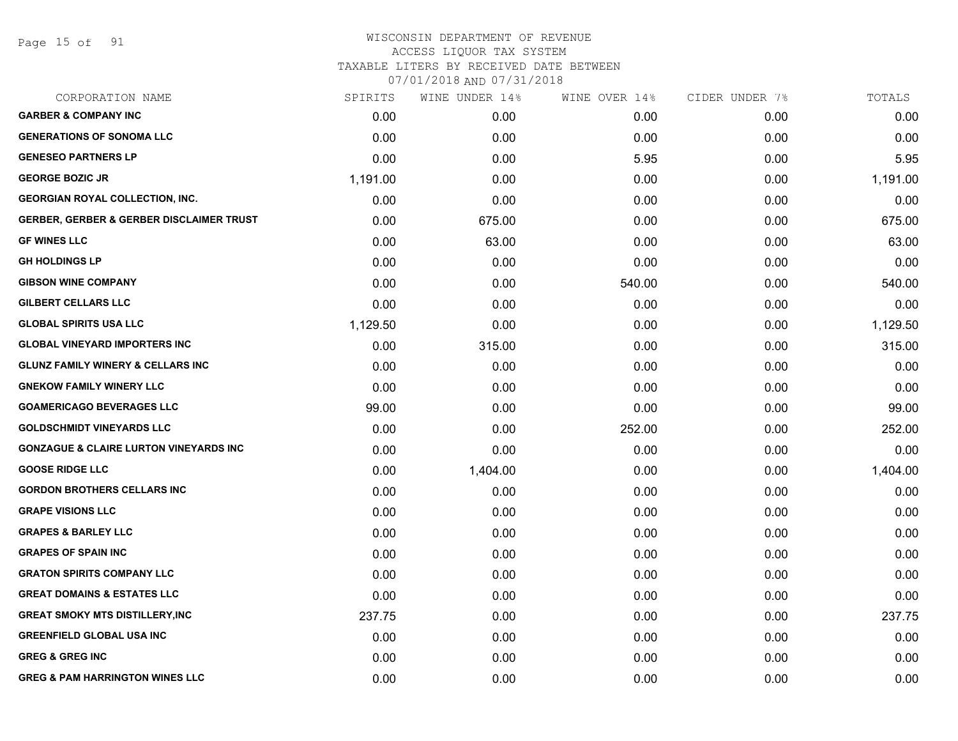Page 15 of 91

#### WISCONSIN DEPARTMENT OF REVENUE ACCESS LIQUOR TAX SYSTEM TAXABLE LITERS BY RECEIVED DATE BETWEEN

| CORPORATION NAME                                    | SPIRITS  | WINE UNDER 14% | WINE OVER 14% | CIDER UNDER 7% | TOTALS   |
|-----------------------------------------------------|----------|----------------|---------------|----------------|----------|
| <b>GARBER &amp; COMPANY INC</b>                     | 0.00     | 0.00           | 0.00          | 0.00           | 0.00     |
| <b>GENERATIONS OF SONOMA LLC</b>                    | 0.00     | 0.00           | 0.00          | 0.00           | 0.00     |
| <b>GENESEO PARTNERS LP</b>                          | 0.00     | 0.00           | 5.95          | 0.00           | 5.95     |
| <b>GEORGE BOZIC JR</b>                              | 1,191.00 | 0.00           | 0.00          | 0.00           | 1,191.00 |
| <b>GEORGIAN ROYAL COLLECTION, INC.</b>              | 0.00     | 0.00           | 0.00          | 0.00           | 0.00     |
| <b>GERBER, GERBER &amp; GERBER DISCLAIMER TRUST</b> | 0.00     | 675.00         | 0.00          | 0.00           | 675.00   |
| <b>GF WINES LLC</b>                                 | 0.00     | 63.00          | 0.00          | 0.00           | 63.00    |
| <b>GH HOLDINGS LP</b>                               | 0.00     | 0.00           | 0.00          | 0.00           | 0.00     |
| <b>GIBSON WINE COMPANY</b>                          | 0.00     | 0.00           | 540.00        | 0.00           | 540.00   |
| <b>GILBERT CELLARS LLC</b>                          | 0.00     | 0.00           | 0.00          | 0.00           | 0.00     |
| <b>GLOBAL SPIRITS USA LLC</b>                       | 1,129.50 | 0.00           | 0.00          | 0.00           | 1,129.50 |
| <b>GLOBAL VINEYARD IMPORTERS INC</b>                | 0.00     | 315.00         | 0.00          | 0.00           | 315.00   |
| <b>GLUNZ FAMILY WINERY &amp; CELLARS INC</b>        | 0.00     | 0.00           | 0.00          | 0.00           | 0.00     |
| <b>GNEKOW FAMILY WINERY LLC</b>                     | 0.00     | 0.00           | 0.00          | 0.00           | 0.00     |
| <b>GOAMERICAGO BEVERAGES LLC</b>                    | 99.00    | 0.00           | 0.00          | 0.00           | 99.00    |
| <b>GOLDSCHMIDT VINEYARDS LLC</b>                    | 0.00     | 0.00           | 252.00        | 0.00           | 252.00   |
| <b>GONZAGUE &amp; CLAIRE LURTON VINEYARDS INC</b>   | 0.00     | 0.00           | 0.00          | 0.00           | 0.00     |
| <b>GOOSE RIDGE LLC</b>                              | 0.00     | 1,404.00       | 0.00          | 0.00           | 1,404.00 |
| <b>GORDON BROTHERS CELLARS INC</b>                  | 0.00     | 0.00           | 0.00          | 0.00           | 0.00     |
| <b>GRAPE VISIONS LLC</b>                            | 0.00     | 0.00           | 0.00          | 0.00           | 0.00     |
| <b>GRAPES &amp; BARLEY LLC</b>                      | 0.00     | 0.00           | 0.00          | 0.00           | 0.00     |
| <b>GRAPES OF SPAIN INC</b>                          | 0.00     | 0.00           | 0.00          | 0.00           | 0.00     |
| <b>GRATON SPIRITS COMPANY LLC</b>                   | 0.00     | 0.00           | 0.00          | 0.00           | 0.00     |
| <b>GREAT DOMAINS &amp; ESTATES LLC</b>              | 0.00     | 0.00           | 0.00          | 0.00           | 0.00     |
| <b>GREAT SMOKY MTS DISTILLERY, INC</b>              | 237.75   | 0.00           | 0.00          | 0.00           | 237.75   |
| <b>GREENFIELD GLOBAL USA INC</b>                    | 0.00     | 0.00           | 0.00          | 0.00           | 0.00     |
| <b>GREG &amp; GREG INC</b>                          | 0.00     | 0.00           | 0.00          | 0.00           | 0.00     |
| <b>GREG &amp; PAM HARRINGTON WINES LLC</b>          | 0.00     | 0.00           | 0.00          | 0.00           | 0.00     |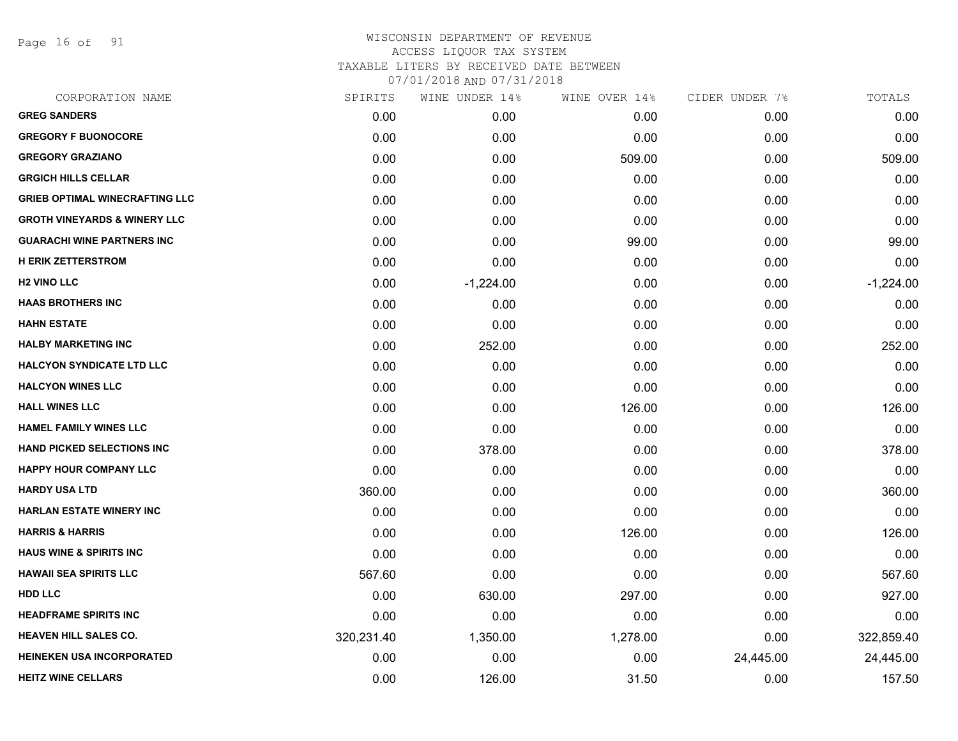Page 16 of 91

| CORPORATION NAME                        | SPIRITS    | WINE UNDER 14% | WINE OVER 14% | CIDER UNDER 7% | TOTALS      |
|-----------------------------------------|------------|----------------|---------------|----------------|-------------|
| <b>GREG SANDERS</b>                     | 0.00       | 0.00           | 0.00          | 0.00           | 0.00        |
| <b>GREGORY F BUONOCORE</b>              | 0.00       | 0.00           | 0.00          | 0.00           | 0.00        |
| <b>GREGORY GRAZIANO</b>                 | 0.00       | 0.00           | 509.00        | 0.00           | 509.00      |
| <b>GRGICH HILLS CELLAR</b>              | 0.00       | 0.00           | 0.00          | 0.00           | 0.00        |
| <b>GRIEB OPTIMAL WINECRAFTING LLC</b>   | 0.00       | 0.00           | 0.00          | 0.00           | 0.00        |
| <b>GROTH VINEYARDS &amp; WINERY LLC</b> | 0.00       | 0.00           | 0.00          | 0.00           | 0.00        |
| <b>GUARACHI WINE PARTNERS INC</b>       | 0.00       | 0.00           | 99.00         | 0.00           | 99.00       |
| <b>H ERIK ZETTERSTROM</b>               | 0.00       | 0.00           | 0.00          | 0.00           | 0.00        |
| <b>H2 VINO LLC</b>                      | 0.00       | $-1,224.00$    | 0.00          | 0.00           | $-1,224.00$ |
| <b>HAAS BROTHERS INC</b>                | 0.00       | 0.00           | 0.00          | 0.00           | 0.00        |
| <b>HAHN ESTATE</b>                      | 0.00       | 0.00           | 0.00          | 0.00           | 0.00        |
| <b>HALBY MARKETING INC</b>              | 0.00       | 252.00         | 0.00          | 0.00           | 252.00      |
| <b>HALCYON SYNDICATE LTD LLC</b>        | 0.00       | 0.00           | 0.00          | 0.00           | 0.00        |
| <b>HALCYON WINES LLC</b>                | 0.00       | 0.00           | 0.00          | 0.00           | 0.00        |
| <b>HALL WINES LLC</b>                   | 0.00       | 0.00           | 126.00        | 0.00           | 126.00      |
| <b>HAMEL FAMILY WINES LLC</b>           | 0.00       | 0.00           | 0.00          | 0.00           | 0.00        |
| <b>HAND PICKED SELECTIONS INC</b>       | 0.00       | 378.00         | 0.00          | 0.00           | 378.00      |
| <b>HAPPY HOUR COMPANY LLC</b>           | 0.00       | 0.00           | 0.00          | 0.00           | 0.00        |
| <b>HARDY USA LTD</b>                    | 360.00     | 0.00           | 0.00          | 0.00           | 360.00      |
| <b>HARLAN ESTATE WINERY INC</b>         | 0.00       | 0.00           | 0.00          | 0.00           | 0.00        |
| <b>HARRIS &amp; HARRIS</b>              | 0.00       | 0.00           | 126.00        | 0.00           | 126.00      |
| <b>HAUS WINE &amp; SPIRITS INC</b>      | 0.00       | 0.00           | 0.00          | 0.00           | 0.00        |
| <b>HAWAII SEA SPIRITS LLC</b>           | 567.60     | 0.00           | 0.00          | 0.00           | 567.60      |
| <b>HDD LLC</b>                          | 0.00       | 630.00         | 297.00        | 0.00           | 927.00      |
| <b>HEADFRAME SPIRITS INC</b>            | 0.00       | 0.00           | 0.00          | 0.00           | 0.00        |
| <b>HEAVEN HILL SALES CO.</b>            | 320,231.40 | 1,350.00       | 1,278.00      | 0.00           | 322,859.40  |
| <b>HEINEKEN USA INCORPORATED</b>        | 0.00       | 0.00           | 0.00          | 24,445.00      | 24,445.00   |
| <b>HEITZ WINE CELLARS</b>               | 0.00       | 126.00         | 31.50         | 0.00           | 157.50      |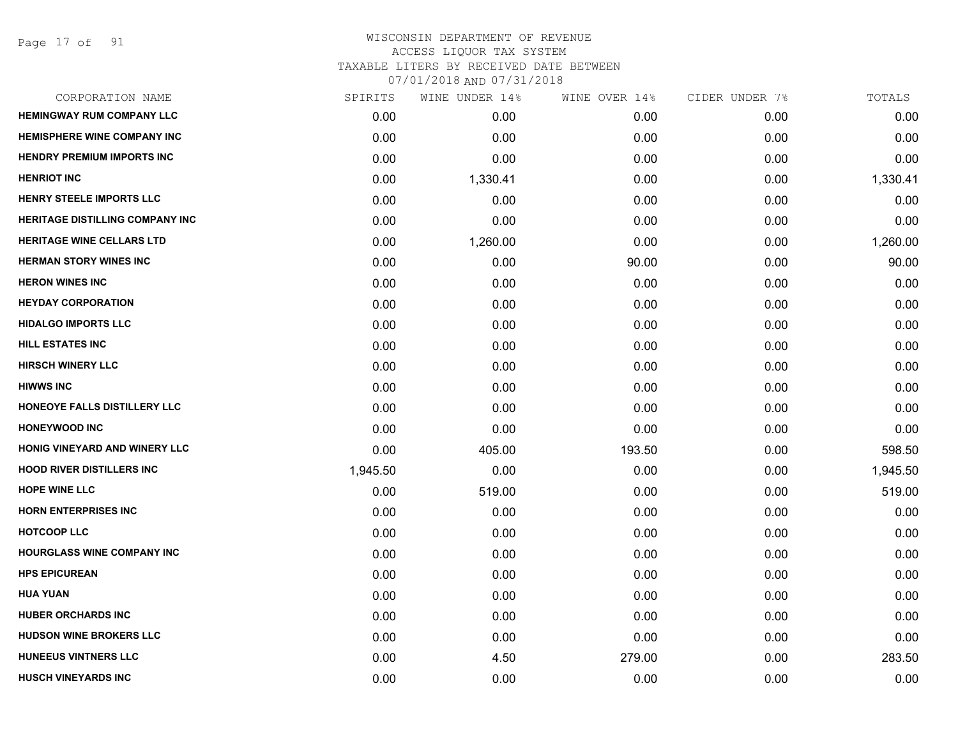Page 17 of 91

| CORPORATION NAME                   | SPIRITS  | WINE UNDER 14% | WINE OVER 14% | CIDER UNDER 7% | TOTALS   |
|------------------------------------|----------|----------------|---------------|----------------|----------|
| <b>HEMINGWAY RUM COMPANY LLC</b>   | 0.00     | 0.00           | 0.00          | 0.00           | 0.00     |
| <b>HEMISPHERE WINE COMPANY INC</b> | 0.00     | 0.00           | 0.00          | 0.00           | 0.00     |
| <b>HENDRY PREMIUM IMPORTS INC</b>  | 0.00     | 0.00           | 0.00          | 0.00           | 0.00     |
| <b>HENRIOT INC</b>                 | 0.00     | 1,330.41       | 0.00          | 0.00           | 1,330.41 |
| <b>HENRY STEELE IMPORTS LLC</b>    | 0.00     | 0.00           | 0.00          | 0.00           | 0.00     |
| HERITAGE DISTILLING COMPANY INC    | 0.00     | 0.00           | 0.00          | 0.00           | 0.00     |
| <b>HERITAGE WINE CELLARS LTD</b>   | 0.00     | 1,260.00       | 0.00          | 0.00           | 1,260.00 |
| <b>HERMAN STORY WINES INC</b>      | 0.00     | 0.00           | 90.00         | 0.00           | 90.00    |
| <b>HERON WINES INC</b>             | 0.00     | 0.00           | 0.00          | 0.00           | 0.00     |
| <b>HEYDAY CORPORATION</b>          | 0.00     | 0.00           | 0.00          | 0.00           | 0.00     |
| <b>HIDALGO IMPORTS LLC</b>         | 0.00     | 0.00           | 0.00          | 0.00           | 0.00     |
| <b>HILL ESTATES INC</b>            | 0.00     | 0.00           | 0.00          | 0.00           | 0.00     |
| <b>HIRSCH WINERY LLC</b>           | 0.00     | 0.00           | 0.00          | 0.00           | 0.00     |
| <b>HIWWS INC</b>                   | 0.00     | 0.00           | 0.00          | 0.00           | 0.00     |
| HONEOYE FALLS DISTILLERY LLC       | 0.00     | 0.00           | 0.00          | 0.00           | 0.00     |
| <b>HONEYWOOD INC</b>               | 0.00     | 0.00           | 0.00          | 0.00           | 0.00     |
| HONIG VINEYARD AND WINERY LLC      | 0.00     | 405.00         | 193.50        | 0.00           | 598.50   |
| <b>HOOD RIVER DISTILLERS INC</b>   | 1,945.50 | 0.00           | 0.00          | 0.00           | 1,945.50 |
| <b>HOPE WINE LLC</b>               | 0.00     | 519.00         | 0.00          | 0.00           | 519.00   |
| <b>HORN ENTERPRISES INC</b>        | 0.00     | 0.00           | 0.00          | 0.00           | 0.00     |
| <b>HOTCOOP LLC</b>                 | 0.00     | 0.00           | 0.00          | 0.00           | 0.00     |
| HOURGLASS WINE COMPANY INC         | 0.00     | 0.00           | 0.00          | 0.00           | 0.00     |
| <b>HPS EPICUREAN</b>               | 0.00     | 0.00           | 0.00          | 0.00           | 0.00     |
| <b>HUA YUAN</b>                    | 0.00     | 0.00           | 0.00          | 0.00           | 0.00     |
| <b>HUBER ORCHARDS INC</b>          | 0.00     | 0.00           | 0.00          | 0.00           | 0.00     |
| <b>HUDSON WINE BROKERS LLC</b>     | 0.00     | 0.00           | 0.00          | 0.00           | 0.00     |
| <b>HUNEEUS VINTNERS LLC</b>        | 0.00     | 4.50           | 279.00        | 0.00           | 283.50   |
| <b>HUSCH VINEYARDS INC</b>         | 0.00     | 0.00           | 0.00          | 0.00           | 0.00     |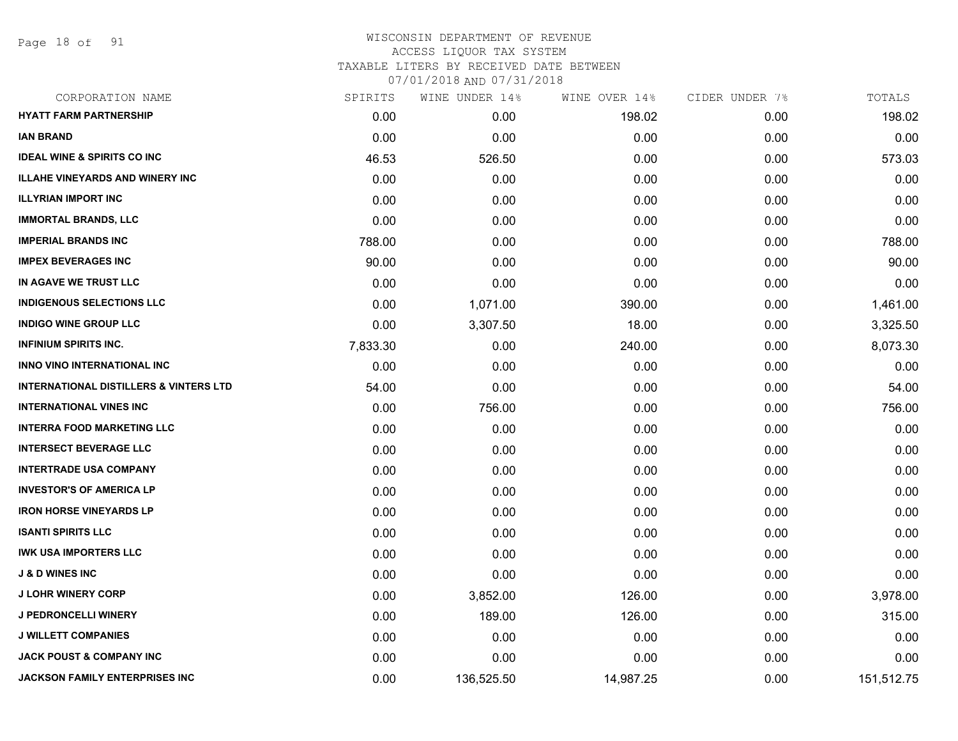Page 18 of 91

| CORPORATION NAME                                  | SPIRITS  | WINE UNDER 14% | WINE OVER 14% | CIDER UNDER 7% | TOTALS     |
|---------------------------------------------------|----------|----------------|---------------|----------------|------------|
| <b>HYATT FARM PARTNERSHIP</b>                     | 0.00     | 0.00           | 198.02        | 0.00           | 198.02     |
| <b>IAN BRAND</b>                                  | 0.00     | 0.00           | 0.00          | 0.00           | 0.00       |
| <b>IDEAL WINE &amp; SPIRITS CO INC</b>            | 46.53    | 526.50         | 0.00          | 0.00           | 573.03     |
| <b>ILLAHE VINEYARDS AND WINERY INC</b>            | 0.00     | 0.00           | 0.00          | 0.00           | 0.00       |
| <b>ILLYRIAN IMPORT INC</b>                        | 0.00     | 0.00           | 0.00          | 0.00           | 0.00       |
| <b>IMMORTAL BRANDS, LLC</b>                       | 0.00     | 0.00           | 0.00          | 0.00           | 0.00       |
| <b>IMPERIAL BRANDS INC</b>                        | 788.00   | 0.00           | 0.00          | 0.00           | 788.00     |
| <b>IMPEX BEVERAGES INC</b>                        | 90.00    | 0.00           | 0.00          | 0.00           | 90.00      |
| IN AGAVE WE TRUST LLC                             | 0.00     | 0.00           | 0.00          | 0.00           | 0.00       |
| <b>INDIGENOUS SELECTIONS LLC</b>                  | 0.00     | 1,071.00       | 390.00        | 0.00           | 1,461.00   |
| <b>INDIGO WINE GROUP LLC</b>                      | 0.00     | 3,307.50       | 18.00         | 0.00           | 3,325.50   |
| <b>INFINIUM SPIRITS INC.</b>                      | 7,833.30 | 0.00           | 240.00        | 0.00           | 8,073.30   |
| <b>INNO VINO INTERNATIONAL INC</b>                | 0.00     | 0.00           | 0.00          | 0.00           | 0.00       |
| <b>INTERNATIONAL DISTILLERS &amp; VINTERS LTD</b> | 54.00    | 0.00           | 0.00          | 0.00           | 54.00      |
| <b>INTERNATIONAL VINES INC</b>                    | 0.00     | 756.00         | 0.00          | 0.00           | 756.00     |
| <b>INTERRA FOOD MARKETING LLC</b>                 | 0.00     | 0.00           | 0.00          | 0.00           | 0.00       |
| <b>INTERSECT BEVERAGE LLC</b>                     | 0.00     | 0.00           | 0.00          | 0.00           | 0.00       |
| <b>INTERTRADE USA COMPANY</b>                     | 0.00     | 0.00           | 0.00          | 0.00           | 0.00       |
| <b>INVESTOR'S OF AMERICA LP</b>                   | 0.00     | 0.00           | 0.00          | 0.00           | 0.00       |
| <b>IRON HORSE VINEYARDS LP</b>                    | 0.00     | 0.00           | 0.00          | 0.00           | 0.00       |
| <b>ISANTI SPIRITS LLC</b>                         | 0.00     | 0.00           | 0.00          | 0.00           | 0.00       |
| <b>IWK USA IMPORTERS LLC</b>                      | 0.00     | 0.00           | 0.00          | 0.00           | 0.00       |
| <b>J &amp; D WINES INC</b>                        | 0.00     | 0.00           | 0.00          | 0.00           | 0.00       |
| <b>J LOHR WINERY CORP</b>                         | 0.00     | 3,852.00       | 126.00        | 0.00           | 3,978.00   |
| <b>J PEDRONCELLI WINERY</b>                       | 0.00     | 189.00         | 126.00        | 0.00           | 315.00     |
| <b>J WILLETT COMPANIES</b>                        | 0.00     | 0.00           | 0.00          | 0.00           | 0.00       |
| <b>JACK POUST &amp; COMPANY INC</b>               | 0.00     | 0.00           | 0.00          | 0.00           | 0.00       |
| <b>JACKSON FAMILY ENTERPRISES INC</b>             | 0.00     | 136,525.50     | 14,987.25     | 0.00           | 151,512.75 |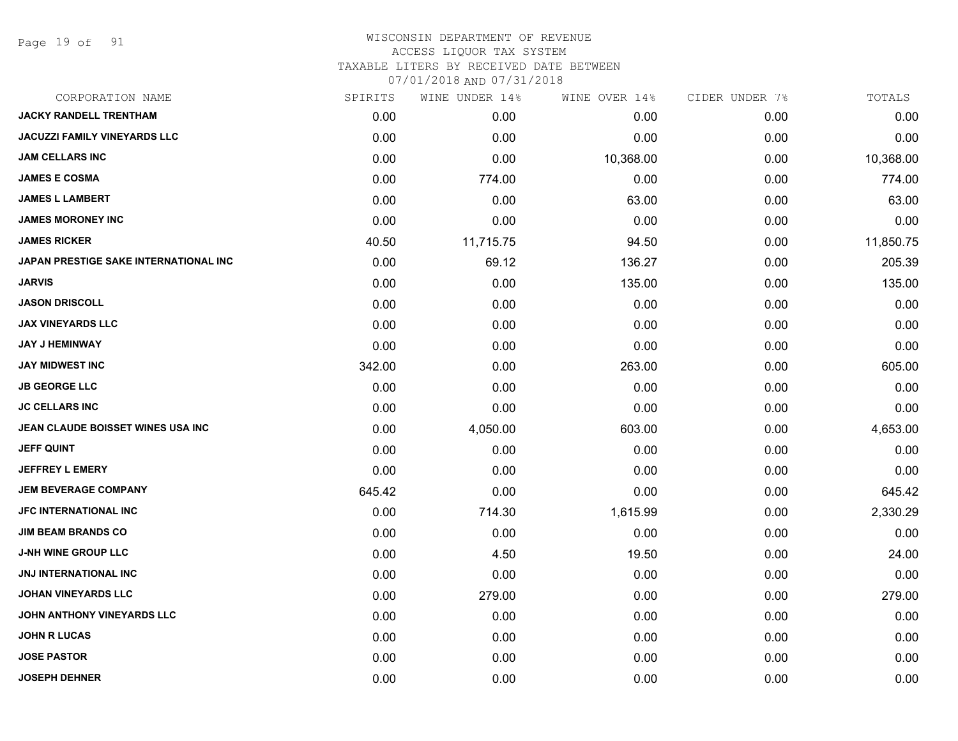Page 19 of 91

# WISCONSIN DEPARTMENT OF REVENUE ACCESS LIQUOR TAX SYSTEM TAXABLE LITERS BY RECEIVED DATE BETWEEN

| CORPORATION NAME                      | SPIRITS | WINE UNDER 14% | WINE OVER 14% | CIDER UNDER 7% | TOTALS    |
|---------------------------------------|---------|----------------|---------------|----------------|-----------|
| <b>JACKY RANDELL TRENTHAM</b>         | 0.00    | 0.00           | 0.00          | 0.00           | 0.00      |
| <b>JACUZZI FAMILY VINEYARDS LLC</b>   | 0.00    | 0.00           | 0.00          | 0.00           | 0.00      |
| <b>JAM CELLARS INC</b>                | 0.00    | 0.00           | 10,368.00     | 0.00           | 10,368.00 |
| <b>JAMES E COSMA</b>                  | 0.00    | 774.00         | 0.00          | 0.00           | 774.00    |
| <b>JAMES L LAMBERT</b>                | 0.00    | 0.00           | 63.00         | 0.00           | 63.00     |
| <b>JAMES MORONEY INC</b>              | 0.00    | 0.00           | 0.00          | 0.00           | 0.00      |
| <b>JAMES RICKER</b>                   | 40.50   | 11,715.75      | 94.50         | 0.00           | 11,850.75 |
| JAPAN PRESTIGE SAKE INTERNATIONAL INC | 0.00    | 69.12          | 136.27        | 0.00           | 205.39    |
| <b>JARVIS</b>                         | 0.00    | 0.00           | 135.00        | 0.00           | 135.00    |
| <b>JASON DRISCOLL</b>                 | 0.00    | 0.00           | 0.00          | 0.00           | 0.00      |
| <b>JAX VINEYARDS LLC</b>              | 0.00    | 0.00           | 0.00          | 0.00           | 0.00      |
| <b>JAY J HEMINWAY</b>                 | 0.00    | 0.00           | 0.00          | 0.00           | 0.00      |
| <b>JAY MIDWEST INC</b>                | 342.00  | 0.00           | 263.00        | 0.00           | 605.00    |
| <b>JB GEORGE LLC</b>                  | 0.00    | 0.00           | 0.00          | 0.00           | 0.00      |
| <b>JC CELLARS INC</b>                 | 0.00    | 0.00           | 0.00          | 0.00           | 0.00      |
| JEAN CLAUDE BOISSET WINES USA INC     | 0.00    | 4,050.00       | 603.00        | 0.00           | 4,653.00  |
| <b>JEFF QUINT</b>                     | 0.00    | 0.00           | 0.00          | 0.00           | 0.00      |
| <b>JEFFREY L EMERY</b>                | 0.00    | 0.00           | 0.00          | 0.00           | 0.00      |
| <b>JEM BEVERAGE COMPANY</b>           | 645.42  | 0.00           | 0.00          | 0.00           | 645.42    |
| <b>JFC INTERNATIONAL INC</b>          | 0.00    | 714.30         | 1,615.99      | 0.00           | 2,330.29  |
| <b>JIM BEAM BRANDS CO</b>             | 0.00    | 0.00           | 0.00          | 0.00           | 0.00      |
| <b>J-NH WINE GROUP LLC</b>            | 0.00    | 4.50           | 19.50         | 0.00           | 24.00     |
| JNJ INTERNATIONAL INC                 | 0.00    | 0.00           | 0.00          | 0.00           | 0.00      |
| <b>JOHAN VINEYARDS LLC</b>            | 0.00    | 279.00         | 0.00          | 0.00           | 279.00    |
| JOHN ANTHONY VINEYARDS LLC            | 0.00    | 0.00           | 0.00          | 0.00           | 0.00      |
| <b>JOHN R LUCAS</b>                   | 0.00    | 0.00           | 0.00          | 0.00           | 0.00      |
| <b>JOSE PASTOR</b>                    | 0.00    | 0.00           | 0.00          | 0.00           | 0.00      |
| <b>JOSEPH DEHNER</b>                  | 0.00    | 0.00           | 0.00          | 0.00           | 0.00      |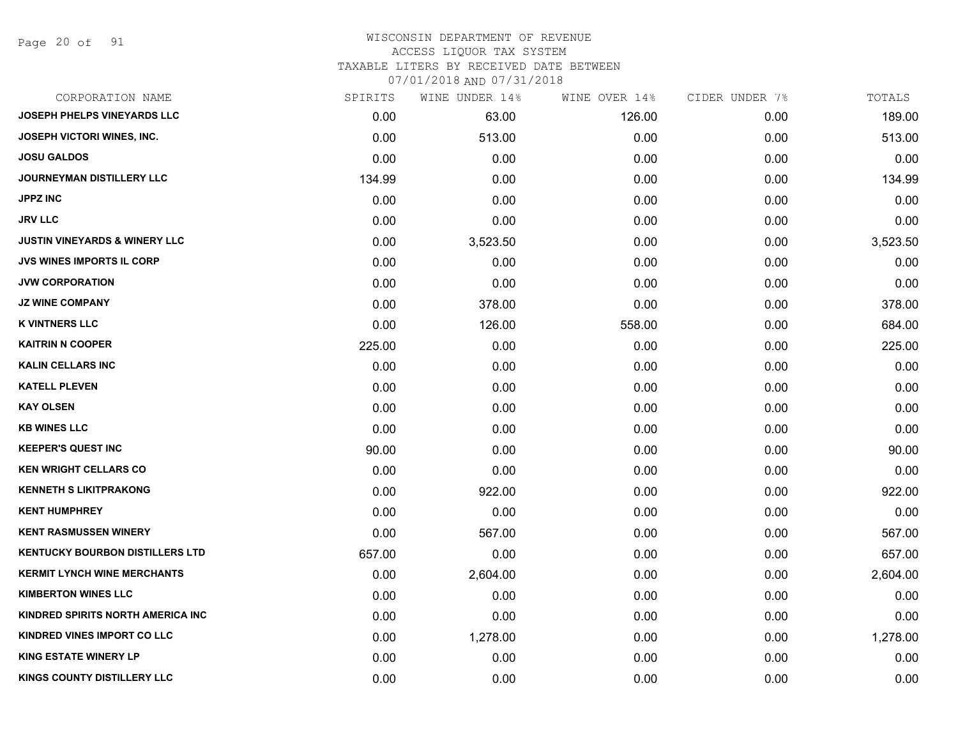Page 20 of 91

#### WISCONSIN DEPARTMENT OF REVENUE ACCESS LIQUOR TAX SYSTEM

TAXABLE LITERS BY RECEIVED DATE BETWEEN

| CORPORATION NAME                         | SPIRITS | WINE UNDER 14% | WINE OVER 14% | CIDER UNDER 7% | TOTALS   |
|------------------------------------------|---------|----------------|---------------|----------------|----------|
| JOSEPH PHELPS VINEYARDS LLC              | 0.00    | 63.00          | 126.00        | 0.00           | 189.00   |
| <b>JOSEPH VICTORI WINES, INC.</b>        | 0.00    | 513.00         | 0.00          | 0.00           | 513.00   |
| <b>JOSU GALDOS</b>                       | 0.00    | 0.00           | 0.00          | 0.00           | 0.00     |
| JOURNEYMAN DISTILLERY LLC                | 134.99  | 0.00           | 0.00          | 0.00           | 134.99   |
| <b>JPPZ INC</b>                          | 0.00    | 0.00           | 0.00          | 0.00           | 0.00     |
| <b>JRV LLC</b>                           | 0.00    | 0.00           | 0.00          | 0.00           | 0.00     |
| <b>JUSTIN VINEYARDS &amp; WINERY LLC</b> | 0.00    | 3,523.50       | 0.00          | 0.00           | 3,523.50 |
| <b>JVS WINES IMPORTS IL CORP</b>         | 0.00    | 0.00           | 0.00          | 0.00           | 0.00     |
| <b>JVW CORPORATION</b>                   | 0.00    | 0.00           | 0.00          | 0.00           | 0.00     |
| <b>JZ WINE COMPANY</b>                   | 0.00    | 378.00         | 0.00          | 0.00           | 378.00   |
| <b>K VINTNERS LLC</b>                    | 0.00    | 126.00         | 558.00        | 0.00           | 684.00   |
| <b>KAITRIN N COOPER</b>                  | 225.00  | 0.00           | 0.00          | 0.00           | 225.00   |
| <b>KALIN CELLARS INC</b>                 | 0.00    | 0.00           | 0.00          | 0.00           | 0.00     |
| <b>KATELL PLEVEN</b>                     | 0.00    | 0.00           | 0.00          | 0.00           | 0.00     |
| <b>KAY OLSEN</b>                         | 0.00    | 0.00           | 0.00          | 0.00           | 0.00     |
| <b>KB WINES LLC</b>                      | 0.00    | 0.00           | 0.00          | 0.00           | 0.00     |
| <b>KEEPER'S QUEST INC</b>                | 90.00   | 0.00           | 0.00          | 0.00           | 90.00    |
| <b>KEN WRIGHT CELLARS CO</b>             | 0.00    | 0.00           | 0.00          | 0.00           | 0.00     |
| <b>KENNETH S LIKITPRAKONG</b>            | 0.00    | 922.00         | 0.00          | 0.00           | 922.00   |
| <b>KENT HUMPHREY</b>                     | 0.00    | 0.00           | 0.00          | 0.00           | 0.00     |
| <b>KENT RASMUSSEN WINERY</b>             | 0.00    | 567.00         | 0.00          | 0.00           | 567.00   |
| <b>KENTUCKY BOURBON DISTILLERS LTD</b>   | 657.00  | 0.00           | 0.00          | 0.00           | 657.00   |
| <b>KERMIT LYNCH WINE MERCHANTS</b>       | 0.00    | 2,604.00       | 0.00          | 0.00           | 2,604.00 |
| <b>KIMBERTON WINES LLC</b>               | 0.00    | 0.00           | 0.00          | 0.00           | 0.00     |
| KINDRED SPIRITS NORTH AMERICA INC        | 0.00    | 0.00           | 0.00          | 0.00           | 0.00     |
| KINDRED VINES IMPORT CO LLC              | 0.00    | 1,278.00       | 0.00          | 0.00           | 1,278.00 |
| <b>KING ESTATE WINERY LP</b>             | 0.00    | 0.00           | 0.00          | 0.00           | 0.00     |
| KINGS COUNTY DISTILLERY LLC              | 0.00    | 0.00           | 0.00          | 0.00           | 0.00     |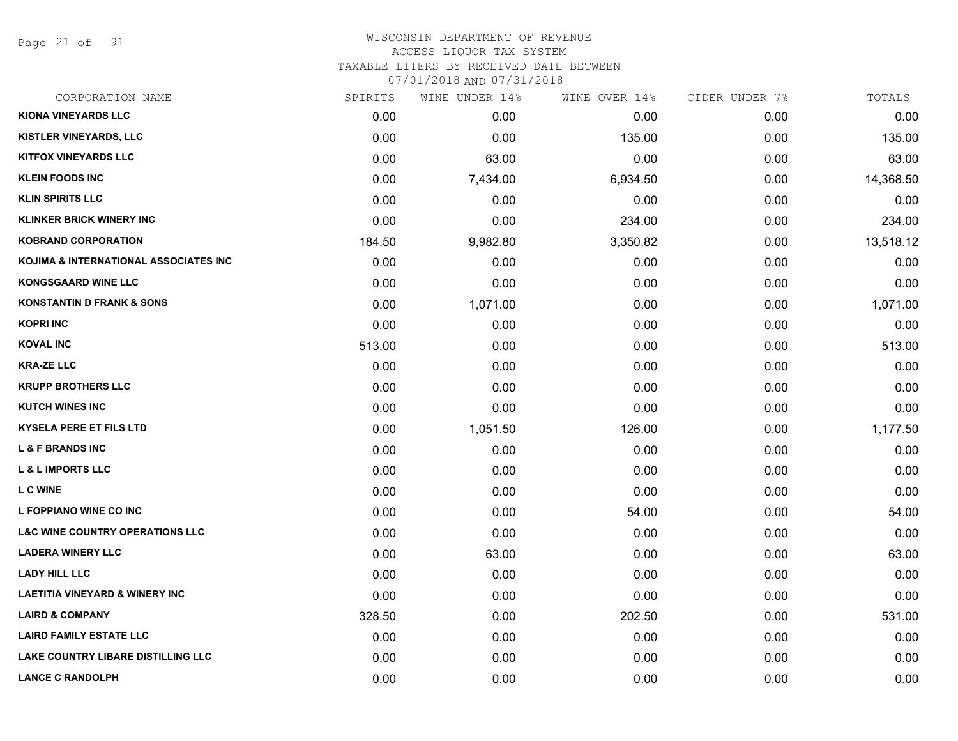Page 21 of 91

| CORPORATION NAME                           | SPIRITS | WINE UNDER 14% | WINE OVER 14% | CIDER UNDER 7% | TOTALS    |
|--------------------------------------------|---------|----------------|---------------|----------------|-----------|
| <b>KIONA VINEYARDS LLC</b>                 | 0.00    | 0.00           | 0.00          | 0.00           | 0.00      |
| <b>KISTLER VINEYARDS, LLC</b>              | 0.00    | 0.00           | 135.00        | 0.00           | 135.00    |
| <b>KITFOX VINEYARDS LLC</b>                | 0.00    | 63.00          | 0.00          | 0.00           | 63.00     |
| <b>KLEIN FOODS INC</b>                     | 0.00    | 7,434.00       | 6,934.50      | 0.00           | 14,368.50 |
| <b>KLIN SPIRITS LLC</b>                    | 0.00    | 0.00           | 0.00          | 0.00           | 0.00      |
| <b>KLINKER BRICK WINERY INC</b>            | 0.00    | 0.00           | 234.00        | 0.00           | 234.00    |
| <b>KOBRAND CORPORATION</b>                 | 184.50  | 9,982.80       | 3,350.82      | 0.00           | 13,518.12 |
| KOJIMA & INTERNATIONAL ASSOCIATES INC      | 0.00    | 0.00           | 0.00          | 0.00           | 0.00      |
| <b>KONGSGAARD WINE LLC</b>                 | 0.00    | 0.00           | 0.00          | 0.00           | 0.00      |
| <b>KONSTANTIN D FRANK &amp; SONS</b>       | 0.00    | 1,071.00       | 0.00          | 0.00           | 1,071.00  |
| <b>KOPRI INC</b>                           | 0.00    | 0.00           | 0.00          | 0.00           | 0.00      |
| <b>KOVAL INC</b>                           | 513.00  | 0.00           | 0.00          | 0.00           | 513.00    |
| <b>KRA-ZE LLC</b>                          | 0.00    | 0.00           | 0.00          | 0.00           | 0.00      |
| <b>KRUPP BROTHERS LLC</b>                  | 0.00    | 0.00           | 0.00          | 0.00           | 0.00      |
| <b>KUTCH WINES INC</b>                     | 0.00    | 0.00           | 0.00          | 0.00           | 0.00      |
| <b>KYSELA PERE ET FILS LTD</b>             | 0.00    | 1,051.50       | 126.00        | 0.00           | 1,177.50  |
| <b>L &amp; F BRANDS INC</b>                | 0.00    | 0.00           | 0.00          | 0.00           | 0.00      |
| <b>L &amp; L IMPORTS LLC</b>               | 0.00    | 0.00           | 0.00          | 0.00           | 0.00      |
| <b>LCWINE</b>                              | 0.00    | 0.00           | 0.00          | 0.00           | 0.00      |
| L FOPPIANO WINE CO INC                     | 0.00    | 0.00           | 54.00         | 0.00           | 54.00     |
| <b>L&amp;C WINE COUNTRY OPERATIONS LLC</b> | 0.00    | 0.00           | 0.00          | 0.00           | 0.00      |
| <b>LADERA WINERY LLC</b>                   | 0.00    | 63.00          | 0.00          | 0.00           | 63.00     |
| <b>LADY HILL LLC</b>                       | 0.00    | 0.00           | 0.00          | 0.00           | 0.00      |
| <b>LAETITIA VINEYARD &amp; WINERY INC</b>  | 0.00    | 0.00           | 0.00          | 0.00           | 0.00      |
| <b>LAIRD &amp; COMPANY</b>                 | 328.50  | 0.00           | 202.50        | 0.00           | 531.00    |
| <b>LAIRD FAMILY ESTATE LLC</b>             | 0.00    | 0.00           | 0.00          | 0.00           | 0.00      |
| LAKE COUNTRY LIBARE DISTILLING LLC         | 0.00    | 0.00           | 0.00          | 0.00           | 0.00      |
| <b>LANCE C RANDOLPH</b>                    | 0.00    | 0.00           | 0.00          | 0.00           | 0.00      |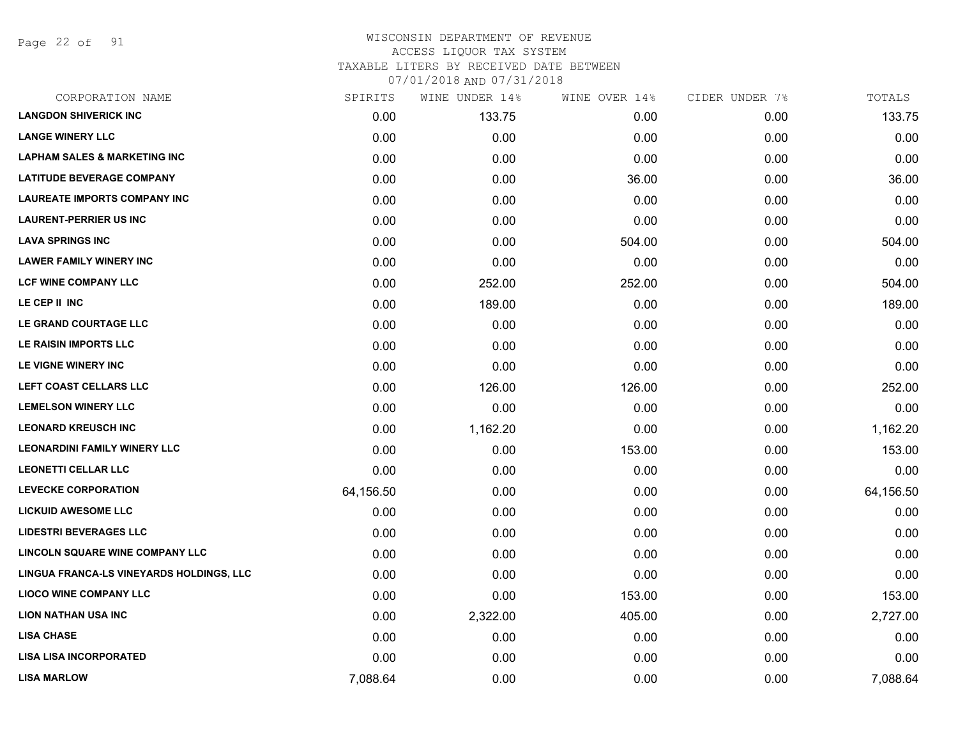Page 22 of 91

| CORPORATION NAME                         | SPIRITS   | WINE UNDER 14% | WINE OVER 14% | CIDER UNDER 7% | TOTALS    |
|------------------------------------------|-----------|----------------|---------------|----------------|-----------|
| <b>LANGDON SHIVERICK INC</b>             | 0.00      | 133.75         | 0.00          | 0.00           | 133.75    |
| <b>LANGE WINERY LLC</b>                  | 0.00      | 0.00           | 0.00          | 0.00           | 0.00      |
| <b>LAPHAM SALES &amp; MARKETING INC</b>  | 0.00      | 0.00           | 0.00          | 0.00           | 0.00      |
| <b>LATITUDE BEVERAGE COMPANY</b>         | 0.00      | 0.00           | 36.00         | 0.00           | 36.00     |
| <b>LAUREATE IMPORTS COMPANY INC</b>      | 0.00      | 0.00           | 0.00          | 0.00           | 0.00      |
| <b>LAURENT-PERRIER US INC</b>            | 0.00      | 0.00           | 0.00          | 0.00           | 0.00      |
| <b>LAVA SPRINGS INC</b>                  | 0.00      | 0.00           | 504.00        | 0.00           | 504.00    |
| <b>LAWER FAMILY WINERY INC</b>           | 0.00      | 0.00           | 0.00          | 0.00           | 0.00      |
| <b>LCF WINE COMPANY LLC</b>              | 0.00      | 252.00         | 252.00        | 0.00           | 504.00    |
| LE CEP II INC                            | 0.00      | 189.00         | 0.00          | 0.00           | 189.00    |
| LE GRAND COURTAGE LLC                    | 0.00      | 0.00           | 0.00          | 0.00           | 0.00      |
| LE RAISIN IMPORTS LLC                    | 0.00      | 0.00           | 0.00          | 0.00           | 0.00      |
| LE VIGNE WINERY INC                      | 0.00      | 0.00           | 0.00          | 0.00           | 0.00      |
| <b>LEFT COAST CELLARS LLC</b>            | 0.00      | 126.00         | 126.00        | 0.00           | 252.00    |
| <b>LEMELSON WINERY LLC</b>               | 0.00      | 0.00           | 0.00          | 0.00           | 0.00      |
| <b>LEONARD KREUSCH INC</b>               | 0.00      | 1,162.20       | 0.00          | 0.00           | 1,162.20  |
| <b>LEONARDINI FAMILY WINERY LLC</b>      | 0.00      | 0.00           | 153.00        | 0.00           | 153.00    |
| <b>LEONETTI CELLAR LLC</b>               | 0.00      | 0.00           | 0.00          | 0.00           | 0.00      |
| <b>LEVECKE CORPORATION</b>               | 64,156.50 | 0.00           | 0.00          | 0.00           | 64,156.50 |
| <b>LICKUID AWESOME LLC</b>               | 0.00      | 0.00           | 0.00          | 0.00           | 0.00      |
| <b>LIDESTRI BEVERAGES LLC</b>            | 0.00      | 0.00           | 0.00          | 0.00           | 0.00      |
| LINCOLN SQUARE WINE COMPANY LLC          | 0.00      | 0.00           | 0.00          | 0.00           | 0.00      |
| LINGUA FRANCA-LS VINEYARDS HOLDINGS, LLC | 0.00      | 0.00           | 0.00          | 0.00           | 0.00      |
| <b>LIOCO WINE COMPANY LLC</b>            | 0.00      | 0.00           | 153.00        | 0.00           | 153.00    |
| <b>LION NATHAN USA INC</b>               | 0.00      | 2,322.00       | 405.00        | 0.00           | 2,727.00  |
| <b>LISA CHASE</b>                        | 0.00      | 0.00           | 0.00          | 0.00           | 0.00      |
| <b>LISA LISA INCORPORATED</b>            | 0.00      | 0.00           | 0.00          | 0.00           | 0.00      |
| <b>LISA MARLOW</b>                       | 7,088.64  | 0.00           | 0.00          | 0.00           | 7,088.64  |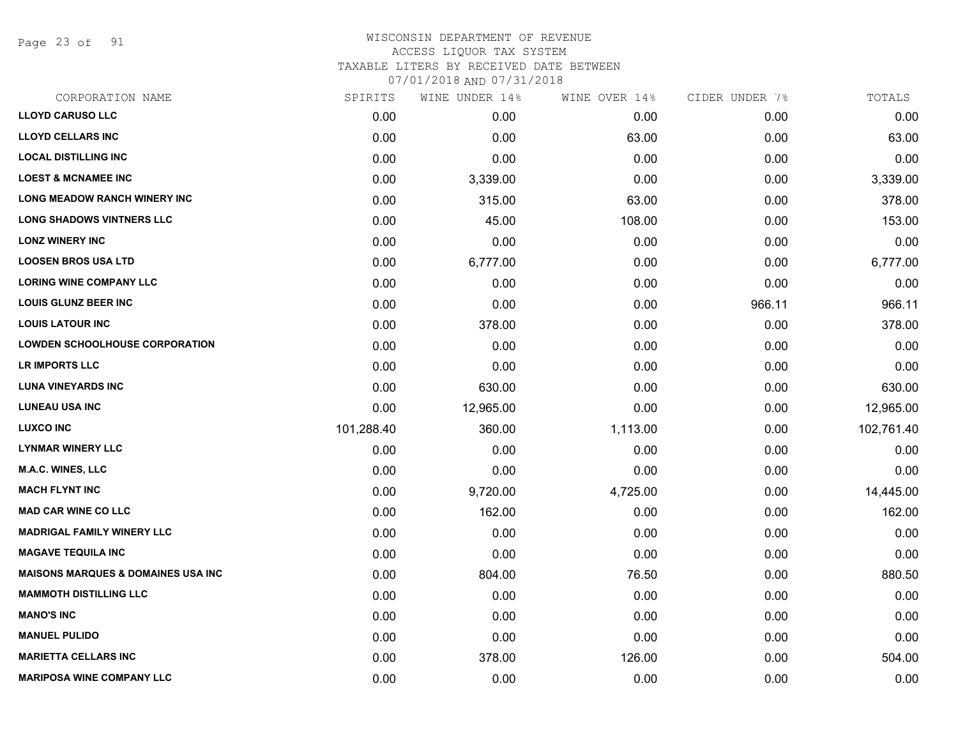Page 23 of 91

#### WISCONSIN DEPARTMENT OF REVENUE ACCESS LIQUOR TAX SYSTEM TAXABLE LITERS BY RECEIVED DATE BETWEEN

| CORPORATION NAME                              | SPIRITS    | WINE UNDER 14% | WINE OVER 14% | CIDER UNDER 7% | TOTALS     |
|-----------------------------------------------|------------|----------------|---------------|----------------|------------|
| <b>LLOYD CARUSO LLC</b>                       | 0.00       | 0.00           | 0.00          | 0.00           | 0.00       |
| <b>LLOYD CELLARS INC</b>                      | 0.00       | 0.00           | 63.00         | 0.00           | 63.00      |
| <b>LOCAL DISTILLING INC</b>                   | 0.00       | 0.00           | 0.00          | 0.00           | 0.00       |
| <b>LOEST &amp; MCNAMEE INC</b>                | 0.00       | 3,339.00       | 0.00          | 0.00           | 3,339.00   |
| <b>LONG MEADOW RANCH WINERY INC</b>           | 0.00       | 315.00         | 63.00         | 0.00           | 378.00     |
| <b>LONG SHADOWS VINTNERS LLC</b>              | 0.00       | 45.00          | 108.00        | 0.00           | 153.00     |
| <b>LONZ WINERY INC</b>                        | 0.00       | 0.00           | 0.00          | 0.00           | 0.00       |
| <b>LOOSEN BROS USA LTD</b>                    | 0.00       | 6,777.00       | 0.00          | 0.00           | 6,777.00   |
| <b>LORING WINE COMPANY LLC</b>                | 0.00       | 0.00           | 0.00          | 0.00           | 0.00       |
| <b>LOUIS GLUNZ BEER INC</b>                   | 0.00       | 0.00           | 0.00          | 966.11         | 966.11     |
| <b>LOUIS LATOUR INC</b>                       | 0.00       | 378.00         | 0.00          | 0.00           | 378.00     |
| <b>LOWDEN SCHOOLHOUSE CORPORATION</b>         | 0.00       | 0.00           | 0.00          | 0.00           | 0.00       |
| <b>LR IMPORTS LLC</b>                         | 0.00       | 0.00           | 0.00          | 0.00           | 0.00       |
| <b>LUNA VINEYARDS INC</b>                     | 0.00       | 630.00         | 0.00          | 0.00           | 630.00     |
| <b>LUNEAU USA INC</b>                         | 0.00       | 12,965.00      | 0.00          | 0.00           | 12,965.00  |
| <b>LUXCO INC</b>                              | 101,288.40 | 360.00         | 1,113.00      | 0.00           | 102,761.40 |
| <b>LYNMAR WINERY LLC</b>                      | 0.00       | 0.00           | 0.00          | 0.00           | 0.00       |
| M.A.C. WINES, LLC                             | 0.00       | 0.00           | 0.00          | 0.00           | 0.00       |
| <b>MACH FLYNT INC</b>                         | 0.00       | 9,720.00       | 4,725.00      | 0.00           | 14,445.00  |
| <b>MAD CAR WINE CO LLC</b>                    | 0.00       | 162.00         | 0.00          | 0.00           | 162.00     |
| <b>MADRIGAL FAMILY WINERY LLC</b>             | 0.00       | 0.00           | 0.00          | 0.00           | 0.00       |
| <b>MAGAVE TEQUILA INC</b>                     | 0.00       | 0.00           | 0.00          | 0.00           | 0.00       |
| <b>MAISONS MARQUES &amp; DOMAINES USA INC</b> | 0.00       | 804.00         | 76.50         | 0.00           | 880.50     |
| <b>MAMMOTH DISTILLING LLC</b>                 | 0.00       | 0.00           | 0.00          | 0.00           | 0.00       |
| <b>MANO'S INC</b>                             | 0.00       | 0.00           | 0.00          | 0.00           | 0.00       |
| <b>MANUEL PULIDO</b>                          | 0.00       | 0.00           | 0.00          | 0.00           | 0.00       |
| <b>MARIETTA CELLARS INC</b>                   | 0.00       | 378.00         | 126.00        | 0.00           | 504.00     |
| <b>MARIPOSA WINE COMPANY LLC</b>              | 0.00       | 0.00           | 0.00          | 0.00           | 0.00       |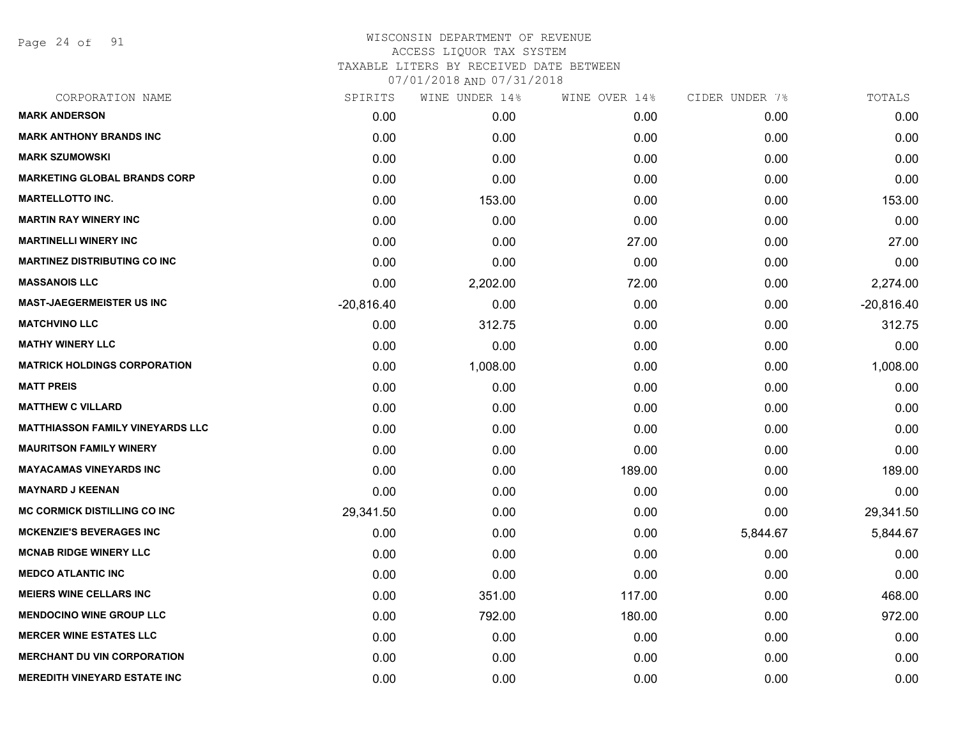Page 24 of 91

| SPIRITS      | WINE UNDER 14% | WINE OVER 14% | CIDER UNDER 7% | TOTALS       |
|--------------|----------------|---------------|----------------|--------------|
| 0.00         | 0.00           | 0.00          | 0.00           | 0.00         |
| 0.00         | 0.00           | 0.00          | 0.00           | 0.00         |
| 0.00         | 0.00           | 0.00          | 0.00           | 0.00         |
| 0.00         | 0.00           | 0.00          | 0.00           | 0.00         |
| 0.00         | 153.00         | 0.00          | 0.00           | 153.00       |
| 0.00         | 0.00           | 0.00          | 0.00           | 0.00         |
| 0.00         | 0.00           | 27.00         | 0.00           | 27.00        |
| 0.00         | 0.00           | 0.00          | 0.00           | 0.00         |
| 0.00         | 2,202.00       | 72.00         | 0.00           | 2,274.00     |
| $-20,816.40$ | 0.00           | 0.00          | 0.00           | $-20,816.40$ |
| 0.00         | 312.75         | 0.00          | 0.00           | 312.75       |
| 0.00         | 0.00           | 0.00          | 0.00           | 0.00         |
| 0.00         | 1,008.00       | 0.00          | 0.00           | 1,008.00     |
| 0.00         | 0.00           | 0.00          | 0.00           | 0.00         |
| 0.00         | 0.00           | 0.00          | 0.00           | 0.00         |
| 0.00         | 0.00           | 0.00          | 0.00           | 0.00         |
| 0.00         | 0.00           | 0.00          | 0.00           | 0.00         |
| 0.00         | 0.00           | 189.00        | 0.00           | 189.00       |
| 0.00         | 0.00           | 0.00          | 0.00           | 0.00         |
| 29,341.50    | 0.00           | 0.00          | 0.00           | 29,341.50    |
| 0.00         | 0.00           | 0.00          | 5,844.67       | 5,844.67     |
| 0.00         | 0.00           | 0.00          | 0.00           | 0.00         |
| 0.00         | 0.00           | 0.00          | 0.00           | 0.00         |
| 0.00         | 351.00         | 117.00        | 0.00           | 468.00       |
| 0.00         | 792.00         | 180.00        | 0.00           | 972.00       |
| 0.00         | 0.00           | 0.00          | 0.00           | 0.00         |
| 0.00         | 0.00           | 0.00          | 0.00           | 0.00         |
| 0.00         | 0.00           | 0.00          | 0.00           | 0.00         |
|              |                |               |                |              |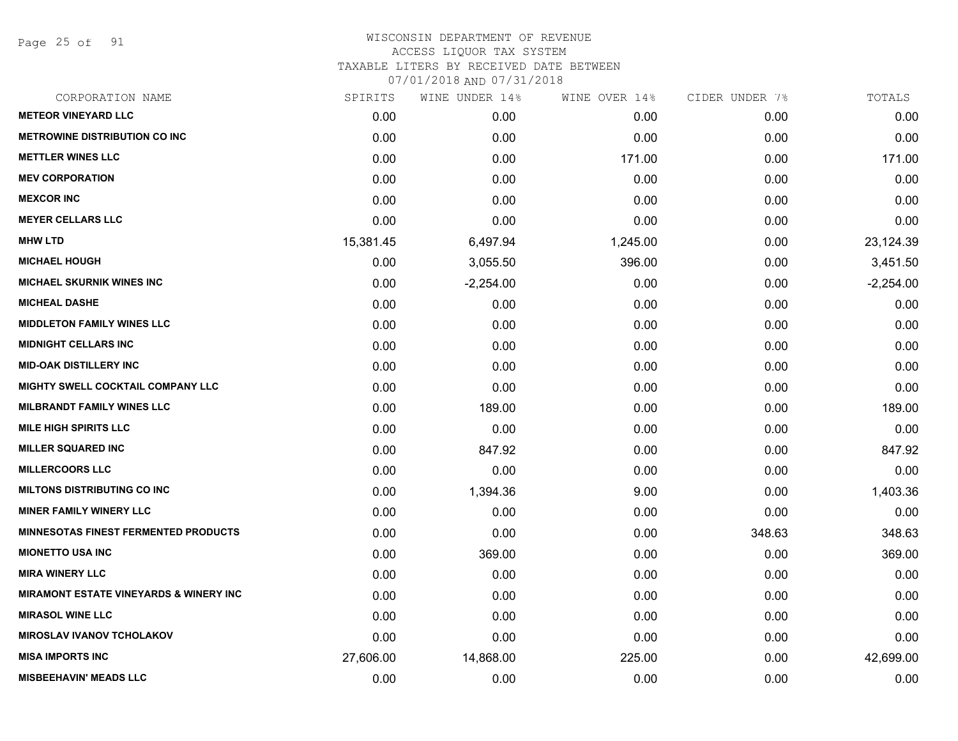Page 25 of 91

| CORPORATION NAME                                  | SPIRITS   | WINE UNDER 14% | WINE OVER 14% | CIDER UNDER 7% | TOTALS      |
|---------------------------------------------------|-----------|----------------|---------------|----------------|-------------|
| <b>METEOR VINEYARD LLC</b>                        | 0.00      | 0.00           | 0.00          | 0.00           | 0.00        |
| <b>METROWINE DISTRIBUTION CO INC</b>              | 0.00      | 0.00           | 0.00          | 0.00           | 0.00        |
| <b>METTLER WINES LLC</b>                          | 0.00      | 0.00           | 171.00        | 0.00           | 171.00      |
| <b>MEV CORPORATION</b>                            | 0.00      | 0.00           | 0.00          | 0.00           | 0.00        |
| <b>MEXCOR INC</b>                                 | 0.00      | 0.00           | 0.00          | 0.00           | 0.00        |
| <b>MEYER CELLARS LLC</b>                          | 0.00      | 0.00           | 0.00          | 0.00           | 0.00        |
| <b>MHW LTD</b>                                    | 15,381.45 | 6,497.94       | 1,245.00      | 0.00           | 23,124.39   |
| <b>MICHAEL HOUGH</b>                              | 0.00      | 3,055.50       | 396.00        | 0.00           | 3,451.50    |
| <b>MICHAEL SKURNIK WINES INC</b>                  | 0.00      | $-2,254.00$    | 0.00          | 0.00           | $-2,254.00$ |
| <b>MICHEAL DASHE</b>                              | 0.00      | 0.00           | 0.00          | 0.00           | 0.00        |
| <b>MIDDLETON FAMILY WINES LLC</b>                 | 0.00      | 0.00           | 0.00          | 0.00           | 0.00        |
| <b>MIDNIGHT CELLARS INC</b>                       | 0.00      | 0.00           | 0.00          | 0.00           | 0.00        |
| <b>MID-OAK DISTILLERY INC</b>                     | 0.00      | 0.00           | 0.00          | 0.00           | 0.00        |
| <b>MIGHTY SWELL COCKTAIL COMPANY LLC</b>          | 0.00      | 0.00           | 0.00          | 0.00           | 0.00        |
| <b>MILBRANDT FAMILY WINES LLC</b>                 | 0.00      | 189.00         | 0.00          | 0.00           | 189.00      |
| <b>MILE HIGH SPIRITS LLC</b>                      | 0.00      | 0.00           | 0.00          | 0.00           | 0.00        |
| <b>MILLER SQUARED INC</b>                         | 0.00      | 847.92         | 0.00          | 0.00           | 847.92      |
| <b>MILLERCOORS LLC</b>                            | 0.00      | 0.00           | 0.00          | 0.00           | 0.00        |
| <b>MILTONS DISTRIBUTING CO INC</b>                | 0.00      | 1,394.36       | 9.00          | 0.00           | 1,403.36    |
| <b>MINER FAMILY WINERY LLC</b>                    | 0.00      | 0.00           | 0.00          | 0.00           | 0.00        |
| <b>MINNESOTAS FINEST FERMENTED PRODUCTS</b>       | 0.00      | 0.00           | 0.00          | 348.63         | 348.63      |
| <b>MIONETTO USA INC</b>                           | 0.00      | 369.00         | 0.00          | 0.00           | 369.00      |
| <b>MIRA WINERY LLC</b>                            | 0.00      | 0.00           | 0.00          | 0.00           | 0.00        |
| <b>MIRAMONT ESTATE VINEYARDS &amp; WINERY INC</b> | 0.00      | 0.00           | 0.00          | 0.00           | 0.00        |
| <b>MIRASOL WINE LLC</b>                           | 0.00      | 0.00           | 0.00          | 0.00           | 0.00        |
| <b>MIROSLAV IVANOV TCHOLAKOV</b>                  | 0.00      | 0.00           | 0.00          | 0.00           | 0.00        |
| <b>MISA IMPORTS INC</b>                           | 27,606.00 | 14,868.00      | 225.00        | 0.00           | 42,699.00   |
| <b>MISBEEHAVIN' MEADS LLC</b>                     | 0.00      | 0.00           | 0.00          | 0.00           | 0.00        |
|                                                   |           |                |               |                |             |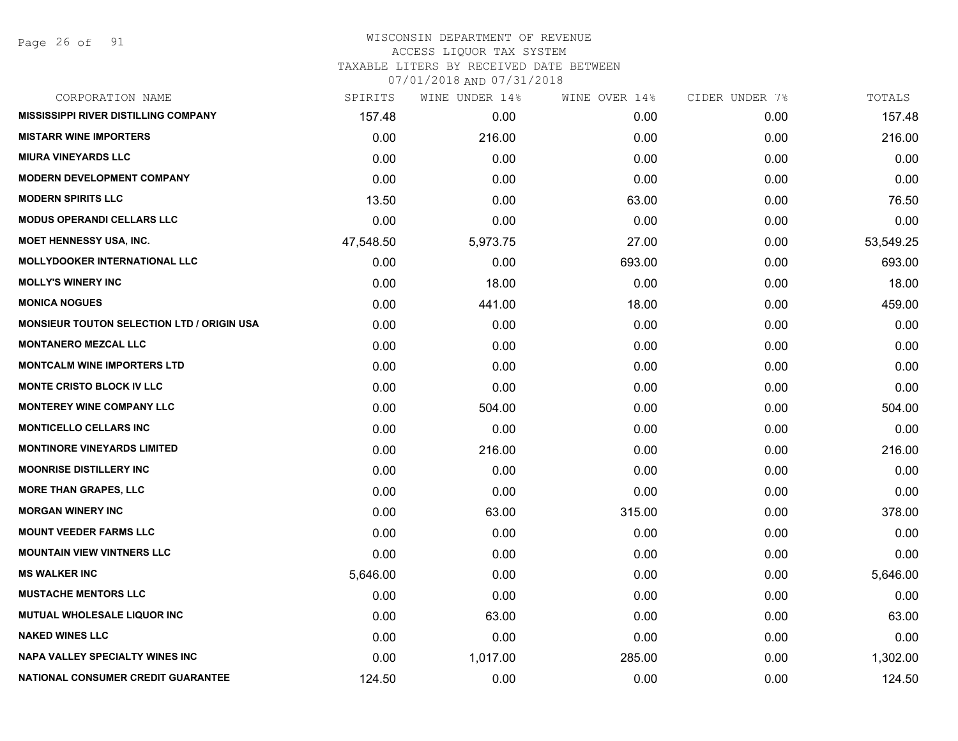Page 26 of 91

| CORPORATION NAME                                  | SPIRITS   | WINE UNDER 14% | WINE OVER 14% | CIDER UNDER 7% | TOTALS    |
|---------------------------------------------------|-----------|----------------|---------------|----------------|-----------|
| <b>MISSISSIPPI RIVER DISTILLING COMPANY</b>       | 157.48    | 0.00           | 0.00          | 0.00           | 157.48    |
| <b>MISTARR WINE IMPORTERS</b>                     | 0.00      | 216.00         | 0.00          | 0.00           | 216.00    |
| <b>MIURA VINEYARDS LLC</b>                        | 0.00      | 0.00           | 0.00          | 0.00           | 0.00      |
| <b>MODERN DEVELOPMENT COMPANY</b>                 | 0.00      | 0.00           | 0.00          | 0.00           | 0.00      |
| <b>MODERN SPIRITS LLC</b>                         | 13.50     | 0.00           | 63.00         | 0.00           | 76.50     |
| <b>MODUS OPERANDI CELLARS LLC</b>                 | 0.00      | 0.00           | 0.00          | 0.00           | 0.00      |
| <b>MOET HENNESSY USA, INC.</b>                    | 47,548.50 | 5,973.75       | 27.00         | 0.00           | 53,549.25 |
| <b>MOLLYDOOKER INTERNATIONAL LLC</b>              | 0.00      | 0.00           | 693.00        | 0.00           | 693.00    |
| <b>MOLLY'S WINERY INC</b>                         | 0.00      | 18.00          | 0.00          | 0.00           | 18.00     |
| <b>MONICA NOGUES</b>                              | 0.00      | 441.00         | 18.00         | 0.00           | 459.00    |
| <b>MONSIEUR TOUTON SELECTION LTD / ORIGIN USA</b> | 0.00      | 0.00           | 0.00          | 0.00           | 0.00      |
| <b>MONTANERO MEZCAL LLC</b>                       | 0.00      | 0.00           | 0.00          | 0.00           | 0.00      |
| <b>MONTCALM WINE IMPORTERS LTD</b>                | 0.00      | 0.00           | 0.00          | 0.00           | 0.00      |
| MONTE CRISTO BLOCK IV LLC                         | 0.00      | 0.00           | 0.00          | 0.00           | 0.00      |
| <b>MONTEREY WINE COMPANY LLC</b>                  | 0.00      | 504.00         | 0.00          | 0.00           | 504.00    |
| <b>MONTICELLO CELLARS INC</b>                     | 0.00      | 0.00           | 0.00          | 0.00           | 0.00      |
| <b>MONTINORE VINEYARDS LIMITED</b>                | 0.00      | 216.00         | 0.00          | 0.00           | 216.00    |
| <b>MOONRISE DISTILLERY INC</b>                    | 0.00      | 0.00           | 0.00          | 0.00           | 0.00      |
| <b>MORE THAN GRAPES, LLC</b>                      | 0.00      | 0.00           | 0.00          | 0.00           | 0.00      |
| <b>MORGAN WINERY INC</b>                          | 0.00      | 63.00          | 315.00        | 0.00           | 378.00    |
| <b>MOUNT VEEDER FARMS LLC</b>                     | 0.00      | 0.00           | 0.00          | 0.00           | 0.00      |
| <b>MOUNTAIN VIEW VINTNERS LLC</b>                 | 0.00      | 0.00           | 0.00          | 0.00           | 0.00      |
| <b>MS WALKER INC</b>                              | 5,646.00  | 0.00           | 0.00          | 0.00           | 5,646.00  |
| <b>MUSTACHE MENTORS LLC</b>                       | 0.00      | 0.00           | 0.00          | 0.00           | 0.00      |
| MUTUAL WHOLESALE LIQUOR INC                       | 0.00      | 63.00          | 0.00          | 0.00           | 63.00     |
| <b>NAKED WINES LLC</b>                            | 0.00      | 0.00           | 0.00          | 0.00           | 0.00      |
| <b>NAPA VALLEY SPECIALTY WINES INC</b>            | 0.00      | 1,017.00       | 285.00        | 0.00           | 1,302.00  |
| <b>NATIONAL CONSUMER CREDIT GUARANTEE</b>         | 124.50    | 0.00           | 0.00          | 0.00           | 124.50    |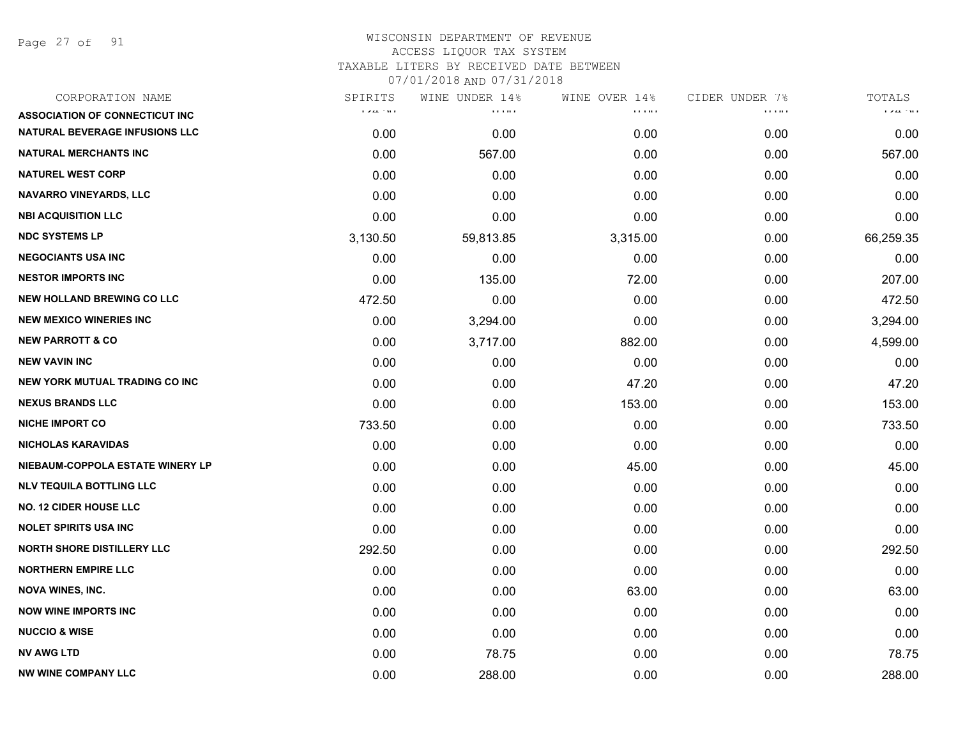Page 27 of 91

| SPIRITS     | WINE UNDER 14%                                 |          | CIDER UNDER 7%                            | TOTALS      |
|-------------|------------------------------------------------|----------|-------------------------------------------|-------------|
| rozalista e | $\mathbf{r}$ , $\mathbf{r}$ , and $\mathbf{r}$ | <b></b>  | $\alpha$ , $\alpha$ , $\alpha$ , $\alpha$ | rozalista e |
| 0.00        | 0.00                                           | 0.00     | 0.00                                      | 0.00        |
| 0.00        | 567.00                                         | 0.00     | 0.00                                      | 567.00      |
| 0.00        | 0.00                                           | 0.00     | 0.00                                      | 0.00        |
| 0.00        | 0.00                                           | 0.00     | 0.00                                      | 0.00        |
| 0.00        | 0.00                                           | 0.00     | 0.00                                      | 0.00        |
| 3,130.50    | 59,813.85                                      | 3,315.00 | 0.00                                      | 66,259.35   |
| 0.00        | 0.00                                           | 0.00     | 0.00                                      | 0.00        |
| 0.00        | 135.00                                         | 72.00    | 0.00                                      | 207.00      |
| 472.50      | 0.00                                           | 0.00     | 0.00                                      | 472.50      |
| 0.00        | 3,294.00                                       | 0.00     | 0.00                                      | 3,294.00    |
| 0.00        | 3,717.00                                       | 882.00   | 0.00                                      | 4,599.00    |
| 0.00        | 0.00                                           | 0.00     | 0.00                                      | 0.00        |
| 0.00        | 0.00                                           | 47.20    | 0.00                                      | 47.20       |
| 0.00        | 0.00                                           | 153.00   | 0.00                                      | 153.00      |
| 733.50      | 0.00                                           | 0.00     | 0.00                                      | 733.50      |
| 0.00        | 0.00                                           | 0.00     | 0.00                                      | 0.00        |
| 0.00        | 0.00                                           | 45.00    | 0.00                                      | 45.00       |
| 0.00        | 0.00                                           | 0.00     | 0.00                                      | 0.00        |
| 0.00        | 0.00                                           | 0.00     | 0.00                                      | 0.00        |
| 0.00        | 0.00                                           | 0.00     | 0.00                                      | 0.00        |
| 292.50      | 0.00                                           | 0.00     | 0.00                                      | 292.50      |
| 0.00        | 0.00                                           | 0.00     | 0.00                                      | 0.00        |
| 0.00        | 0.00                                           | 63.00    | 0.00                                      | 63.00       |
| 0.00        | 0.00                                           | 0.00     | 0.00                                      | 0.00        |
| 0.00        | 0.00                                           | 0.00     | 0.00                                      | 0.00        |
| 0.00        | 78.75                                          | 0.00     | 0.00                                      | 78.75       |
| 0.00        | 288.00                                         | 0.00     | 0.00                                      | 288.00      |
|             |                                                |          | WINE OVER 14%                             |             |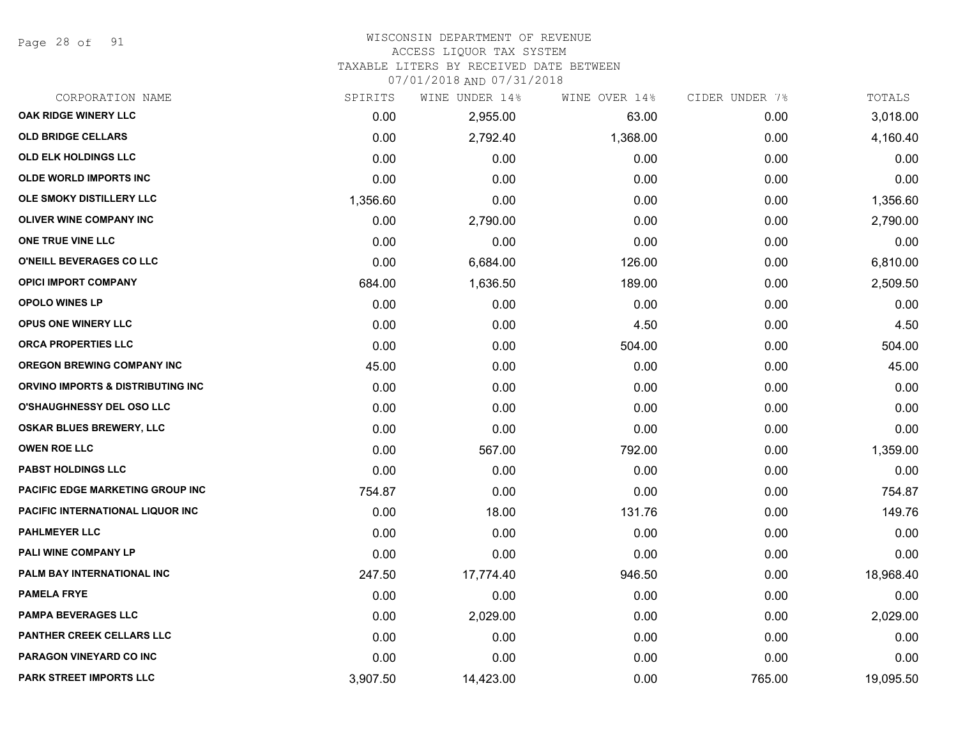Page 28 of 91

# WISCONSIN DEPARTMENT OF REVENUE

ACCESS LIQUOR TAX SYSTEM

TAXABLE LITERS BY RECEIVED DATE BETWEEN

| CORPORATION NAME                        | SPIRITS  | WINE UNDER 14% | WINE OVER 14% | CIDER UNDER 7% | TOTALS    |
|-----------------------------------------|----------|----------------|---------------|----------------|-----------|
| OAK RIDGE WINERY LLC                    | 0.00     | 2,955.00       | 63.00         | 0.00           | 3,018.00  |
| <b>OLD BRIDGE CELLARS</b>               | 0.00     | 2,792.40       | 1,368.00      | 0.00           | 4,160.40  |
| <b>OLD ELK HOLDINGS LLC</b>             | 0.00     | 0.00           | 0.00          | 0.00           | 0.00      |
| <b>OLDE WORLD IMPORTS INC</b>           | 0.00     | 0.00           | 0.00          | 0.00           | 0.00      |
| OLE SMOKY DISTILLERY LLC                | 1,356.60 | 0.00           | 0.00          | 0.00           | 1,356.60  |
| <b>OLIVER WINE COMPANY INC</b>          | 0.00     | 2,790.00       | 0.00          | 0.00           | 2,790.00  |
| ONE TRUE VINE LLC                       | 0.00     | 0.00           | 0.00          | 0.00           | 0.00      |
| O'NEILL BEVERAGES CO LLC                | 0.00     | 6,684.00       | 126.00        | 0.00           | 6,810.00  |
| <b>OPICI IMPORT COMPANY</b>             | 684.00   | 1,636.50       | 189.00        | 0.00           | 2,509.50  |
| <b>OPOLO WINES LP</b>                   | 0.00     | 0.00           | 0.00          | 0.00           | 0.00      |
| OPUS ONE WINERY LLC                     | 0.00     | 0.00           | 4.50          | 0.00           | 4.50      |
| ORCA PROPERTIES LLC                     | 0.00     | 0.00           | 504.00        | 0.00           | 504.00    |
| <b>OREGON BREWING COMPANY INC</b>       | 45.00    | 0.00           | 0.00          | 0.00           | 45.00     |
| ORVINO IMPORTS & DISTRIBUTING INC       | 0.00     | 0.00           | 0.00          | 0.00           | 0.00      |
| <b>O'SHAUGHNESSY DEL OSO LLC</b>        | 0.00     | 0.00           | 0.00          | 0.00           | 0.00      |
| <b>OSKAR BLUES BREWERY, LLC</b>         | 0.00     | 0.00           | 0.00          | 0.00           | 0.00      |
| <b>OWEN ROE LLC</b>                     | 0.00     | 567.00         | 792.00        | 0.00           | 1,359.00  |
| <b>PABST HOLDINGS LLC</b>               | 0.00     | 0.00           | 0.00          | 0.00           | 0.00      |
| PACIFIC EDGE MARKETING GROUP INC        | 754.87   | 0.00           | 0.00          | 0.00           | 754.87    |
| <b>PACIFIC INTERNATIONAL LIQUOR INC</b> | 0.00     | 18.00          | 131.76        | 0.00           | 149.76    |
| <b>PAHLMEYER LLC</b>                    | 0.00     | 0.00           | 0.00          | 0.00           | 0.00      |
| PALI WINE COMPANY LP                    | 0.00     | 0.00           | 0.00          | 0.00           | 0.00      |
| PALM BAY INTERNATIONAL INC              | 247.50   | 17,774.40      | 946.50        | 0.00           | 18,968.40 |
| <b>PAMELA FRYE</b>                      | 0.00     | 0.00           | 0.00          | 0.00           | 0.00      |
| <b>PAMPA BEVERAGES LLC</b>              | 0.00     | 2,029.00       | 0.00          | 0.00           | 2,029.00  |
| PANTHER CREEK CELLARS LLC               | 0.00     | 0.00           | 0.00          | 0.00           | 0.00      |
| PARAGON VINEYARD CO INC                 | 0.00     | 0.00           | 0.00          | 0.00           | 0.00      |
| PARK STREET IMPORTS LLC                 | 3,907.50 | 14,423.00      | 0.00          | 765.00         | 19,095.50 |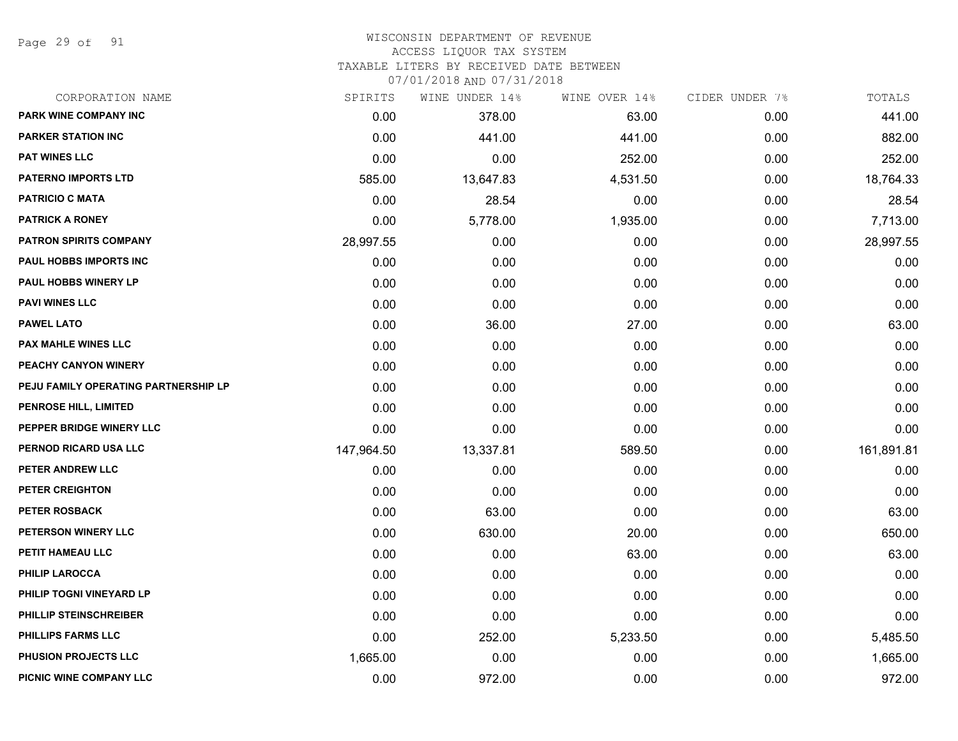Page 29 of 91

#### WISCONSIN DEPARTMENT OF REVENUE ACCESS LIQUOR TAX SYSTEM

TAXABLE LITERS BY RECEIVED DATE BETWEEN

| CORPORATION NAME                     | SPIRITS    | WINE UNDER 14% | WINE OVER 14% | CIDER UNDER 7% | TOTALS     |
|--------------------------------------|------------|----------------|---------------|----------------|------------|
| PARK WINE COMPANY INC                | 0.00       | 378.00         | 63.00         | 0.00           | 441.00     |
| <b>PARKER STATION INC</b>            | 0.00       | 441.00         | 441.00        | 0.00           | 882.00     |
| <b>PAT WINES LLC</b>                 | 0.00       | 0.00           | 252.00        | 0.00           | 252.00     |
| <b>PATERNO IMPORTS LTD</b>           | 585.00     | 13,647.83      | 4,531.50      | 0.00           | 18,764.33  |
| <b>PATRICIO C MATA</b>               | 0.00       | 28.54          | 0.00          | 0.00           | 28.54      |
| <b>PATRICK A RONEY</b>               | 0.00       | 5,778.00       | 1,935.00      | 0.00           | 7,713.00   |
| <b>PATRON SPIRITS COMPANY</b>        | 28,997.55  | 0.00           | 0.00          | 0.00           | 28,997.55  |
| PAUL HOBBS IMPORTS INC               | 0.00       | 0.00           | 0.00          | 0.00           | 0.00       |
| <b>PAUL HOBBS WINERY LP</b>          | 0.00       | 0.00           | 0.00          | 0.00           | 0.00       |
| <b>PAVI WINES LLC</b>                | 0.00       | 0.00           | 0.00          | 0.00           | 0.00       |
| <b>PAWEL LATO</b>                    | 0.00       | 36.00          | 27.00         | 0.00           | 63.00      |
| <b>PAX MAHLE WINES LLC</b>           | 0.00       | 0.00           | 0.00          | 0.00           | 0.00       |
| PEACHY CANYON WINERY                 | 0.00       | 0.00           | 0.00          | 0.00           | 0.00       |
| PEJU FAMILY OPERATING PARTNERSHIP LP | 0.00       | 0.00           | 0.00          | 0.00           | 0.00       |
| PENROSE HILL, LIMITED                | 0.00       | 0.00           | 0.00          | 0.00           | 0.00       |
| PEPPER BRIDGE WINERY LLC             | 0.00       | 0.00           | 0.00          | 0.00           | 0.00       |
| PERNOD RICARD USA LLC                | 147,964.50 | 13,337.81      | 589.50        | 0.00           | 161,891.81 |
| PETER ANDREW LLC                     | 0.00       | 0.00           | 0.00          | 0.00           | 0.00       |
| PETER CREIGHTON                      | 0.00       | 0.00           | 0.00          | 0.00           | 0.00       |
| <b>PETER ROSBACK</b>                 | 0.00       | 63.00          | 0.00          | 0.00           | 63.00      |
| PETERSON WINERY LLC                  | 0.00       | 630.00         | 20.00         | 0.00           | 650.00     |
| PETIT HAMEAU LLC                     | 0.00       | 0.00           | 63.00         | 0.00           | 63.00      |
| PHILIP LAROCCA                       | 0.00       | 0.00           | 0.00          | 0.00           | 0.00       |
| PHILIP TOGNI VINEYARD LP             | 0.00       | 0.00           | 0.00          | 0.00           | 0.00       |
| PHILLIP STEINSCHREIBER               | 0.00       | 0.00           | 0.00          | 0.00           | 0.00       |
| <b>PHILLIPS FARMS LLC</b>            | 0.00       | 252.00         | 5,233.50      | 0.00           | 5,485.50   |
| <b>PHUSION PROJECTS LLC</b>          | 1,665.00   | 0.00           | 0.00          | 0.00           | 1,665.00   |
| PICNIC WINE COMPANY LLC              | 0.00       | 972.00         | 0.00          | 0.00           | 972.00     |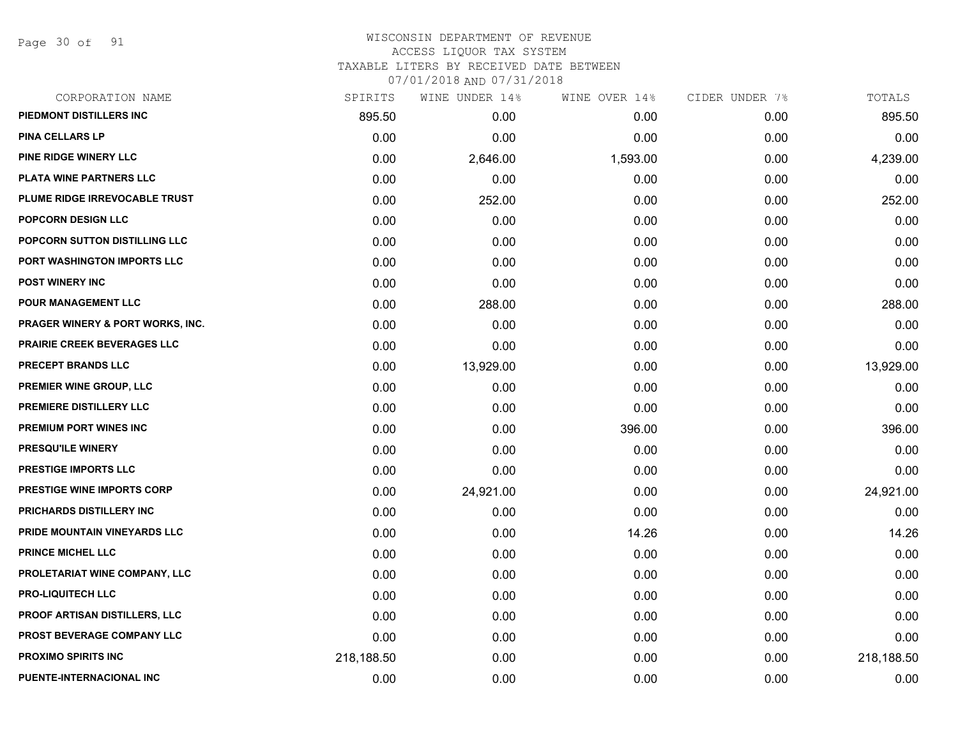Page 30 of 91

|            | WINE UNDER 14% | WINE OVER 14% | CIDER UNDER 7% | TOTALS     |
|------------|----------------|---------------|----------------|------------|
| 895.50     | 0.00           | 0.00          | 0.00           | 895.50     |
| 0.00       | 0.00           | 0.00          | 0.00           | 0.00       |
| 0.00       | 2,646.00       | 1,593.00      | 0.00           | 4,239.00   |
| 0.00       | 0.00           | 0.00          | 0.00           | 0.00       |
| 0.00       | 252.00         | 0.00          | 0.00           | 252.00     |
| 0.00       | 0.00           | 0.00          | 0.00           | 0.00       |
| 0.00       | 0.00           | 0.00          | 0.00           | 0.00       |
| 0.00       | 0.00           | 0.00          | 0.00           | 0.00       |
| 0.00       | 0.00           | 0.00          | 0.00           | 0.00       |
| 0.00       | 288.00         | 0.00          | 0.00           | 288.00     |
| 0.00       | 0.00           | 0.00          | 0.00           | 0.00       |
| 0.00       | 0.00           | 0.00          | 0.00           | 0.00       |
| 0.00       | 13,929.00      | 0.00          | 0.00           | 13,929.00  |
| 0.00       | 0.00           | 0.00          | 0.00           | 0.00       |
| 0.00       | 0.00           | 0.00          | 0.00           | 0.00       |
| 0.00       | 0.00           | 396.00        | 0.00           | 396.00     |
| 0.00       | 0.00           | 0.00          | 0.00           | 0.00       |
| 0.00       | 0.00           | 0.00          | 0.00           | 0.00       |
| 0.00       | 24,921.00      | 0.00          | 0.00           | 24,921.00  |
| 0.00       | 0.00           | 0.00          | 0.00           | 0.00       |
| 0.00       | 0.00           | 14.26         | 0.00           | 14.26      |
| 0.00       | 0.00           | 0.00          | 0.00           | 0.00       |
| 0.00       | 0.00           | 0.00          | 0.00           | 0.00       |
| 0.00       | 0.00           | 0.00          | 0.00           | 0.00       |
| 0.00       | 0.00           | 0.00          | 0.00           | 0.00       |
| 0.00       | 0.00           | 0.00          | 0.00           | 0.00       |
| 218,188.50 | 0.00           | 0.00          | 0.00           | 218,188.50 |
| 0.00       | 0.00           | 0.00          | 0.00           | 0.00       |
|            | SPIRITS        |               |                |            |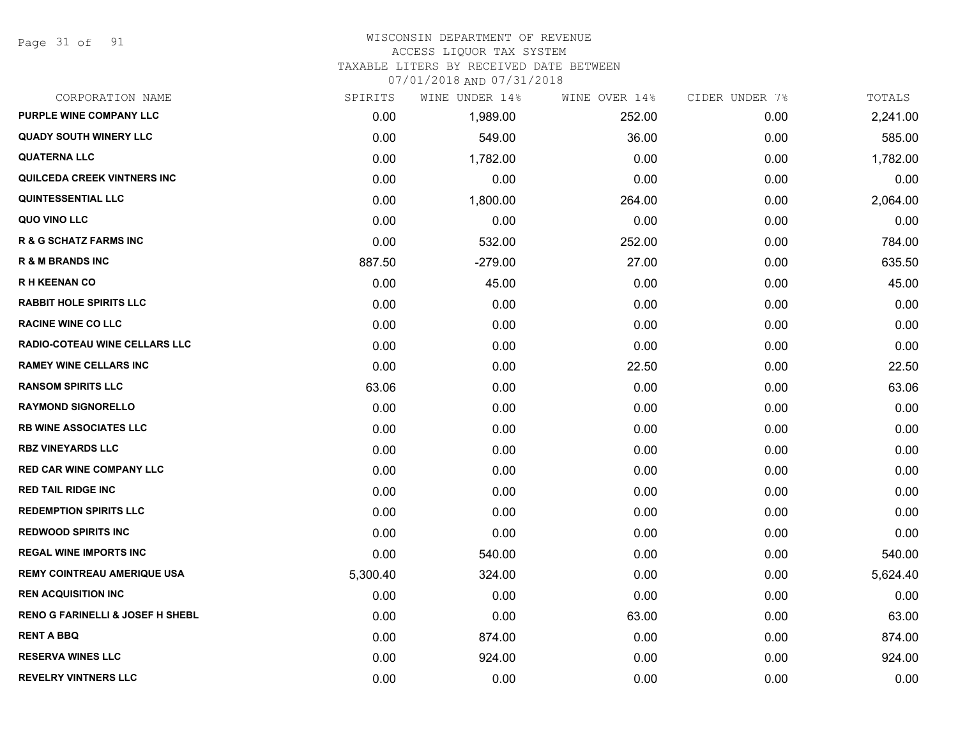Page 31 of 91

# WISCONSIN DEPARTMENT OF REVENUE

#### ACCESS LIQUOR TAX SYSTEM

TAXABLE LITERS BY RECEIVED DATE BETWEEN

| CORPORATION NAME                            | SPIRITS  | WINE UNDER 14% | WINE OVER 14% | CIDER UNDER 7% | TOTALS   |
|---------------------------------------------|----------|----------------|---------------|----------------|----------|
| PURPLE WINE COMPANY LLC                     | 0.00     | 1,989.00       | 252.00        | 0.00           | 2,241.00 |
| <b>QUADY SOUTH WINERY LLC</b>               | 0.00     | 549.00         | 36.00         | 0.00           | 585.00   |
| <b>QUATERNA LLC</b>                         | 0.00     | 1,782.00       | 0.00          | 0.00           | 1,782.00 |
| <b>QUILCEDA CREEK VINTNERS INC</b>          | 0.00     | 0.00           | 0.00          | 0.00           | 0.00     |
| <b>QUINTESSENTIAL LLC</b>                   | 0.00     | 1,800.00       | 264.00        | 0.00           | 2,064.00 |
| QUO VINO LLC                                | 0.00     | 0.00           | 0.00          | 0.00           | 0.00     |
| <b>R &amp; G SCHATZ FARMS INC</b>           | 0.00     | 532.00         | 252.00        | 0.00           | 784.00   |
| <b>R &amp; M BRANDS INC</b>                 | 887.50   | $-279.00$      | 27.00         | 0.00           | 635.50   |
| <b>RH KEENAN CO</b>                         | 0.00     | 45.00          | 0.00          | 0.00           | 45.00    |
| <b>RABBIT HOLE SPIRITS LLC</b>              | 0.00     | 0.00           | 0.00          | 0.00           | 0.00     |
| <b>RACINE WINE CO LLC</b>                   | 0.00     | 0.00           | 0.00          | 0.00           | 0.00     |
| <b>RADIO-COTEAU WINE CELLARS LLC</b>        | 0.00     | 0.00           | 0.00          | 0.00           | 0.00     |
| <b>RAMEY WINE CELLARS INC</b>               | 0.00     | 0.00           | 22.50         | 0.00           | 22.50    |
| <b>RANSOM SPIRITS LLC</b>                   | 63.06    | 0.00           | 0.00          | 0.00           | 63.06    |
| <b>RAYMOND SIGNORELLO</b>                   | 0.00     | 0.00           | 0.00          | 0.00           | 0.00     |
| <b>RB WINE ASSOCIATES LLC</b>               | 0.00     | 0.00           | 0.00          | 0.00           | 0.00     |
| <b>RBZ VINEYARDS LLC</b>                    | 0.00     | 0.00           | 0.00          | 0.00           | 0.00     |
| <b>RED CAR WINE COMPANY LLC</b>             | 0.00     | 0.00           | 0.00          | 0.00           | 0.00     |
| <b>RED TAIL RIDGE INC</b>                   | 0.00     | 0.00           | 0.00          | 0.00           | 0.00     |
| <b>REDEMPTION SPIRITS LLC</b>               | 0.00     | 0.00           | 0.00          | 0.00           | 0.00     |
| <b>REDWOOD SPIRITS INC</b>                  | 0.00     | 0.00           | 0.00          | 0.00           | 0.00     |
| <b>REGAL WINE IMPORTS INC</b>               | 0.00     | 540.00         | 0.00          | 0.00           | 540.00   |
| <b>REMY COINTREAU AMERIQUE USA</b>          | 5,300.40 | 324.00         | 0.00          | 0.00           | 5,624.40 |
| <b>REN ACQUISITION INC</b>                  | 0.00     | 0.00           | 0.00          | 0.00           | 0.00     |
| <b>RENO G FARINELLI &amp; JOSEF H SHEBL</b> | 0.00     | 0.00           | 63.00         | 0.00           | 63.00    |
| <b>RENT A BBQ</b>                           | 0.00     | 874.00         | 0.00          | 0.00           | 874.00   |
| <b>RESERVA WINES LLC</b>                    | 0.00     | 924.00         | 0.00          | 0.00           | 924.00   |
| <b>REVELRY VINTNERS LLC</b>                 | 0.00     | 0.00           | 0.00          | 0.00           | 0.00     |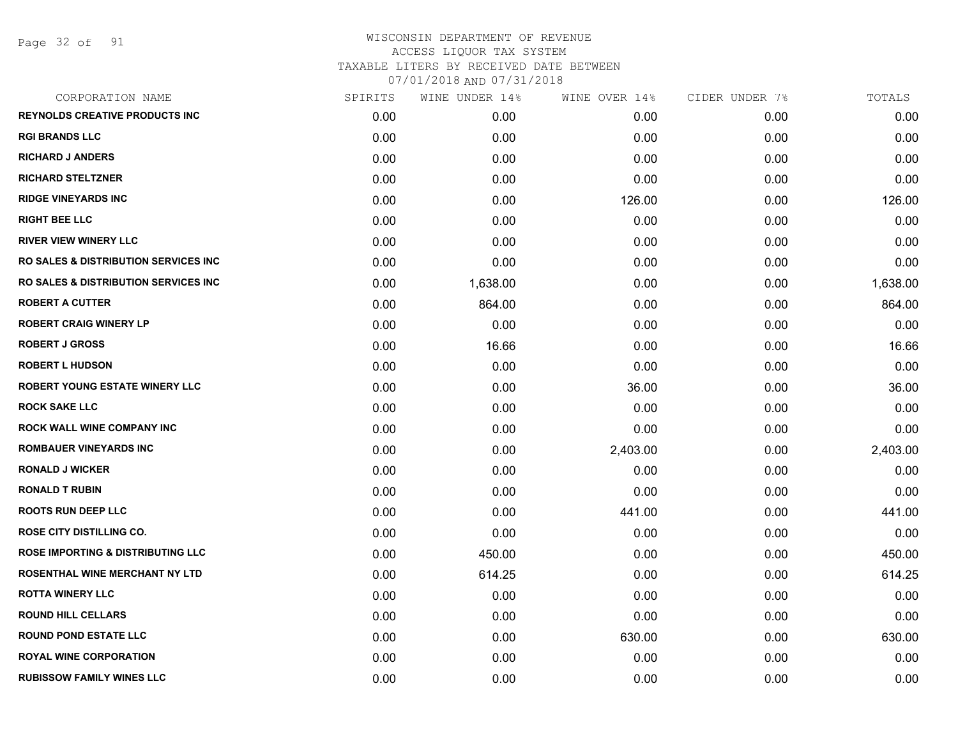Page 32 of 91

| CORPORATION NAME                                | SPIRITS | WINE UNDER 14% | WINE OVER 14% | CIDER UNDER 7% | TOTALS   |
|-------------------------------------------------|---------|----------------|---------------|----------------|----------|
| <b>REYNOLDS CREATIVE PRODUCTS INC</b>           | 0.00    | 0.00           | 0.00          | 0.00           | 0.00     |
| <b>RGI BRANDS LLC</b>                           | 0.00    | 0.00           | 0.00          | 0.00           | 0.00     |
| <b>RICHARD J ANDERS</b>                         | 0.00    | 0.00           | 0.00          | 0.00           | 0.00     |
| <b>RICHARD STELTZNER</b>                        | 0.00    | 0.00           | 0.00          | 0.00           | 0.00     |
| <b>RIDGE VINEYARDS INC</b>                      | 0.00    | 0.00           | 126.00        | 0.00           | 126.00   |
| <b>RIGHT BEE LLC</b>                            | 0.00    | 0.00           | 0.00          | 0.00           | 0.00     |
| <b>RIVER VIEW WINERY LLC</b>                    | 0.00    | 0.00           | 0.00          | 0.00           | 0.00     |
| <b>RO SALES &amp; DISTRIBUTION SERVICES INC</b> | 0.00    | 0.00           | 0.00          | 0.00           | 0.00     |
| RO SALES & DISTRIBUTION SERVICES INC            | 0.00    | 1,638.00       | 0.00          | 0.00           | 1,638.00 |
| <b>ROBERT A CUTTER</b>                          | 0.00    | 864.00         | 0.00          | 0.00           | 864.00   |
| <b>ROBERT CRAIG WINERY LP</b>                   | 0.00    | 0.00           | 0.00          | 0.00           | 0.00     |
| <b>ROBERT J GROSS</b>                           | 0.00    | 16.66          | 0.00          | 0.00           | 16.66    |
| <b>ROBERT L HUDSON</b>                          | 0.00    | 0.00           | 0.00          | 0.00           | 0.00     |
| ROBERT YOUNG ESTATE WINERY LLC                  | 0.00    | 0.00           | 36.00         | 0.00           | 36.00    |
| <b>ROCK SAKE LLC</b>                            | 0.00    | 0.00           | 0.00          | 0.00           | 0.00     |
| ROCK WALL WINE COMPANY INC                      | 0.00    | 0.00           | 0.00          | 0.00           | 0.00     |
| <b>ROMBAUER VINEYARDS INC</b>                   | 0.00    | 0.00           | 2,403.00      | 0.00           | 2,403.00 |
| <b>RONALD J WICKER</b>                          | 0.00    | 0.00           | 0.00          | 0.00           | 0.00     |
| <b>RONALD T RUBIN</b>                           | 0.00    | 0.00           | 0.00          | 0.00           | 0.00     |
| <b>ROOTS RUN DEEP LLC</b>                       | 0.00    | 0.00           | 441.00        | 0.00           | 441.00   |
| <b>ROSE CITY DISTILLING CO.</b>                 | 0.00    | 0.00           | 0.00          | 0.00           | 0.00     |
| <b>ROSE IMPORTING &amp; DISTRIBUTING LLC</b>    | 0.00    | 450.00         | 0.00          | 0.00           | 450.00   |
| ROSENTHAL WINE MERCHANT NY LTD                  | 0.00    | 614.25         | 0.00          | 0.00           | 614.25   |
| <b>ROTTA WINERY LLC</b>                         | 0.00    | 0.00           | 0.00          | 0.00           | 0.00     |
| <b>ROUND HILL CELLARS</b>                       | 0.00    | 0.00           | 0.00          | 0.00           | 0.00     |
| <b>ROUND POND ESTATE LLC</b>                    | 0.00    | 0.00           | 630.00        | 0.00           | 630.00   |
| <b>ROYAL WINE CORPORATION</b>                   | 0.00    | 0.00           | 0.00          | 0.00           | 0.00     |
| <b>RUBISSOW FAMILY WINES LLC</b>                | 0.00    | 0.00           | 0.00          | 0.00           | 0.00     |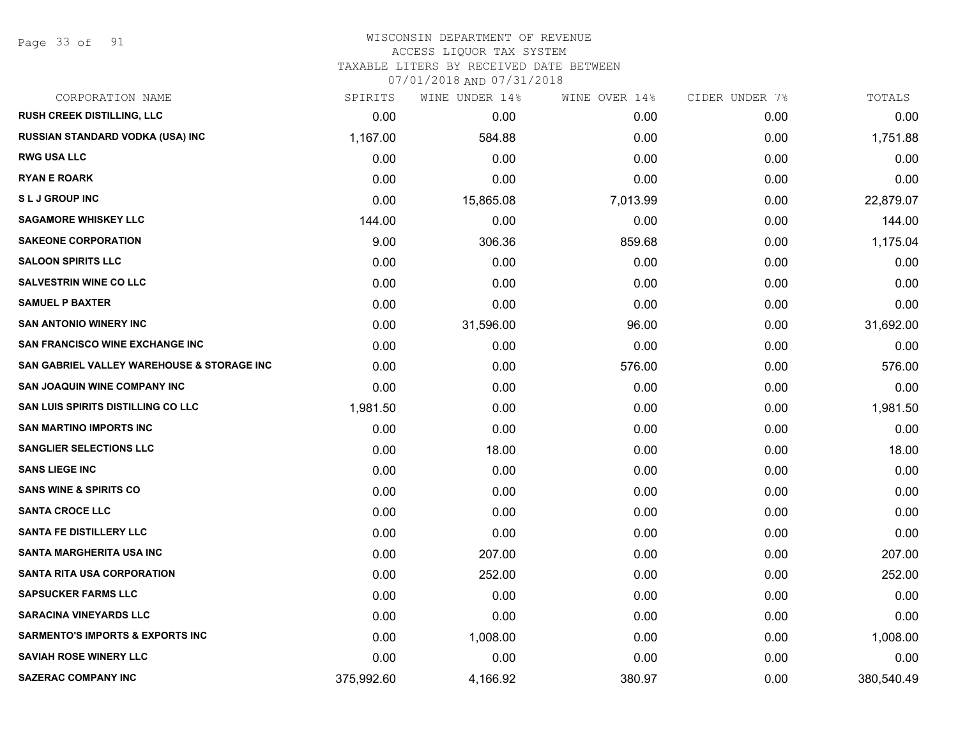Page 33 of 91

## WISCONSIN DEPARTMENT OF REVENUE

#### ACCESS LIQUOR TAX SYSTEM

TAXABLE LITERS BY RECEIVED DATE BETWEEN

| CORPORATION NAME                            | SPIRITS    | WINE UNDER 14% | WINE OVER 14% | CIDER UNDER 7% | TOTALS     |
|---------------------------------------------|------------|----------------|---------------|----------------|------------|
| RUSH CREEK DISTILLING, LLC                  | 0.00       | 0.00           | 0.00          | 0.00           | 0.00       |
| RUSSIAN STANDARD VODKA (USA) INC            | 1,167.00   | 584.88         | 0.00          | 0.00           | 1,751.88   |
| <b>RWG USA LLC</b>                          | 0.00       | 0.00           | 0.00          | 0.00           | 0.00       |
| <b>RYAN E ROARK</b>                         | 0.00       | 0.00           | 0.00          | 0.00           | 0.00       |
| <b>SLJ GROUP INC</b>                        | 0.00       | 15,865.08      | 7,013.99      | 0.00           | 22,879.07  |
| <b>SAGAMORE WHISKEY LLC</b>                 | 144.00     | 0.00           | 0.00          | 0.00           | 144.00     |
| <b>SAKEONE CORPORATION</b>                  | 9.00       | 306.36         | 859.68        | 0.00           | 1,175.04   |
| <b>SALOON SPIRITS LLC</b>                   | 0.00       | 0.00           | 0.00          | 0.00           | 0.00       |
| <b>SALVESTRIN WINE CO LLC</b>               | 0.00       | 0.00           | 0.00          | 0.00           | 0.00       |
| <b>SAMUEL P BAXTER</b>                      | 0.00       | 0.00           | 0.00          | 0.00           | 0.00       |
| <b>SAN ANTONIO WINERY INC</b>               | 0.00       | 31,596.00      | 96.00         | 0.00           | 31,692.00  |
| SAN FRANCISCO WINE EXCHANGE INC             | 0.00       | 0.00           | 0.00          | 0.00           | 0.00       |
| SAN GABRIEL VALLEY WAREHOUSE & STORAGE INC  | 0.00       | 0.00           | 576.00        | 0.00           | 576.00     |
| <b>SAN JOAQUIN WINE COMPANY INC</b>         | 0.00       | 0.00           | 0.00          | 0.00           | 0.00       |
| SAN LUIS SPIRITS DISTILLING CO LLC          | 1,981.50   | 0.00           | 0.00          | 0.00           | 1,981.50   |
| <b>SAN MARTINO IMPORTS INC</b>              | 0.00       | 0.00           | 0.00          | 0.00           | 0.00       |
| <b>SANGLIER SELECTIONS LLC</b>              | 0.00       | 18.00          | 0.00          | 0.00           | 18.00      |
| <b>SANS LIEGE INC</b>                       | 0.00       | 0.00           | 0.00          | 0.00           | 0.00       |
| <b>SANS WINE &amp; SPIRITS CO</b>           | 0.00       | 0.00           | 0.00          | 0.00           | 0.00       |
| <b>SANTA CROCE LLC</b>                      | 0.00       | 0.00           | 0.00          | 0.00           | 0.00       |
| <b>SANTA FE DISTILLERY LLC</b>              | 0.00       | 0.00           | 0.00          | 0.00           | 0.00       |
| <b>SANTA MARGHERITA USA INC</b>             | 0.00       | 207.00         | 0.00          | 0.00           | 207.00     |
| <b>SANTA RITA USA CORPORATION</b>           | 0.00       | 252.00         | 0.00          | 0.00           | 252.00     |
| <b>SAPSUCKER FARMS LLC</b>                  | 0.00       | 0.00           | 0.00          | 0.00           | 0.00       |
| <b>SARACINA VINEYARDS LLC</b>               | 0.00       | 0.00           | 0.00          | 0.00           | 0.00       |
| <b>SARMENTO'S IMPORTS &amp; EXPORTS INC</b> | 0.00       | 1,008.00       | 0.00          | 0.00           | 1,008.00   |
| <b>SAVIAH ROSE WINERY LLC</b>               | 0.00       | 0.00           | 0.00          | 0.00           | 0.00       |
| <b>SAZERAC COMPANY INC</b>                  | 375,992.60 | 4,166.92       | 380.97        | 0.00           | 380,540.49 |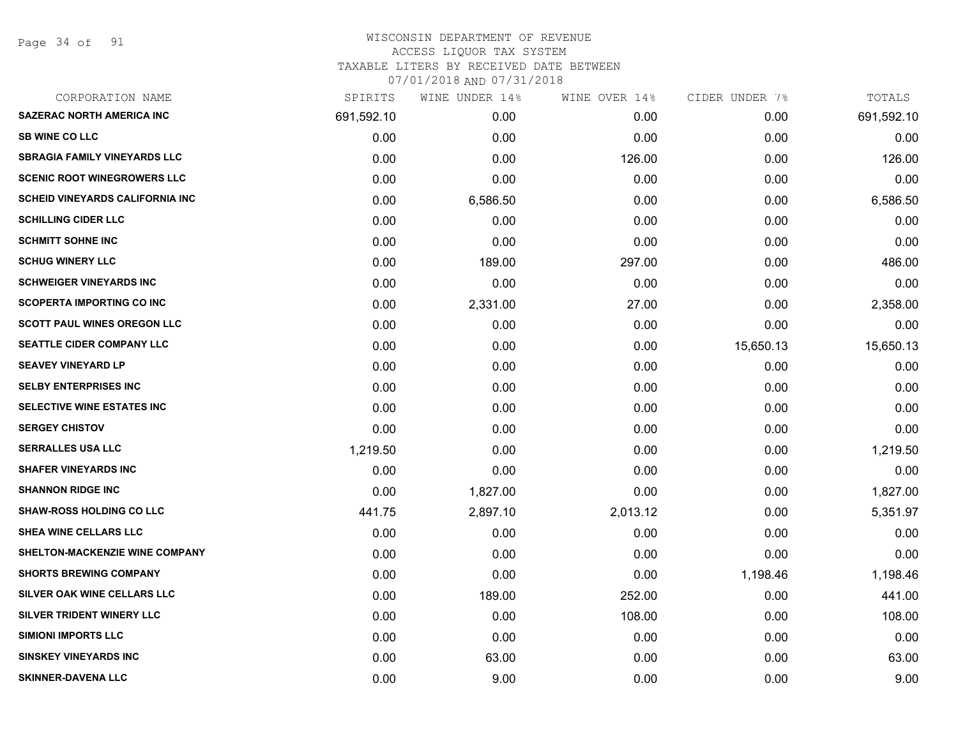Page 34 of 91

#### WISCONSIN DEPARTMENT OF REVENUE ACCESS LIQUOR TAX SYSTEM TAXABLE LITERS BY RECEIVED DATE BETWEEN

| CORPORATION NAME                       | SPIRITS    | WINE UNDER 14% | WINE OVER 14% | CIDER UNDER 7% | TOTALS     |
|----------------------------------------|------------|----------------|---------------|----------------|------------|
| <b>SAZERAC NORTH AMERICA INC</b>       | 691,592.10 | 0.00           | 0.00          | 0.00           | 691,592.10 |
| <b>SB WINE CO LLC</b>                  | 0.00       | 0.00           | 0.00          | 0.00           | 0.00       |
| <b>SBRAGIA FAMILY VINEYARDS LLC</b>    | 0.00       | 0.00           | 126.00        | 0.00           | 126.00     |
| <b>SCENIC ROOT WINEGROWERS LLC</b>     | 0.00       | 0.00           | 0.00          | 0.00           | 0.00       |
| <b>SCHEID VINEYARDS CALIFORNIA INC</b> | 0.00       | 6,586.50       | 0.00          | 0.00           | 6,586.50   |
| <b>SCHILLING CIDER LLC</b>             | 0.00       | 0.00           | 0.00          | 0.00           | 0.00       |
| <b>SCHMITT SOHNE INC</b>               | 0.00       | 0.00           | 0.00          | 0.00           | 0.00       |
| <b>SCHUG WINERY LLC</b>                | 0.00       | 189.00         | 297.00        | 0.00           | 486.00     |
| <b>SCHWEIGER VINEYARDS INC</b>         | 0.00       | 0.00           | 0.00          | 0.00           | 0.00       |
| <b>SCOPERTA IMPORTING CO INC</b>       | 0.00       | 2,331.00       | 27.00         | 0.00           | 2,358.00   |
| <b>SCOTT PAUL WINES OREGON LLC</b>     | 0.00       | 0.00           | 0.00          | 0.00           | 0.00       |
| <b>SEATTLE CIDER COMPANY LLC</b>       | 0.00       | 0.00           | 0.00          | 15,650.13      | 15,650.13  |
| <b>SEAVEY VINEYARD LP</b>              | 0.00       | 0.00           | 0.00          | 0.00           | 0.00       |
| <b>SELBY ENTERPRISES INC</b>           | 0.00       | 0.00           | 0.00          | 0.00           | 0.00       |
| SELECTIVE WINE ESTATES INC             | 0.00       | 0.00           | 0.00          | 0.00           | 0.00       |
| <b>SERGEY CHISTOV</b>                  | 0.00       | 0.00           | 0.00          | 0.00           | 0.00       |
| <b>SERRALLES USA LLC</b>               | 1,219.50   | 0.00           | 0.00          | 0.00           | 1,219.50   |
| <b>SHAFER VINEYARDS INC</b>            | 0.00       | 0.00           | 0.00          | 0.00           | 0.00       |
| <b>SHANNON RIDGE INC</b>               | 0.00       | 1,827.00       | 0.00          | 0.00           | 1,827.00   |
| <b>SHAW-ROSS HOLDING CO LLC</b>        | 441.75     | 2,897.10       | 2,013.12      | 0.00           | 5,351.97   |
| SHEA WINE CELLARS LLC                  | 0.00       | 0.00           | 0.00          | 0.00           | 0.00       |
| SHELTON-MACKENZIE WINE COMPANY         | 0.00       | 0.00           | 0.00          | 0.00           | 0.00       |
| <b>SHORTS BREWING COMPANY</b>          | 0.00       | 0.00           | 0.00          | 1,198.46       | 1,198.46   |
| SILVER OAK WINE CELLARS LLC            | 0.00       | 189.00         | 252.00        | 0.00           | 441.00     |
| SILVER TRIDENT WINERY LLC              | 0.00       | 0.00           | 108.00        | 0.00           | 108.00     |
| <b>SIMIONI IMPORTS LLC</b>             | 0.00       | 0.00           | 0.00          | 0.00           | 0.00       |
| <b>SINSKEY VINEYARDS INC</b>           | 0.00       | 63.00          | 0.00          | 0.00           | 63.00      |
| <b>SKINNER-DAVENA LLC</b>              | 0.00       | 9.00           | 0.00          | 0.00           | 9.00       |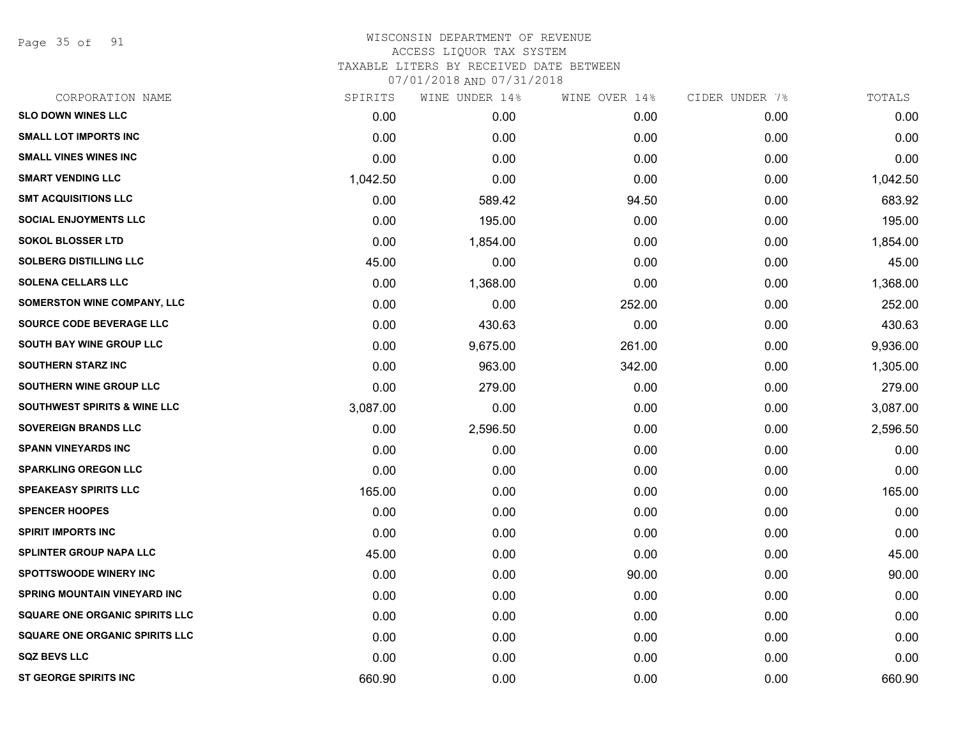Page 35 of 91

# WISCONSIN DEPARTMENT OF REVENUE ACCESS LIQUOR TAX SYSTEM TAXABLE LITERS BY RECEIVED DATE BETWEEN

| CORPORATION NAME                        | SPIRITS  | WINE UNDER 14% | WINE OVER 14% | CIDER UNDER 7% | TOTALS   |
|-----------------------------------------|----------|----------------|---------------|----------------|----------|
| <b>SLO DOWN WINES LLC</b>               | 0.00     | 0.00           | 0.00          | 0.00           | 0.00     |
| <b>SMALL LOT IMPORTS INC</b>            | 0.00     | 0.00           | 0.00          | 0.00           | 0.00     |
| <b>SMALL VINES WINES INC</b>            | 0.00     | 0.00           | 0.00          | 0.00           | 0.00     |
| <b>SMART VENDING LLC</b>                | 1,042.50 | 0.00           | 0.00          | 0.00           | 1,042.50 |
| <b>SMT ACQUISITIONS LLC</b>             | 0.00     | 589.42         | 94.50         | 0.00           | 683.92   |
| <b>SOCIAL ENJOYMENTS LLC</b>            | 0.00     | 195.00         | 0.00          | 0.00           | 195.00   |
| <b>SOKOL BLOSSER LTD</b>                | 0.00     | 1,854.00       | 0.00          | 0.00           | 1,854.00 |
| <b>SOLBERG DISTILLING LLC</b>           | 45.00    | 0.00           | 0.00          | 0.00           | 45.00    |
| <b>SOLENA CELLARS LLC</b>               | 0.00     | 1,368.00       | 0.00          | 0.00           | 1,368.00 |
| <b>SOMERSTON WINE COMPANY, LLC</b>      | 0.00     | 0.00           | 252.00        | 0.00           | 252.00   |
| SOURCE CODE BEVERAGE LLC                | 0.00     | 430.63         | 0.00          | 0.00           | 430.63   |
| SOUTH BAY WINE GROUP LLC                | 0.00     | 9,675.00       | 261.00        | 0.00           | 9,936.00 |
| <b>SOUTHERN STARZ INC</b>               | 0.00     | 963.00         | 342.00        | 0.00           | 1,305.00 |
| <b>SOUTHERN WINE GROUP LLC</b>          | 0.00     | 279.00         | 0.00          | 0.00           | 279.00   |
| <b>SOUTHWEST SPIRITS &amp; WINE LLC</b> | 3,087.00 | 0.00           | 0.00          | 0.00           | 3,087.00 |
| <b>SOVEREIGN BRANDS LLC</b>             | 0.00     | 2,596.50       | 0.00          | 0.00           | 2,596.50 |
| <b>SPANN VINEYARDS INC</b>              | 0.00     | 0.00           | 0.00          | 0.00           | 0.00     |
| <b>SPARKLING OREGON LLC</b>             | 0.00     | 0.00           | 0.00          | 0.00           | 0.00     |
| <b>SPEAKEASY SPIRITS LLC</b>            | 165.00   | 0.00           | 0.00          | 0.00           | 165.00   |
| <b>SPENCER HOOPES</b>                   | 0.00     | 0.00           | 0.00          | 0.00           | 0.00     |
| <b>SPIRIT IMPORTS INC</b>               | 0.00     | 0.00           | 0.00          | 0.00           | 0.00     |
| <b>SPLINTER GROUP NAPA LLC</b>          | 45.00    | 0.00           | 0.00          | 0.00           | 45.00    |
| <b>SPOTTSWOODE WINERY INC</b>           | 0.00     | 0.00           | 90.00         | 0.00           | 90.00    |
| <b>SPRING MOUNTAIN VINEYARD INC</b>     | 0.00     | 0.00           | 0.00          | 0.00           | 0.00     |
| <b>SQUARE ONE ORGANIC SPIRITS LLC</b>   | 0.00     | 0.00           | 0.00          | 0.00           | 0.00     |
| <b>SQUARE ONE ORGANIC SPIRITS LLC</b>   | 0.00     | 0.00           | 0.00          | 0.00           | 0.00     |
| <b>SQZ BEVS LLC</b>                     | 0.00     | 0.00           | 0.00          | 0.00           | 0.00     |
| <b>ST GEORGE SPIRITS INC</b>            | 660.90   | 0.00           | 0.00          | 0.00           | 660.90   |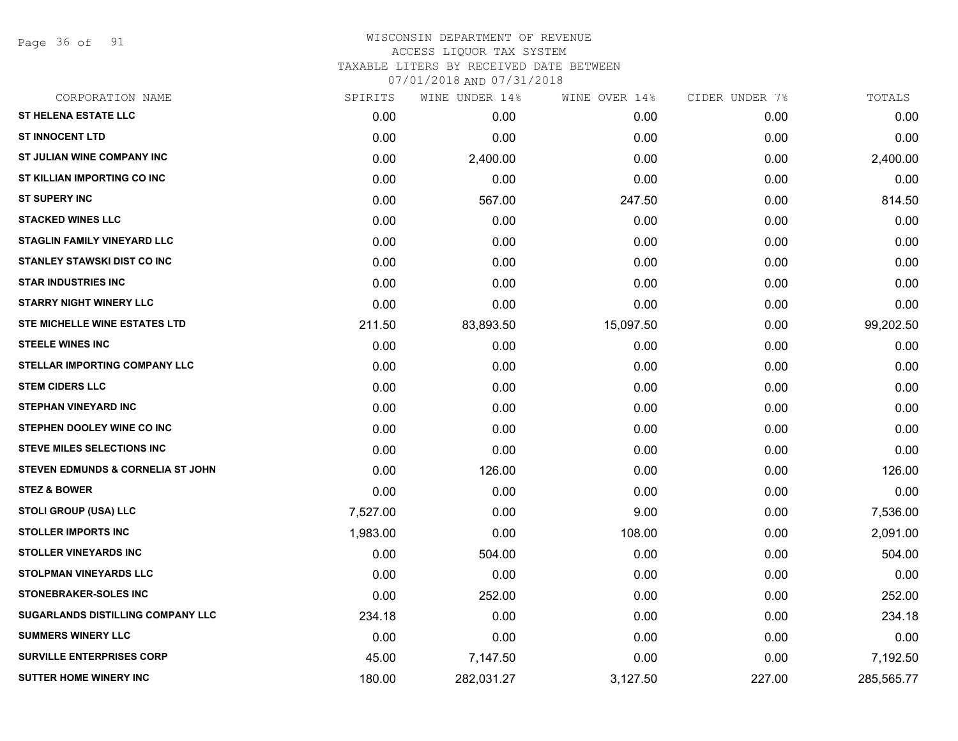Page 36 of 91

| CORPORATION NAME                             | SPIRITS  | WINE UNDER 14% | WINE OVER 14% | CIDER UNDER 7% | TOTALS     |
|----------------------------------------------|----------|----------------|---------------|----------------|------------|
| <b>ST HELENA ESTATE LLC</b>                  | 0.00     | 0.00           | 0.00          | 0.00           | 0.00       |
| <b>ST INNOCENT LTD</b>                       | 0.00     | 0.00           | 0.00          | 0.00           | 0.00       |
| ST JULIAN WINE COMPANY INC                   | 0.00     | 2,400.00       | 0.00          | 0.00           | 2,400.00   |
| ST KILLIAN IMPORTING CO INC                  | 0.00     | 0.00           | 0.00          | 0.00           | 0.00       |
| <b>ST SUPERY INC</b>                         | 0.00     | 567.00         | 247.50        | 0.00           | 814.50     |
| <b>STACKED WINES LLC</b>                     | 0.00     | 0.00           | 0.00          | 0.00           | 0.00       |
| <b>STAGLIN FAMILY VINEYARD LLC</b>           | 0.00     | 0.00           | 0.00          | 0.00           | 0.00       |
| <b>STANLEY STAWSKI DIST CO INC</b>           | 0.00     | 0.00           | 0.00          | 0.00           | 0.00       |
| <b>STAR INDUSTRIES INC</b>                   | 0.00     | 0.00           | 0.00          | 0.00           | 0.00       |
| <b>STARRY NIGHT WINERY LLC</b>               | 0.00     | 0.00           | 0.00          | 0.00           | 0.00       |
| STE MICHELLE WINE ESTATES LTD                | 211.50   | 83,893.50      | 15,097.50     | 0.00           | 99,202.50  |
| <b>STEELE WINES INC</b>                      | 0.00     | 0.00           | 0.00          | 0.00           | 0.00       |
| <b>STELLAR IMPORTING COMPANY LLC</b>         | 0.00     | 0.00           | 0.00          | 0.00           | 0.00       |
| <b>STEM CIDERS LLC</b>                       | 0.00     | 0.00           | 0.00          | 0.00           | 0.00       |
| <b>STEPHAN VINEYARD INC</b>                  | 0.00     | 0.00           | 0.00          | 0.00           | 0.00       |
| STEPHEN DOOLEY WINE CO INC                   | 0.00     | 0.00           | 0.00          | 0.00           | 0.00       |
| <b>STEVE MILES SELECTIONS INC</b>            | 0.00     | 0.00           | 0.00          | 0.00           | 0.00       |
| <b>STEVEN EDMUNDS &amp; CORNELIA ST JOHN</b> | 0.00     | 126.00         | 0.00          | 0.00           | 126.00     |
| <b>STEZ &amp; BOWER</b>                      | 0.00     | 0.00           | 0.00          | 0.00           | 0.00       |
| <b>STOLI GROUP (USA) LLC</b>                 | 7,527.00 | 0.00           | 9.00          | 0.00           | 7,536.00   |
| <b>STOLLER IMPORTS INC</b>                   | 1,983.00 | 0.00           | 108.00        | 0.00           | 2,091.00   |
| <b>STOLLER VINEYARDS INC</b>                 | 0.00     | 504.00         | 0.00          | 0.00           | 504.00     |
| <b>STOLPMAN VINEYARDS LLC</b>                | 0.00     | 0.00           | 0.00          | 0.00           | 0.00       |
| <b>STONEBRAKER-SOLES INC</b>                 | 0.00     | 252.00         | 0.00          | 0.00           | 252.00     |
| SUGARLANDS DISTILLING COMPANY LLC            | 234.18   | 0.00           | 0.00          | 0.00           | 234.18     |
| <b>SUMMERS WINERY LLC</b>                    | 0.00     | 0.00           | 0.00          | 0.00           | 0.00       |
| <b>SURVILLE ENTERPRISES CORP</b>             | 45.00    | 7,147.50       | 0.00          | 0.00           | 7,192.50   |
| <b>SUTTER HOME WINERY INC</b>                | 180.00   | 282,031.27     | 3,127.50      | 227.00         | 285,565.77 |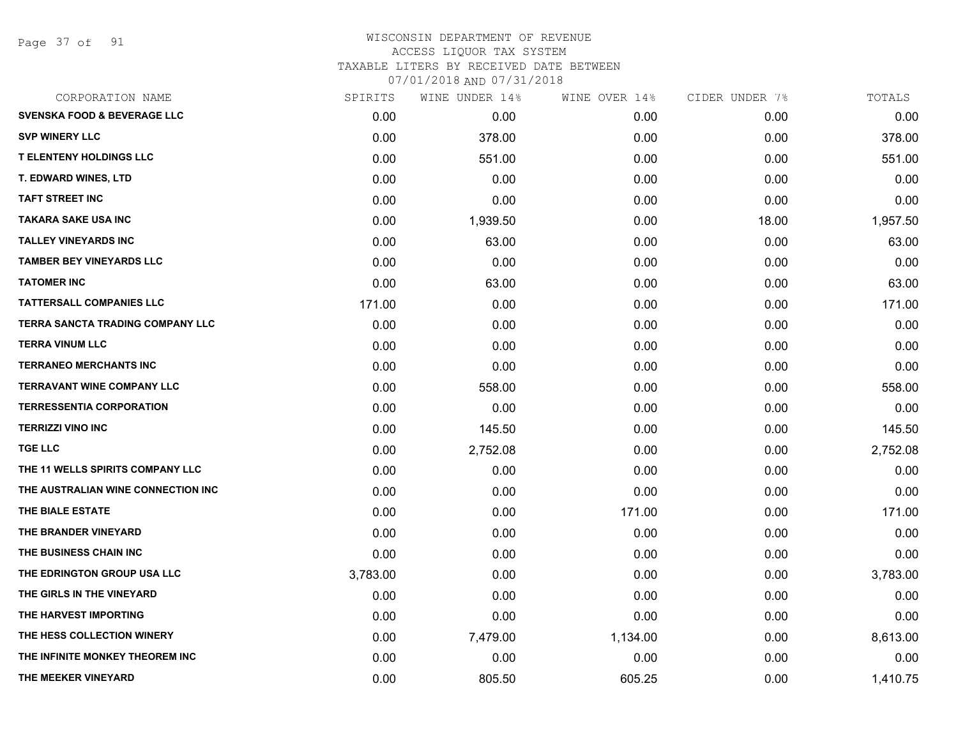Page 37 of 91

## WISCONSIN DEPARTMENT OF REVENUE ACCESS LIQUOR TAX SYSTEM TAXABLE LITERS BY RECEIVED DATE BETWEEN

| CORPORATION NAME                       | SPIRITS  | WINE UNDER 14% | WINE OVER 14% | CIDER UNDER 7% | TOTALS   |
|----------------------------------------|----------|----------------|---------------|----------------|----------|
| <b>SVENSKA FOOD &amp; BEVERAGE LLC</b> | 0.00     | 0.00           | 0.00          | 0.00           | 0.00     |
| <b>SVP WINERY LLC</b>                  | 0.00     | 378.00         | 0.00          | 0.00           | 378.00   |
| <b>T ELENTENY HOLDINGS LLC</b>         | 0.00     | 551.00         | 0.00          | 0.00           | 551.00   |
| <b>T. EDWARD WINES, LTD</b>            | 0.00     | 0.00           | 0.00          | 0.00           | 0.00     |
| <b>TAFT STREET INC</b>                 | 0.00     | 0.00           | 0.00          | 0.00           | 0.00     |
| <b>TAKARA SAKE USA INC</b>             | 0.00     | 1,939.50       | 0.00          | 18.00          | 1,957.50 |
| <b>TALLEY VINEYARDS INC</b>            | 0.00     | 63.00          | 0.00          | 0.00           | 63.00    |
| <b>TAMBER BEY VINEYARDS LLC</b>        | 0.00     | 0.00           | 0.00          | 0.00           | 0.00     |
| <b>TATOMER INC</b>                     | 0.00     | 63.00          | 0.00          | 0.00           | 63.00    |
| <b>TATTERSALL COMPANIES LLC</b>        | 171.00   | 0.00           | 0.00          | 0.00           | 171.00   |
| TERRA SANCTA TRADING COMPANY LLC       | 0.00     | 0.00           | 0.00          | 0.00           | 0.00     |
| <b>TERRA VINUM LLC</b>                 | 0.00     | 0.00           | 0.00          | 0.00           | 0.00     |
| <b>TERRANEO MERCHANTS INC</b>          | 0.00     | 0.00           | 0.00          | 0.00           | 0.00     |
| <b>TERRAVANT WINE COMPANY LLC</b>      | 0.00     | 558.00         | 0.00          | 0.00           | 558.00   |
| <b>TERRESSENTIA CORPORATION</b>        | 0.00     | 0.00           | 0.00          | 0.00           | 0.00     |
| <b>TERRIZZI VINO INC</b>               | 0.00     | 145.50         | 0.00          | 0.00           | 145.50   |
| <b>TGE LLC</b>                         | 0.00     | 2,752.08       | 0.00          | 0.00           | 2,752.08 |
| THE 11 WELLS SPIRITS COMPANY LLC       | 0.00     | 0.00           | 0.00          | 0.00           | 0.00     |
| THE AUSTRALIAN WINE CONNECTION INC     | 0.00     | 0.00           | 0.00          | 0.00           | 0.00     |
| THE BIALE ESTATE                       | 0.00     | 0.00           | 171.00        | 0.00           | 171.00   |
| THE BRANDER VINEYARD                   | 0.00     | 0.00           | 0.00          | 0.00           | 0.00     |
| THE BUSINESS CHAIN INC                 | 0.00     | 0.00           | 0.00          | 0.00           | 0.00     |
| THE EDRINGTON GROUP USA LLC            | 3,783.00 | 0.00           | 0.00          | 0.00           | 3,783.00 |
| THE GIRLS IN THE VINEYARD              | 0.00     | 0.00           | 0.00          | 0.00           | 0.00     |
| THE HARVEST IMPORTING                  | 0.00     | 0.00           | 0.00          | 0.00           | 0.00     |
| THE HESS COLLECTION WINERY             | 0.00     | 7,479.00       | 1,134.00      | 0.00           | 8,613.00 |
| THE INFINITE MONKEY THEOREM INC        | 0.00     | 0.00           | 0.00          | 0.00           | 0.00     |
| THE MEEKER VINEYARD                    | 0.00     | 805.50         | 605.25        | 0.00           | 1,410.75 |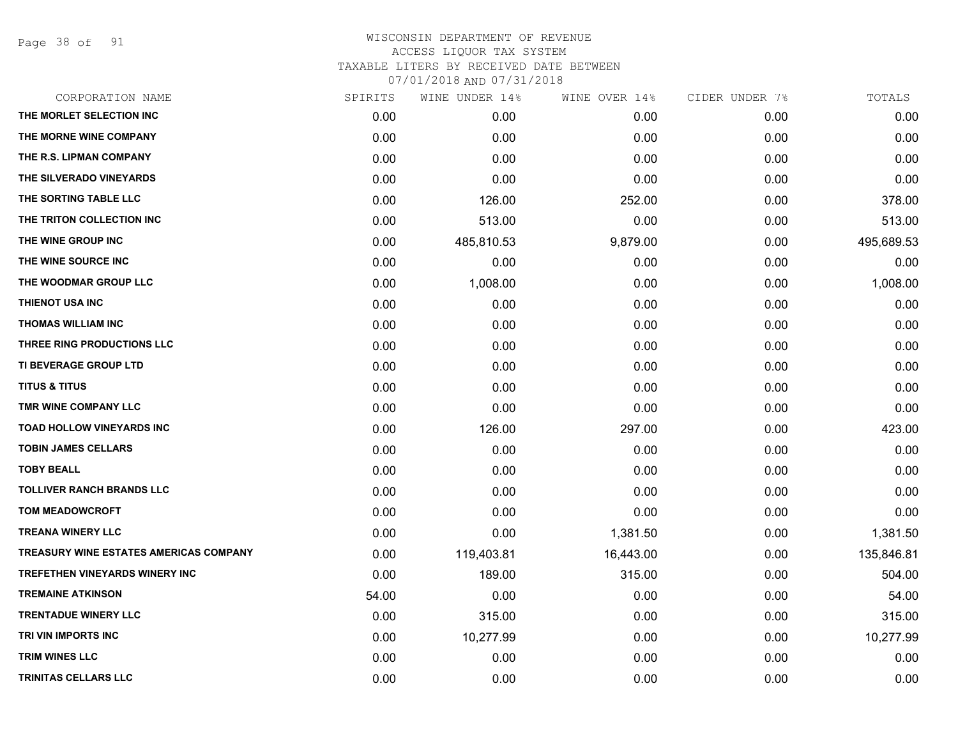Page 38 of 91

| CORPORATION NAME                              | SPIRITS | WINE UNDER 14% | WINE OVER 14% | CIDER UNDER 7% | TOTALS     |
|-----------------------------------------------|---------|----------------|---------------|----------------|------------|
| THE MORLET SELECTION INC                      | 0.00    | 0.00           | 0.00          | 0.00           | 0.00       |
| THE MORNE WINE COMPANY                        | 0.00    | 0.00           | 0.00          | 0.00           | 0.00       |
| THE R.S. LIPMAN COMPANY                       | 0.00    | 0.00           | 0.00          | 0.00           | 0.00       |
| THE SILVERADO VINEYARDS                       | 0.00    | 0.00           | 0.00          | 0.00           | 0.00       |
| THE SORTING TABLE LLC                         | 0.00    | 126.00         | 252.00        | 0.00           | 378.00     |
| THE TRITON COLLECTION INC                     | 0.00    | 513.00         | 0.00          | 0.00           | 513.00     |
| THE WINE GROUP INC                            | 0.00    | 485,810.53     | 9,879.00      | 0.00           | 495,689.53 |
| THE WINE SOURCE INC                           | 0.00    | 0.00           | 0.00          | 0.00           | 0.00       |
| THE WOODMAR GROUP LLC                         | 0.00    | 1,008.00       | 0.00          | 0.00           | 1,008.00   |
| THIENOT USA INC                               | 0.00    | 0.00           | 0.00          | 0.00           | 0.00       |
| <b>THOMAS WILLIAM INC</b>                     | 0.00    | 0.00           | 0.00          | 0.00           | 0.00       |
| THREE RING PRODUCTIONS LLC                    | 0.00    | 0.00           | 0.00          | 0.00           | 0.00       |
| TI BEVERAGE GROUP LTD                         | 0.00    | 0.00           | 0.00          | 0.00           | 0.00       |
| <b>TITUS &amp; TITUS</b>                      | 0.00    | 0.00           | 0.00          | 0.00           | 0.00       |
| TMR WINE COMPANY LLC                          | 0.00    | 0.00           | 0.00          | 0.00           | 0.00       |
| TOAD HOLLOW VINEYARDS INC                     | 0.00    | 126.00         | 297.00        | 0.00           | 423.00     |
| <b>TOBIN JAMES CELLARS</b>                    | 0.00    | 0.00           | 0.00          | 0.00           | 0.00       |
| <b>TOBY BEALL</b>                             | 0.00    | 0.00           | 0.00          | 0.00           | 0.00       |
| <b>TOLLIVER RANCH BRANDS LLC</b>              | 0.00    | 0.00           | 0.00          | 0.00           | 0.00       |
| <b>TOM MEADOWCROFT</b>                        | 0.00    | 0.00           | 0.00          | 0.00           | 0.00       |
| <b>TREANA WINERY LLC</b>                      | 0.00    | 0.00           | 1,381.50      | 0.00           | 1,381.50   |
| <b>TREASURY WINE ESTATES AMERICAS COMPANY</b> | 0.00    | 119,403.81     | 16,443.00     | 0.00           | 135,846.81 |
| <b>TREFETHEN VINEYARDS WINERY INC</b>         | 0.00    | 189.00         | 315.00        | 0.00           | 504.00     |
| <b>TREMAINE ATKINSON</b>                      | 54.00   | 0.00           | 0.00          | 0.00           | 54.00      |
| <b>TRENTADUE WINERY LLC</b>                   | 0.00    | 315.00         | 0.00          | 0.00           | 315.00     |
| TRI VIN IMPORTS INC                           | 0.00    | 10,277.99      | 0.00          | 0.00           | 10,277.99  |
| <b>TRIM WINES LLC</b>                         | 0.00    | 0.00           | 0.00          | 0.00           | 0.00       |
| <b>TRINITAS CELLARS LLC</b>                   | 0.00    | 0.00           | 0.00          | 0.00           | 0.00       |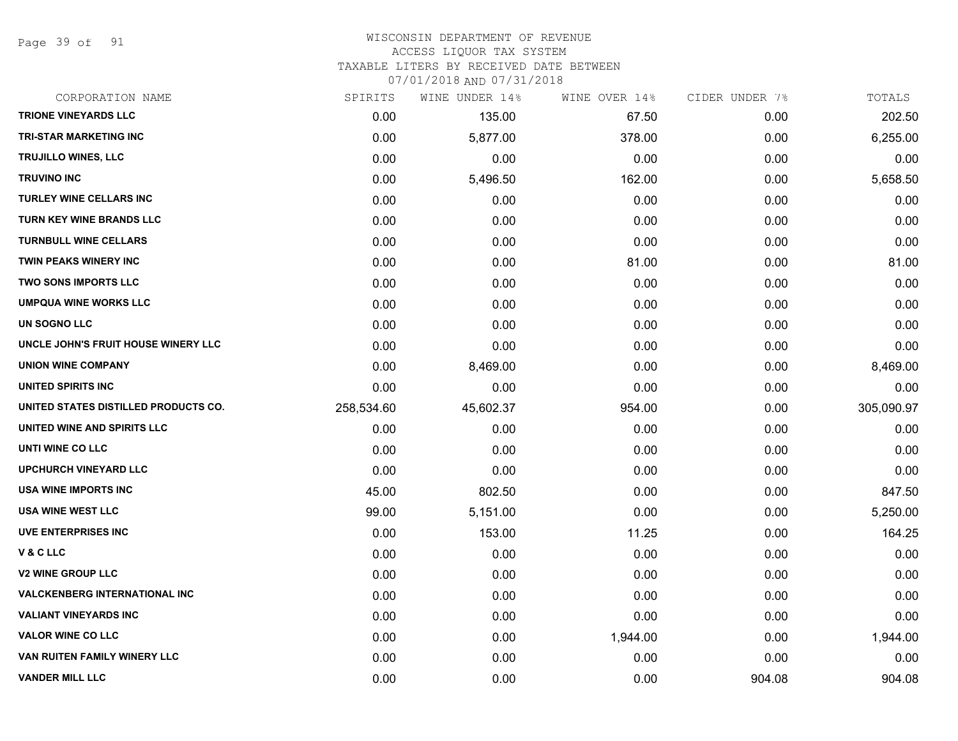Page 39 of 91

#### WISCONSIN DEPARTMENT OF REVENUE ACCESS LIQUOR TAX SYSTEM

TAXABLE LITERS BY RECEIVED DATE BETWEEN

| CORPORATION NAME                      | SPIRITS    | WINE UNDER 14% | WINE OVER 14% | CIDER UNDER 7% | TOTALS     |
|---------------------------------------|------------|----------------|---------------|----------------|------------|
| <b>TRIONE VINEYARDS LLC</b>           | 0.00       | 135.00         | 67.50         | 0.00           | 202.50     |
| <b>TRI-STAR MARKETING INC</b>         | 0.00       | 5,877.00       | 378.00        | 0.00           | 6,255.00   |
| TRUJILLO WINES, LLC                   | 0.00       | 0.00           | 0.00          | 0.00           | 0.00       |
| <b>TRUVINO INC</b>                    | 0.00       | 5,496.50       | 162.00        | 0.00           | 5,658.50   |
| <b>TURLEY WINE CELLARS INC</b>        | 0.00       | 0.00           | 0.00          | 0.00           | 0.00       |
| TURN KEY WINE BRANDS LLC              | 0.00       | 0.00           | 0.00          | 0.00           | 0.00       |
| <b>TURNBULL WINE CELLARS</b>          | 0.00       | 0.00           | 0.00          | 0.00           | 0.00       |
| TWIN PEAKS WINERY INC                 | 0.00       | 0.00           | 81.00         | 0.00           | 81.00      |
| <b>TWO SONS IMPORTS LLC</b>           | 0.00       | 0.00           | 0.00          | 0.00           | 0.00       |
| <b>UMPQUA WINE WORKS LLC</b>          | 0.00       | 0.00           | 0.00          | 0.00           | 0.00       |
| UN SOGNO LLC                          | 0.00       | 0.00           | 0.00          | 0.00           | 0.00       |
| UNCLE JOHN'S FRUIT HOUSE WINERY LLC   | 0.00       | 0.00           | 0.00          | 0.00           | 0.00       |
| <b>UNION WINE COMPANY</b>             | 0.00       | 8,469.00       | 0.00          | 0.00           | 8,469.00   |
| UNITED SPIRITS INC                    | 0.00       | 0.00           | 0.00          | 0.00           | 0.00       |
| UNITED STATES DISTILLED PRODUCTS CO.  | 258,534.60 | 45,602.37      | 954.00        | 0.00           | 305,090.97 |
| UNITED WINE AND SPIRITS LLC           | 0.00       | 0.00           | 0.00          | 0.00           | 0.00       |
| UNTI WINE CO LLC                      | 0.00       | 0.00           | 0.00          | 0.00           | 0.00       |
| <b>UPCHURCH VINEYARD LLC</b>          | 0.00       | 0.00           | 0.00          | 0.00           | 0.00       |
| <b>USA WINE IMPORTS INC</b>           | 45.00      | 802.50         | 0.00          | 0.00           | 847.50     |
| <b>USA WINE WEST LLC</b>              | 99.00      | 5,151.00       | 0.00          | 0.00           | 5,250.00   |
| <b>UVE ENTERPRISES INC</b>            | 0.00       | 153.00         | 11.25         | 0.00           | 164.25     |
| V & C LLC                             | 0.00       | 0.00           | 0.00          | 0.00           | 0.00       |
| <b>V2 WINE GROUP LLC</b>              | 0.00       | 0.00           | 0.00          | 0.00           | 0.00       |
| <b>VALCKENBERG INTERNATIONAL INC.</b> | 0.00       | 0.00           | 0.00          | 0.00           | 0.00       |
| <b>VALIANT VINEYARDS INC</b>          | 0.00       | 0.00           | 0.00          | 0.00           | 0.00       |
| <b>VALOR WINE CO LLC</b>              | 0.00       | 0.00           | 1,944.00      | 0.00           | 1,944.00   |
| VAN RUITEN FAMILY WINERY LLC          | 0.00       | 0.00           | 0.00          | 0.00           | 0.00       |
| <b>VANDER MILL LLC</b>                | 0.00       | 0.00           | 0.00          | 904.08         | 904.08     |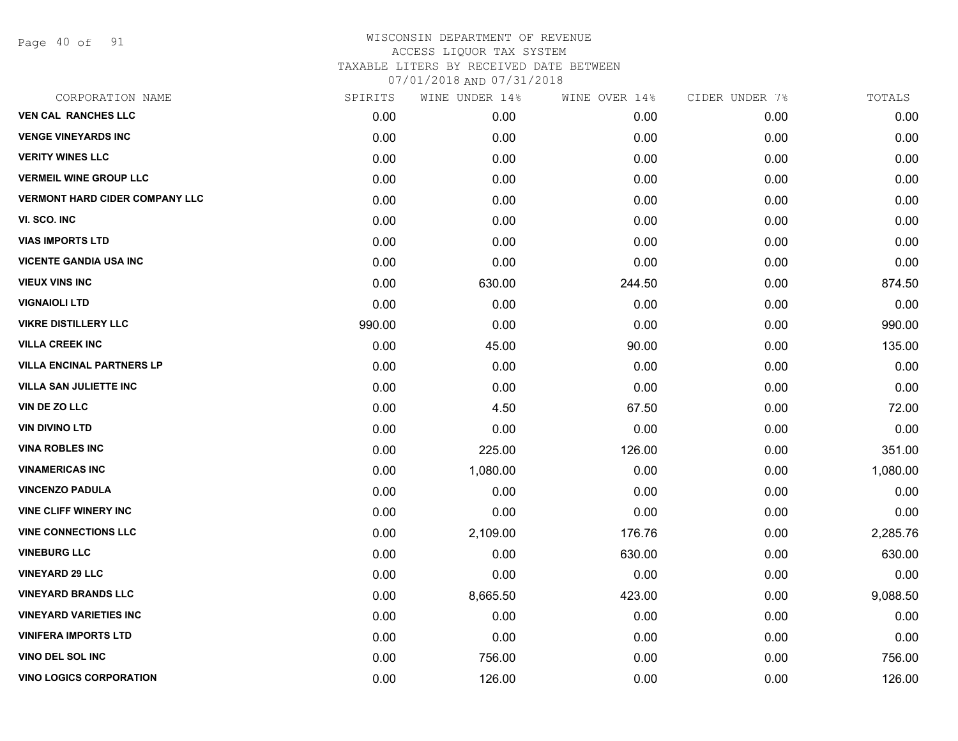Page 40 of 91

# WISCONSIN DEPARTMENT OF REVENUE ACCESS LIQUOR TAX SYSTEM TAXABLE LITERS BY RECEIVED DATE BETWEEN

| CORPORATION NAME                      | SPIRITS | WINE UNDER 14% | WINE OVER 14% | CIDER UNDER 7% | TOTALS   |
|---------------------------------------|---------|----------------|---------------|----------------|----------|
| <b>VEN CAL RANCHES LLC</b>            | 0.00    | 0.00           | 0.00          | 0.00           | 0.00     |
| <b>VENGE VINEYARDS INC</b>            | 0.00    | 0.00           | 0.00          | 0.00           | 0.00     |
| <b>VERITY WINES LLC</b>               | 0.00    | 0.00           | 0.00          | 0.00           | 0.00     |
| <b>VERMEIL WINE GROUP LLC</b>         | 0.00    | 0.00           | 0.00          | 0.00           | 0.00     |
| <b>VERMONT HARD CIDER COMPANY LLC</b> | 0.00    | 0.00           | 0.00          | 0.00           | 0.00     |
| VI. SCO. INC                          | 0.00    | 0.00           | 0.00          | 0.00           | 0.00     |
| <b>VIAS IMPORTS LTD</b>               | 0.00    | 0.00           | 0.00          | 0.00           | 0.00     |
| <b>VICENTE GANDIA USA INC</b>         | 0.00    | 0.00           | 0.00          | 0.00           | 0.00     |
| <b>VIEUX VINS INC</b>                 | 0.00    | 630.00         | 244.50        | 0.00           | 874.50   |
| <b>VIGNAIOLI LTD</b>                  | 0.00    | 0.00           | 0.00          | 0.00           | 0.00     |
| <b>VIKRE DISTILLERY LLC</b>           | 990.00  | 0.00           | 0.00          | 0.00           | 990.00   |
| <b>VILLA CREEK INC</b>                | 0.00    | 45.00          | 90.00         | 0.00           | 135.00   |
| <b>VILLA ENCINAL PARTNERS LP</b>      | 0.00    | 0.00           | 0.00          | 0.00           | 0.00     |
| <b>VILLA SAN JULIETTE INC</b>         | 0.00    | 0.00           | 0.00          | 0.00           | 0.00     |
| VIN DE ZO LLC                         | 0.00    | 4.50           | 67.50         | 0.00           | 72.00    |
| <b>VIN DIVINO LTD</b>                 | 0.00    | 0.00           | 0.00          | 0.00           | 0.00     |
| <b>VINA ROBLES INC</b>                | 0.00    | 225.00         | 126.00        | 0.00           | 351.00   |
| <b>VINAMERICAS INC</b>                | 0.00    | 1,080.00       | 0.00          | 0.00           | 1,080.00 |
| <b>VINCENZO PADULA</b>                | 0.00    | 0.00           | 0.00          | 0.00           | 0.00     |
| <b>VINE CLIFF WINERY INC</b>          | 0.00    | 0.00           | 0.00          | 0.00           | 0.00     |
| <b>VINE CONNECTIONS LLC</b>           | 0.00    | 2,109.00       | 176.76        | 0.00           | 2,285.76 |
| <b>VINEBURG LLC</b>                   | 0.00    | 0.00           | 630.00        | 0.00           | 630.00   |
| <b>VINEYARD 29 LLC</b>                | 0.00    | 0.00           | 0.00          | 0.00           | 0.00     |
| <b>VINEYARD BRANDS LLC</b>            | 0.00    | 8,665.50       | 423.00        | 0.00           | 9,088.50 |
| <b>VINEYARD VARIETIES INC</b>         | 0.00    | 0.00           | 0.00          | 0.00           | 0.00     |
| <b>VINIFERA IMPORTS LTD</b>           | 0.00    | 0.00           | 0.00          | 0.00           | 0.00     |
| VINO DEL SOL INC                      | 0.00    | 756.00         | 0.00          | 0.00           | 756.00   |
| <b>VINO LOGICS CORPORATION</b>        | 0.00    | 126.00         | 0.00          | 0.00           | 126.00   |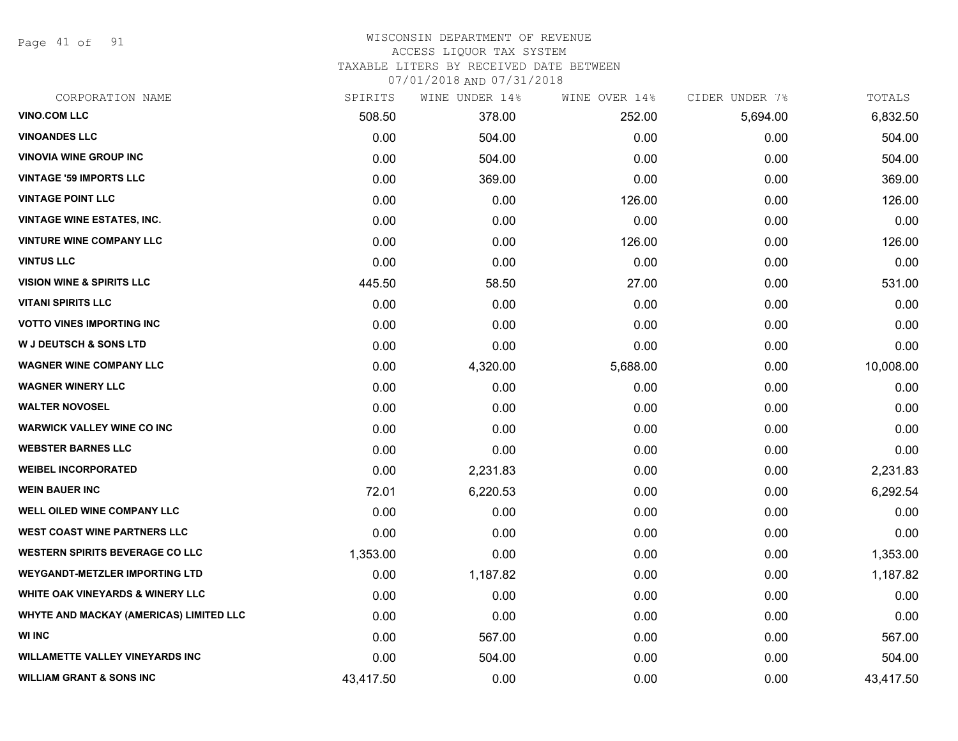Page 41 of 91

#### WISCONSIN DEPARTMENT OF REVENUE ACCESS LIQUOR TAX SYSTEM

TAXABLE LITERS BY RECEIVED DATE BETWEEN

| CORPORATION NAME                        | SPIRITS   | WINE UNDER 14% | WINE OVER 14% | CIDER UNDER 7% | TOTALS    |
|-----------------------------------------|-----------|----------------|---------------|----------------|-----------|
| <b>VINO.COM LLC</b>                     | 508.50    | 378.00         | 252.00        | 5,694.00       | 6,832.50  |
| <b>VINOANDES LLC</b>                    | 0.00      | 504.00         | 0.00          | 0.00           | 504.00    |
| <b>VINOVIA WINE GROUP INC</b>           | 0.00      | 504.00         | 0.00          | 0.00           | 504.00    |
| <b>VINTAGE '59 IMPORTS LLC</b>          | 0.00      | 369.00         | 0.00          | 0.00           | 369.00    |
| <b>VINTAGE POINT LLC</b>                | 0.00      | 0.00           | 126.00        | 0.00           | 126.00    |
| <b>VINTAGE WINE ESTATES, INC.</b>       | 0.00      | 0.00           | 0.00          | 0.00           | 0.00      |
| <b>VINTURE WINE COMPANY LLC</b>         | 0.00      | 0.00           | 126.00        | 0.00           | 126.00    |
| <b>VINTUS LLC</b>                       | 0.00      | 0.00           | 0.00          | 0.00           | 0.00      |
| <b>VISION WINE &amp; SPIRITS LLC</b>    | 445.50    | 58.50          | 27.00         | 0.00           | 531.00    |
| <b>VITANI SPIRITS LLC</b>               | 0.00      | 0.00           | 0.00          | 0.00           | 0.00      |
| <b>VOTTO VINES IMPORTING INC</b>        | 0.00      | 0.00           | 0.00          | 0.00           | 0.00      |
| <b>W J DEUTSCH &amp; SONS LTD</b>       | 0.00      | 0.00           | 0.00          | 0.00           | 0.00      |
| <b>WAGNER WINE COMPANY LLC</b>          | 0.00      | 4,320.00       | 5,688.00      | 0.00           | 10,008.00 |
| <b>WAGNER WINERY LLC</b>                | 0.00      | 0.00           | 0.00          | 0.00           | 0.00      |
| <b>WALTER NOVOSEL</b>                   | 0.00      | 0.00           | 0.00          | 0.00           | 0.00      |
| <b>WARWICK VALLEY WINE CO INC</b>       | 0.00      | 0.00           | 0.00          | 0.00           | 0.00      |
| <b>WEBSTER BARNES LLC</b>               | 0.00      | 0.00           | 0.00          | 0.00           | 0.00      |
| <b>WEIBEL INCORPORATED</b>              | 0.00      | 2,231.83       | 0.00          | 0.00           | 2,231.83  |
| <b>WEIN BAUER INC</b>                   | 72.01     | 6,220.53       | 0.00          | 0.00           | 6,292.54  |
| <b>WELL OILED WINE COMPANY LLC</b>      | 0.00      | 0.00           | 0.00          | 0.00           | 0.00      |
| <b>WEST COAST WINE PARTNERS LLC</b>     | 0.00      | 0.00           | 0.00          | 0.00           | 0.00      |
| <b>WESTERN SPIRITS BEVERAGE CO LLC</b>  | 1,353.00  | 0.00           | 0.00          | 0.00           | 1,353.00  |
| <b>WEYGANDT-METZLER IMPORTING LTD</b>   | 0.00      | 1,187.82       | 0.00          | 0.00           | 1,187.82  |
| WHITE OAK VINEYARDS & WINERY LLC        | 0.00      | 0.00           | 0.00          | 0.00           | 0.00      |
| WHYTE AND MACKAY (AMERICAS) LIMITED LLC | 0.00      | 0.00           | 0.00          | 0.00           | 0.00      |
| <b>WI INC</b>                           | 0.00      | 567.00         | 0.00          | 0.00           | 567.00    |
| <b>WILLAMETTE VALLEY VINEYARDS INC</b>  | 0.00      | 504.00         | 0.00          | 0.00           | 504.00    |
| <b>WILLIAM GRANT &amp; SONS INC</b>     | 43,417.50 | 0.00           | 0.00          | 0.00           | 43,417.50 |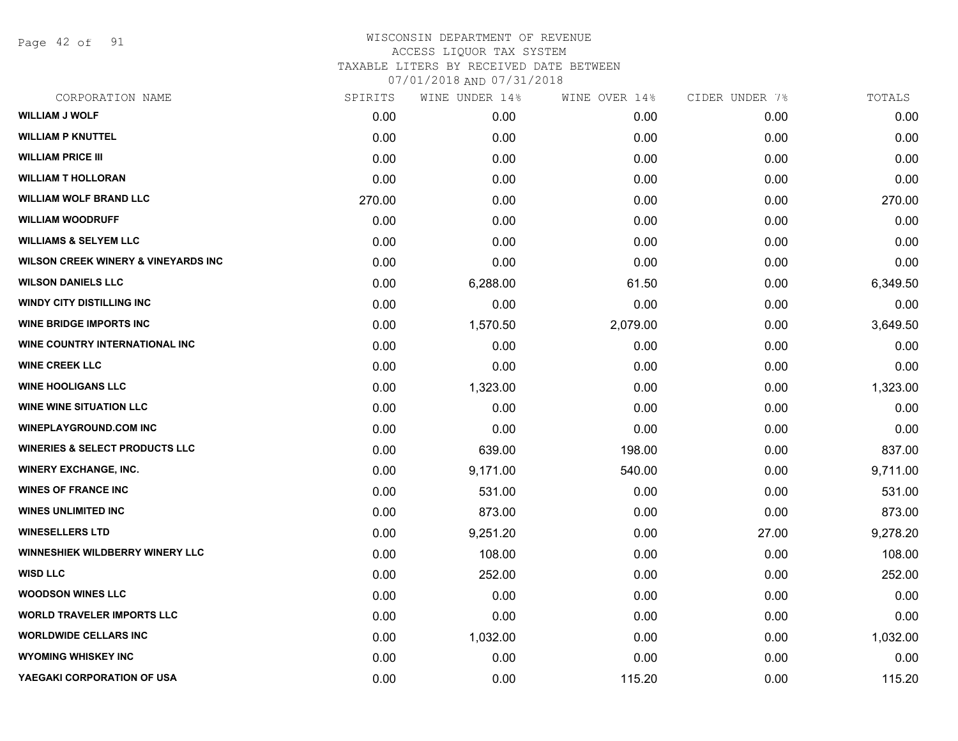Page 42 of 91

| CORPORATION NAME                               | SPIRITS | WINE UNDER 14% | WINE OVER 14% | CIDER UNDER 7% | TOTALS   |
|------------------------------------------------|---------|----------------|---------------|----------------|----------|
| <b>WILLIAM J WOLF</b>                          | 0.00    | 0.00           | 0.00          | 0.00           | 0.00     |
| <b>WILLIAM P KNUTTEL</b>                       | 0.00    | 0.00           | 0.00          | 0.00           | 0.00     |
| <b>WILLIAM PRICE III</b>                       | 0.00    | 0.00           | 0.00          | 0.00           | 0.00     |
| <b>WILLIAM T HOLLORAN</b>                      | 0.00    | 0.00           | 0.00          | 0.00           | 0.00     |
| <b>WILLIAM WOLF BRAND LLC</b>                  | 270.00  | 0.00           | 0.00          | 0.00           | 270.00   |
| <b>WILLIAM WOODRUFF</b>                        | 0.00    | 0.00           | 0.00          | 0.00           | 0.00     |
| <b>WILLIAMS &amp; SELYEM LLC</b>               | 0.00    | 0.00           | 0.00          | 0.00           | 0.00     |
| <b>WILSON CREEK WINERY &amp; VINEYARDS INC</b> | 0.00    | 0.00           | 0.00          | 0.00           | 0.00     |
| <b>WILSON DANIELS LLC</b>                      | 0.00    | 6,288.00       | 61.50         | 0.00           | 6,349.50 |
| <b>WINDY CITY DISTILLING INC</b>               | 0.00    | 0.00           | 0.00          | 0.00           | 0.00     |
| <b>WINE BRIDGE IMPORTS INC</b>                 | 0.00    | 1,570.50       | 2,079.00      | 0.00           | 3,649.50 |
| <b>WINE COUNTRY INTERNATIONAL INC</b>          | 0.00    | 0.00           | 0.00          | 0.00           | 0.00     |
| <b>WINE CREEK LLC</b>                          | 0.00    | 0.00           | 0.00          | 0.00           | 0.00     |
| <b>WINE HOOLIGANS LLC</b>                      | 0.00    | 1,323.00       | 0.00          | 0.00           | 1,323.00 |
| <b>WINE WINE SITUATION LLC</b>                 | 0.00    | 0.00           | 0.00          | 0.00           | 0.00     |
| <b>WINEPLAYGROUND.COM INC</b>                  | 0.00    | 0.00           | 0.00          | 0.00           | 0.00     |
| <b>WINERIES &amp; SELECT PRODUCTS LLC</b>      | 0.00    | 639.00         | 198.00        | 0.00           | 837.00   |
| <b>WINERY EXCHANGE, INC.</b>                   | 0.00    | 9,171.00       | 540.00        | 0.00           | 9,711.00 |
| <b>WINES OF FRANCE INC</b>                     | 0.00    | 531.00         | 0.00          | 0.00           | 531.00   |
| <b>WINES UNLIMITED INC</b>                     | 0.00    | 873.00         | 0.00          | 0.00           | 873.00   |
| <b>WINESELLERS LTD</b>                         | 0.00    | 9,251.20       | 0.00          | 27.00          | 9,278.20 |
| WINNESHIEK WILDBERRY WINERY LLC                | 0.00    | 108.00         | 0.00          | 0.00           | 108.00   |
| <b>WISD LLC</b>                                | 0.00    | 252.00         | 0.00          | 0.00           | 252.00   |
| <b>WOODSON WINES LLC</b>                       | 0.00    | 0.00           | 0.00          | 0.00           | 0.00     |
| <b>WORLD TRAVELER IMPORTS LLC</b>              | 0.00    | 0.00           | 0.00          | 0.00           | 0.00     |
| <b>WORLDWIDE CELLARS INC</b>                   | 0.00    | 1,032.00       | 0.00          | 0.00           | 1,032.00 |
| <b>WYOMING WHISKEY INC</b>                     | 0.00    | 0.00           | 0.00          | 0.00           | 0.00     |
| YAEGAKI CORPORATION OF USA                     | 0.00    | 0.00           | 115.20        | 0.00           | 115.20   |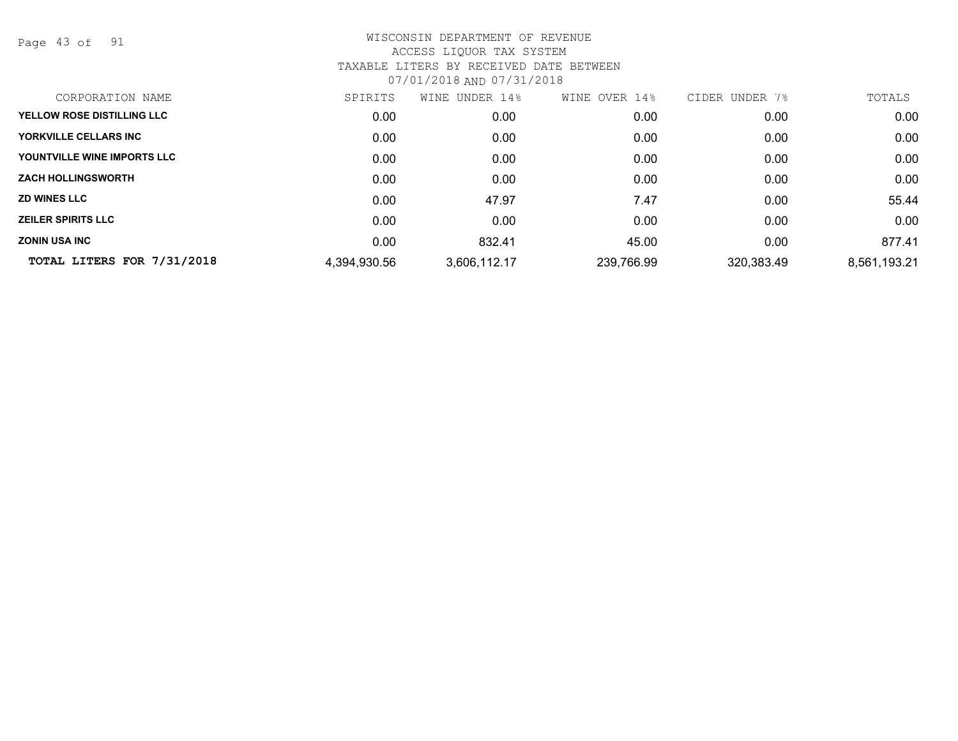Page 43 of 91

| CORPORATION NAME            | SPIRITS      | UNDER 14%<br>WINE | 14%<br>OVER<br>WINE | CIDER UNDER<br>7% | TOTALS       |
|-----------------------------|--------------|-------------------|---------------------|-------------------|--------------|
| YELLOW ROSE DISTILLING LLC  | 0.00         | 0.00              | 0.00                | 0.00              | 0.00         |
| YORKVILLE CELLARS INC       | 0.00         | 0.00              | 0.00                | 0.00              | 0.00         |
| YOUNTVILLE WINE IMPORTS LLC | 0.00         | 0.00              | 0.00                | 0.00              | 0.00         |
| <b>ZACH HOLLINGSWORTH</b>   | 0.00         | 0.00              | 0.00                | 0.00              | 0.00         |
| <b>ZD WINES LLC</b>         | 0.00         | 47.97             | 7.47                | 0.00              | 55.44        |
| <b>ZEILER SPIRITS LLC</b>   | 0.00         | 0.00              | 0.00                | 0.00              | 0.00         |
| <b>ZONIN USA INC</b>        | 0.00         | 832.41            | 45.00               | 0.00              | 877.41       |
| TOTAL LITERS FOR 7/31/2018  | 4,394,930.56 | 3,606,112.17      | 239,766.99          | 320,383.49        | 8,561,193.21 |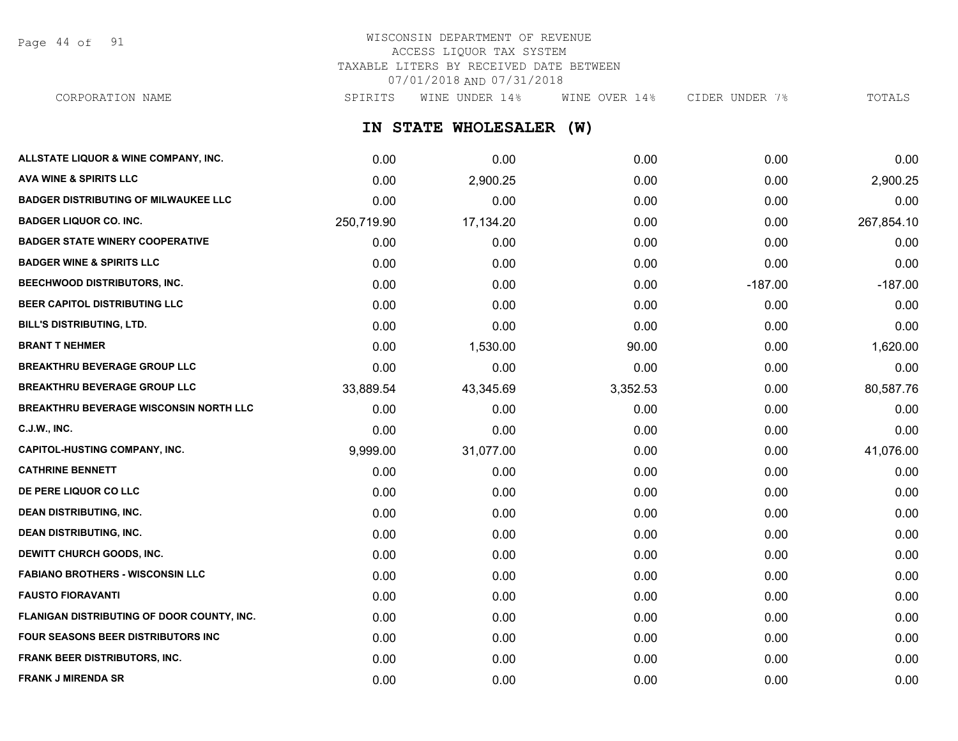Page 44 of 91

## WISCONSIN DEPARTMENT OF REVENUE ACCESS LIQUOR TAX SYSTEM TAXABLE LITERS BY RECEIVED DATE BETWEEN 07/01/2018 AND 07/31/2018

CORPORATION NAME SPIRITS WINE UNDER 14% WINE OVER 14% CIDER UNDER 7% TOTALS

**IN STATE WHOLESALER (W)**

| ALLSTATE LIQUOR & WINE COMPANY, INC.          | 0.00       | 0.00      | 0.00     | 0.00      | 0.00       |
|-----------------------------------------------|------------|-----------|----------|-----------|------------|
| <b>AVA WINE &amp; SPIRITS LLC</b>             | 0.00       | 2,900.25  | 0.00     | 0.00      | 2,900.25   |
| <b>BADGER DISTRIBUTING OF MILWAUKEE LLC</b>   | 0.00       | 0.00      | 0.00     | 0.00      | 0.00       |
| <b>BADGER LIQUOR CO. INC.</b>                 | 250,719.90 | 17,134.20 | 0.00     | 0.00      | 267,854.10 |
| <b>BADGER STATE WINERY COOPERATIVE</b>        | 0.00       | 0.00      | 0.00     | 0.00      | 0.00       |
| <b>BADGER WINE &amp; SPIRITS LLC</b>          | 0.00       | 0.00      | 0.00     | 0.00      | 0.00       |
| BEECHWOOD DISTRIBUTORS, INC.                  | 0.00       | 0.00      | 0.00     | $-187.00$ | $-187.00$  |
| BEER CAPITOL DISTRIBUTING LLC                 | 0.00       | 0.00      | 0.00     | 0.00      | 0.00       |
| BILL'S DISTRIBUTING, LTD.                     | 0.00       | 0.00      | 0.00     | 0.00      | 0.00       |
| <b>BRANT T NEHMER</b>                         | 0.00       | 1,530.00  | 90.00    | 0.00      | 1,620.00   |
| <b>BREAKTHRU BEVERAGE GROUP LLC</b>           | 0.00       | 0.00      | 0.00     | 0.00      | 0.00       |
| <b>BREAKTHRU BEVERAGE GROUP LLC</b>           | 33,889.54  | 43,345.69 | 3,352.53 | 0.00      | 80,587.76  |
| <b>BREAKTHRU BEVERAGE WISCONSIN NORTH LLC</b> | 0.00       | 0.00      | 0.00     | 0.00      | 0.00       |
| <b>C.J.W., INC.</b>                           | 0.00       | 0.00      | 0.00     | 0.00      | 0.00       |
| <b>CAPITOL-HUSTING COMPANY, INC.</b>          | 9,999.00   | 31,077.00 | 0.00     | 0.00      | 41,076.00  |
| <b>CATHRINE BENNETT</b>                       | 0.00       | 0.00      | 0.00     | 0.00      | 0.00       |
| DE PERE LIQUOR CO LLC                         | 0.00       | 0.00      | 0.00     | 0.00      | 0.00       |
| <b>DEAN DISTRIBUTING, INC.</b>                | 0.00       | 0.00      | 0.00     | 0.00      | 0.00       |
| <b>DEAN DISTRIBUTING, INC.</b>                | 0.00       | 0.00      | 0.00     | 0.00      | 0.00       |
| DEWITT CHURCH GOODS, INC.                     | 0.00       | 0.00      | 0.00     | 0.00      | 0.00       |
| <b>FABIANO BROTHERS - WISCONSIN LLC</b>       | 0.00       | 0.00      | 0.00     | 0.00      | 0.00       |
| <b>FAUSTO FIORAVANTI</b>                      | 0.00       | 0.00      | 0.00     | 0.00      | 0.00       |
| FLANIGAN DISTRIBUTING OF DOOR COUNTY, INC.    | 0.00       | 0.00      | 0.00     | 0.00      | 0.00       |
| FOUR SEASONS BEER DISTRIBUTORS INC            | 0.00       | 0.00      | 0.00     | 0.00      | 0.00       |
| FRANK BEER DISTRIBUTORS, INC.                 | 0.00       | 0.00      | 0.00     | 0.00      | 0.00       |
| <b>FRANK J MIRENDA SR</b>                     | 0.00       | 0.00      | 0.00     | 0.00      | 0.00       |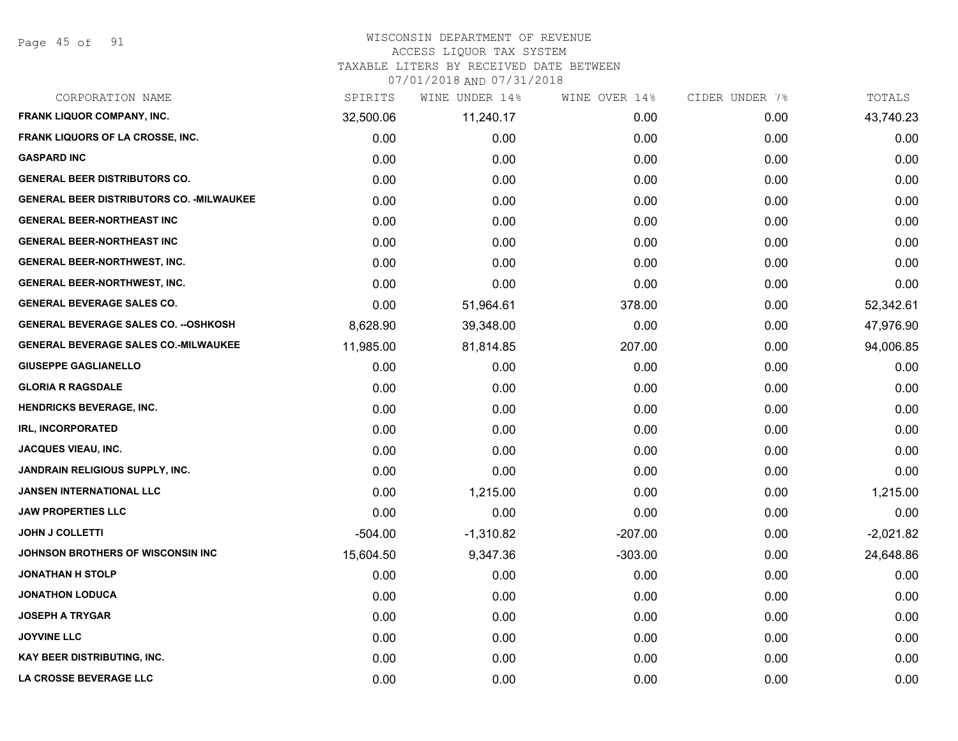## WISCONSIN DEPARTMENT OF REVENUE

#### ACCESS LIQUOR TAX SYSTEM

TAXABLE LITERS BY RECEIVED DATE BETWEEN

| CORPORATION NAME                                 | SPIRITS   | WINE UNDER 14% | WINE OVER 14% | CIDER UNDER 7% | TOTALS      |
|--------------------------------------------------|-----------|----------------|---------------|----------------|-------------|
| FRANK LIQUOR COMPANY, INC.                       | 32,500.06 | 11,240.17      | 0.00          | 0.00           | 43,740.23   |
| FRANK LIQUORS OF LA CROSSE, INC.                 | 0.00      | 0.00           | 0.00          | 0.00           | 0.00        |
| <b>GASPARD INC</b>                               | 0.00      | 0.00           | 0.00          | 0.00           | 0.00        |
| <b>GENERAL BEER DISTRIBUTORS CO.</b>             | 0.00      | 0.00           | 0.00          | 0.00           | 0.00        |
| <b>GENERAL BEER DISTRIBUTORS CO. - MILWAUKEE</b> | 0.00      | 0.00           | 0.00          | 0.00           | 0.00        |
| <b>GENERAL BEER-NORTHEAST INC</b>                | 0.00      | 0.00           | 0.00          | 0.00           | 0.00        |
| <b>GENERAL BEER-NORTHEAST INC</b>                | 0.00      | 0.00           | 0.00          | 0.00           | 0.00        |
| <b>GENERAL BEER-NORTHWEST, INC.</b>              | 0.00      | 0.00           | 0.00          | 0.00           | 0.00        |
| GENERAL BEER-NORTHWEST, INC.                     | 0.00      | 0.00           | 0.00          | 0.00           | 0.00        |
| <b>GENERAL BEVERAGE SALES CO.</b>                | 0.00      | 51,964.61      | 378.00        | 0.00           | 52,342.61   |
| <b>GENERAL BEVERAGE SALES CO. -- OSHKOSH</b>     | 8,628.90  | 39,348.00      | 0.00          | 0.00           | 47,976.90   |
| <b>GENERAL BEVERAGE SALES CO.-MILWAUKEE</b>      | 11,985.00 | 81,814.85      | 207.00        | 0.00           | 94,006.85   |
| <b>GIUSEPPE GAGLIANELLO</b>                      | 0.00      | 0.00           | 0.00          | 0.00           | 0.00        |
| <b>GLORIA R RAGSDALE</b>                         | 0.00      | 0.00           | 0.00          | 0.00           | 0.00        |
| <b>HENDRICKS BEVERAGE, INC.</b>                  | 0.00      | 0.00           | 0.00          | 0.00           | 0.00        |
| <b>IRL, INCORPORATED</b>                         | 0.00      | 0.00           | 0.00          | 0.00           | 0.00        |
| <b>JACQUES VIEAU, INC.</b>                       | 0.00      | 0.00           | 0.00          | 0.00           | 0.00        |
| <b>JANDRAIN RELIGIOUS SUPPLY, INC.</b>           | 0.00      | 0.00           | 0.00          | 0.00           | 0.00        |
| <b>JANSEN INTERNATIONAL LLC</b>                  | 0.00      | 1,215.00       | 0.00          | 0.00           | 1,215.00    |
| <b>JAW PROPERTIES LLC</b>                        | 0.00      | 0.00           | 0.00          | 0.00           | 0.00        |
| <b>JOHN J COLLETTI</b>                           | $-504.00$ | $-1,310.82$    | $-207.00$     | 0.00           | $-2,021.82$ |
| JOHNSON BROTHERS OF WISCONSIN INC                | 15,604.50 | 9,347.36       | $-303.00$     | 0.00           | 24,648.86   |
| <b>JONATHAN H STOLP</b>                          | 0.00      | 0.00           | 0.00          | 0.00           | 0.00        |
| <b>JONATHON LODUCA</b>                           | 0.00      | 0.00           | 0.00          | 0.00           | 0.00        |
| <b>JOSEPH A TRYGAR</b>                           | 0.00      | 0.00           | 0.00          | 0.00           | 0.00        |
| <b>JOYVINE LLC</b>                               | 0.00      | 0.00           | 0.00          | 0.00           | 0.00        |
| <b>KAY BEER DISTRIBUTING, INC.</b>               | 0.00      | 0.00           | 0.00          | 0.00           | 0.00        |
| LA CROSSE BEVERAGE LLC                           | 0.00      | 0.00           | 0.00          | 0.00           | 0.00        |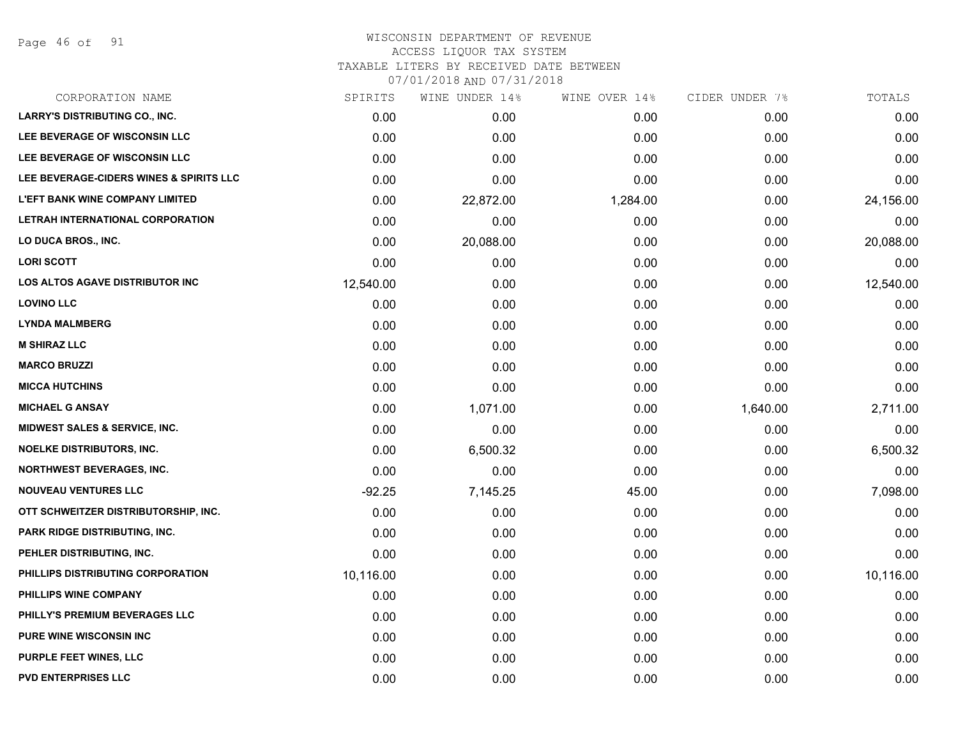Page 46 of 91

#### WISCONSIN DEPARTMENT OF REVENUE ACCESS LIQUOR TAX SYSTEM

TAXABLE LITERS BY RECEIVED DATE BETWEEN

| CORPORATION NAME                        | SPIRITS   | WINE UNDER 14% | WINE OVER 14% | CIDER UNDER 7% | TOTALS    |
|-----------------------------------------|-----------|----------------|---------------|----------------|-----------|
| <b>LARRY'S DISTRIBUTING CO., INC.</b>   | 0.00      | 0.00           | 0.00          | 0.00           | 0.00      |
| LEE BEVERAGE OF WISCONSIN LLC           | 0.00      | 0.00           | 0.00          | 0.00           | 0.00      |
| LEE BEVERAGE OF WISCONSIN LLC           | 0.00      | 0.00           | 0.00          | 0.00           | 0.00      |
| LEE BEVERAGE-CIDERS WINES & SPIRITS LLC | 0.00      | 0.00           | 0.00          | 0.00           | 0.00      |
| <b>L'EFT BANK WINE COMPANY LIMITED</b>  | 0.00      | 22,872.00      | 1,284.00      | 0.00           | 24,156.00 |
| LETRAH INTERNATIONAL CORPORATION        | 0.00      | 0.00           | 0.00          | 0.00           | 0.00      |
| LO DUCA BROS., INC.                     | 0.00      | 20,088.00      | 0.00          | 0.00           | 20,088.00 |
| <b>LORI SCOTT</b>                       | 0.00      | 0.00           | 0.00          | 0.00           | 0.00      |
| LOS ALTOS AGAVE DISTRIBUTOR INC         | 12,540.00 | 0.00           | 0.00          | 0.00           | 12,540.00 |
| <b>LOVINO LLC</b>                       | 0.00      | 0.00           | 0.00          | 0.00           | 0.00      |
| <b>LYNDA MALMBERG</b>                   | 0.00      | 0.00           | 0.00          | 0.00           | 0.00      |
| <b>M SHIRAZ LLC</b>                     | 0.00      | 0.00           | 0.00          | 0.00           | 0.00      |
| <b>MARCO BRUZZI</b>                     | 0.00      | 0.00           | 0.00          | 0.00           | 0.00      |
| <b>MICCA HUTCHINS</b>                   | 0.00      | 0.00           | 0.00          | 0.00           | 0.00      |
| <b>MICHAEL G ANSAY</b>                  | 0.00      | 1,071.00       | 0.00          | 1,640.00       | 2,711.00  |
| MIDWEST SALES & SERVICE, INC.           | 0.00      | 0.00           | 0.00          | 0.00           | 0.00      |
| <b>NOELKE DISTRIBUTORS, INC.</b>        | 0.00      | 6,500.32       | 0.00          | 0.00           | 6,500.32  |
| <b>NORTHWEST BEVERAGES, INC.</b>        | 0.00      | 0.00           | 0.00          | 0.00           | 0.00      |
| <b>NOUVEAU VENTURES LLC</b>             | $-92.25$  | 7,145.25       | 45.00         | 0.00           | 7,098.00  |
| OTT SCHWEITZER DISTRIBUTORSHIP, INC.    | 0.00      | 0.00           | 0.00          | 0.00           | 0.00      |
| <b>PARK RIDGE DISTRIBUTING, INC.</b>    | 0.00      | 0.00           | 0.00          | 0.00           | 0.00      |
| PEHLER DISTRIBUTING, INC.               | 0.00      | 0.00           | 0.00          | 0.00           | 0.00      |
| PHILLIPS DISTRIBUTING CORPORATION       | 10,116.00 | 0.00           | 0.00          | 0.00           | 10,116.00 |
| PHILLIPS WINE COMPANY                   | 0.00      | 0.00           | 0.00          | 0.00           | 0.00      |
| PHILLY'S PREMIUM BEVERAGES LLC          | 0.00      | 0.00           | 0.00          | 0.00           | 0.00      |
| <b>PURE WINE WISCONSIN INC</b>          | 0.00      | 0.00           | 0.00          | 0.00           | 0.00      |
| <b>PURPLE FEET WINES, LLC</b>           | 0.00      | 0.00           | 0.00          | 0.00           | 0.00      |
| <b>PVD ENTERPRISES LLC</b>              | 0.00      | 0.00           | 0.00          | 0.00           | 0.00      |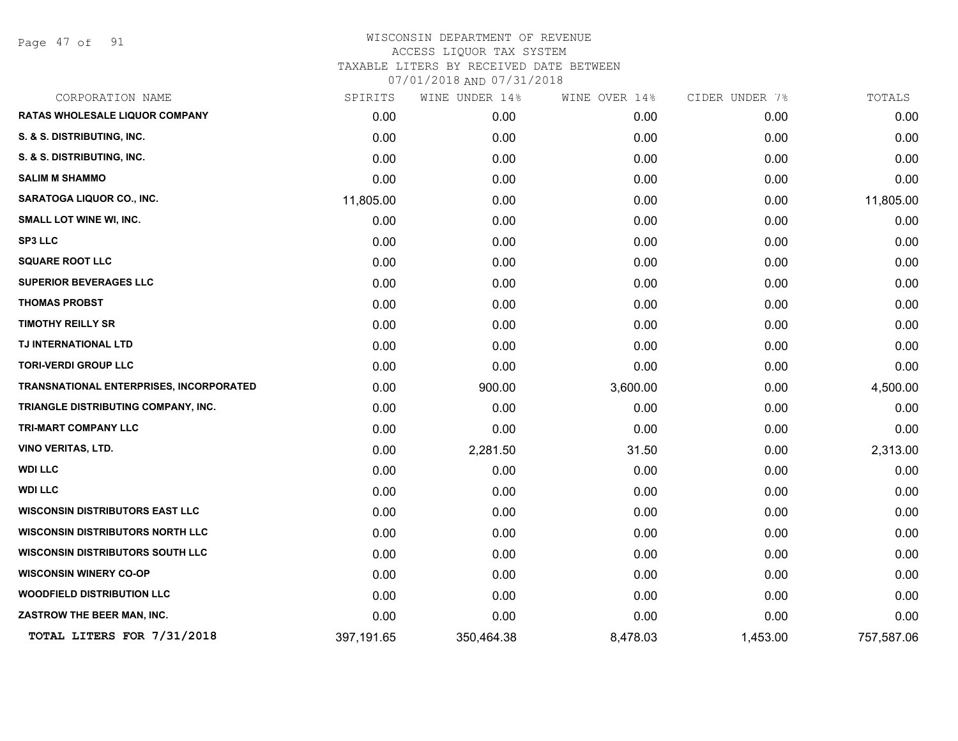Page 47 of 91

| CORPORATION NAME                        | SPIRITS    | WINE UNDER 14% | WINE OVER 14% | CIDER UNDER 7% | TOTALS     |
|-----------------------------------------|------------|----------------|---------------|----------------|------------|
| RATAS WHOLESALE LIQUOR COMPANY          | 0.00       | 0.00           | 0.00          | 0.00           | 0.00       |
| S. & S. DISTRIBUTING, INC.              | 0.00       | 0.00           | 0.00          | 0.00           | 0.00       |
| S. & S. DISTRIBUTING, INC.              | 0.00       | 0.00           | 0.00          | 0.00           | 0.00       |
| <b>SALIM M SHAMMO</b>                   | 0.00       | 0.00           | 0.00          | 0.00           | 0.00       |
| <b>SARATOGA LIQUOR CO., INC.</b>        | 11,805.00  | 0.00           | 0.00          | 0.00           | 11,805.00  |
| <b>SMALL LOT WINE WI, INC.</b>          | 0.00       | 0.00           | 0.00          | 0.00           | 0.00       |
| <b>SP3 LLC</b>                          | 0.00       | 0.00           | 0.00          | 0.00           | 0.00       |
| <b>SQUARE ROOT LLC</b>                  | 0.00       | 0.00           | 0.00          | 0.00           | 0.00       |
| <b>SUPERIOR BEVERAGES LLC</b>           | 0.00       | 0.00           | 0.00          | 0.00           | 0.00       |
| <b>THOMAS PROBST</b>                    | 0.00       | 0.00           | 0.00          | 0.00           | 0.00       |
| <b>TIMOTHY REILLY SR</b>                | 0.00       | 0.00           | 0.00          | 0.00           | 0.00       |
| TJ INTERNATIONAL LTD                    | 0.00       | 0.00           | 0.00          | 0.00           | 0.00       |
| <b>TORI-VERDI GROUP LLC</b>             | 0.00       | 0.00           | 0.00          | 0.00           | 0.00       |
| TRANSNATIONAL ENTERPRISES, INCORPORATED | 0.00       | 900.00         | 3,600.00      | 0.00           | 4,500.00   |
| TRIANGLE DISTRIBUTING COMPANY, INC.     | 0.00       | 0.00           | 0.00          | 0.00           | 0.00       |
| TRI-MART COMPANY LLC                    | 0.00       | 0.00           | 0.00          | 0.00           | 0.00       |
| <b>VINO VERITAS, LTD.</b>               | 0.00       | 2,281.50       | 31.50         | 0.00           | 2,313.00   |
| <b>WDI LLC</b>                          | 0.00       | 0.00           | 0.00          | 0.00           | 0.00       |
| <b>WDI LLC</b>                          | 0.00       | 0.00           | 0.00          | 0.00           | 0.00       |
| <b>WISCONSIN DISTRIBUTORS EAST LLC</b>  | 0.00       | 0.00           | 0.00          | 0.00           | 0.00       |
| <b>WISCONSIN DISTRIBUTORS NORTH LLC</b> | 0.00       | 0.00           | 0.00          | 0.00           | 0.00       |
| <b>WISCONSIN DISTRIBUTORS SOUTH LLC</b> | 0.00       | 0.00           | 0.00          | 0.00           | 0.00       |
| <b>WISCONSIN WINERY CO-OP</b>           | 0.00       | 0.00           | 0.00          | 0.00           | 0.00       |
| <b>WOODFIELD DISTRIBUTION LLC</b>       | 0.00       | 0.00           | 0.00          | 0.00           | 0.00       |
| ZASTROW THE BEER MAN, INC.              | 0.00       | 0.00           | 0.00          | 0.00           | 0.00       |
| TOTAL LITERS FOR 7/31/2018              | 397,191.65 | 350,464.38     | 8,478.03      | 1,453.00       | 757,587.06 |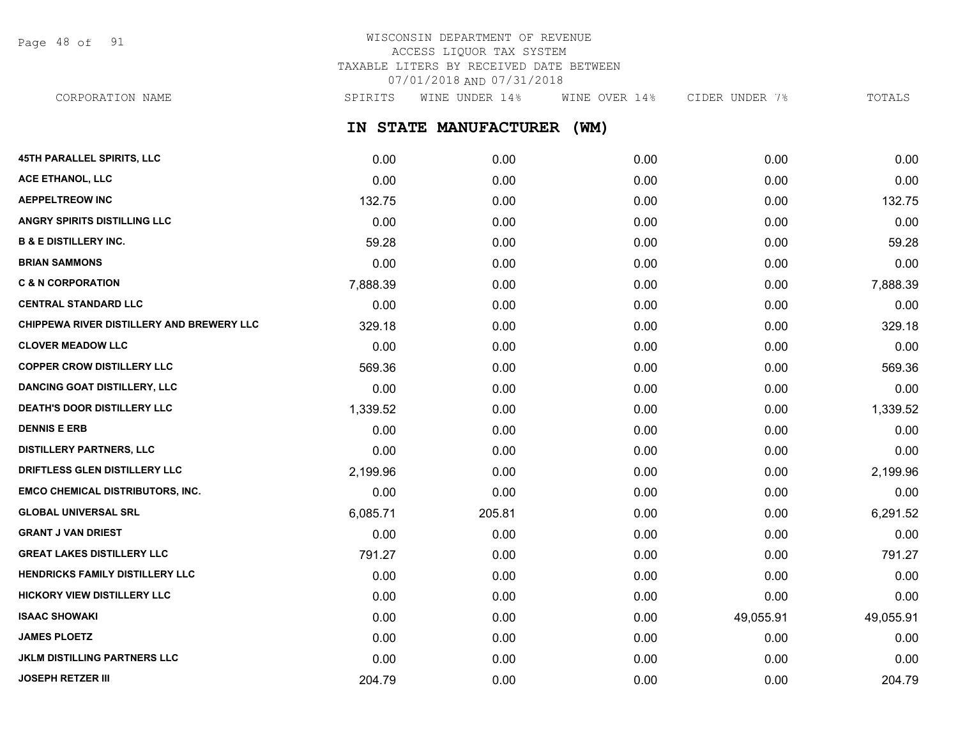Page 48 of 91

## WISCONSIN DEPARTMENT OF REVENUE ACCESS LIQUOR TAX SYSTEM TAXABLE LITERS BY RECEIVED DATE BETWEEN 07/01/2018 AND 07/31/2018

CORPORATION NAME SPIRITS WINE UNDER 14% WINE OVER 14% CIDER UNDER 7% TOTALS

**IN STATE MANUFACTURER (WM)**

| 45TH PARALLEL SPIRITS, LLC                | 0.00     | 0.00   | 0.00 | 0.00      | 0.00      |
|-------------------------------------------|----------|--------|------|-----------|-----------|
| <b>ACE ETHANOL, LLC</b>                   | 0.00     | 0.00   | 0.00 | 0.00      | 0.00      |
| <b>AEPPELTREOW INC</b>                    | 132.75   | 0.00   | 0.00 | 0.00      | 132.75    |
| ANGRY SPIRITS DISTILLING LLC              | 0.00     | 0.00   | 0.00 | 0.00      | 0.00      |
| <b>B &amp; E DISTILLERY INC.</b>          | 59.28    | 0.00   | 0.00 | 0.00      | 59.28     |
| <b>BRIAN SAMMONS</b>                      | 0.00     | 0.00   | 0.00 | 0.00      | 0.00      |
| <b>C &amp; N CORPORATION</b>              | 7,888.39 | 0.00   | 0.00 | 0.00      | 7,888.39  |
| <b>CENTRAL STANDARD LLC</b>               | 0.00     | 0.00   | 0.00 | 0.00      | 0.00      |
| CHIPPEWA RIVER DISTILLERY AND BREWERY LLC | 329.18   | 0.00   | 0.00 | 0.00      | 329.18    |
| <b>CLOVER MEADOW LLC</b>                  | 0.00     | 0.00   | 0.00 | 0.00      | 0.00      |
| <b>COPPER CROW DISTILLERY LLC</b>         | 569.36   | 0.00   | 0.00 | 0.00      | 569.36    |
| <b>DANCING GOAT DISTILLERY, LLC</b>       | 0.00     | 0.00   | 0.00 | 0.00      | 0.00      |
| <b>DEATH'S DOOR DISTILLERY LLC</b>        | 1,339.52 | 0.00   | 0.00 | 0.00      | 1,339.52  |
| <b>DENNIS E ERB</b>                       | 0.00     | 0.00   | 0.00 | 0.00      | 0.00      |
| <b>DISTILLERY PARTNERS, LLC</b>           | 0.00     | 0.00   | 0.00 | 0.00      | 0.00      |
| DRIFTLESS GLEN DISTILLERY LLC             | 2,199.96 | 0.00   | 0.00 | 0.00      | 2,199.96  |
| EMCO CHEMICAL DISTRIBUTORS, INC.          | 0.00     | 0.00   | 0.00 | 0.00      | 0.00      |
| <b>GLOBAL UNIVERSAL SRL</b>               | 6,085.71 | 205.81 | 0.00 | 0.00      | 6,291.52  |
| <b>GRANT J VAN DRIEST</b>                 | 0.00     | 0.00   | 0.00 | 0.00      | 0.00      |
| <b>GREAT LAKES DISTILLERY LLC</b>         | 791.27   | 0.00   | 0.00 | 0.00      | 791.27    |
| HENDRICKS FAMILY DISTILLERY LLC           | 0.00     | 0.00   | 0.00 | 0.00      | 0.00      |
| <b>HICKORY VIEW DISTILLERY LLC</b>        | 0.00     | 0.00   | 0.00 | 0.00      | 0.00      |
| <b>ISAAC SHOWAKI</b>                      | 0.00     | 0.00   | 0.00 | 49,055.91 | 49,055.91 |
| <b>JAMES PLOETZ</b>                       | 0.00     | 0.00   | 0.00 | 0.00      | 0.00      |
| <b>JKLM DISTILLING PARTNERS LLC</b>       | 0.00     | 0.00   | 0.00 | 0.00      | 0.00      |
| <b>JOSEPH RETZER III</b>                  | 204.79   | 0.00   | 0.00 | 0.00      | 204.79    |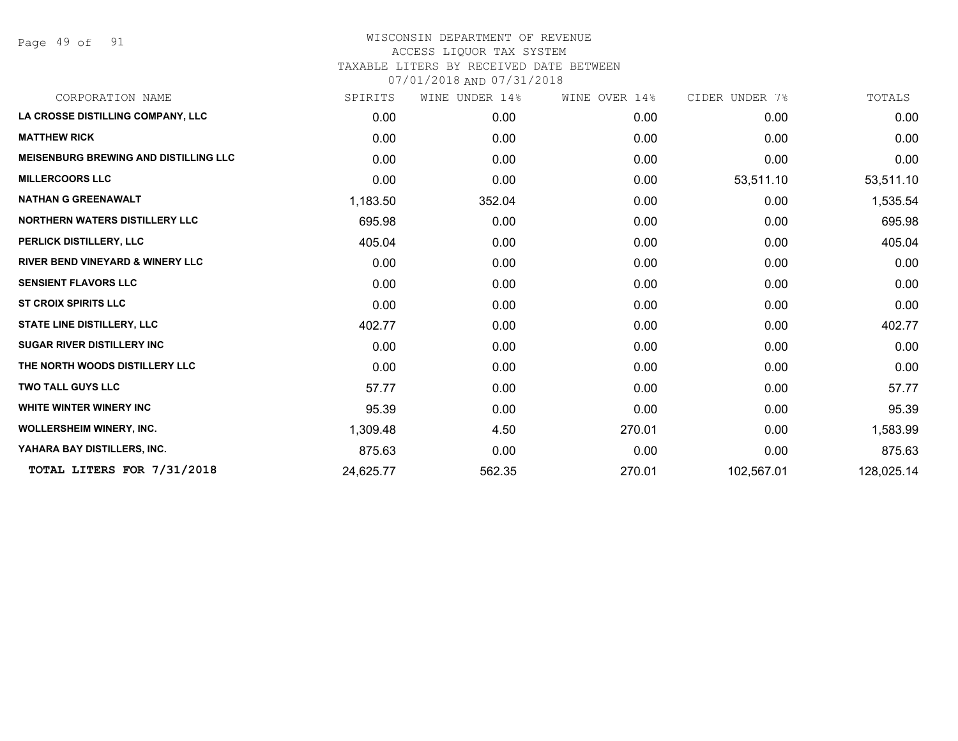Page 49 of 91

| CORPORATION NAME                             | SPIRITS   | WINE UNDER 14% | WINE OVER 14% | CIDER UNDER 7% | TOTALS     |
|----------------------------------------------|-----------|----------------|---------------|----------------|------------|
| LA CROSSE DISTILLING COMPANY, LLC            | 0.00      | 0.00           | 0.00          | 0.00           | 0.00       |
| <b>MATTHEW RICK</b>                          | 0.00      | 0.00           | 0.00          | 0.00           | 0.00       |
| <b>MEISENBURG BREWING AND DISTILLING LLC</b> | 0.00      | 0.00           | 0.00          | 0.00           | 0.00       |
| <b>MILLERCOORS LLC</b>                       | 0.00      | 0.00           | 0.00          | 53,511.10      | 53,511.10  |
| <b>NATHAN G GREENAWALT</b>                   | 1,183.50  | 352.04         | 0.00          | 0.00           | 1,535.54   |
| <b>NORTHERN WATERS DISTILLERY LLC</b>        | 695.98    | 0.00           | 0.00          | 0.00           | 695.98     |
| PERLICK DISTILLERY, LLC                      | 405.04    | 0.00           | 0.00          | 0.00           | 405.04     |
| <b>RIVER BEND VINEYARD &amp; WINERY LLC</b>  | 0.00      | 0.00           | 0.00          | 0.00           | 0.00       |
| <b>SENSIENT FLAVORS LLC</b>                  | 0.00      | 0.00           | 0.00          | 0.00           | 0.00       |
| <b>ST CROIX SPIRITS LLC</b>                  | 0.00      | 0.00           | 0.00          | 0.00           | 0.00       |
| <b>STATE LINE DISTILLERY, LLC</b>            | 402.77    | 0.00           | 0.00          | 0.00           | 402.77     |
| <b>SUGAR RIVER DISTILLERY INC</b>            | 0.00      | 0.00           | 0.00          | 0.00           | 0.00       |
| THE NORTH WOODS DISTILLERY LLC               | 0.00      | 0.00           | 0.00          | 0.00           | 0.00       |
| <b>TWO TALL GUYS LLC</b>                     | 57.77     | 0.00           | 0.00          | 0.00           | 57.77      |
| <b>WHITE WINTER WINERY INC</b>               | 95.39     | 0.00           | 0.00          | 0.00           | 95.39      |
| <b>WOLLERSHEIM WINERY, INC.</b>              | 1,309.48  | 4.50           | 270.01        | 0.00           | 1,583.99   |
| YAHARA BAY DISTILLERS, INC.                  | 875.63    | 0.00           | 0.00          | 0.00           | 875.63     |
| TOTAL LITERS FOR 7/31/2018                   | 24,625.77 | 562.35         | 270.01        | 102,567.01     | 128,025.14 |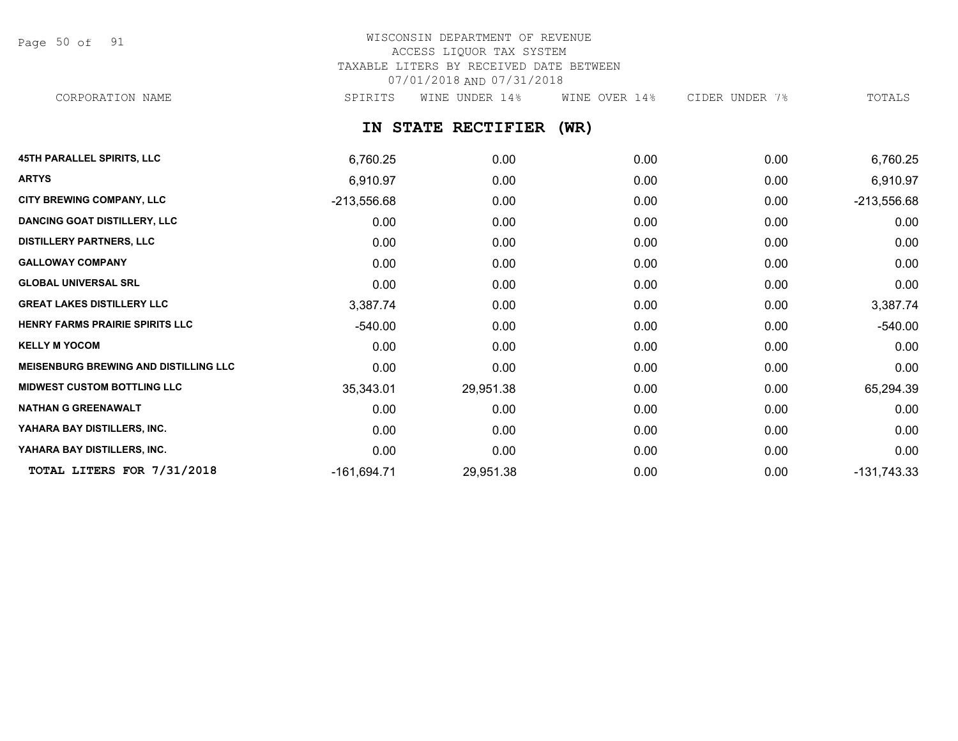Page 50 of 91

# WISCONSIN DEPARTMENT OF REVENUE ACCESS LIQUOR TAX SYSTEM TAXABLE LITERS BY RECEIVED DATE BETWEEN 07/01/2018 AND 07/31/2018

CORPORATION NAME SPIRITS WINE UNDER 14% WINE OVER 14% CIDER UNDER 7% TOTALS

**IN STATE RECTIFIER (WR)**

| <b>45TH PARALLEL SPIRITS, LLC</b>            | 6,760.25      | 0.00      | 0.00 | 0.00 | 6,760.25      |
|----------------------------------------------|---------------|-----------|------|------|---------------|
| <b>ARTYS</b>                                 | 6,910.97      | 0.00      | 0.00 | 0.00 | 6,910.97      |
| CITY BREWING COMPANY, LLC                    | $-213,556.68$ | 0.00      | 0.00 | 0.00 | $-213,556.68$ |
| <b>DANCING GOAT DISTILLERY, LLC</b>          | 0.00          | 0.00      | 0.00 | 0.00 | 0.00          |
| <b>DISTILLERY PARTNERS, LLC</b>              | 0.00          | 0.00      | 0.00 | 0.00 | 0.00          |
| <b>GALLOWAY COMPANY</b>                      | 0.00          | 0.00      | 0.00 | 0.00 | 0.00          |
| <b>GLOBAL UNIVERSAL SRL</b>                  | 0.00          | 0.00      | 0.00 | 0.00 | 0.00          |
| <b>GREAT LAKES DISTILLERY LLC</b>            | 3,387.74      | 0.00      | 0.00 | 0.00 | 3,387.74      |
| HENRY FARMS PRAIRIE SPIRITS LLC              | -540.00       | 0.00      | 0.00 | 0.00 | $-540.00$     |
| <b>KELLY M YOCOM</b>                         | 0.00          | 0.00      | 0.00 | 0.00 | 0.00          |
| <b>MEISENBURG BREWING AND DISTILLING LLC</b> | 0.00          | 0.00      | 0.00 | 0.00 | 0.00          |
| <b>MIDWEST CUSTOM BOTTLING LLC</b>           | 35,343.01     | 29,951.38 | 0.00 | 0.00 | 65,294.39     |
| <b>NATHAN G GREENAWALT</b>                   | 0.00          | 0.00      | 0.00 | 0.00 | 0.00          |
| YAHARA BAY DISTILLERS, INC.                  | 0.00          | 0.00      | 0.00 | 0.00 | 0.00          |
| YAHARA BAY DISTILLERS, INC.                  | 0.00          | 0.00      | 0.00 | 0.00 | 0.00          |
| TOTAL LITERS FOR 7/31/2018                   | $-161,694.71$ | 29,951.38 | 0.00 | 0.00 | $-131,743.33$ |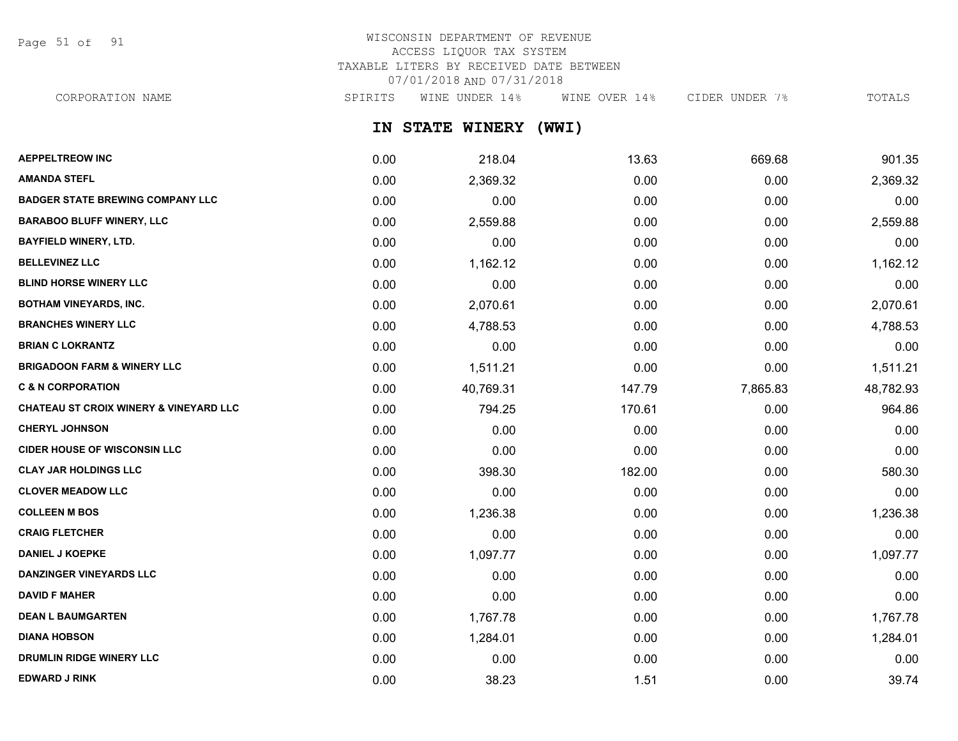Page 51 of 91

# WISCONSIN DEPARTMENT OF REVENUE ACCESS LIQUOR TAX SYSTEM TAXABLE LITERS BY RECEIVED DATE BETWEEN 07/01/2018 AND 07/31/2018

CORPORATION NAME SPIRITS WINE UNDER 14% WINE OVER 14% CIDER UNDER 7% TOTALS

**IN STATE WINERY (WWI)**

| <b>AEPPELTREOW INC</b>                            | 0.00 | 218.04    | 13.63  | 669.68   | 901.35    |
|---------------------------------------------------|------|-----------|--------|----------|-----------|
| <b>AMANDA STEFL</b>                               | 0.00 | 2,369.32  | 0.00   | 0.00     | 2,369.32  |
| <b>BADGER STATE BREWING COMPANY LLC</b>           | 0.00 | 0.00      | 0.00   | 0.00     | 0.00      |
| <b>BARABOO BLUFF WINERY, LLC</b>                  | 0.00 | 2,559.88  | 0.00   | 0.00     | 2,559.88  |
| <b>BAYFIELD WINERY, LTD.</b>                      | 0.00 | 0.00      | 0.00   | 0.00     | 0.00      |
| <b>BELLEVINEZ LLC</b>                             | 0.00 | 1,162.12  | 0.00   | 0.00     | 1,162.12  |
| <b>BLIND HORSE WINERY LLC</b>                     | 0.00 | 0.00      | 0.00   | 0.00     | 0.00      |
| <b>BOTHAM VINEYARDS, INC.</b>                     | 0.00 | 2,070.61  | 0.00   | 0.00     | 2,070.61  |
| <b>BRANCHES WINERY LLC</b>                        | 0.00 | 4,788.53  | 0.00   | 0.00     | 4,788.53  |
| <b>BRIAN C LOKRANTZ</b>                           | 0.00 | 0.00      | 0.00   | 0.00     | 0.00      |
| <b>BRIGADOON FARM &amp; WINERY LLC</b>            | 0.00 | 1,511.21  | 0.00   | 0.00     | 1,511.21  |
| <b>C &amp; N CORPORATION</b>                      | 0.00 | 40,769.31 | 147.79 | 7,865.83 | 48,782.93 |
| <b>CHATEAU ST CROIX WINERY &amp; VINEYARD LLC</b> | 0.00 | 794.25    | 170.61 | 0.00     | 964.86    |
| <b>CHERYL JOHNSON</b>                             | 0.00 | 0.00      | 0.00   | 0.00     | 0.00      |
| <b>CIDER HOUSE OF WISCONSIN LLC</b>               | 0.00 | 0.00      | 0.00   | 0.00     | 0.00      |
| <b>CLAY JAR HOLDINGS LLC</b>                      | 0.00 | 398.30    | 182.00 | 0.00     | 580.30    |
| <b>CLOVER MEADOW LLC</b>                          | 0.00 | 0.00      | 0.00   | 0.00     | 0.00      |
| <b>COLLEEN M BOS</b>                              | 0.00 | 1,236.38  | 0.00   | 0.00     | 1,236.38  |
| <b>CRAIG FLETCHER</b>                             | 0.00 | 0.00      | 0.00   | 0.00     | 0.00      |
| <b>DANIEL J KOEPKE</b>                            | 0.00 | 1,097.77  | 0.00   | 0.00     | 1,097.77  |
| <b>DANZINGER VINEYARDS LLC</b>                    | 0.00 | 0.00      | 0.00   | 0.00     | 0.00      |
| <b>DAVID F MAHER</b>                              | 0.00 | 0.00      | 0.00   | 0.00     | 0.00      |
| <b>DEAN L BAUMGARTEN</b>                          | 0.00 | 1,767.78  | 0.00   | 0.00     | 1,767.78  |
| <b>DIANA HOBSON</b>                               | 0.00 | 1,284.01  | 0.00   | 0.00     | 1,284.01  |
| <b>DRUMLIN RIDGE WINERY LLC</b>                   | 0.00 | 0.00      | 0.00   | 0.00     | 0.00      |
| <b>EDWARD J RINK</b>                              | 0.00 | 38.23     | 1.51   | 0.00     | 39.74     |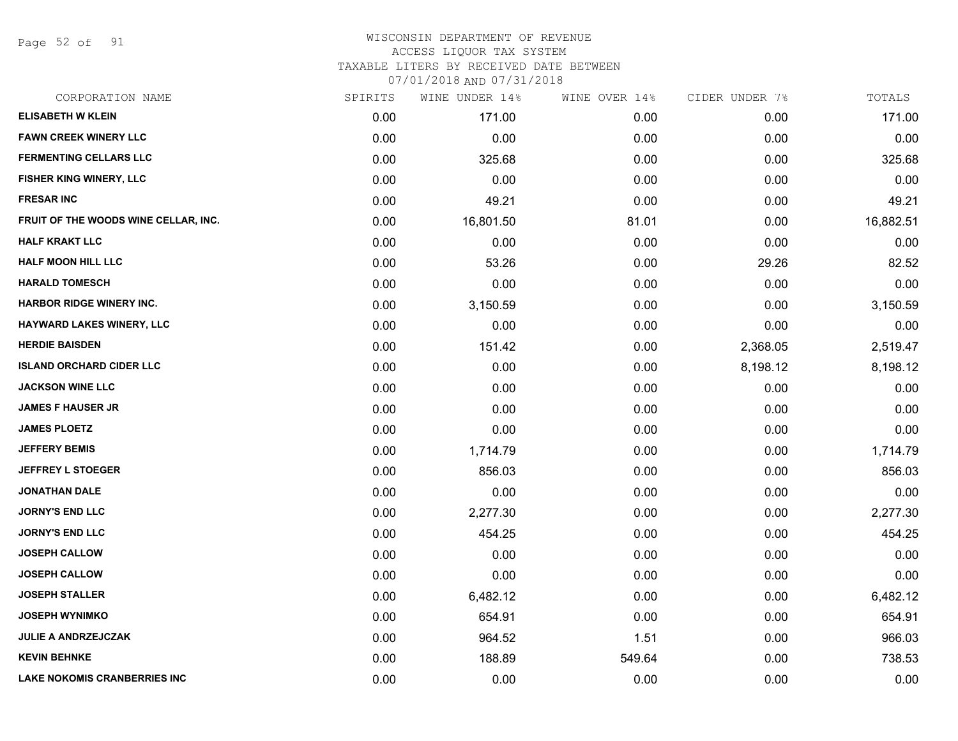Page 52 of 91

#### WISCONSIN DEPARTMENT OF REVENUE ACCESS LIQUOR TAX SYSTEM

TAXABLE LITERS BY RECEIVED DATE BETWEEN

| CORPORATION NAME                     | SPIRITS | WINE UNDER 14% | WINE OVER 14% | CIDER UNDER 7% | TOTALS    |
|--------------------------------------|---------|----------------|---------------|----------------|-----------|
| <b>ELISABETH W KLEIN</b>             | 0.00    | 171.00         | 0.00          | 0.00           | 171.00    |
| <b>FAWN CREEK WINERY LLC</b>         | 0.00    | 0.00           | 0.00          | 0.00           | 0.00      |
| <b>FERMENTING CELLARS LLC</b>        | 0.00    | 325.68         | 0.00          | 0.00           | 325.68    |
| FISHER KING WINERY, LLC              | 0.00    | 0.00           | 0.00          | 0.00           | 0.00      |
| <b>FRESAR INC</b>                    | 0.00    | 49.21          | 0.00          | 0.00           | 49.21     |
| FRUIT OF THE WOODS WINE CELLAR, INC. | 0.00    | 16,801.50      | 81.01         | 0.00           | 16,882.51 |
| <b>HALF KRAKT LLC</b>                | 0.00    | 0.00           | 0.00          | 0.00           | 0.00      |
| <b>HALF MOON HILL LLC</b>            | 0.00    | 53.26          | 0.00          | 29.26          | 82.52     |
| <b>HARALD TOMESCH</b>                | 0.00    | 0.00           | 0.00          | 0.00           | 0.00      |
| <b>HARBOR RIDGE WINERY INC.</b>      | 0.00    | 3,150.59       | 0.00          | 0.00           | 3,150.59  |
| HAYWARD LAKES WINERY, LLC            | 0.00    | 0.00           | 0.00          | 0.00           | 0.00      |
| <b>HERDIE BAISDEN</b>                | 0.00    | 151.42         | 0.00          | 2,368.05       | 2,519.47  |
| <b>ISLAND ORCHARD CIDER LLC</b>      | 0.00    | 0.00           | 0.00          | 8,198.12       | 8,198.12  |
| <b>JACKSON WINE LLC</b>              | 0.00    | 0.00           | 0.00          | 0.00           | 0.00      |
| <b>JAMES F HAUSER JR</b>             | 0.00    | 0.00           | 0.00          | 0.00           | 0.00      |
| <b>JAMES PLOETZ</b>                  | 0.00    | 0.00           | 0.00          | 0.00           | 0.00      |
| <b>JEFFERY BEMIS</b>                 | 0.00    | 1,714.79       | 0.00          | 0.00           | 1,714.79  |
| <b>JEFFREY L STOEGER</b>             | 0.00    | 856.03         | 0.00          | 0.00           | 856.03    |
| <b>JONATHAN DALE</b>                 | 0.00    | 0.00           | 0.00          | 0.00           | 0.00      |
| <b>JORNY'S END LLC</b>               | 0.00    | 2,277.30       | 0.00          | 0.00           | 2,277.30  |
| <b>JORNY'S END LLC</b>               | 0.00    | 454.25         | 0.00          | 0.00           | 454.25    |
| <b>JOSEPH CALLOW</b>                 | 0.00    | 0.00           | 0.00          | 0.00           | 0.00      |
| <b>JOSEPH CALLOW</b>                 | 0.00    | 0.00           | 0.00          | 0.00           | 0.00      |
| <b>JOSEPH STALLER</b>                | 0.00    | 6,482.12       | 0.00          | 0.00           | 6,482.12  |
| <b>JOSEPH WYNIMKO</b>                | 0.00    | 654.91         | 0.00          | 0.00           | 654.91    |
| <b>JULIE A ANDRZEJCZAK</b>           | 0.00    | 964.52         | 1.51          | 0.00           | 966.03    |
| <b>KEVIN BEHNKE</b>                  | 0.00    | 188.89         | 549.64        | 0.00           | 738.53    |
| <b>LAKE NOKOMIS CRANBERRIES INC</b>  | 0.00    | 0.00           | 0.00          | 0.00           | 0.00      |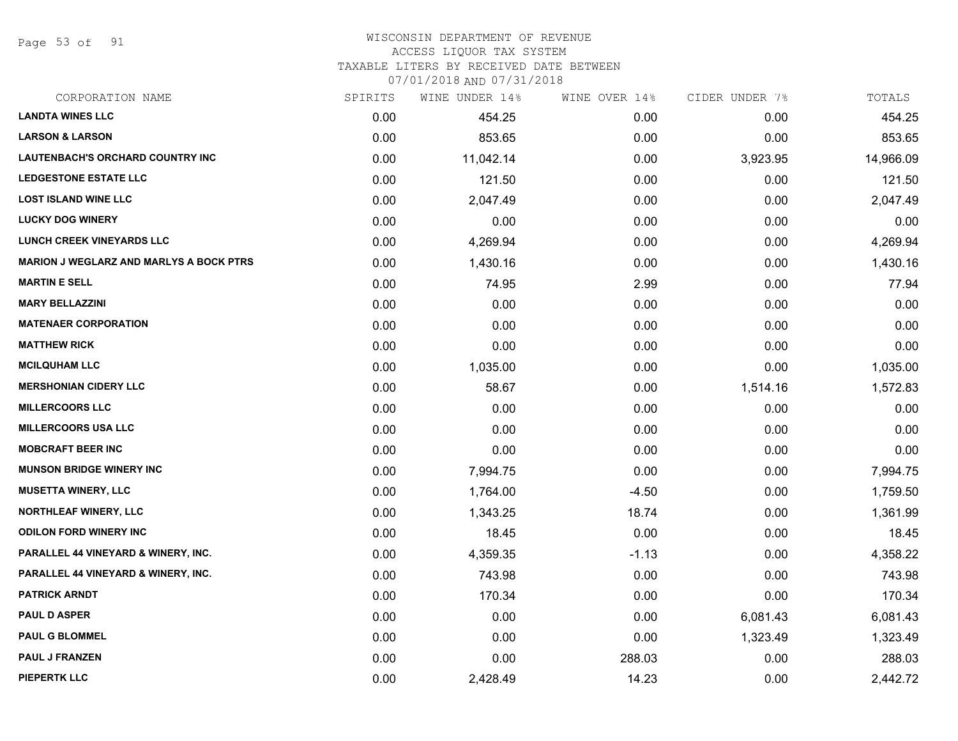Page 53 of 91

# WISCONSIN DEPARTMENT OF REVENUE

## ACCESS LIQUOR TAX SYSTEM

TAXABLE LITERS BY RECEIVED DATE BETWEEN

| CORPORATION NAME                               | SPIRITS | WINE UNDER 14% | WINE OVER 14% | CIDER UNDER 7% | TOTALS    |
|------------------------------------------------|---------|----------------|---------------|----------------|-----------|
| <b>LANDTA WINES LLC</b>                        | 0.00    | 454.25         | 0.00          | 0.00           | 454.25    |
| <b>LARSON &amp; LARSON</b>                     | 0.00    | 853.65         | 0.00          | 0.00           | 853.65    |
| <b>LAUTENBACH'S ORCHARD COUNTRY INC</b>        | 0.00    | 11,042.14      | 0.00          | 3,923.95       | 14,966.09 |
| <b>LEDGESTONE ESTATE LLC</b>                   | 0.00    | 121.50         | 0.00          | 0.00           | 121.50    |
| <b>LOST ISLAND WINE LLC</b>                    | 0.00    | 2,047.49       | 0.00          | 0.00           | 2,047.49  |
| <b>LUCKY DOG WINERY</b>                        | 0.00    | 0.00           | 0.00          | 0.00           | 0.00      |
| <b>LUNCH CREEK VINEYARDS LLC</b>               | 0.00    | 4,269.94       | 0.00          | 0.00           | 4,269.94  |
| <b>MARION J WEGLARZ AND MARLYS A BOCK PTRS</b> | 0.00    | 1,430.16       | 0.00          | 0.00           | 1,430.16  |
| <b>MARTIN E SELL</b>                           | 0.00    | 74.95          | 2.99          | 0.00           | 77.94     |
| <b>MARY BELLAZZINI</b>                         | 0.00    | 0.00           | 0.00          | 0.00           | 0.00      |
| <b>MATENAER CORPORATION</b>                    | 0.00    | 0.00           | 0.00          | 0.00           | 0.00      |
| <b>MATTHEW RICK</b>                            | 0.00    | 0.00           | 0.00          | 0.00           | 0.00      |
| <b>MCILQUHAM LLC</b>                           | 0.00    | 1,035.00       | 0.00          | 0.00           | 1,035.00  |
| <b>MERSHONIAN CIDERY LLC</b>                   | 0.00    | 58.67          | 0.00          | 1,514.16       | 1,572.83  |
| <b>MILLERCOORS LLC</b>                         | 0.00    | 0.00           | 0.00          | 0.00           | 0.00      |
| <b>MILLERCOORS USA LLC</b>                     | 0.00    | 0.00           | 0.00          | 0.00           | 0.00      |
| <b>MOBCRAFT BEER INC</b>                       | 0.00    | 0.00           | 0.00          | 0.00           | 0.00      |
| <b>MUNSON BRIDGE WINERY INC</b>                | 0.00    | 7,994.75       | 0.00          | 0.00           | 7,994.75  |
| <b>MUSETTA WINERY, LLC</b>                     | 0.00    | 1,764.00       | $-4.50$       | 0.00           | 1,759.50  |
| <b>NORTHLEAF WINERY, LLC</b>                   | 0.00    | 1,343.25       | 18.74         | 0.00           | 1,361.99  |
| <b>ODILON FORD WINERY INC</b>                  | 0.00    | 18.45          | 0.00          | 0.00           | 18.45     |
| PARALLEL 44 VINEYARD & WINERY, INC.            | 0.00    | 4,359.35       | $-1.13$       | 0.00           | 4,358.22  |
| PARALLEL 44 VINEYARD & WINERY, INC.            | 0.00    | 743.98         | 0.00          | 0.00           | 743.98    |
| PATRICK ARNDT                                  | 0.00    | 170.34         | 0.00          | 0.00           | 170.34    |
| <b>PAUL D ASPER</b>                            | 0.00    | 0.00           | 0.00          | 6,081.43       | 6,081.43  |
| <b>PAUL G BLOMMEL</b>                          | 0.00    | 0.00           | 0.00          | 1,323.49       | 1,323.49  |
| <b>PAUL J FRANZEN</b>                          | 0.00    | 0.00           | 288.03        | 0.00           | 288.03    |
| <b>PIEPERTK LLC</b>                            | 0.00    | 2,428.49       | 14.23         | 0.00           | 2,442.72  |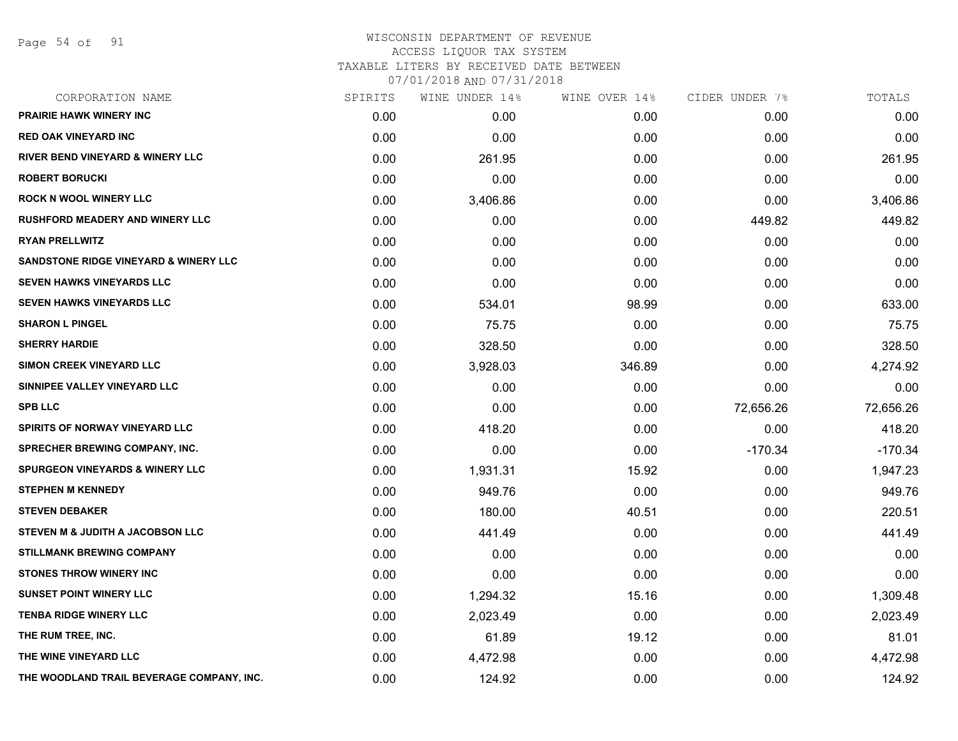Page 54 of 91

| CORPORATION NAME                                 | SPIRITS | WINE UNDER 14% | WINE OVER 14% | CIDER UNDER 7% | TOTALS    |
|--------------------------------------------------|---------|----------------|---------------|----------------|-----------|
| PRAIRIE HAWK WINERY INC                          | 0.00    | 0.00           | 0.00          | 0.00           | 0.00      |
| <b>RED OAK VINEYARD INC</b>                      | 0.00    | 0.00           | 0.00          | 0.00           | 0.00      |
| <b>RIVER BEND VINEYARD &amp; WINERY LLC</b>      | 0.00    | 261.95         | 0.00          | 0.00           | 261.95    |
| <b>ROBERT BORUCKI</b>                            | 0.00    | 0.00           | 0.00          | 0.00           | 0.00      |
| <b>ROCK N WOOL WINERY LLC</b>                    | 0.00    | 3,406.86       | 0.00          | 0.00           | 3,406.86  |
| <b>RUSHFORD MEADERY AND WINERY LLC</b>           | 0.00    | 0.00           | 0.00          | 449.82         | 449.82    |
| <b>RYAN PRELLWITZ</b>                            | 0.00    | 0.00           | 0.00          | 0.00           | 0.00      |
| <b>SANDSTONE RIDGE VINEYARD &amp; WINERY LLC</b> | 0.00    | 0.00           | 0.00          | 0.00           | 0.00      |
| <b>SEVEN HAWKS VINEYARDS LLC</b>                 | 0.00    | 0.00           | 0.00          | 0.00           | 0.00      |
| <b>SEVEN HAWKS VINEYARDS LLC</b>                 | 0.00    | 534.01         | 98.99         | 0.00           | 633.00    |
| <b>SHARON L PINGEL</b>                           | 0.00    | 75.75          | 0.00          | 0.00           | 75.75     |
| <b>SHERRY HARDIE</b>                             | 0.00    | 328.50         | 0.00          | 0.00           | 328.50    |
| SIMON CREEK VINEYARD LLC                         | 0.00    | 3,928.03       | 346.89        | 0.00           | 4,274.92  |
| SINNIPEE VALLEY VINEYARD LLC                     | 0.00    | 0.00           | 0.00          | 0.00           | 0.00      |
| <b>SPB LLC</b>                                   | 0.00    | 0.00           | 0.00          | 72,656.26      | 72,656.26 |
| <b>SPIRITS OF NORWAY VINEYARD LLC</b>            | 0.00    | 418.20         | 0.00          | 0.00           | 418.20    |
| <b>SPRECHER BREWING COMPANY, INC.</b>            | 0.00    | 0.00           | 0.00          | $-170.34$      | $-170.34$ |
| <b>SPURGEON VINEYARDS &amp; WINERY LLC</b>       | 0.00    | 1,931.31       | 15.92         | 0.00           | 1,947.23  |
| <b>STEPHEN M KENNEDY</b>                         | 0.00    | 949.76         | 0.00          | 0.00           | 949.76    |
| <b>STEVEN DEBAKER</b>                            | 0.00    | 180.00         | 40.51         | 0.00           | 220.51    |
| STEVEN M & JUDITH A JACOBSON LLC                 | 0.00    | 441.49         | 0.00          | 0.00           | 441.49    |
| <b>STILLMANK BREWING COMPANY</b>                 | 0.00    | 0.00           | 0.00          | 0.00           | 0.00      |
| <b>STONES THROW WINERY INC</b>                   | 0.00    | 0.00           | 0.00          | 0.00           | 0.00      |
| <b>SUNSET POINT WINERY LLC</b>                   | 0.00    | 1,294.32       | 15.16         | 0.00           | 1,309.48  |
| <b>TENBA RIDGE WINERY LLC</b>                    | 0.00    | 2,023.49       | 0.00          | 0.00           | 2,023.49  |
| THE RUM TREE, INC.                               | 0.00    | 61.89          | 19.12         | 0.00           | 81.01     |
| THE WINE VINEYARD LLC                            | 0.00    | 4,472.98       | 0.00          | 0.00           | 4,472.98  |
| THE WOODLAND TRAIL BEVERAGE COMPANY, INC.        | 0.00    | 124.92         | 0.00          | 0.00           | 124.92    |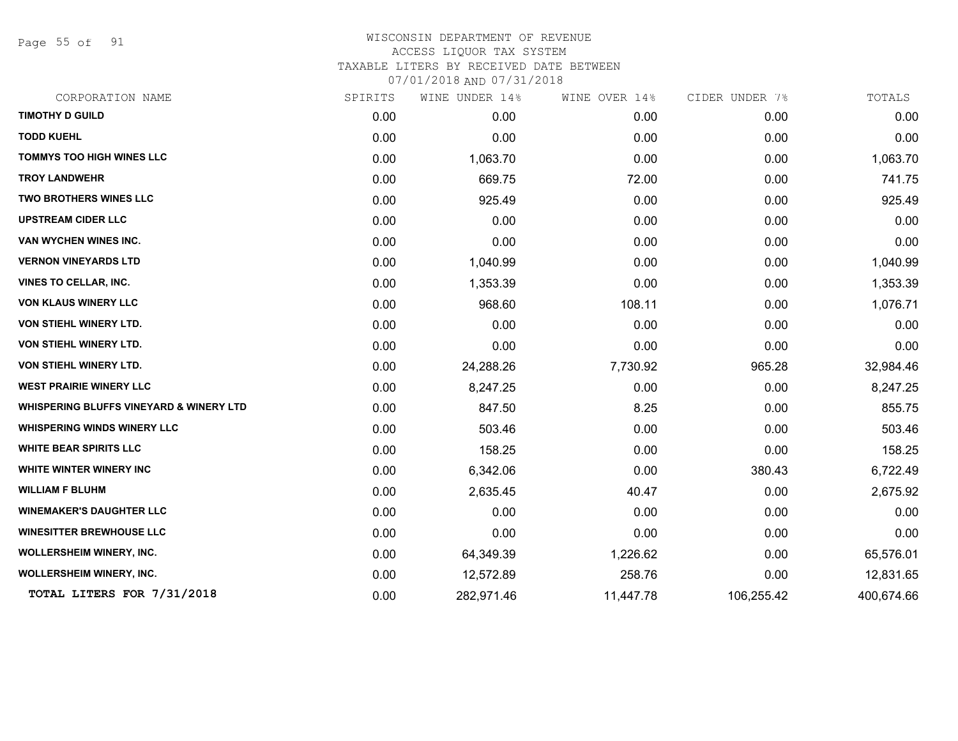Page 55 of 91

| CORPORATION NAME                                   | SPIRITS | WINE UNDER 14% | WINE OVER 14% | CIDER UNDER 7% | TOTALS     |
|----------------------------------------------------|---------|----------------|---------------|----------------|------------|
| <b>TIMOTHY D GUILD</b>                             | 0.00    | 0.00           | 0.00          | 0.00           | 0.00       |
| <b>TODD KUEHL</b>                                  | 0.00    | 0.00           | 0.00          | 0.00           | 0.00       |
| <b>TOMMYS TOO HIGH WINES LLC</b>                   | 0.00    | 1,063.70       | 0.00          | 0.00           | 1,063.70   |
| <b>TROY LANDWEHR</b>                               | 0.00    | 669.75         | 72.00         | 0.00           | 741.75     |
| TWO BROTHERS WINES LLC                             | 0.00    | 925.49         | 0.00          | 0.00           | 925.49     |
| <b>UPSTREAM CIDER LLC</b>                          | 0.00    | 0.00           | 0.00          | 0.00           | 0.00       |
| VAN WYCHEN WINES INC.                              | 0.00    | 0.00           | 0.00          | 0.00           | 0.00       |
| <b>VERNON VINEYARDS LTD</b>                        | 0.00    | 1,040.99       | 0.00          | 0.00           | 1,040.99   |
| <b>VINES TO CELLAR, INC.</b>                       | 0.00    | 1,353.39       | 0.00          | 0.00           | 1,353.39   |
| <b>VON KLAUS WINERY LLC</b>                        | 0.00    | 968.60         | 108.11        | 0.00           | 1,076.71   |
| <b>VON STIEHL WINERY LTD.</b>                      | 0.00    | 0.00           | 0.00          | 0.00           | 0.00       |
| <b>VON STIEHL WINERY LTD.</b>                      | 0.00    | 0.00           | 0.00          | 0.00           | 0.00       |
| <b>VON STIEHL WINERY LTD.</b>                      | 0.00    | 24,288.26      | 7,730.92      | 965.28         | 32,984.46  |
| <b>WEST PRAIRIE WINERY LLC</b>                     | 0.00    | 8,247.25       | 0.00          | 0.00           | 8,247.25   |
| <b>WHISPERING BLUFFS VINEYARD &amp; WINERY LTD</b> | 0.00    | 847.50         | 8.25          | 0.00           | 855.75     |
| <b>WHISPERING WINDS WINERY LLC</b>                 | 0.00    | 503.46         | 0.00          | 0.00           | 503.46     |
| <b>WHITE BEAR SPIRITS LLC</b>                      | 0.00    | 158.25         | 0.00          | 0.00           | 158.25     |
| WHITE WINTER WINERY INC                            | 0.00    | 6,342.06       | 0.00          | 380.43         | 6,722.49   |
| <b>WILLIAM F BLUHM</b>                             | 0.00    | 2,635.45       | 40.47         | 0.00           | 2,675.92   |
| <b>WINEMAKER'S DAUGHTER LLC</b>                    | 0.00    | 0.00           | 0.00          | 0.00           | 0.00       |
| <b>WINESITTER BREWHOUSE LLC</b>                    | 0.00    | 0.00           | 0.00          | 0.00           | 0.00       |
| <b>WOLLERSHEIM WINERY, INC.</b>                    | 0.00    | 64,349.39      | 1,226.62      | 0.00           | 65,576.01  |
| <b>WOLLERSHEIM WINERY, INC.</b>                    | 0.00    | 12,572.89      | 258.76        | 0.00           | 12,831.65  |
| TOTAL LITERS FOR 7/31/2018                         | 0.00    | 282,971.46     | 11,447.78     | 106,255.42     | 400,674.66 |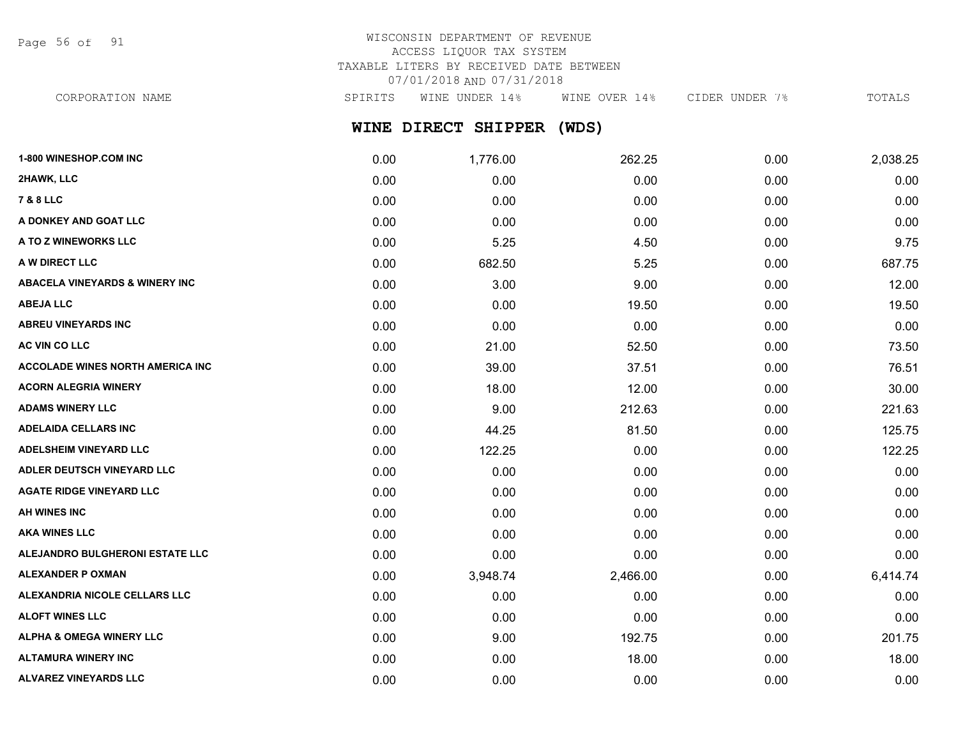Page 56 of 91

# WISCONSIN DEPARTMENT OF REVENUE ACCESS LIQUOR TAX SYSTEM TAXABLE LITERS BY RECEIVED DATE BETWEEN 07/01/2018 AND 07/31/2018

CORPORATION NAME SPIRITS WINE UNDER 14% WINE OVER 14% CIDER UNDER 7% TOTALS

# **WINE DIRECT SHIPPER (WDS)**

| 1-800 WINESHOP.COM INC                    | 0.00 | 1,776.00 | 262.25   | 0.00 | 2,038.25 |
|-------------------------------------------|------|----------|----------|------|----------|
| 2HAWK, LLC                                | 0.00 | 0.00     | 0.00     | 0.00 | 0.00     |
| 7 & 8 LLC                                 | 0.00 | 0.00     | 0.00     | 0.00 | 0.00     |
| A DONKEY AND GOAT LLC                     | 0.00 | 0.00     | 0.00     | 0.00 | 0.00     |
| A TO Z WINEWORKS LLC                      | 0.00 | 5.25     | 4.50     | 0.00 | 9.75     |
| A W DIRECT LLC                            | 0.00 | 682.50   | 5.25     | 0.00 | 687.75   |
| <b>ABACELA VINEYARDS &amp; WINERY INC</b> | 0.00 | 3.00     | 9.00     | 0.00 | 12.00    |
| <b>ABEJA LLC</b>                          | 0.00 | 0.00     | 19.50    | 0.00 | 19.50    |
| <b>ABREU VINEYARDS INC</b>                | 0.00 | 0.00     | 0.00     | 0.00 | 0.00     |
| AC VIN CO LLC                             | 0.00 | 21.00    | 52.50    | 0.00 | 73.50    |
| <b>ACCOLADE WINES NORTH AMERICA INC</b>   | 0.00 | 39.00    | 37.51    | 0.00 | 76.51    |
| <b>ACORN ALEGRIA WINERY</b>               | 0.00 | 18.00    | 12.00    | 0.00 | 30.00    |
| <b>ADAMS WINERY LLC</b>                   | 0.00 | 9.00     | 212.63   | 0.00 | 221.63   |
| <b>ADELAIDA CELLARS INC</b>               | 0.00 | 44.25    | 81.50    | 0.00 | 125.75   |
| <b>ADELSHEIM VINEYARD LLC</b>             | 0.00 | 122.25   | 0.00     | 0.00 | 122.25   |
| ADLER DEUTSCH VINEYARD LLC                | 0.00 | 0.00     | 0.00     | 0.00 | 0.00     |
| <b>AGATE RIDGE VINEYARD LLC</b>           | 0.00 | 0.00     | 0.00     | 0.00 | 0.00     |
| AH WINES INC                              | 0.00 | 0.00     | 0.00     | 0.00 | 0.00     |
| <b>AKA WINES LLC</b>                      | 0.00 | 0.00     | 0.00     | 0.00 | 0.00     |
| ALEJANDRO BULGHERONI ESTATE LLC           | 0.00 | 0.00     | 0.00     | 0.00 | 0.00     |
| <b>ALEXANDER P OXMAN</b>                  | 0.00 | 3,948.74 | 2,466.00 | 0.00 | 6,414.74 |
| ALEXANDRIA NICOLE CELLARS LLC             | 0.00 | 0.00     | 0.00     | 0.00 | 0.00     |
| <b>ALOFT WINES LLC</b>                    | 0.00 | 0.00     | 0.00     | 0.00 | 0.00     |
| <b>ALPHA &amp; OMEGA WINERY LLC</b>       | 0.00 | 9.00     | 192.75   | 0.00 | 201.75   |
| <b>ALTAMURA WINERY INC</b>                | 0.00 | 0.00     | 18.00    | 0.00 | 18.00    |
| ALVAREZ VINEYARDS LLC                     | 0.00 | 0.00     | 0.00     | 0.00 | 0.00     |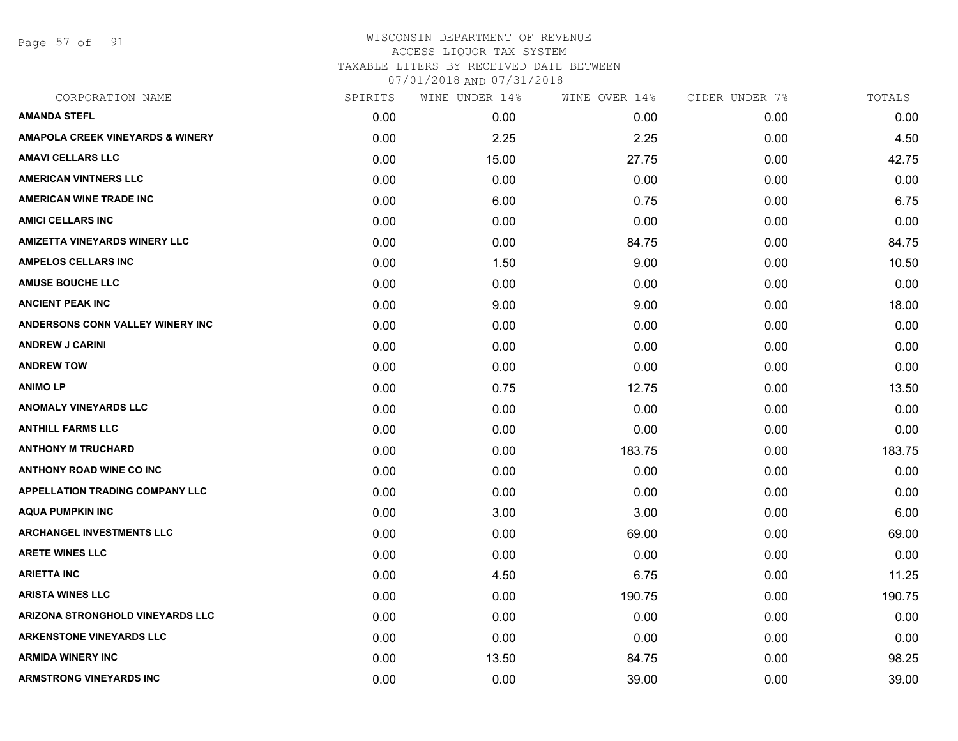Page 57 of 91

| SPIRITS | WINE UNDER 14% | WINE OVER 14% | CIDER UNDER 7% | TOTALS |
|---------|----------------|---------------|----------------|--------|
| 0.00    | 0.00           | 0.00          | 0.00           | 0.00   |
| 0.00    | 2.25           | 2.25          | 0.00           | 4.50   |
| 0.00    | 15.00          | 27.75         | 0.00           | 42.75  |
| 0.00    | 0.00           | 0.00          | 0.00           | 0.00   |
| 0.00    | 6.00           | 0.75          | 0.00           | 6.75   |
| 0.00    | 0.00           | 0.00          | 0.00           | 0.00   |
| 0.00    | 0.00           | 84.75         | 0.00           | 84.75  |
| 0.00    | 1.50           | 9.00          | 0.00           | 10.50  |
| 0.00    | 0.00           | 0.00          | 0.00           | 0.00   |
| 0.00    | 9.00           | 9.00          | 0.00           | 18.00  |
| 0.00    | 0.00           | 0.00          | 0.00           | 0.00   |
| 0.00    | 0.00           | 0.00          | 0.00           | 0.00   |
| 0.00    | 0.00           | 0.00          | 0.00           | 0.00   |
| 0.00    | 0.75           | 12.75         | 0.00           | 13.50  |
| 0.00    | 0.00           | 0.00          | 0.00           | 0.00   |
| 0.00    | 0.00           | 0.00          | 0.00           | 0.00   |
| 0.00    | 0.00           | 183.75        | 0.00           | 183.75 |
| 0.00    | 0.00           | 0.00          | 0.00           | 0.00   |
| 0.00    | 0.00           | 0.00          | 0.00           | 0.00   |
| 0.00    | 3.00           | 3.00          | 0.00           | 6.00   |
| 0.00    | 0.00           | 69.00         | 0.00           | 69.00  |
| 0.00    | 0.00           | 0.00          | 0.00           | 0.00   |
| 0.00    | 4.50           | 6.75          | 0.00           | 11.25  |
| 0.00    | 0.00           | 190.75        | 0.00           | 190.75 |
| 0.00    | 0.00           | 0.00          | 0.00           | 0.00   |
| 0.00    | 0.00           | 0.00          | 0.00           | 0.00   |
| 0.00    | 13.50          | 84.75         | 0.00           | 98.25  |
| 0.00    | 0.00           | 39.00         | 0.00           | 39.00  |
|         |                |               |                |        |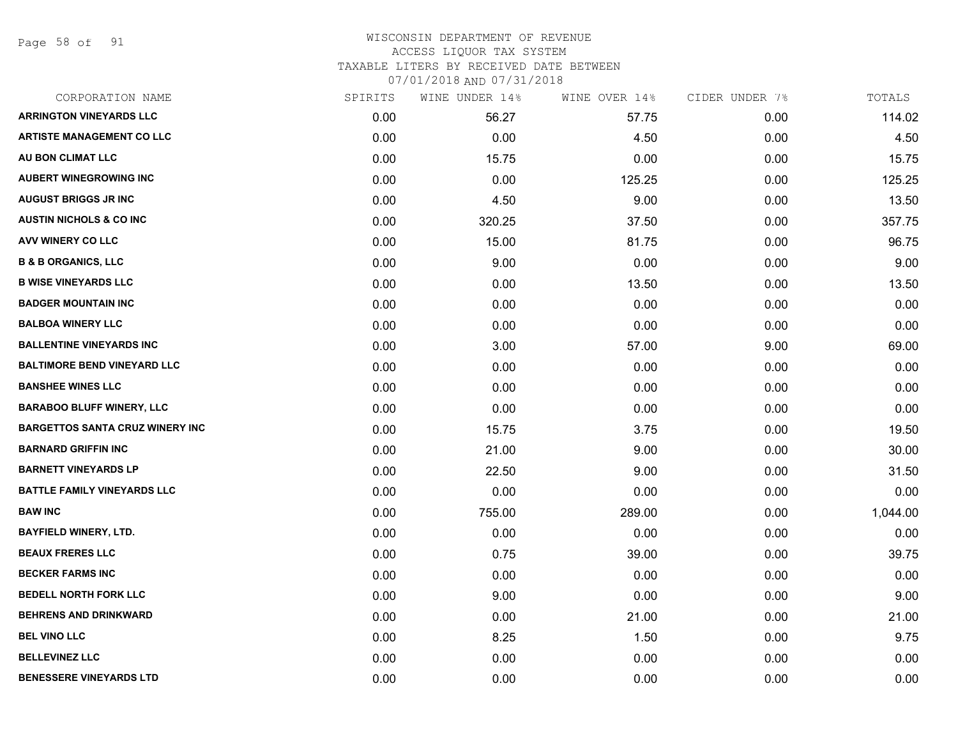Page 58 of 91

## WISCONSIN DEPARTMENT OF REVENUE ACCESS LIQUOR TAX SYSTEM TAXABLE LITERS BY RECEIVED DATE BETWEEN

| CORPORATION NAME                       | SPIRITS | WINE UNDER 14% | WINE OVER 14% | CIDER UNDER 7% | TOTALS   |
|----------------------------------------|---------|----------------|---------------|----------------|----------|
| <b>ARRINGTON VINEYARDS LLC</b>         | 0.00    | 56.27          | 57.75         | 0.00           | 114.02   |
| <b>ARTISTE MANAGEMENT CO LLC</b>       | 0.00    | 0.00           | 4.50          | 0.00           | 4.50     |
| AU BON CLIMAT LLC                      | 0.00    | 15.75          | 0.00          | 0.00           | 15.75    |
| <b>AUBERT WINEGROWING INC</b>          | 0.00    | 0.00           | 125.25        | 0.00           | 125.25   |
| <b>AUGUST BRIGGS JR INC</b>            | 0.00    | 4.50           | 9.00          | 0.00           | 13.50    |
| <b>AUSTIN NICHOLS &amp; CO INC</b>     | 0.00    | 320.25         | 37.50         | 0.00           | 357.75   |
| AVV WINERY CO LLC                      | 0.00    | 15.00          | 81.75         | 0.00           | 96.75    |
| <b>B &amp; B ORGANICS, LLC</b>         | 0.00    | 9.00           | 0.00          | 0.00           | 9.00     |
| <b>B WISE VINEYARDS LLC</b>            | 0.00    | 0.00           | 13.50         | 0.00           | 13.50    |
| <b>BADGER MOUNTAIN INC</b>             | 0.00    | 0.00           | 0.00          | 0.00           | 0.00     |
| <b>BALBOA WINERY LLC</b>               | 0.00    | 0.00           | 0.00          | 0.00           | 0.00     |
| <b>BALLENTINE VINEYARDS INC</b>        | 0.00    | 3.00           | 57.00         | 9.00           | 69.00    |
| <b>BALTIMORE BEND VINEYARD LLC</b>     | 0.00    | 0.00           | 0.00          | 0.00           | 0.00     |
| <b>BANSHEE WINES LLC</b>               | 0.00    | 0.00           | 0.00          | 0.00           | 0.00     |
| <b>BARABOO BLUFF WINERY, LLC</b>       | 0.00    | 0.00           | 0.00          | 0.00           | 0.00     |
| <b>BARGETTOS SANTA CRUZ WINERY INC</b> | 0.00    | 15.75          | 3.75          | 0.00           | 19.50    |
| <b>BARNARD GRIFFIN INC</b>             | 0.00    | 21.00          | 9.00          | 0.00           | 30.00    |
| <b>BARNETT VINEYARDS LP</b>            | 0.00    | 22.50          | 9.00          | 0.00           | 31.50    |
| <b>BATTLE FAMILY VINEYARDS LLC</b>     | 0.00    | 0.00           | 0.00          | 0.00           | 0.00     |
| <b>BAW INC</b>                         | 0.00    | 755.00         | 289.00        | 0.00           | 1,044.00 |
| <b>BAYFIELD WINERY, LTD.</b>           | 0.00    | 0.00           | 0.00          | 0.00           | 0.00     |
| <b>BEAUX FRERES LLC</b>                | 0.00    | 0.75           | 39.00         | 0.00           | 39.75    |
| <b>BECKER FARMS INC</b>                | 0.00    | 0.00           | 0.00          | 0.00           | 0.00     |
| <b>BEDELL NORTH FORK LLC</b>           | 0.00    | 9.00           | 0.00          | 0.00           | 9.00     |
| <b>BEHRENS AND DRINKWARD</b>           | 0.00    | 0.00           | 21.00         | 0.00           | 21.00    |
| <b>BEL VINO LLC</b>                    | 0.00    | 8.25           | 1.50          | 0.00           | 9.75     |
| <b>BELLEVINEZ LLC</b>                  | 0.00    | 0.00           | 0.00          | 0.00           | 0.00     |
| <b>BENESSERE VINEYARDS LTD</b>         | 0.00    | 0.00           | 0.00          | 0.00           | 0.00     |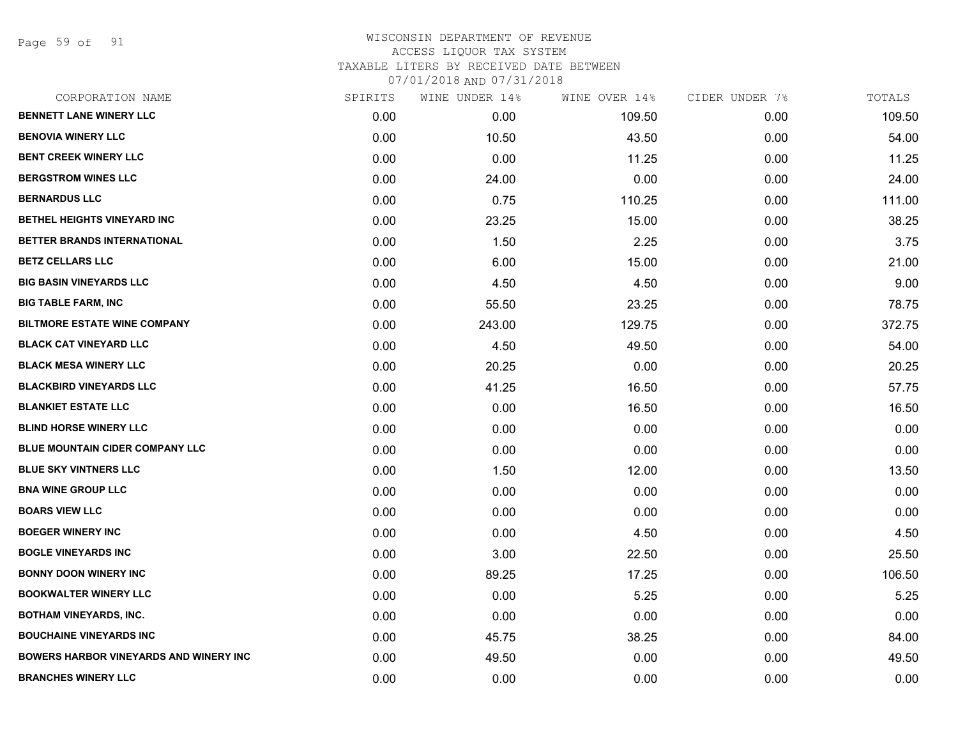Page 59 of 91

| SPIRITS | WINE UNDER 14% | WINE OVER 14% | CIDER UNDER 7% | TOTALS |
|---------|----------------|---------------|----------------|--------|
| 0.00    | 0.00           | 109.50        | 0.00           | 109.50 |
| 0.00    | 10.50          | 43.50         | 0.00           | 54.00  |
| 0.00    | 0.00           | 11.25         | 0.00           | 11.25  |
| 0.00    | 24.00          | 0.00          | 0.00           | 24.00  |
| 0.00    | 0.75           | 110.25        | 0.00           | 111.00 |
| 0.00    | 23.25          | 15.00         | 0.00           | 38.25  |
| 0.00    | 1.50           | 2.25          | 0.00           | 3.75   |
| 0.00    | 6.00           | 15.00         | 0.00           | 21.00  |
| 0.00    | 4.50           | 4.50          | 0.00           | 9.00   |
| 0.00    | 55.50          | 23.25         | 0.00           | 78.75  |
| 0.00    | 243.00         | 129.75        | 0.00           | 372.75 |
| 0.00    | 4.50           | 49.50         | 0.00           | 54.00  |
| 0.00    | 20.25          | 0.00          | 0.00           | 20.25  |
| 0.00    | 41.25          | 16.50         | 0.00           | 57.75  |
| 0.00    | 0.00           | 16.50         | 0.00           | 16.50  |
| 0.00    | 0.00           | 0.00          | 0.00           | 0.00   |
| 0.00    | 0.00           | 0.00          | 0.00           | 0.00   |
| 0.00    | 1.50           | 12.00         | 0.00           | 13.50  |
| 0.00    | 0.00           | 0.00          | 0.00           | 0.00   |
| 0.00    | 0.00           | 0.00          | 0.00           | 0.00   |
| 0.00    | 0.00           | 4.50          | 0.00           | 4.50   |
| 0.00    | 3.00           | 22.50         | 0.00           | 25.50  |
| 0.00    | 89.25          | 17.25         | 0.00           | 106.50 |
| 0.00    | 0.00           | 5.25          | 0.00           | 5.25   |
| 0.00    | 0.00           | 0.00          | 0.00           | 0.00   |
| 0.00    | 45.75          | 38.25         | 0.00           | 84.00  |
| 0.00    | 49.50          | 0.00          | 0.00           | 49.50  |
| 0.00    | 0.00           | 0.00          | 0.00           | 0.00   |
|         |                |               |                |        |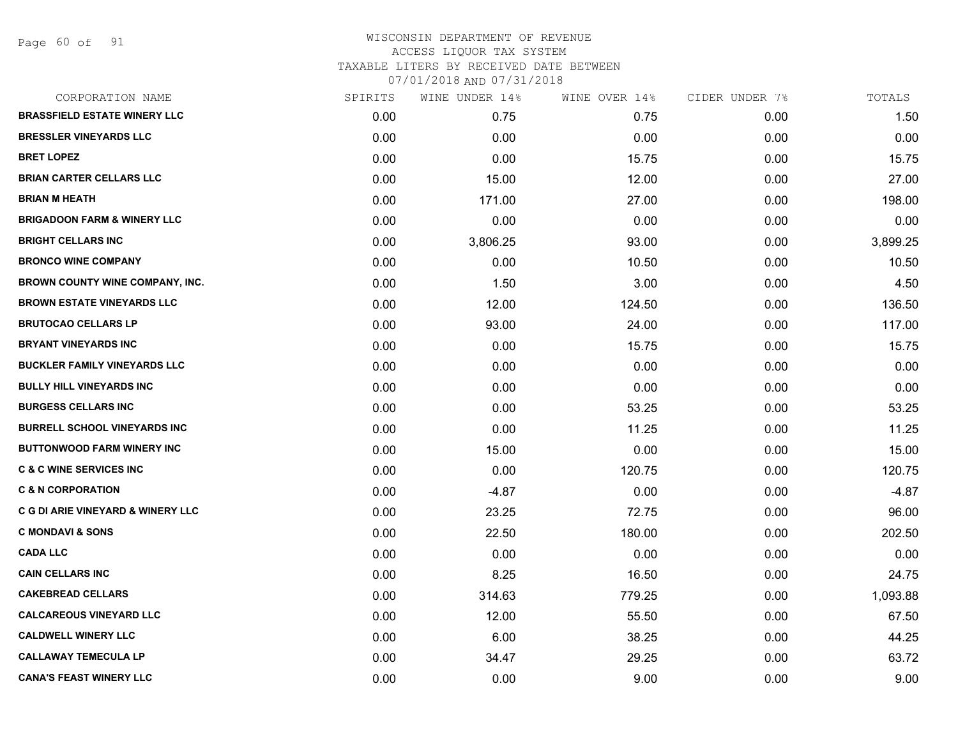Page 60 of 91

#### WISCONSIN DEPARTMENT OF REVENUE ACCESS LIQUOR TAX SYSTEM TAXABLE LITERS BY RECEIVED DATE BETWEEN

| CORPORATION NAME                       | SPIRITS | WINE UNDER 14% | WINE OVER 14% | CIDER UNDER 7% | TOTALS   |
|----------------------------------------|---------|----------------|---------------|----------------|----------|
| <b>BRASSFIELD ESTATE WINERY LLC</b>    | 0.00    | 0.75           | 0.75          | 0.00           | 1.50     |
| <b>BRESSLER VINEYARDS LLC</b>          | 0.00    | 0.00           | 0.00          | 0.00           | 0.00     |
| <b>BRET LOPEZ</b>                      | 0.00    | 0.00           | 15.75         | 0.00           | 15.75    |
| <b>BRIAN CARTER CELLARS LLC</b>        | 0.00    | 15.00          | 12.00         | 0.00           | 27.00    |
| <b>BRIAN M HEATH</b>                   | 0.00    | 171.00         | 27.00         | 0.00           | 198.00   |
| <b>BRIGADOON FARM &amp; WINERY LLC</b> | 0.00    | 0.00           | 0.00          | 0.00           | 0.00     |
| <b>BRIGHT CELLARS INC</b>              | 0.00    | 3,806.25       | 93.00         | 0.00           | 3,899.25 |
| <b>BRONCO WINE COMPANY</b>             | 0.00    | 0.00           | 10.50         | 0.00           | 10.50    |
| BROWN COUNTY WINE COMPANY, INC.        | 0.00    | 1.50           | 3.00          | 0.00           | 4.50     |
| <b>BROWN ESTATE VINEYARDS LLC</b>      | 0.00    | 12.00          | 124.50        | 0.00           | 136.50   |
| <b>BRUTOCAO CELLARS LP</b>             | 0.00    | 93.00          | 24.00         | 0.00           | 117.00   |
| <b>BRYANT VINEYARDS INC</b>            | 0.00    | 0.00           | 15.75         | 0.00           | 15.75    |
| <b>BUCKLER FAMILY VINEYARDS LLC</b>    | 0.00    | 0.00           | 0.00          | 0.00           | 0.00     |
| <b>BULLY HILL VINEYARDS INC</b>        | 0.00    | 0.00           | 0.00          | 0.00           | 0.00     |
| <b>BURGESS CELLARS INC</b>             | 0.00    | 0.00           | 53.25         | 0.00           | 53.25    |
| <b>BURRELL SCHOOL VINEYARDS INC</b>    | 0.00    | 0.00           | 11.25         | 0.00           | 11.25    |
| <b>BUTTONWOOD FARM WINERY INC</b>      | 0.00    | 15.00          | 0.00          | 0.00           | 15.00    |
| <b>C &amp; C WINE SERVICES INC</b>     | 0.00    | 0.00           | 120.75        | 0.00           | 120.75   |
| <b>C &amp; N CORPORATION</b>           | 0.00    | $-4.87$        | 0.00          | 0.00           | $-4.87$  |
| C G DI ARIE VINEYARD & WINERY LLC      | 0.00    | 23.25          | 72.75         | 0.00           | 96.00    |
| <b>C MONDAVI &amp; SONS</b>            | 0.00    | 22.50          | 180.00        | 0.00           | 202.50   |
| <b>CADA LLC</b>                        | 0.00    | 0.00           | 0.00          | 0.00           | 0.00     |
| <b>CAIN CELLARS INC</b>                | 0.00    | 8.25           | 16.50         | 0.00           | 24.75    |
| <b>CAKEBREAD CELLARS</b>               | 0.00    | 314.63         | 779.25        | 0.00           | 1,093.88 |
| <b>CALCAREOUS VINEYARD LLC</b>         | 0.00    | 12.00          | 55.50         | 0.00           | 67.50    |
| <b>CALDWELL WINERY LLC</b>             | 0.00    | 6.00           | 38.25         | 0.00           | 44.25    |
| <b>CALLAWAY TEMECULA LP</b>            | 0.00    | 34.47          | 29.25         | 0.00           | 63.72    |
| <b>CANA'S FEAST WINERY LLC</b>         | 0.00    | 0.00           | 9.00          | 0.00           | 9.00     |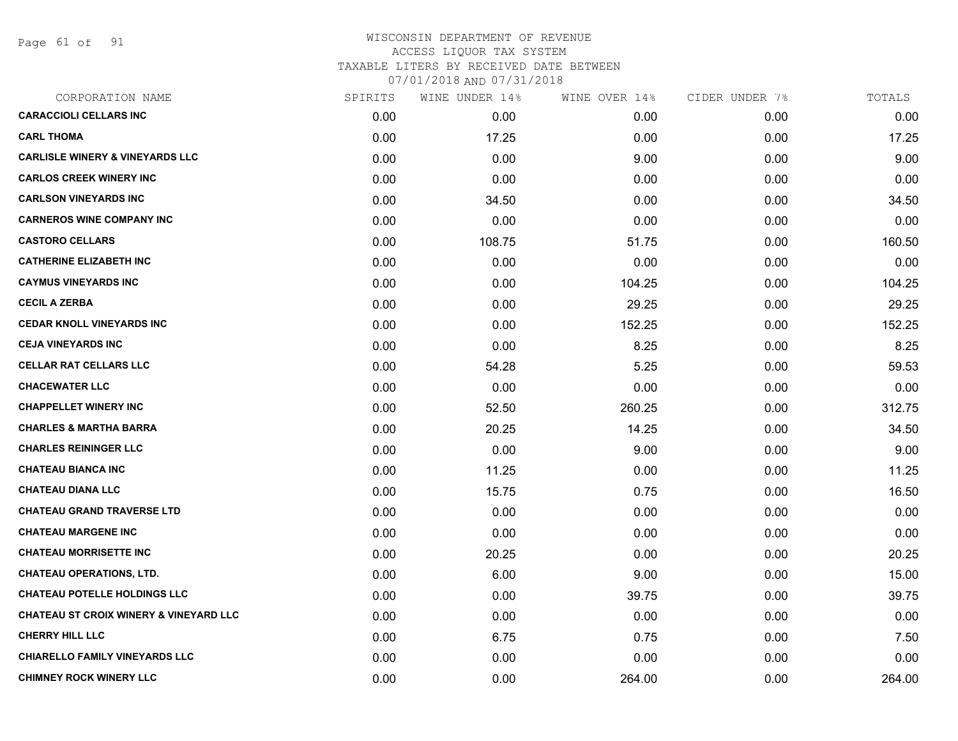Page 61 of 91

| CORPORATION NAME                                  | SPIRITS | WINE UNDER 14% | WINE OVER 14% | CIDER UNDER 7% | TOTALS |
|---------------------------------------------------|---------|----------------|---------------|----------------|--------|
| <b>CARACCIOLI CELLARS INC</b>                     | 0.00    | 0.00           | 0.00          | 0.00           | 0.00   |
| <b>CARL THOMA</b>                                 | 0.00    | 17.25          | 0.00          | 0.00           | 17.25  |
| <b>CARLISLE WINERY &amp; VINEYARDS LLC</b>        | 0.00    | 0.00           | 9.00          | 0.00           | 9.00   |
| <b>CARLOS CREEK WINERY INC</b>                    | 0.00    | 0.00           | 0.00          | 0.00           | 0.00   |
| <b>CARLSON VINEYARDS INC</b>                      | 0.00    | 34.50          | 0.00          | 0.00           | 34.50  |
| <b>CARNEROS WINE COMPANY INC</b>                  | 0.00    | 0.00           | 0.00          | 0.00           | 0.00   |
| <b>CASTORO CELLARS</b>                            | 0.00    | 108.75         | 51.75         | 0.00           | 160.50 |
| <b>CATHERINE ELIZABETH INC</b>                    | 0.00    | 0.00           | 0.00          | 0.00           | 0.00   |
| <b>CAYMUS VINEYARDS INC</b>                       | 0.00    | 0.00           | 104.25        | 0.00           | 104.25 |
| <b>CECIL A ZERBA</b>                              | 0.00    | 0.00           | 29.25         | 0.00           | 29.25  |
| <b>CEDAR KNOLL VINEYARDS INC</b>                  | 0.00    | 0.00           | 152.25        | 0.00           | 152.25 |
| <b>CEJA VINEYARDS INC</b>                         | 0.00    | 0.00           | 8.25          | 0.00           | 8.25   |
| <b>CELLAR RAT CELLARS LLC</b>                     | 0.00    | 54.28          | 5.25          | 0.00           | 59.53  |
| <b>CHACEWATER LLC</b>                             | 0.00    | 0.00           | 0.00          | 0.00           | 0.00   |
| <b>CHAPPELLET WINERY INC</b>                      | 0.00    | 52.50          | 260.25        | 0.00           | 312.75 |
| <b>CHARLES &amp; MARTHA BARRA</b>                 | 0.00    | 20.25          | 14.25         | 0.00           | 34.50  |
| <b>CHARLES REININGER LLC</b>                      | 0.00    | 0.00           | 9.00          | 0.00           | 9.00   |
| <b>CHATEAU BIANCA INC</b>                         | 0.00    | 11.25          | 0.00          | 0.00           | 11.25  |
| <b>CHATEAU DIANA LLC</b>                          | 0.00    | 15.75          | 0.75          | 0.00           | 16.50  |
| <b>CHATEAU GRAND TRAVERSE LTD</b>                 | 0.00    | 0.00           | 0.00          | 0.00           | 0.00   |
| <b>CHATEAU MARGENE INC</b>                        | 0.00    | 0.00           | 0.00          | 0.00           | 0.00   |
| <b>CHATEAU MORRISETTE INC</b>                     | 0.00    | 20.25          | 0.00          | 0.00           | 20.25  |
| <b>CHATEAU OPERATIONS, LTD.</b>                   | 0.00    | 6.00           | 9.00          | 0.00           | 15.00  |
| <b>CHATEAU POTELLE HOLDINGS LLC</b>               | 0.00    | 0.00           | 39.75         | 0.00           | 39.75  |
| <b>CHATEAU ST CROIX WINERY &amp; VINEYARD LLC</b> | 0.00    | 0.00           | 0.00          | 0.00           | 0.00   |
| <b>CHERRY HILL LLC</b>                            | 0.00    | 6.75           | 0.75          | 0.00           | 7.50   |
| <b>CHIARELLO FAMILY VINEYARDS LLC</b>             | 0.00    | 0.00           | 0.00          | 0.00           | 0.00   |
| <b>CHIMNEY ROCK WINERY LLC</b>                    | 0.00    | 0.00           | 264.00        | 0.00           | 264.00 |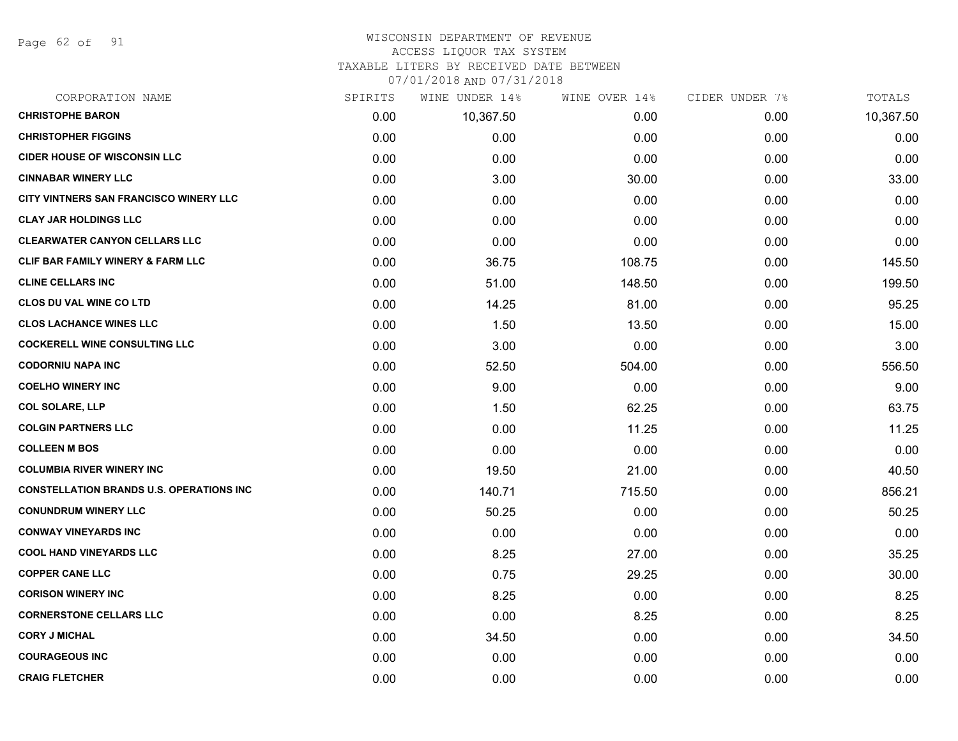Page 62 of 91

#### WISCONSIN DEPARTMENT OF REVENUE ACCESS LIQUOR TAX SYSTEM

TAXABLE LITERS BY RECEIVED DATE BETWEEN

| CORPORATION NAME                                | SPIRITS | WINE UNDER 14% | WINE OVER 14% | CIDER UNDER 7% | TOTALS    |
|-------------------------------------------------|---------|----------------|---------------|----------------|-----------|
| <b>CHRISTOPHE BARON</b>                         | 0.00    | 10,367.50      | 0.00          | 0.00           | 10,367.50 |
| <b>CHRISTOPHER FIGGINS</b>                      | 0.00    | 0.00           | 0.00          | 0.00           | 0.00      |
| <b>CIDER HOUSE OF WISCONSIN LLC</b>             | 0.00    | 0.00           | 0.00          | 0.00           | 0.00      |
| <b>CINNABAR WINERY LLC</b>                      | 0.00    | 3.00           | 30.00         | 0.00           | 33.00     |
| CITY VINTNERS SAN FRANCISCO WINERY LLC          | 0.00    | 0.00           | 0.00          | 0.00           | 0.00      |
| <b>CLAY JAR HOLDINGS LLC</b>                    | 0.00    | 0.00           | 0.00          | 0.00           | 0.00      |
| <b>CLEARWATER CANYON CELLARS LLC</b>            | 0.00    | 0.00           | 0.00          | 0.00           | 0.00      |
| <b>CLIF BAR FAMILY WINERY &amp; FARM LLC</b>    | 0.00    | 36.75          | 108.75        | 0.00           | 145.50    |
| <b>CLINE CELLARS INC</b>                        | 0.00    | 51.00          | 148.50        | 0.00           | 199.50    |
| <b>CLOS DU VAL WINE CO LTD</b>                  | 0.00    | 14.25          | 81.00         | 0.00           | 95.25     |
| <b>CLOS LACHANCE WINES LLC</b>                  | 0.00    | 1.50           | 13.50         | 0.00           | 15.00     |
| <b>COCKERELL WINE CONSULTING LLC</b>            | 0.00    | 3.00           | 0.00          | 0.00           | 3.00      |
| <b>CODORNIU NAPA INC</b>                        | 0.00    | 52.50          | 504.00        | 0.00           | 556.50    |
| <b>COELHO WINERY INC</b>                        | 0.00    | 9.00           | 0.00          | 0.00           | 9.00      |
| <b>COL SOLARE, LLP</b>                          | 0.00    | 1.50           | 62.25         | 0.00           | 63.75     |
| <b>COLGIN PARTNERS LLC</b>                      | 0.00    | 0.00           | 11.25         | 0.00           | 11.25     |
| <b>COLLEEN M BOS</b>                            | 0.00    | 0.00           | 0.00          | 0.00           | 0.00      |
| <b>COLUMBIA RIVER WINERY INC</b>                | 0.00    | 19.50          | 21.00         | 0.00           | 40.50     |
| <b>CONSTELLATION BRANDS U.S. OPERATIONS INC</b> | 0.00    | 140.71         | 715.50        | 0.00           | 856.21    |
| <b>CONUNDRUM WINERY LLC</b>                     | 0.00    | 50.25          | 0.00          | 0.00           | 50.25     |
| <b>CONWAY VINEYARDS INC</b>                     | 0.00    | 0.00           | 0.00          | 0.00           | 0.00      |
| <b>COOL HAND VINEYARDS LLC</b>                  | 0.00    | 8.25           | 27.00         | 0.00           | 35.25     |
| <b>COPPER CANE LLC</b>                          | 0.00    | 0.75           | 29.25         | 0.00           | 30.00     |
| <b>CORISON WINERY INC</b>                       | 0.00    | 8.25           | 0.00          | 0.00           | 8.25      |
| <b>CORNERSTONE CELLARS LLC</b>                  | 0.00    | 0.00           | 8.25          | 0.00           | 8.25      |
| <b>CORY J MICHAL</b>                            | 0.00    | 34.50          | 0.00          | 0.00           | 34.50     |
| <b>COURAGEOUS INC</b>                           | 0.00    | 0.00           | 0.00          | 0.00           | 0.00      |
| <b>CRAIG FLETCHER</b>                           | 0.00    | 0.00           | 0.00          | 0.00           | 0.00      |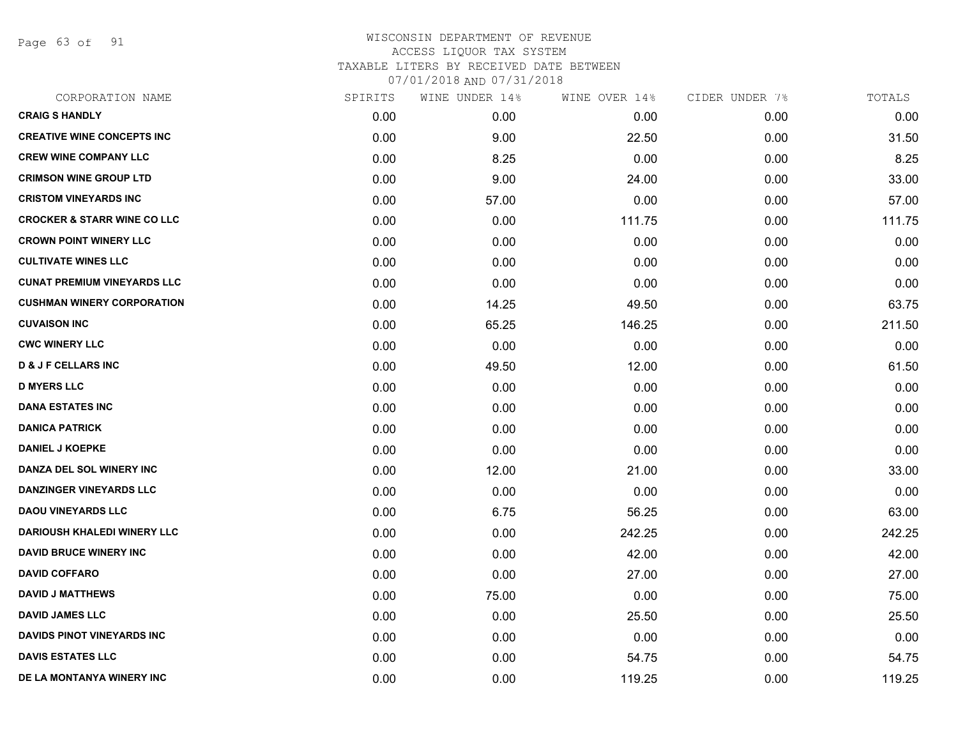Page 63 of 91

| SPIRITS | WINE UNDER 14% | WINE OVER 14% | CIDER UNDER 7% | TOTALS |
|---------|----------------|---------------|----------------|--------|
| 0.00    | 0.00           | 0.00          | 0.00           | 0.00   |
| 0.00    | 9.00           | 22.50         | 0.00           | 31.50  |
| 0.00    | 8.25           | 0.00          | 0.00           | 8.25   |
| 0.00    | 9.00           | 24.00         | 0.00           | 33.00  |
| 0.00    | 57.00          | 0.00          | 0.00           | 57.00  |
| 0.00    | 0.00           | 111.75        | 0.00           | 111.75 |
| 0.00    | 0.00           | 0.00          | 0.00           | 0.00   |
| 0.00    | 0.00           | 0.00          | 0.00           | 0.00   |
| 0.00    | 0.00           | 0.00          | 0.00           | 0.00   |
| 0.00    | 14.25          | 49.50         | 0.00           | 63.75  |
| 0.00    | 65.25          | 146.25        | 0.00           | 211.50 |
| 0.00    | 0.00           | 0.00          | 0.00           | 0.00   |
| 0.00    | 49.50          | 12.00         | 0.00           | 61.50  |
| 0.00    | 0.00           | 0.00          | 0.00           | 0.00   |
| 0.00    | 0.00           | 0.00          | 0.00           | 0.00   |
| 0.00    | 0.00           | 0.00          | 0.00           | 0.00   |
| 0.00    | 0.00           | 0.00          | 0.00           | 0.00   |
| 0.00    | 12.00          | 21.00         | 0.00           | 33.00  |
| 0.00    | 0.00           | 0.00          | 0.00           | 0.00   |
| 0.00    | 6.75           | 56.25         | 0.00           | 63.00  |
| 0.00    | 0.00           | 242.25        | 0.00           | 242.25 |
| 0.00    | 0.00           | 42.00         | 0.00           | 42.00  |
| 0.00    | 0.00           | 27.00         | 0.00           | 27.00  |
| 0.00    | 75.00          | 0.00          | 0.00           | 75.00  |
| 0.00    | 0.00           | 25.50         | 0.00           | 25.50  |
| 0.00    | 0.00           | 0.00          | 0.00           | 0.00   |
| 0.00    | 0.00           | 54.75         | 0.00           | 54.75  |
| 0.00    | 0.00           | 119.25        | 0.00           | 119.25 |
|         |                |               |                |        |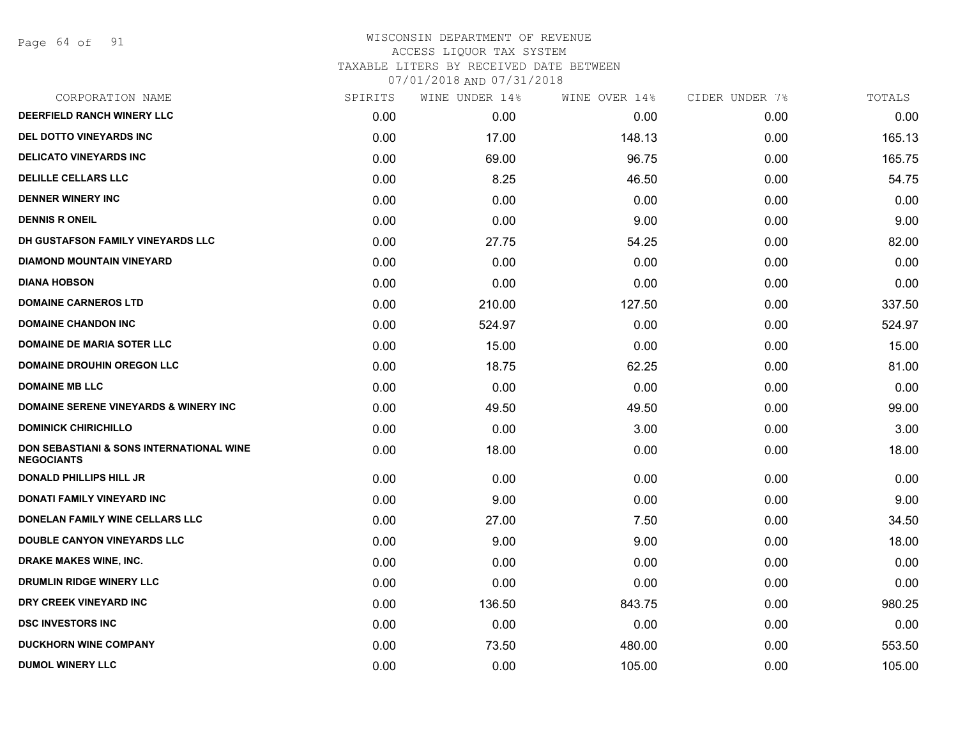Page 64 of 91

| CORPORATION NAME                                              | SPIRITS | WINE UNDER 14% | WINE OVER 14% | CIDER UNDER 7% | TOTALS |
|---------------------------------------------------------------|---------|----------------|---------------|----------------|--------|
| DEERFIELD RANCH WINERY LLC                                    | 0.00    | 0.00           | 0.00          | 0.00           | 0.00   |
| <b>DEL DOTTO VINEYARDS INC</b>                                | 0.00    | 17.00          | 148.13        | 0.00           | 165.13 |
| <b>DELICATO VINEYARDS INC</b>                                 | 0.00    | 69.00          | 96.75         | 0.00           | 165.75 |
| <b>DELILLE CELLARS LLC</b>                                    | 0.00    | 8.25           | 46.50         | 0.00           | 54.75  |
| <b>DENNER WINERY INC</b>                                      | 0.00    | 0.00           | 0.00          | 0.00           | 0.00   |
| <b>DENNIS R ONEIL</b>                                         | 0.00    | 0.00           | 9.00          | 0.00           | 9.00   |
| DH GUSTAFSON FAMILY VINEYARDS LLC                             | 0.00    | 27.75          | 54.25         | 0.00           | 82.00  |
| <b>DIAMOND MOUNTAIN VINEYARD</b>                              | 0.00    | 0.00           | 0.00          | 0.00           | 0.00   |
| <b>DIANA HOBSON</b>                                           | 0.00    | 0.00           | 0.00          | 0.00           | 0.00   |
| <b>DOMAINE CARNEROS LTD</b>                                   | 0.00    | 210.00         | 127.50        | 0.00           | 337.50 |
| <b>DOMAINE CHANDON INC</b>                                    | 0.00    | 524.97         | 0.00          | 0.00           | 524.97 |
| <b>DOMAINE DE MARIA SOTER LLC</b>                             | 0.00    | 15.00          | 0.00          | 0.00           | 15.00  |
| <b>DOMAINE DROUHIN OREGON LLC</b>                             | 0.00    | 18.75          | 62.25         | 0.00           | 81.00  |
| <b>DOMAINE MB LLC</b>                                         | 0.00    | 0.00           | 0.00          | 0.00           | 0.00   |
| <b>DOMAINE SERENE VINEYARDS &amp; WINERY INC</b>              | 0.00    | 49.50          | 49.50         | 0.00           | 99.00  |
| <b>DOMINICK CHIRICHILLO</b>                                   | 0.00    | 0.00           | 3.00          | 0.00           | 3.00   |
| DON SEBASTIANI & SONS INTERNATIONAL WINE<br><b>NEGOCIANTS</b> | 0.00    | 18.00          | 0.00          | 0.00           | 18.00  |
| <b>DONALD PHILLIPS HILL JR</b>                                | 0.00    | 0.00           | 0.00          | 0.00           | 0.00   |
| DONATI FAMILY VINEYARD INC                                    | 0.00    | 9.00           | 0.00          | 0.00           | 9.00   |
| DONELAN FAMILY WINE CELLARS LLC                               | 0.00    | 27.00          | 7.50          | 0.00           | 34.50  |
| <b>DOUBLE CANYON VINEYARDS LLC</b>                            | 0.00    | 9.00           | 9.00          | 0.00           | 18.00  |
| DRAKE MAKES WINE, INC.                                        | 0.00    | 0.00           | 0.00          | 0.00           | 0.00   |
| DRUMLIN RIDGE WINERY LLC                                      | 0.00    | 0.00           | 0.00          | 0.00           | 0.00   |
| DRY CREEK VINEYARD INC                                        | 0.00    | 136.50         | 843.75        | 0.00           | 980.25 |
| <b>DSC INVESTORS INC</b>                                      | 0.00    | 0.00           | 0.00          | 0.00           | 0.00   |
| <b>DUCKHORN WINE COMPANY</b>                                  | 0.00    | 73.50          | 480.00        | 0.00           | 553.50 |
| <b>DUMOL WINERY LLC</b>                                       | 0.00    | 0.00           | 105.00        | 0.00           | 105.00 |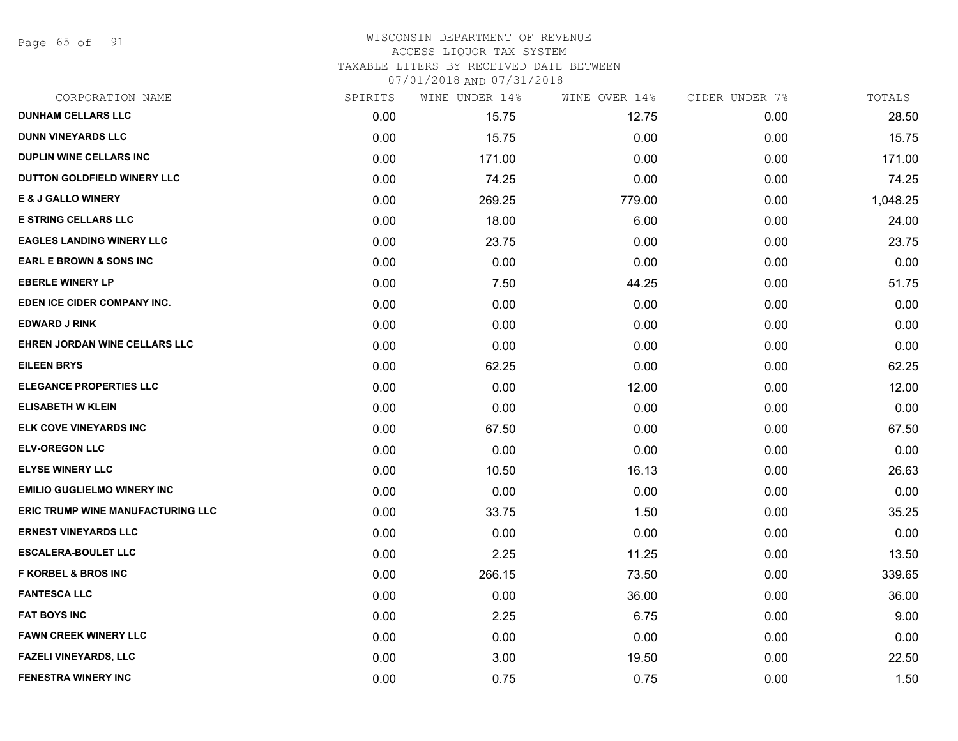Page 65 of 91

# WISCONSIN DEPARTMENT OF REVENUE ACCESS LIQUOR TAX SYSTEM TAXABLE LITERS BY RECEIVED DATE BETWEEN

| CORPORATION NAME                         | SPIRITS | WINE UNDER 14% | WINE OVER 14% | CIDER UNDER 7% | TOTALS   |
|------------------------------------------|---------|----------------|---------------|----------------|----------|
| <b>DUNHAM CELLARS LLC</b>                | 0.00    | 15.75          | 12.75         | 0.00           | 28.50    |
| <b>DUNN VINEYARDS LLC</b>                | 0.00    | 15.75          | 0.00          | 0.00           | 15.75    |
| <b>DUPLIN WINE CELLARS INC</b>           | 0.00    | 171.00         | 0.00          | 0.00           | 171.00   |
| DUTTON GOLDFIELD WINERY LLC              | 0.00    | 74.25          | 0.00          | 0.00           | 74.25    |
| <b>E &amp; J GALLO WINERY</b>            | 0.00    | 269.25         | 779.00        | 0.00           | 1,048.25 |
| <b>E STRING CELLARS LLC</b>              | 0.00    | 18.00          | 6.00          | 0.00           | 24.00    |
| <b>EAGLES LANDING WINERY LLC</b>         | 0.00    | 23.75          | 0.00          | 0.00           | 23.75    |
| <b>EARL E BROWN &amp; SONS INC</b>       | 0.00    | 0.00           | 0.00          | 0.00           | 0.00     |
| <b>EBERLE WINERY LP</b>                  | 0.00    | 7.50           | 44.25         | 0.00           | 51.75    |
| EDEN ICE CIDER COMPANY INC.              | 0.00    | 0.00           | 0.00          | 0.00           | 0.00     |
| <b>EDWARD J RINK</b>                     | 0.00    | 0.00           | 0.00          | 0.00           | 0.00     |
| EHREN JORDAN WINE CELLARS LLC            | 0.00    | 0.00           | 0.00          | 0.00           | 0.00     |
| <b>EILEEN BRYS</b>                       | 0.00    | 62.25          | 0.00          | 0.00           | 62.25    |
| <b>ELEGANCE PROPERTIES LLC</b>           | 0.00    | 0.00           | 12.00         | 0.00           | 12.00    |
| <b>ELISABETH W KLEIN</b>                 | 0.00    | 0.00           | 0.00          | 0.00           | 0.00     |
| ELK COVE VINEYARDS INC                   | 0.00    | 67.50          | 0.00          | 0.00           | 67.50    |
| <b>ELV-OREGON LLC</b>                    | 0.00    | 0.00           | 0.00          | 0.00           | 0.00     |
| <b>ELYSE WINERY LLC</b>                  | 0.00    | 10.50          | 16.13         | 0.00           | 26.63    |
| <b>EMILIO GUGLIELMO WINERY INC</b>       | 0.00    | 0.00           | 0.00          | 0.00           | 0.00     |
| <b>ERIC TRUMP WINE MANUFACTURING LLC</b> | 0.00    | 33.75          | 1.50          | 0.00           | 35.25    |
| <b>ERNEST VINEYARDS LLC</b>              | 0.00    | 0.00           | 0.00          | 0.00           | 0.00     |
| <b>ESCALERA-BOULET LLC</b>               | 0.00    | 2.25           | 11.25         | 0.00           | 13.50    |
| <b>F KORBEL &amp; BROS INC</b>           | 0.00    | 266.15         | 73.50         | 0.00           | 339.65   |
| <b>FANTESCA LLC</b>                      | 0.00    | 0.00           | 36.00         | 0.00           | 36.00    |
| <b>FAT BOYS INC</b>                      | 0.00    | 2.25           | 6.75          | 0.00           | 9.00     |
| <b>FAWN CREEK WINERY LLC</b>             | 0.00    | 0.00           | 0.00          | 0.00           | 0.00     |
| <b>FAZELI VINEYARDS, LLC</b>             | 0.00    | 3.00           | 19.50         | 0.00           | 22.50    |
| <b>FENESTRA WINERY INC</b>               | 0.00    | 0.75           | 0.75          | 0.00           | 1.50     |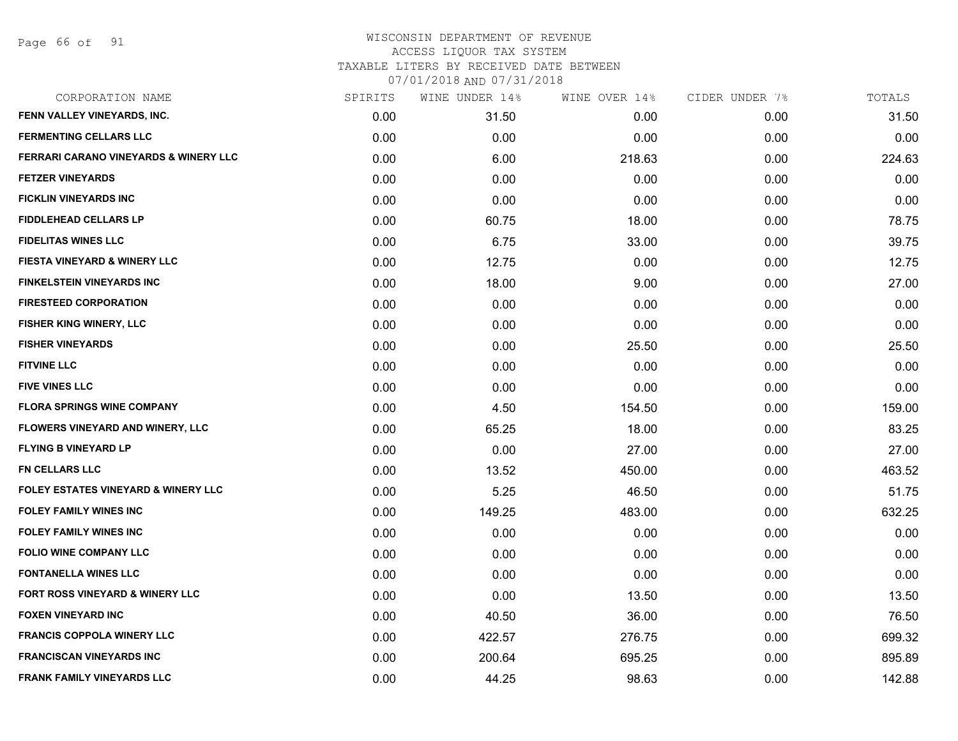Page 66 of 91

| CORPORATION NAME                               | SPIRITS | WINE UNDER 14% | WINE OVER 14% | CIDER UNDER 7% | TOTALS |
|------------------------------------------------|---------|----------------|---------------|----------------|--------|
| FENN VALLEY VINEYARDS, INC.                    | 0.00    | 31.50          | 0.00          | 0.00           | 31.50  |
| <b>FERMENTING CELLARS LLC</b>                  | 0.00    | 0.00           | 0.00          | 0.00           | 0.00   |
| FERRARI CARANO VINEYARDS & WINERY LLC          | 0.00    | 6.00           | 218.63        | 0.00           | 224.63 |
| <b>FETZER VINEYARDS</b>                        | 0.00    | 0.00           | 0.00          | 0.00           | 0.00   |
| <b>FICKLIN VINEYARDS INC</b>                   | 0.00    | 0.00           | 0.00          | 0.00           | 0.00   |
| <b>FIDDLEHEAD CELLARS LP</b>                   | 0.00    | 60.75          | 18.00         | 0.00           | 78.75  |
| <b>FIDELITAS WINES LLC</b>                     | 0.00    | 6.75           | 33.00         | 0.00           | 39.75  |
| <b>FIESTA VINEYARD &amp; WINERY LLC</b>        | 0.00    | 12.75          | 0.00          | 0.00           | 12.75  |
| <b>FINKELSTEIN VINEYARDS INC</b>               | 0.00    | 18.00          | 9.00          | 0.00           | 27.00  |
| <b>FIRESTEED CORPORATION</b>                   | 0.00    | 0.00           | 0.00          | 0.00           | 0.00   |
| <b>FISHER KING WINERY, LLC</b>                 | 0.00    | 0.00           | 0.00          | 0.00           | 0.00   |
| <b>FISHER VINEYARDS</b>                        | 0.00    | 0.00           | 25.50         | 0.00           | 25.50  |
| <b>FITVINE LLC</b>                             | 0.00    | 0.00           | 0.00          | 0.00           | 0.00   |
| <b>FIVE VINES LLC</b>                          | 0.00    | 0.00           | 0.00          | 0.00           | 0.00   |
| <b>FLORA SPRINGS WINE COMPANY</b>              | 0.00    | 4.50           | 154.50        | 0.00           | 159.00 |
| FLOWERS VINEYARD AND WINERY, LLC               | 0.00    | 65.25          | 18.00         | 0.00           | 83.25  |
| <b>FLYING B VINEYARD LP</b>                    | 0.00    | 0.00           | 27.00         | 0.00           | 27.00  |
| <b>FN CELLARS LLC</b>                          | 0.00    | 13.52          | 450.00        | 0.00           | 463.52 |
| <b>FOLEY ESTATES VINEYARD &amp; WINERY LLC</b> | 0.00    | 5.25           | 46.50         | 0.00           | 51.75  |
| <b>FOLEY FAMILY WINES INC</b>                  | 0.00    | 149.25         | 483.00        | 0.00           | 632.25 |
| <b>FOLEY FAMILY WINES INC</b>                  | 0.00    | 0.00           | 0.00          | 0.00           | 0.00   |
| <b>FOLIO WINE COMPANY LLC</b>                  | 0.00    | 0.00           | 0.00          | 0.00           | 0.00   |
| <b>FONTANELLA WINES LLC</b>                    | 0.00    | 0.00           | 0.00          | 0.00           | 0.00   |
| <b>FORT ROSS VINEYARD &amp; WINERY LLC</b>     | 0.00    | 0.00           | 13.50         | 0.00           | 13.50  |
| <b>FOXEN VINEYARD INC</b>                      | 0.00    | 40.50          | 36.00         | 0.00           | 76.50  |
| <b>FRANCIS COPPOLA WINERY LLC</b>              | 0.00    | 422.57         | 276.75        | 0.00           | 699.32 |
| <b>FRANCISCAN VINEYARDS INC</b>                | 0.00    | 200.64         | 695.25        | 0.00           | 895.89 |
| <b>FRANK FAMILY VINEYARDS LLC</b>              | 0.00    | 44.25          | 98.63         | 0.00           | 142.88 |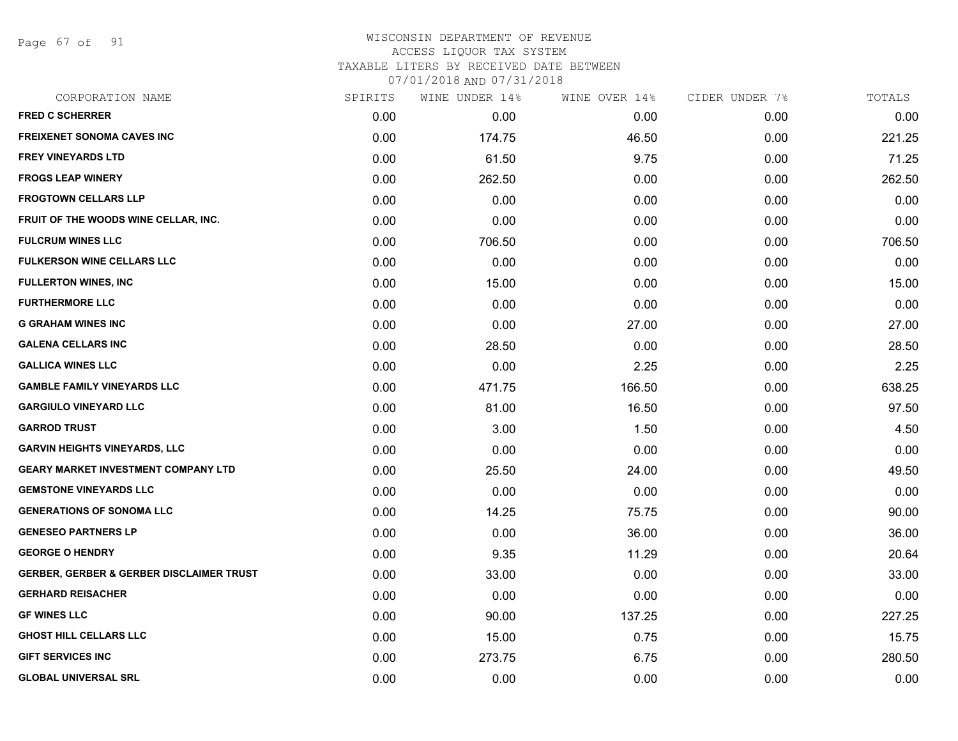Page 67 of 91

## WISCONSIN DEPARTMENT OF REVENUE ACCESS LIQUOR TAX SYSTEM TAXABLE LITERS BY RECEIVED DATE BETWEEN

| CORPORATION NAME                                    | SPIRITS | WINE UNDER 14% | WINE OVER 14% | CIDER UNDER 7% | TOTALS |
|-----------------------------------------------------|---------|----------------|---------------|----------------|--------|
| <b>FRED C SCHERRER</b>                              | 0.00    | 0.00           | 0.00          | 0.00           | 0.00   |
| <b>FREIXENET SONOMA CAVES INC</b>                   | 0.00    | 174.75         | 46.50         | 0.00           | 221.25 |
| <b>FREY VINEYARDS LTD</b>                           | 0.00    | 61.50          | 9.75          | 0.00           | 71.25  |
| <b>FROGS LEAP WINERY</b>                            | 0.00    | 262.50         | 0.00          | 0.00           | 262.50 |
| <b>FROGTOWN CELLARS LLP</b>                         | 0.00    | 0.00           | 0.00          | 0.00           | 0.00   |
| FRUIT OF THE WOODS WINE CELLAR, INC.                | 0.00    | 0.00           | 0.00          | 0.00           | 0.00   |
| <b>FULCRUM WINES LLC</b>                            | 0.00    | 706.50         | 0.00          | 0.00           | 706.50 |
| <b>FULKERSON WINE CELLARS LLC</b>                   | 0.00    | 0.00           | 0.00          | 0.00           | 0.00   |
| <b>FULLERTON WINES, INC.</b>                        | 0.00    | 15.00          | 0.00          | 0.00           | 15.00  |
| <b>FURTHERMORE LLC</b>                              | 0.00    | 0.00           | 0.00          | 0.00           | 0.00   |
| <b>G GRAHAM WINES INC</b>                           | 0.00    | 0.00           | 27.00         | 0.00           | 27.00  |
| <b>GALENA CELLARS INC</b>                           | 0.00    | 28.50          | 0.00          | 0.00           | 28.50  |
| <b>GALLICA WINES LLC</b>                            | 0.00    | 0.00           | 2.25          | 0.00           | 2.25   |
| <b>GAMBLE FAMILY VINEYARDS LLC</b>                  | 0.00    | 471.75         | 166.50        | 0.00           | 638.25 |
| <b>GARGIULO VINEYARD LLC</b>                        | 0.00    | 81.00          | 16.50         | 0.00           | 97.50  |
| <b>GARROD TRUST</b>                                 | 0.00    | 3.00           | 1.50          | 0.00           | 4.50   |
| <b>GARVIN HEIGHTS VINEYARDS, LLC</b>                | 0.00    | 0.00           | 0.00          | 0.00           | 0.00   |
| <b>GEARY MARKET INVESTMENT COMPANY LTD</b>          | 0.00    | 25.50          | 24.00         | 0.00           | 49.50  |
| <b>GEMSTONE VINEYARDS LLC</b>                       | 0.00    | 0.00           | 0.00          | 0.00           | 0.00   |
| <b>GENERATIONS OF SONOMA LLC</b>                    | 0.00    | 14.25          | 75.75         | 0.00           | 90.00  |
| <b>GENESEO PARTNERS LP</b>                          | 0.00    | 0.00           | 36.00         | 0.00           | 36.00  |
| <b>GEORGE O HENDRY</b>                              | 0.00    | 9.35           | 11.29         | 0.00           | 20.64  |
| <b>GERBER, GERBER &amp; GERBER DISCLAIMER TRUST</b> | 0.00    | 33.00          | 0.00          | 0.00           | 33.00  |
| <b>GERHARD REISACHER</b>                            | 0.00    | 0.00           | 0.00          | 0.00           | 0.00   |
| <b>GF WINES LLC</b>                                 | 0.00    | 90.00          | 137.25        | 0.00           | 227.25 |
| <b>GHOST HILL CELLARS LLC</b>                       | 0.00    | 15.00          | 0.75          | 0.00           | 15.75  |
| <b>GIFT SERVICES INC</b>                            | 0.00    | 273.75         | 6.75          | 0.00           | 280.50 |
| <b>GLOBAL UNIVERSAL SRL</b>                         | 0.00    | 0.00           | 0.00          | 0.00           | 0.00   |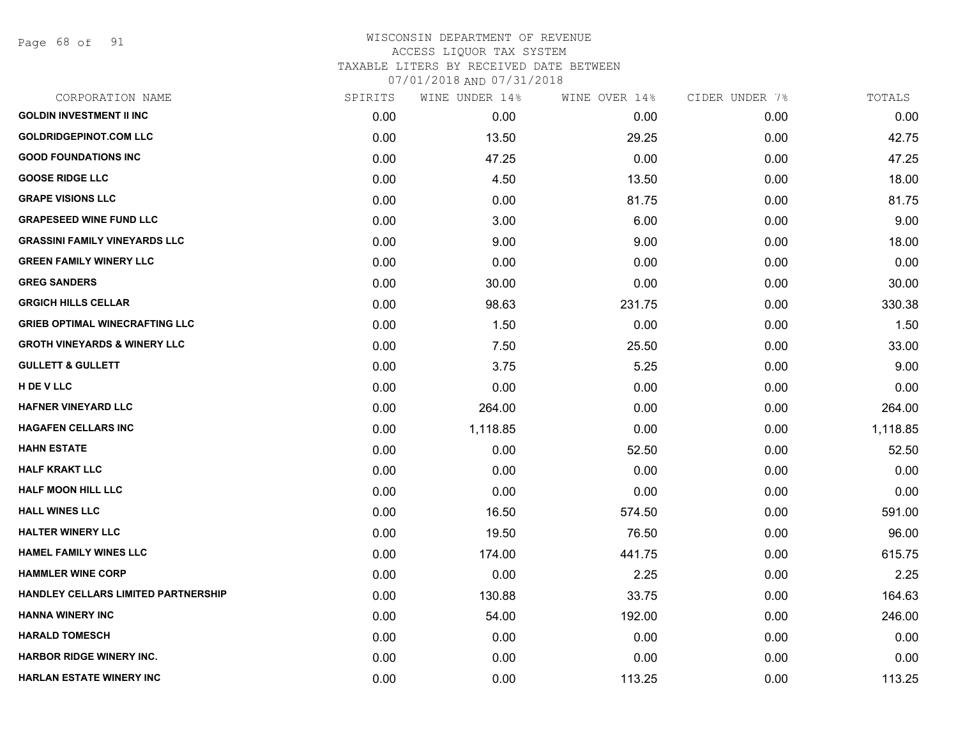Page 68 of 91

| CORPORATION NAME                        | SPIRITS | WINE UNDER 14% | WINE OVER 14% | CIDER UNDER 7% | TOTALS   |
|-----------------------------------------|---------|----------------|---------------|----------------|----------|
| <b>GOLDIN INVESTMENT II INC</b>         | 0.00    | 0.00           | 0.00          | 0.00           | 0.00     |
| <b>GOLDRIDGEPINOT.COM LLC</b>           | 0.00    | 13.50          | 29.25         | 0.00           | 42.75    |
| <b>GOOD FOUNDATIONS INC</b>             | 0.00    | 47.25          | 0.00          | 0.00           | 47.25    |
| <b>GOOSE RIDGE LLC</b>                  | 0.00    | 4.50           | 13.50         | 0.00           | 18.00    |
| <b>GRAPE VISIONS LLC</b>                | 0.00    | 0.00           | 81.75         | 0.00           | 81.75    |
| <b>GRAPESEED WINE FUND LLC</b>          | 0.00    | 3.00           | 6.00          | 0.00           | 9.00     |
| <b>GRASSINI FAMILY VINEYARDS LLC</b>    | 0.00    | 9.00           | 9.00          | 0.00           | 18.00    |
| <b>GREEN FAMILY WINERY LLC</b>          | 0.00    | 0.00           | 0.00          | 0.00           | 0.00     |
| <b>GREG SANDERS</b>                     | 0.00    | 30.00          | 0.00          | 0.00           | 30.00    |
| <b>GRGICH HILLS CELLAR</b>              | 0.00    | 98.63          | 231.75        | 0.00           | 330.38   |
| <b>GRIEB OPTIMAL WINECRAFTING LLC</b>   | 0.00    | 1.50           | 0.00          | 0.00           | 1.50     |
| <b>GROTH VINEYARDS &amp; WINERY LLC</b> | 0.00    | 7.50           | 25.50         | 0.00           | 33.00    |
| <b>GULLETT &amp; GULLETT</b>            | 0.00    | 3.75           | 5.25          | 0.00           | 9.00     |
| H DE V LLC                              | 0.00    | 0.00           | 0.00          | 0.00           | 0.00     |
| <b>HAFNER VINEYARD LLC</b>              | 0.00    | 264.00         | 0.00          | 0.00           | 264.00   |
| <b>HAGAFEN CELLARS INC</b>              | 0.00    | 1,118.85       | 0.00          | 0.00           | 1,118.85 |
| <b>HAHN ESTATE</b>                      | 0.00    | 0.00           | 52.50         | 0.00           | 52.50    |
| <b>HALF KRAKT LLC</b>                   | 0.00    | 0.00           | 0.00          | 0.00           | 0.00     |
| <b>HALF MOON HILL LLC</b>               | 0.00    | 0.00           | 0.00          | 0.00           | 0.00     |
| <b>HALL WINES LLC</b>                   | 0.00    | 16.50          | 574.50        | 0.00           | 591.00   |
| <b>HALTER WINERY LLC</b>                | 0.00    | 19.50          | 76.50         | 0.00           | 96.00    |
| <b>HAMEL FAMILY WINES LLC</b>           | 0.00    | 174.00         | 441.75        | 0.00           | 615.75   |
| <b>HAMMLER WINE CORP</b>                | 0.00    | 0.00           | 2.25          | 0.00           | 2.25     |
| HANDLEY CELLARS LIMITED PARTNERSHIP     | 0.00    | 130.88         | 33.75         | 0.00           | 164.63   |
| HANNA WINERY INC                        | 0.00    | 54.00          | 192.00        | 0.00           | 246.00   |
| <b>HARALD TOMESCH</b>                   | 0.00    | 0.00           | 0.00          | 0.00           | 0.00     |
| <b>HARBOR RIDGE WINERY INC.</b>         | 0.00    | 0.00           | 0.00          | 0.00           | 0.00     |
| HARLAN ESTATE WINERY INC                | 0.00    | 0.00           | 113.25        | 0.00           | 113.25   |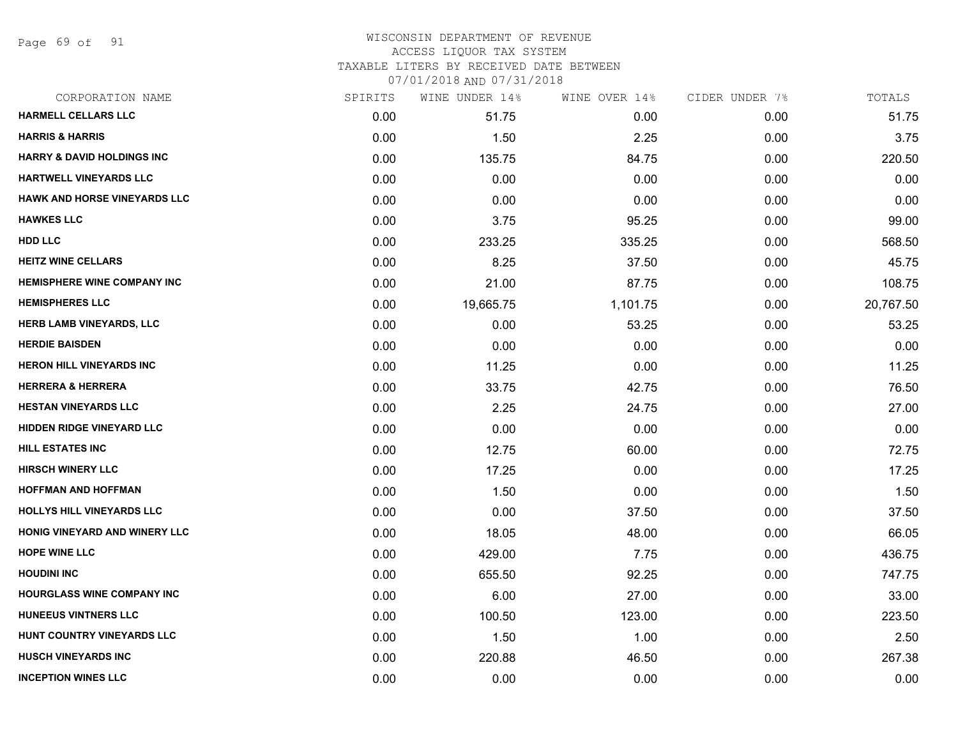Page 69 of 91

#### WISCONSIN DEPARTMENT OF REVENUE ACCESS LIQUOR TAX SYSTEM TAXABLE LITERS BY RECEIVED DATE BETWEEN

| CORPORATION NAME                      | SPIRITS | WINE UNDER 14% | WINE OVER 14% | CIDER UNDER 7% | TOTALS    |
|---------------------------------------|---------|----------------|---------------|----------------|-----------|
| <b>HARMELL CELLARS LLC</b>            | 0.00    | 51.75          | 0.00          | 0.00           | 51.75     |
| <b>HARRIS &amp; HARRIS</b>            | 0.00    | 1.50           | 2.25          | 0.00           | 3.75      |
| <b>HARRY &amp; DAVID HOLDINGS INC</b> | 0.00    | 135.75         | 84.75         | 0.00           | 220.50    |
| <b>HARTWELL VINEYARDS LLC</b>         | 0.00    | 0.00           | 0.00          | 0.00           | 0.00      |
| <b>HAWK AND HORSE VINEYARDS LLC</b>   | 0.00    | 0.00           | 0.00          | 0.00           | 0.00      |
| <b>HAWKES LLC</b>                     | 0.00    | 3.75           | 95.25         | 0.00           | 99.00     |
| <b>HDD LLC</b>                        | 0.00    | 233.25         | 335.25        | 0.00           | 568.50    |
| <b>HEITZ WINE CELLARS</b>             | 0.00    | 8.25           | 37.50         | 0.00           | 45.75     |
| <b>HEMISPHERE WINE COMPANY INC</b>    | 0.00    | 21.00          | 87.75         | 0.00           | 108.75    |
| <b>HEMISPHERES LLC</b>                | 0.00    | 19,665.75      | 1,101.75      | 0.00           | 20,767.50 |
| <b>HERB LAMB VINEYARDS, LLC</b>       | 0.00    | 0.00           | 53.25         | 0.00           | 53.25     |
| <b>HERDIE BAISDEN</b>                 | 0.00    | 0.00           | 0.00          | 0.00           | 0.00      |
| <b>HERON HILL VINEYARDS INC</b>       | 0.00    | 11.25          | 0.00          | 0.00           | 11.25     |
| <b>HERRERA &amp; HERRERA</b>          | 0.00    | 33.75          | 42.75         | 0.00           | 76.50     |
| <b>HESTAN VINEYARDS LLC</b>           | 0.00    | 2.25           | 24.75         | 0.00           | 27.00     |
| <b>HIDDEN RIDGE VINEYARD LLC</b>      | 0.00    | 0.00           | 0.00          | 0.00           | 0.00      |
| HILL ESTATES INC                      | 0.00    | 12.75          | 60.00         | 0.00           | 72.75     |
| <b>HIRSCH WINERY LLC</b>              | 0.00    | 17.25          | 0.00          | 0.00           | 17.25     |
| <b>HOFFMAN AND HOFFMAN</b>            | 0.00    | 1.50           | 0.00          | 0.00           | 1.50      |
| HOLLYS HILL VINEYARDS LLC             | 0.00    | 0.00           | 37.50         | 0.00           | 37.50     |
| HONIG VINEYARD AND WINERY LLC         | 0.00    | 18.05          | 48.00         | 0.00           | 66.05     |
| <b>HOPE WINE LLC</b>                  | 0.00    | 429.00         | 7.75          | 0.00           | 436.75    |
| <b>HOUDINI INC</b>                    | 0.00    | 655.50         | 92.25         | 0.00           | 747.75    |
| <b>HOURGLASS WINE COMPANY INC</b>     | 0.00    | 6.00           | 27.00         | 0.00           | 33.00     |
| <b>HUNEEUS VINTNERS LLC</b>           | 0.00    | 100.50         | 123.00        | 0.00           | 223.50    |
| HUNT COUNTRY VINEYARDS LLC            | 0.00    | 1.50           | 1.00          | 0.00           | 2.50      |
| <b>HUSCH VINEYARDS INC</b>            | 0.00    | 220.88         | 46.50         | 0.00           | 267.38    |
| <b>INCEPTION WINES LLC</b>            | 0.00    | 0.00           | 0.00          | 0.00           | 0.00      |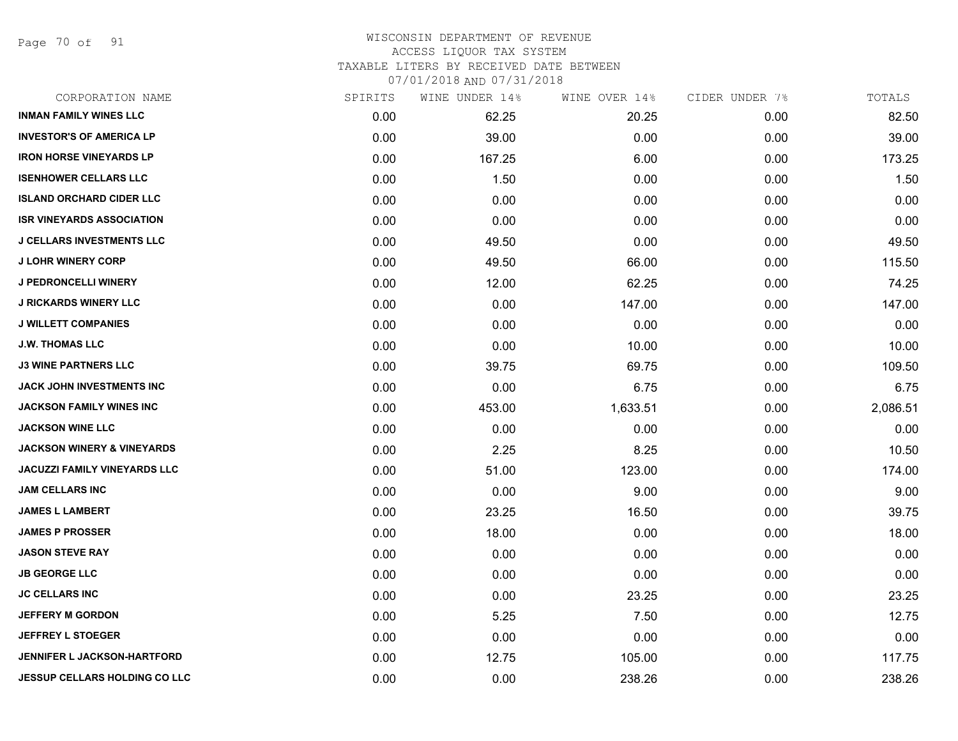Page 70 of 91

#### WISCONSIN DEPARTMENT OF REVENUE ACCESS LIQUOR TAX SYSTEM

TAXABLE LITERS BY RECEIVED DATE BETWEEN

| CORPORATION NAME                      | SPIRITS | WINE UNDER 14% | WINE OVER 14% | CIDER UNDER 7% | TOTALS   |
|---------------------------------------|---------|----------------|---------------|----------------|----------|
| <b>INMAN FAMILY WINES LLC</b>         | 0.00    | 62.25          | 20.25         | 0.00           | 82.50    |
| <b>INVESTOR'S OF AMERICA LP</b>       | 0.00    | 39.00          | 0.00          | 0.00           | 39.00    |
| <b>IRON HORSE VINEYARDS LP</b>        | 0.00    | 167.25         | 6.00          | 0.00           | 173.25   |
| <b>ISENHOWER CELLARS LLC</b>          | 0.00    | 1.50           | 0.00          | 0.00           | 1.50     |
| <b>ISLAND ORCHARD CIDER LLC</b>       | 0.00    | 0.00           | 0.00          | 0.00           | 0.00     |
| <b>ISR VINEYARDS ASSOCIATION</b>      | 0.00    | 0.00           | 0.00          | 0.00           | 0.00     |
| <b>J CELLARS INVESTMENTS LLC</b>      | 0.00    | 49.50          | 0.00          | 0.00           | 49.50    |
| <b>J LOHR WINERY CORP</b>             | 0.00    | 49.50          | 66.00         | 0.00           | 115.50   |
| <b>J PEDRONCELLI WINERY</b>           | 0.00    | 12.00          | 62.25         | 0.00           | 74.25    |
| <b>J RICKARDS WINERY LLC</b>          | 0.00    | 0.00           | 147.00        | 0.00           | 147.00   |
| <b>J WILLETT COMPANIES</b>            | 0.00    | 0.00           | 0.00          | 0.00           | 0.00     |
| <b>J.W. THOMAS LLC</b>                | 0.00    | 0.00           | 10.00         | 0.00           | 10.00    |
| <b>J3 WINE PARTNERS LLC</b>           | 0.00    | 39.75          | 69.75         | 0.00           | 109.50   |
| <b>JACK JOHN INVESTMENTS INC</b>      | 0.00    | 0.00           | 6.75          | 0.00           | 6.75     |
| <b>JACKSON FAMILY WINES INC</b>       | 0.00    | 453.00         | 1,633.51      | 0.00           | 2,086.51 |
| <b>JACKSON WINE LLC</b>               | 0.00    | 0.00           | 0.00          | 0.00           | 0.00     |
| <b>JACKSON WINERY &amp; VINEYARDS</b> | 0.00    | 2.25           | 8.25          | 0.00           | 10.50    |
| JACUZZI FAMILY VINEYARDS LLC          | 0.00    | 51.00          | 123.00        | 0.00           | 174.00   |
| <b>JAM CELLARS INC</b>                | 0.00    | 0.00           | 9.00          | 0.00           | 9.00     |
| <b>JAMES L LAMBERT</b>                | 0.00    | 23.25          | 16.50         | 0.00           | 39.75    |
| <b>JAMES P PROSSER</b>                | 0.00    | 18.00          | 0.00          | 0.00           | 18.00    |
| <b>JASON STEVE RAY</b>                | 0.00    | 0.00           | 0.00          | 0.00           | 0.00     |
| <b>JB GEORGE LLC</b>                  | 0.00    | 0.00           | 0.00          | 0.00           | 0.00     |
| <b>JC CELLARS INC</b>                 | 0.00    | 0.00           | 23.25         | 0.00           | 23.25    |
| <b>JEFFERY M GORDON</b>               | 0.00    | 5.25           | 7.50          | 0.00           | 12.75    |
| <b>JEFFREY L STOEGER</b>              | 0.00    | 0.00           | 0.00          | 0.00           | 0.00     |
| <b>JENNIFER L JACKSON-HARTFORD</b>    | 0.00    | 12.75          | 105.00        | 0.00           | 117.75   |
| <b>JESSUP CELLARS HOLDING CO LLC</b>  | 0.00    | 0.00           | 238.26        | 0.00           | 238.26   |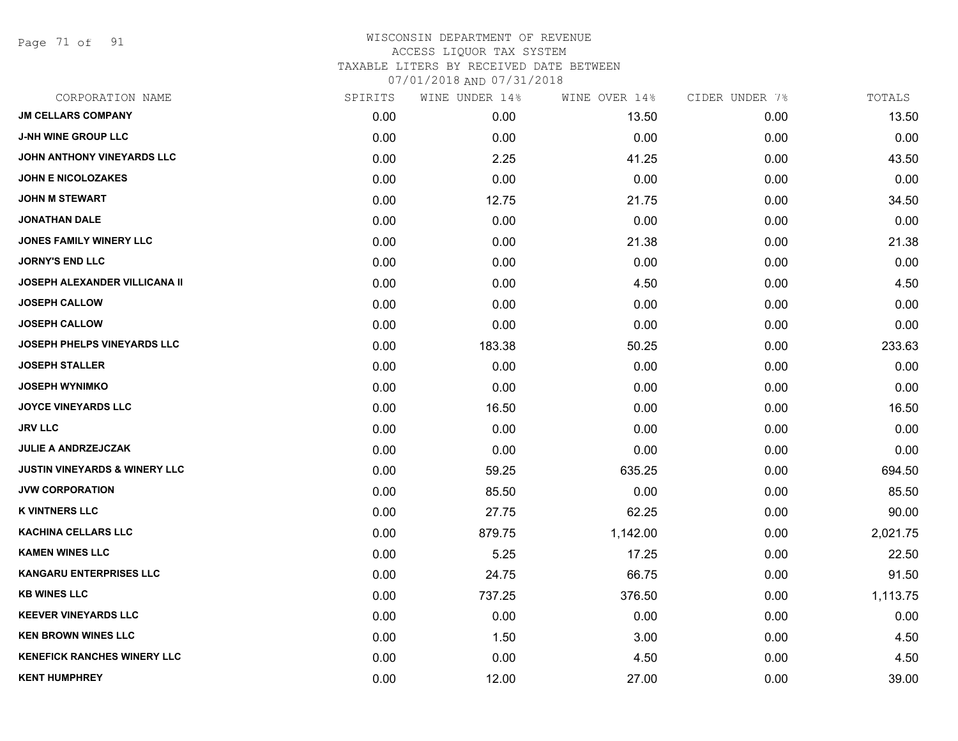Page 71 of 91

|      | WINE UNDER 14% |          |      | TOTALS                          |
|------|----------------|----------|------|---------------------------------|
| 0.00 | 0.00           | 13.50    | 0.00 | 13.50                           |
| 0.00 | 0.00           | 0.00     | 0.00 | 0.00                            |
| 0.00 | 2.25           | 41.25    | 0.00 | 43.50                           |
| 0.00 | 0.00           | 0.00     | 0.00 | 0.00                            |
| 0.00 | 12.75          | 21.75    | 0.00 | 34.50                           |
| 0.00 | 0.00           | 0.00     | 0.00 | 0.00                            |
| 0.00 | 0.00           | 21.38    | 0.00 | 21.38                           |
| 0.00 | 0.00           | 0.00     | 0.00 | 0.00                            |
| 0.00 | 0.00           | 4.50     | 0.00 | 4.50                            |
| 0.00 | 0.00           | 0.00     | 0.00 | 0.00                            |
| 0.00 | 0.00           | 0.00     | 0.00 | 0.00                            |
| 0.00 | 183.38         | 50.25    | 0.00 | 233.63                          |
| 0.00 | 0.00           | 0.00     | 0.00 | 0.00                            |
| 0.00 | 0.00           | 0.00     | 0.00 | 0.00                            |
| 0.00 | 16.50          | 0.00     | 0.00 | 16.50                           |
| 0.00 | 0.00           | 0.00     | 0.00 | 0.00                            |
| 0.00 | 0.00           | 0.00     | 0.00 | 0.00                            |
| 0.00 | 59.25          | 635.25   | 0.00 | 694.50                          |
| 0.00 | 85.50          | 0.00     | 0.00 | 85.50                           |
| 0.00 | 27.75          | 62.25    | 0.00 | 90.00                           |
| 0.00 | 879.75         | 1,142.00 | 0.00 | 2,021.75                        |
| 0.00 | 5.25           | 17.25    | 0.00 | 22.50                           |
| 0.00 | 24.75          | 66.75    | 0.00 | 91.50                           |
| 0.00 | 737.25         | 376.50   | 0.00 | 1,113.75                        |
| 0.00 | 0.00           | 0.00     | 0.00 | 0.00                            |
| 0.00 | 1.50           | 3.00     | 0.00 | 4.50                            |
| 0.00 | 0.00           | 4.50     | 0.00 | 4.50                            |
| 0.00 | 12.00          | 27.00    | 0.00 | 39.00                           |
|      | SPIRITS        |          |      | WINE OVER 14%<br>CIDER UNDER 7% |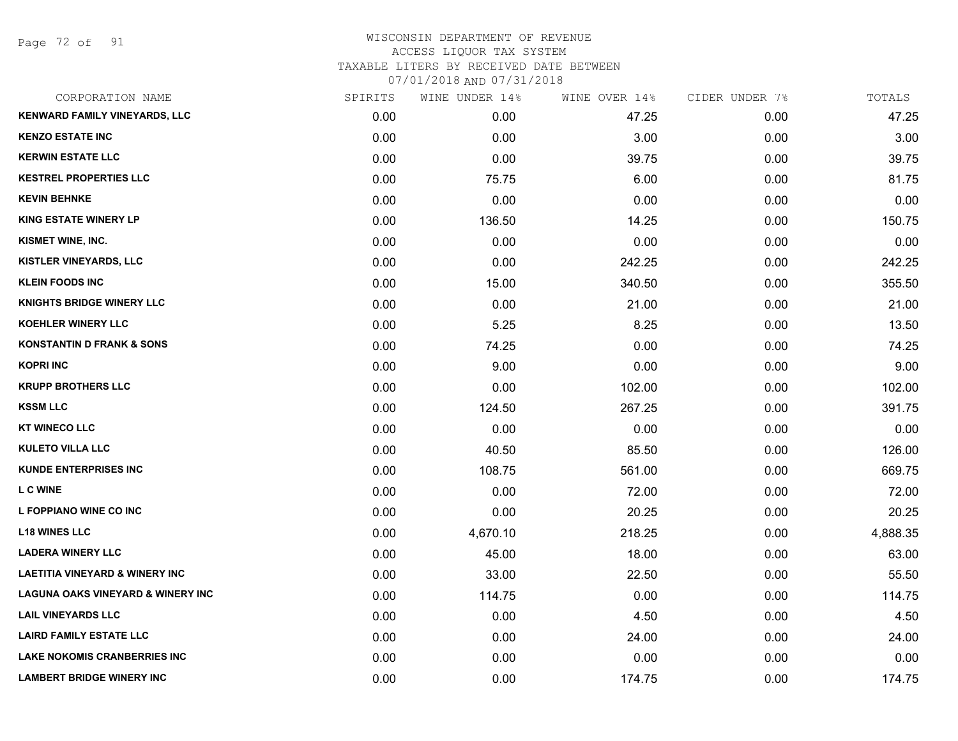Page 72 of 91

| CORPORATION NAME                             | SPIRITS | WINE UNDER 14% | WINE OVER 14% | CIDER UNDER 7% | TOTALS   |
|----------------------------------------------|---------|----------------|---------------|----------------|----------|
| <b>KENWARD FAMILY VINEYARDS, LLC</b>         | 0.00    | 0.00           | 47.25         | 0.00           | 47.25    |
| <b>KENZO ESTATE INC</b>                      | 0.00    | 0.00           | 3.00          | 0.00           | 3.00     |
| <b>KERWIN ESTATE LLC</b>                     | 0.00    | 0.00           | 39.75         | 0.00           | 39.75    |
| <b>KESTREL PROPERTIES LLC</b>                | 0.00    | 75.75          | 6.00          | 0.00           | 81.75    |
| <b>KEVIN BEHNKE</b>                          | 0.00    | 0.00           | 0.00          | 0.00           | 0.00     |
| <b>KING ESTATE WINERY LP</b>                 | 0.00    | 136.50         | 14.25         | 0.00           | 150.75   |
| KISMET WINE, INC.                            | 0.00    | 0.00           | 0.00          | 0.00           | 0.00     |
| KISTLER VINEYARDS, LLC                       | 0.00    | 0.00           | 242.25        | 0.00           | 242.25   |
| <b>KLEIN FOODS INC</b>                       | 0.00    | 15.00          | 340.50        | 0.00           | 355.50   |
| <b>KNIGHTS BRIDGE WINERY LLC</b>             | 0.00    | 0.00           | 21.00         | 0.00           | 21.00    |
| <b>KOEHLER WINERY LLC</b>                    | 0.00    | 5.25           | 8.25          | 0.00           | 13.50    |
| <b>KONSTANTIN D FRANK &amp; SONS</b>         | 0.00    | 74.25          | 0.00          | 0.00           | 74.25    |
| <b>KOPRI INC</b>                             | 0.00    | 9.00           | 0.00          | 0.00           | 9.00     |
| <b>KRUPP BROTHERS LLC</b>                    | 0.00    | 0.00           | 102.00        | 0.00           | 102.00   |
| <b>KSSM LLC</b>                              | 0.00    | 124.50         | 267.25        | 0.00           | 391.75   |
| <b>KT WINECO LLC</b>                         | 0.00    | 0.00           | 0.00          | 0.00           | 0.00     |
| <b>KULETO VILLA LLC</b>                      | 0.00    | 40.50          | 85.50         | 0.00           | 126.00   |
| <b>KUNDE ENTERPRISES INC</b>                 | 0.00    | 108.75         | 561.00        | 0.00           | 669.75   |
| <b>L C WINE</b>                              | 0.00    | 0.00           | 72.00         | 0.00           | 72.00    |
| L FOPPIANO WINE CO INC                       | 0.00    | 0.00           | 20.25         | 0.00           | 20.25    |
| <b>L18 WINES LLC</b>                         | 0.00    | 4,670.10       | 218.25        | 0.00           | 4,888.35 |
| <b>LADERA WINERY LLC</b>                     | 0.00    | 45.00          | 18.00         | 0.00           | 63.00    |
| <b>LAETITIA VINEYARD &amp; WINERY INC</b>    | 0.00    | 33.00          | 22.50         | 0.00           | 55.50    |
| <b>LAGUNA OAKS VINEYARD &amp; WINERY INC</b> | 0.00    | 114.75         | 0.00          | 0.00           | 114.75   |
| <b>LAIL VINEYARDS LLC</b>                    | 0.00    | 0.00           | 4.50          | 0.00           | 4.50     |
| <b>LAIRD FAMILY ESTATE LLC</b>               | 0.00    | 0.00           | 24.00         | 0.00           | 24.00    |
| <b>LAKE NOKOMIS CRANBERRIES INC</b>          | 0.00    | 0.00           | 0.00          | 0.00           | 0.00     |
| <b>LAMBERT BRIDGE WINERY INC</b>             | 0.00    | 0.00           | 174.75        | 0.00           | 174.75   |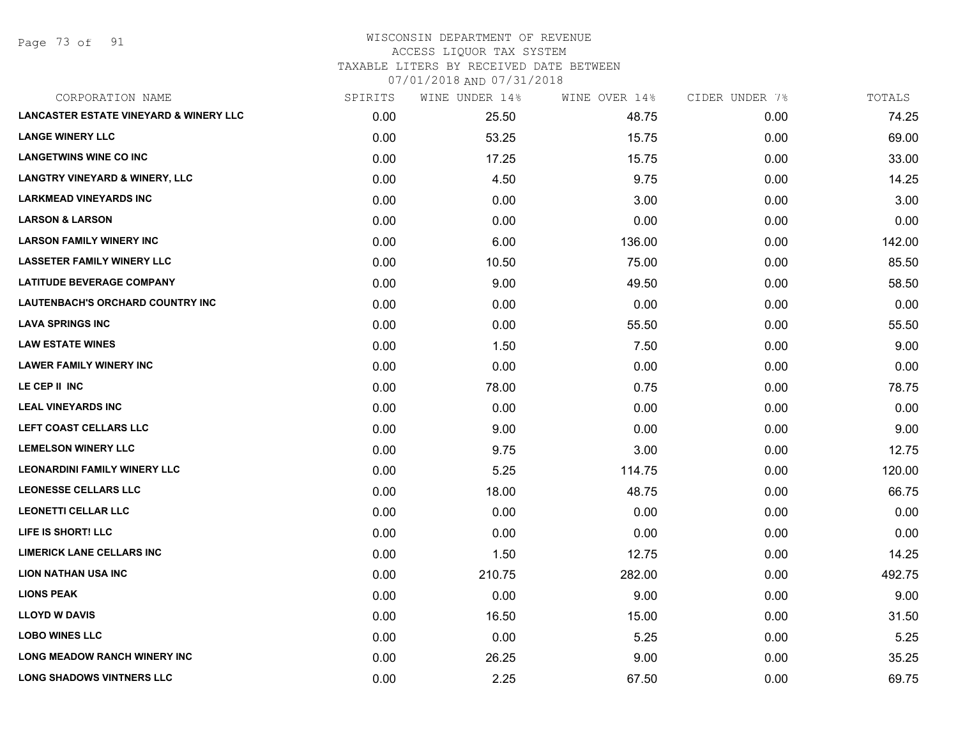Page 73 of 91

## WISCONSIN DEPARTMENT OF REVENUE ACCESS LIQUOR TAX SYSTEM TAXABLE LITERS BY RECEIVED DATE BETWEEN

| CORPORATION NAME                                  | SPIRITS | WINE UNDER 14% | WINE OVER 14% | CIDER UNDER 7% | TOTALS |
|---------------------------------------------------|---------|----------------|---------------|----------------|--------|
| <b>LANCASTER ESTATE VINEYARD &amp; WINERY LLC</b> | 0.00    | 25.50          | 48.75         | 0.00           | 74.25  |
| <b>LANGE WINERY LLC</b>                           | 0.00    | 53.25          | 15.75         | 0.00           | 69.00  |
| <b>LANGETWINS WINE CO INC</b>                     | 0.00    | 17.25          | 15.75         | 0.00           | 33.00  |
| <b>LANGTRY VINEYARD &amp; WINERY, LLC</b>         | 0.00    | 4.50           | 9.75          | 0.00           | 14.25  |
| <b>LARKMEAD VINEYARDS INC</b>                     | 0.00    | 0.00           | 3.00          | 0.00           | 3.00   |
| <b>LARSON &amp; LARSON</b>                        | 0.00    | 0.00           | 0.00          | 0.00           | 0.00   |
| <b>LARSON FAMILY WINERY INC</b>                   | 0.00    | 6.00           | 136.00        | 0.00           | 142.00 |
| <b>LASSETER FAMILY WINERY LLC</b>                 | 0.00    | 10.50          | 75.00         | 0.00           | 85.50  |
| <b>LATITUDE BEVERAGE COMPANY</b>                  | 0.00    | 9.00           | 49.50         | 0.00           | 58.50  |
| LAUTENBACH'S ORCHARD COUNTRY INC                  | 0.00    | 0.00           | 0.00          | 0.00           | 0.00   |
| <b>LAVA SPRINGS INC</b>                           | 0.00    | 0.00           | 55.50         | 0.00           | 55.50  |
| <b>LAW ESTATE WINES</b>                           | 0.00    | 1.50           | 7.50          | 0.00           | 9.00   |
| <b>LAWER FAMILY WINERY INC</b>                    | 0.00    | 0.00           | 0.00          | 0.00           | 0.00   |
| LE CEP II INC                                     | 0.00    | 78.00          | 0.75          | 0.00           | 78.75  |
| <b>LEAL VINEYARDS INC</b>                         | 0.00    | 0.00           | 0.00          | 0.00           | 0.00   |
| LEFT COAST CELLARS LLC                            | 0.00    | 9.00           | 0.00          | 0.00           | 9.00   |
| <b>LEMELSON WINERY LLC</b>                        | 0.00    | 9.75           | 3.00          | 0.00           | 12.75  |
| <b>LEONARDINI FAMILY WINERY LLC</b>               | 0.00    | 5.25           | 114.75        | 0.00           | 120.00 |
| <b>LEONESSE CELLARS LLC</b>                       | 0.00    | 18.00          | 48.75         | 0.00           | 66.75  |
| <b>LEONETTI CELLAR LLC</b>                        | 0.00    | 0.00           | 0.00          | 0.00           | 0.00   |
| LIFE IS SHORT! LLC                                | 0.00    | 0.00           | 0.00          | 0.00           | 0.00   |
| <b>LIMERICK LANE CELLARS INC</b>                  | 0.00    | 1.50           | 12.75         | 0.00           | 14.25  |
| <b>LION NATHAN USA INC</b>                        | 0.00    | 210.75         | 282.00        | 0.00           | 492.75 |
| <b>LIONS PEAK</b>                                 | 0.00    | 0.00           | 9.00          | 0.00           | 9.00   |
| <b>LLOYD W DAVIS</b>                              | 0.00    | 16.50          | 15.00         | 0.00           | 31.50  |
| <b>LOBO WINES LLC</b>                             | 0.00    | 0.00           | 5.25          | 0.00           | 5.25   |
| <b>LONG MEADOW RANCH WINERY INC</b>               | 0.00    | 26.25          | 9.00          | 0.00           | 35.25  |
| <b>LONG SHADOWS VINTNERS LLC</b>                  | 0.00    | 2.25           | 67.50         | 0.00           | 69.75  |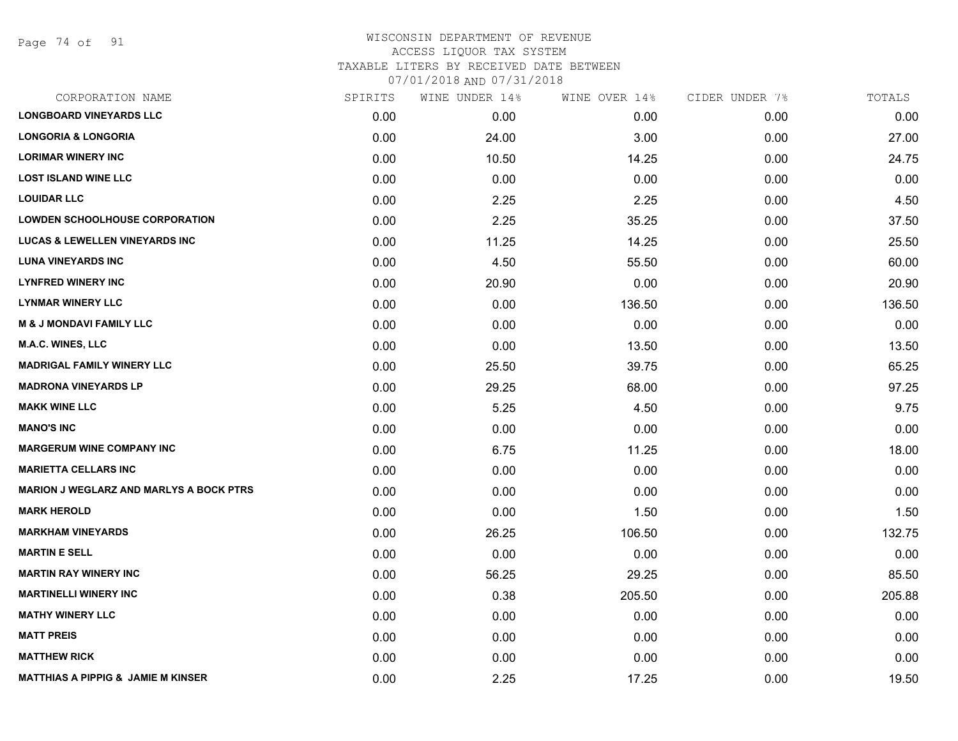Page 74 of 91

| CORPORATION NAME                               | SPIRITS | WINE UNDER 14% | WINE OVER 14% | CIDER UNDER 7% | TOTALS |
|------------------------------------------------|---------|----------------|---------------|----------------|--------|
| <b>LONGBOARD VINEYARDS LLC</b>                 | 0.00    | 0.00           | 0.00          | 0.00           | 0.00   |
| <b>LONGORIA &amp; LONGORIA</b>                 | 0.00    | 24.00          | 3.00          | 0.00           | 27.00  |
| <b>LORIMAR WINERY INC</b>                      | 0.00    | 10.50          | 14.25         | 0.00           | 24.75  |
| <b>LOST ISLAND WINE LLC</b>                    | 0.00    | 0.00           | 0.00          | 0.00           | 0.00   |
| <b>LOUIDAR LLC</b>                             | 0.00    | 2.25           | 2.25          | 0.00           | 4.50   |
| <b>LOWDEN SCHOOLHOUSE CORPORATION</b>          | 0.00    | 2.25           | 35.25         | 0.00           | 37.50  |
| <b>LUCAS &amp; LEWELLEN VINEYARDS INC</b>      | 0.00    | 11.25          | 14.25         | 0.00           | 25.50  |
| <b>LUNA VINEYARDS INC</b>                      | 0.00    | 4.50           | 55.50         | 0.00           | 60.00  |
| <b>LYNFRED WINERY INC</b>                      | 0.00    | 20.90          | 0.00          | 0.00           | 20.90  |
| <b>LYNMAR WINERY LLC</b>                       | 0.00    | 0.00           | 136.50        | 0.00           | 136.50 |
| <b>M &amp; J MONDAVI FAMILY LLC</b>            | 0.00    | 0.00           | 0.00          | 0.00           | 0.00   |
| M.A.C. WINES, LLC                              | 0.00    | 0.00           | 13.50         | 0.00           | 13.50  |
| <b>MADRIGAL FAMILY WINERY LLC</b>              | 0.00    | 25.50          | 39.75         | 0.00           | 65.25  |
| <b>MADRONA VINEYARDS LP</b>                    | 0.00    | 29.25          | 68.00         | 0.00           | 97.25  |
| <b>MAKK WINE LLC</b>                           | 0.00    | 5.25           | 4.50          | 0.00           | 9.75   |
| <b>MANO'S INC</b>                              | 0.00    | 0.00           | 0.00          | 0.00           | 0.00   |
| <b>MARGERUM WINE COMPANY INC</b>               | 0.00    | 6.75           | 11.25         | 0.00           | 18.00  |
| <b>MARIETTA CELLARS INC</b>                    | 0.00    | 0.00           | 0.00          | 0.00           | 0.00   |
| <b>MARION J WEGLARZ AND MARLYS A BOCK PTRS</b> | 0.00    | 0.00           | 0.00          | 0.00           | 0.00   |
| <b>MARK HEROLD</b>                             | 0.00    | 0.00           | 1.50          | 0.00           | 1.50   |
| <b>MARKHAM VINEYARDS</b>                       | 0.00    | 26.25          | 106.50        | 0.00           | 132.75 |
| <b>MARTIN E SELL</b>                           | 0.00    | 0.00           | 0.00          | 0.00           | 0.00   |
| <b>MARTIN RAY WINERY INC</b>                   | 0.00    | 56.25          | 29.25         | 0.00           | 85.50  |
| <b>MARTINELLI WINERY INC</b>                   | 0.00    | 0.38           | 205.50        | 0.00           | 205.88 |
| <b>MATHY WINERY LLC</b>                        | 0.00    | 0.00           | 0.00          | 0.00           | 0.00   |
| <b>MATT PREIS</b>                              | 0.00    | 0.00           | 0.00          | 0.00           | 0.00   |
| <b>MATTHEW RICK</b>                            | 0.00    | 0.00           | 0.00          | 0.00           | 0.00   |
| <b>MATTHIAS A PIPPIG &amp; JAMIE M KINSER</b>  | 0.00    | 2.25           | 17.25         | 0.00           | 19.50  |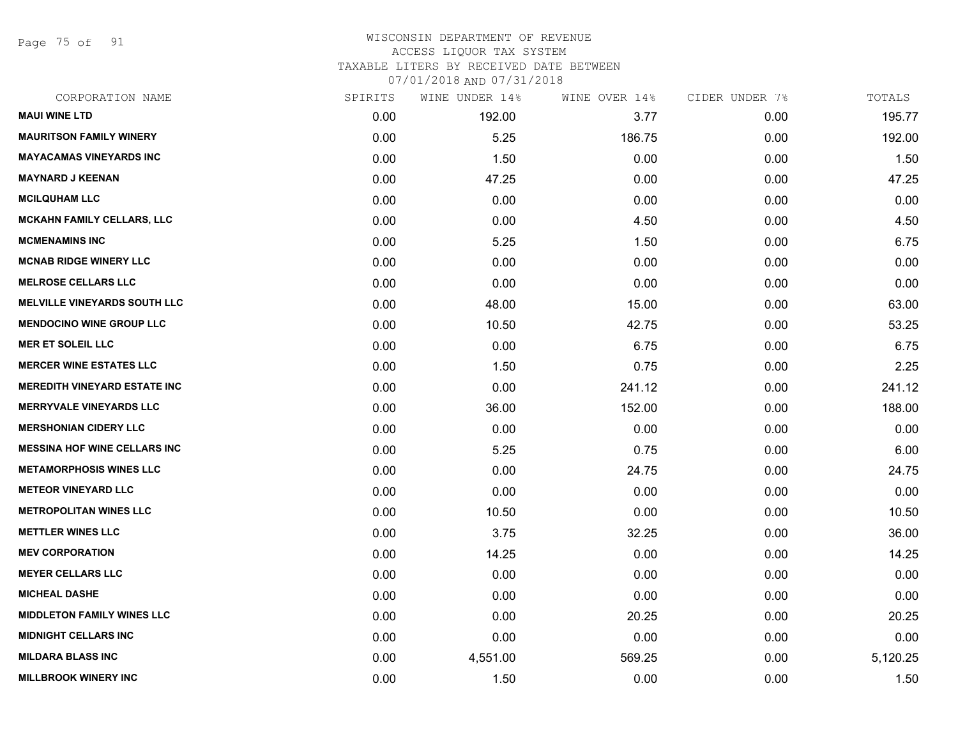Page 75 of 91

## WISCONSIN DEPARTMENT OF REVENUE ACCESS LIQUOR TAX SYSTEM TAXABLE LITERS BY RECEIVED DATE BETWEEN

| CORPORATION NAME                    | SPIRITS | WINE UNDER 14% | WINE OVER 14% | CIDER UNDER 7% | TOTALS   |
|-------------------------------------|---------|----------------|---------------|----------------|----------|
| <b>MAUI WINE LTD</b>                | 0.00    | 192.00         | 3.77          | 0.00           | 195.77   |
| <b>MAURITSON FAMILY WINERY</b>      | 0.00    | 5.25           | 186.75        | 0.00           | 192.00   |
| <b>MAYACAMAS VINEYARDS INC</b>      | 0.00    | 1.50           | 0.00          | 0.00           | 1.50     |
| <b>MAYNARD J KEENAN</b>             | 0.00    | 47.25          | 0.00          | 0.00           | 47.25    |
| <b>MCILQUHAM LLC</b>                | 0.00    | 0.00           | 0.00          | 0.00           | 0.00     |
| <b>MCKAHN FAMILY CELLARS, LLC</b>   | 0.00    | 0.00           | 4.50          | 0.00           | 4.50     |
| <b>MCMENAMINS INC</b>               | 0.00    | 5.25           | 1.50          | 0.00           | 6.75     |
| <b>MCNAB RIDGE WINERY LLC</b>       | 0.00    | 0.00           | 0.00          | 0.00           | 0.00     |
| <b>MELROSE CELLARS LLC</b>          | 0.00    | 0.00           | 0.00          | 0.00           | 0.00     |
| <b>MELVILLE VINEYARDS SOUTH LLC</b> | 0.00    | 48.00          | 15.00         | 0.00           | 63.00    |
| <b>MENDOCINO WINE GROUP LLC</b>     | 0.00    | 10.50          | 42.75         | 0.00           | 53.25    |
| <b>MER ET SOLEIL LLC</b>            | 0.00    | 0.00           | 6.75          | 0.00           | 6.75     |
| <b>MERCER WINE ESTATES LLC</b>      | 0.00    | 1.50           | 0.75          | 0.00           | 2.25     |
| <b>MEREDITH VINEYARD ESTATE INC</b> | 0.00    | 0.00           | 241.12        | 0.00           | 241.12   |
| <b>MERRYVALE VINEYARDS LLC</b>      | 0.00    | 36.00          | 152.00        | 0.00           | 188.00   |
| <b>MERSHONIAN CIDERY LLC</b>        | 0.00    | 0.00           | 0.00          | 0.00           | 0.00     |
| <b>MESSINA HOF WINE CELLARS INC</b> | 0.00    | 5.25           | 0.75          | 0.00           | 6.00     |
| <b>METAMORPHOSIS WINES LLC</b>      | 0.00    | 0.00           | 24.75         | 0.00           | 24.75    |
| <b>METEOR VINEYARD LLC</b>          | 0.00    | 0.00           | 0.00          | 0.00           | 0.00     |
| <b>METROPOLITAN WINES LLC</b>       | 0.00    | 10.50          | 0.00          | 0.00           | 10.50    |
| <b>METTLER WINES LLC</b>            | 0.00    | 3.75           | 32.25         | 0.00           | 36.00    |
| <b>MEV CORPORATION</b>              | 0.00    | 14.25          | 0.00          | 0.00           | 14.25    |
| <b>MEYER CELLARS LLC</b>            | 0.00    | 0.00           | 0.00          | 0.00           | 0.00     |
| <b>MICHEAL DASHE</b>                | 0.00    | 0.00           | 0.00          | 0.00           | 0.00     |
| <b>MIDDLETON FAMILY WINES LLC</b>   | 0.00    | 0.00           | 20.25         | 0.00           | 20.25    |
| <b>MIDNIGHT CELLARS INC</b>         | 0.00    | 0.00           | 0.00          | 0.00           | 0.00     |
| <b>MILDARA BLASS INC</b>            | 0.00    | 4,551.00       | 569.25        | 0.00           | 5,120.25 |
| <b>MILLBROOK WINERY INC</b>         | 0.00    | 1.50           | 0.00          | 0.00           | 1.50     |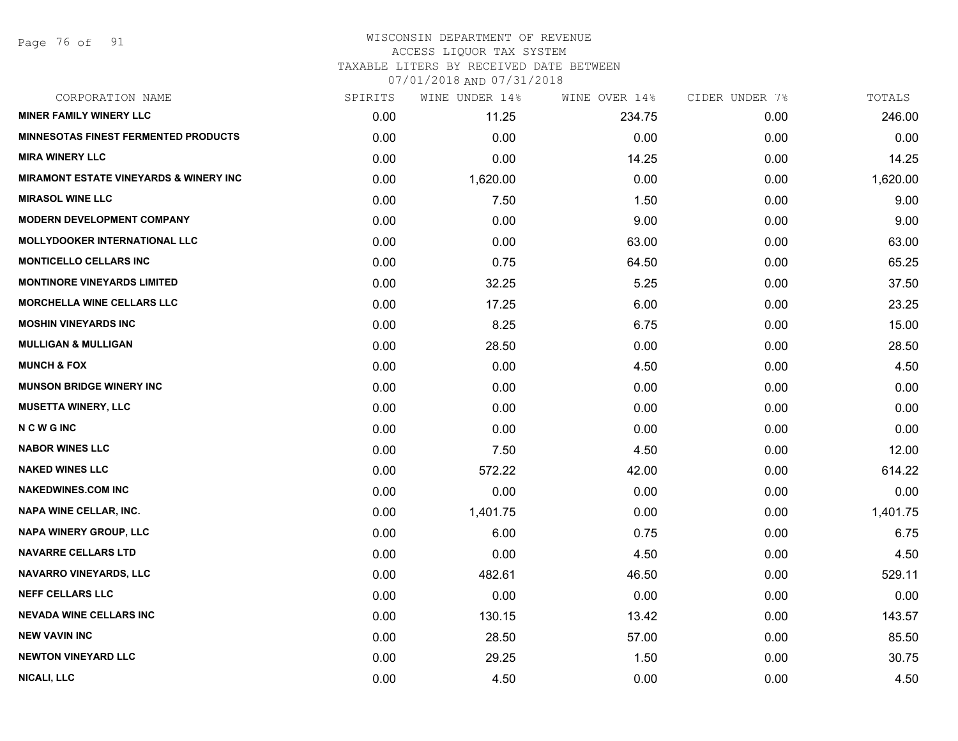Page 76 of 91

#### WISCONSIN DEPARTMENT OF REVENUE ACCESS LIQUOR TAX SYSTEM

TAXABLE LITERS BY RECEIVED DATE BETWEEN

| CORPORATION NAME                                  | SPIRITS | WINE UNDER 14% | WINE OVER 14% | CIDER UNDER 7% | TOTALS   |
|---------------------------------------------------|---------|----------------|---------------|----------------|----------|
| <b>MINER FAMILY WINERY LLC</b>                    | 0.00    | 11.25          | 234.75        | 0.00           | 246.00   |
| <b>MINNESOTAS FINEST FERMENTED PRODUCTS</b>       | 0.00    | 0.00           | 0.00          | 0.00           | 0.00     |
| <b>MIRA WINERY LLC</b>                            | 0.00    | 0.00           | 14.25         | 0.00           | 14.25    |
| <b>MIRAMONT ESTATE VINEYARDS &amp; WINERY INC</b> | 0.00    | 1,620.00       | 0.00          | 0.00           | 1,620.00 |
| <b>MIRASOL WINE LLC</b>                           | 0.00    | 7.50           | 1.50          | 0.00           | 9.00     |
| <b>MODERN DEVELOPMENT COMPANY</b>                 | 0.00    | 0.00           | 9.00          | 0.00           | 9.00     |
| <b>MOLLYDOOKER INTERNATIONAL LLC</b>              | 0.00    | 0.00           | 63.00         | 0.00           | 63.00    |
| <b>MONTICELLO CELLARS INC</b>                     | 0.00    | 0.75           | 64.50         | 0.00           | 65.25    |
| <b>MONTINORE VINEYARDS LIMITED</b>                | 0.00    | 32.25          | 5.25          | 0.00           | 37.50    |
| <b>MORCHELLA WINE CELLARS LLC</b>                 | 0.00    | 17.25          | 6.00          | 0.00           | 23.25    |
| <b>MOSHIN VINEYARDS INC</b>                       | 0.00    | 8.25           | 6.75          | 0.00           | 15.00    |
| <b>MULLIGAN &amp; MULLIGAN</b>                    | 0.00    | 28.50          | 0.00          | 0.00           | 28.50    |
| <b>MUNCH &amp; FOX</b>                            | 0.00    | 0.00           | 4.50          | 0.00           | 4.50     |
| <b>MUNSON BRIDGE WINERY INC</b>                   | 0.00    | 0.00           | 0.00          | 0.00           | 0.00     |
| <b>MUSETTA WINERY, LLC</b>                        | 0.00    | 0.00           | 0.00          | 0.00           | 0.00     |
| <b>NCWGINC</b>                                    | 0.00    | 0.00           | 0.00          | 0.00           | 0.00     |
| <b>NABOR WINES LLC</b>                            | 0.00    | 7.50           | 4.50          | 0.00           | 12.00    |
| <b>NAKED WINES LLC</b>                            | 0.00    | 572.22         | 42.00         | 0.00           | 614.22   |
| <b>NAKEDWINES.COM INC</b>                         | 0.00    | 0.00           | 0.00          | 0.00           | 0.00     |
| <b>NAPA WINE CELLAR, INC.</b>                     | 0.00    | 1,401.75       | 0.00          | 0.00           | 1,401.75 |
| <b>NAPA WINERY GROUP, LLC</b>                     | 0.00    | 6.00           | 0.75          | 0.00           | 6.75     |
| <b>NAVARRE CELLARS LTD</b>                        | 0.00    | 0.00           | 4.50          | 0.00           | 4.50     |
| <b>NAVARRO VINEYARDS, LLC</b>                     | 0.00    | 482.61         | 46.50         | 0.00           | 529.11   |
| <b>NEFF CELLARS LLC</b>                           | 0.00    | 0.00           | 0.00          | 0.00           | 0.00     |
| <b>NEVADA WINE CELLARS INC</b>                    | 0.00    | 130.15         | 13.42         | 0.00           | 143.57   |
| <b>NEW VAVIN INC</b>                              | 0.00    | 28.50          | 57.00         | 0.00           | 85.50    |
| <b>NEWTON VINEYARD LLC</b>                        | 0.00    | 29.25          | 1.50          | 0.00           | 30.75    |
| <b>NICALI, LLC</b>                                | 0.00    | 4.50           | 0.00          | 0.00           | 4.50     |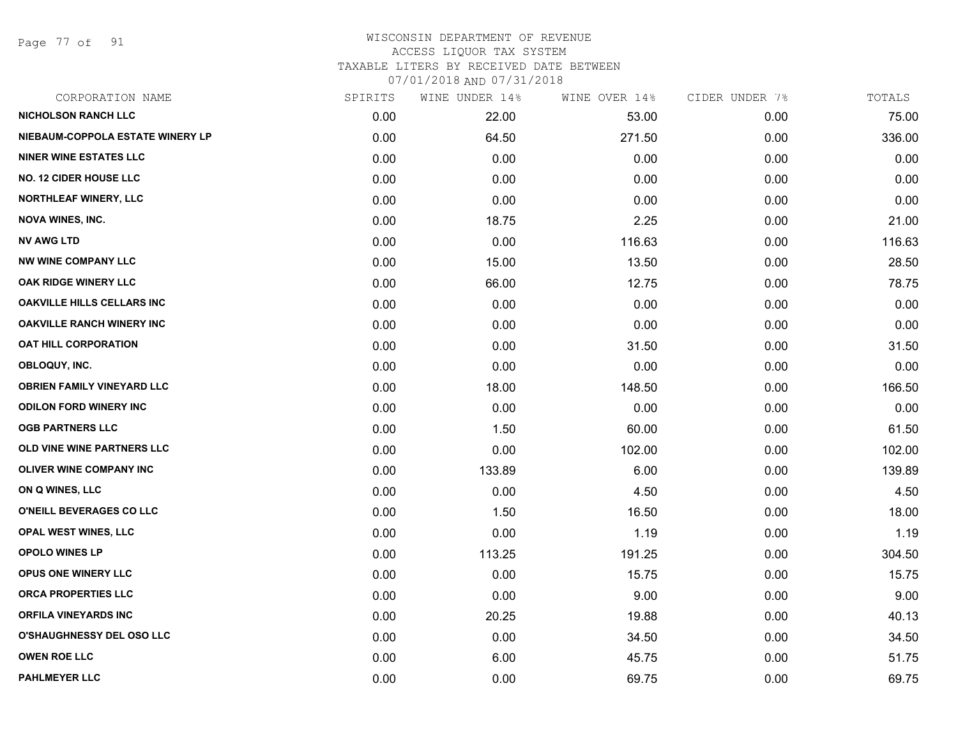Page 77 of 91

| CORPORATION NAME                  | SPIRITS | WINE UNDER 14% | WINE OVER 14% | CIDER UNDER 7% | TOTALS |
|-----------------------------------|---------|----------------|---------------|----------------|--------|
| <b>NICHOLSON RANCH LLC</b>        | 0.00    | 22.00          | 53.00         | 0.00           | 75.00  |
| NIEBAUM-COPPOLA ESTATE WINERY LP  | 0.00    | 64.50          | 271.50        | 0.00           | 336.00 |
| <b>NINER WINE ESTATES LLC</b>     | 0.00    | 0.00           | 0.00          | 0.00           | 0.00   |
| <b>NO. 12 CIDER HOUSE LLC</b>     | 0.00    | 0.00           | 0.00          | 0.00           | 0.00   |
| <b>NORTHLEAF WINERY, LLC</b>      | 0.00    | 0.00           | 0.00          | 0.00           | 0.00   |
| <b>NOVA WINES, INC.</b>           | 0.00    | 18.75          | 2.25          | 0.00           | 21.00  |
| NV AWG LTD                        | 0.00    | 0.00           | 116.63        | 0.00           | 116.63 |
| <b>NW WINE COMPANY LLC</b>        | 0.00    | 15.00          | 13.50         | 0.00           | 28.50  |
| OAK RIDGE WINERY LLC              | 0.00    | 66.00          | 12.75         | 0.00           | 78.75  |
| <b>OAKVILLE HILLS CELLARS INC</b> | 0.00    | 0.00           | 0.00          | 0.00           | 0.00   |
| <b>OAKVILLE RANCH WINERY INC</b>  | 0.00    | 0.00           | 0.00          | 0.00           | 0.00   |
| OAT HILL CORPORATION              | 0.00    | 0.00           | 31.50         | 0.00           | 31.50  |
| OBLOQUY, INC.                     | 0.00    | 0.00           | 0.00          | 0.00           | 0.00   |
| <b>OBRIEN FAMILY VINEYARD LLC</b> | 0.00    | 18.00          | 148.50        | 0.00           | 166.50 |
| <b>ODILON FORD WINERY INC</b>     | 0.00    | 0.00           | 0.00          | 0.00           | 0.00   |
| <b>OGB PARTNERS LLC</b>           | 0.00    | 1.50           | 60.00         | 0.00           | 61.50  |
| OLD VINE WINE PARTNERS LLC        | 0.00    | 0.00           | 102.00        | 0.00           | 102.00 |
| OLIVER WINE COMPANY INC           | 0.00    | 133.89         | 6.00          | 0.00           | 139.89 |
| ON Q WINES, LLC                   | 0.00    | 0.00           | 4.50          | 0.00           | 4.50   |
| O'NEILL BEVERAGES CO LLC          | 0.00    | 1.50           | 16.50         | 0.00           | 18.00  |
| OPAL WEST WINES, LLC              | 0.00    | 0.00           | 1.19          | 0.00           | 1.19   |
| <b>OPOLO WINES LP</b>             | 0.00    | 113.25         | 191.25        | 0.00           | 304.50 |
| <b>OPUS ONE WINERY LLC</b>        | 0.00    | 0.00           | 15.75         | 0.00           | 15.75  |
| <b>ORCA PROPERTIES LLC</b>        | 0.00    | 0.00           | 9.00          | 0.00           | 9.00   |
| <b>ORFILA VINEYARDS INC</b>       | 0.00    | 20.25          | 19.88         | 0.00           | 40.13  |
| <b>O'SHAUGHNESSY DEL OSO LLC</b>  | 0.00    | 0.00           | 34.50         | 0.00           | 34.50  |
| <b>OWEN ROE LLC</b>               | 0.00    | 6.00           | 45.75         | 0.00           | 51.75  |
| <b>PAHLMEYER LLC</b>              | 0.00    | 0.00           | 69.75         | 0.00           | 69.75  |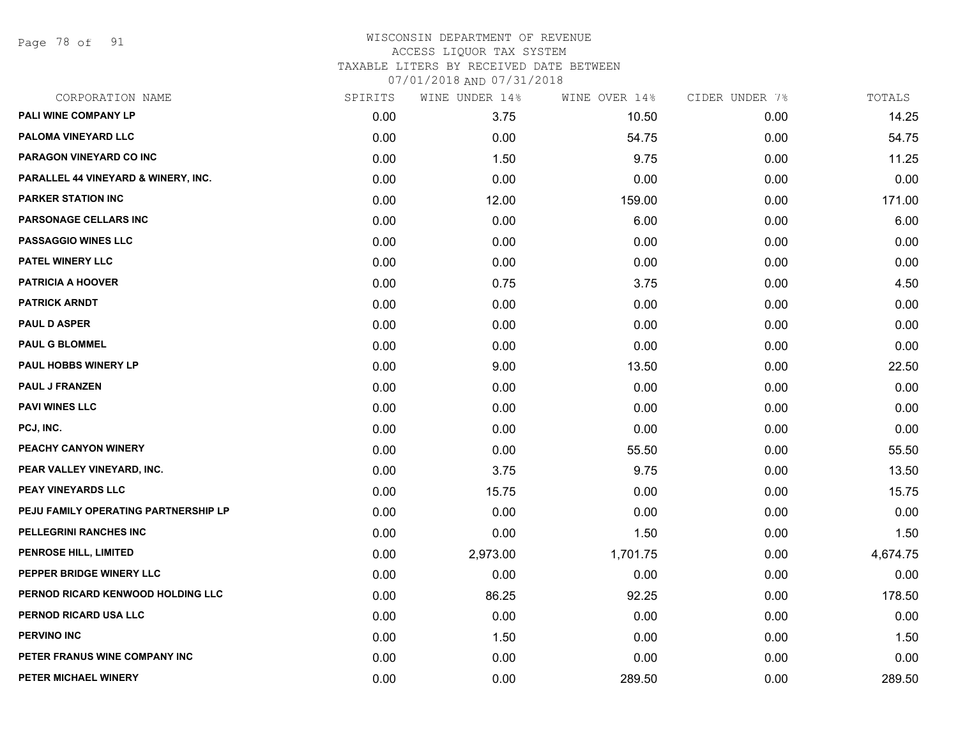Page 78 of 91

| CORPORATION NAME                     | SPIRITS | WINE UNDER 14% | WINE OVER 14% | CIDER UNDER 7% | TOTALS   |
|--------------------------------------|---------|----------------|---------------|----------------|----------|
| PALI WINE COMPANY LP                 | 0.00    | 3.75           | 10.50         | 0.00           | 14.25    |
| PALOMA VINEYARD LLC                  | 0.00    | 0.00           | 54.75         | 0.00           | 54.75    |
| PARAGON VINEYARD CO INC              | 0.00    | 1.50           | 9.75          | 0.00           | 11.25    |
| PARALLEL 44 VINEYARD & WINERY, INC.  | 0.00    | 0.00           | 0.00          | 0.00           | 0.00     |
| <b>PARKER STATION INC</b>            | 0.00    | 12.00          | 159.00        | 0.00           | 171.00   |
| PARSONAGE CELLARS INC                | 0.00    | 0.00           | 6.00          | 0.00           | 6.00     |
| <b>PASSAGGIO WINES LLC</b>           | 0.00    | 0.00           | 0.00          | 0.00           | 0.00     |
| <b>PATEL WINERY LLC</b>              | 0.00    | 0.00           | 0.00          | 0.00           | 0.00     |
| <b>PATRICIA A HOOVER</b>             | 0.00    | 0.75           | 3.75          | 0.00           | 4.50     |
| <b>PATRICK ARNDT</b>                 | 0.00    | 0.00           | 0.00          | 0.00           | 0.00     |
| <b>PAUL D ASPER</b>                  | 0.00    | 0.00           | 0.00          | 0.00           | 0.00     |
| <b>PAUL G BLOMMEL</b>                | 0.00    | 0.00           | 0.00          | 0.00           | 0.00     |
| PAUL HOBBS WINERY LP                 | 0.00    | 9.00           | 13.50         | 0.00           | 22.50    |
| <b>PAUL J FRANZEN</b>                | 0.00    | 0.00           | 0.00          | 0.00           | 0.00     |
| <b>PAVI WINES LLC</b>                | 0.00    | 0.00           | 0.00          | 0.00           | 0.00     |
| PCJ, INC.                            | 0.00    | 0.00           | 0.00          | 0.00           | 0.00     |
| PEACHY CANYON WINERY                 | 0.00    | 0.00           | 55.50         | 0.00           | 55.50    |
| PEAR VALLEY VINEYARD, INC.           | 0.00    | 3.75           | 9.75          | 0.00           | 13.50    |
| <b>PEAY VINEYARDS LLC</b>            | 0.00    | 15.75          | 0.00          | 0.00           | 15.75    |
| PEJU FAMILY OPERATING PARTNERSHIP LP | 0.00    | 0.00           | 0.00          | 0.00           | 0.00     |
| PELLEGRINI RANCHES INC               | 0.00    | 0.00           | 1.50          | 0.00           | 1.50     |
| PENROSE HILL, LIMITED                | 0.00    | 2,973.00       | 1,701.75      | 0.00           | 4,674.75 |
| PEPPER BRIDGE WINERY LLC             | 0.00    | 0.00           | 0.00          | 0.00           | 0.00     |
| PERNOD RICARD KENWOOD HOLDING LLC    | 0.00    | 86.25          | 92.25         | 0.00           | 178.50   |
| PERNOD RICARD USA LLC                | 0.00    | 0.00           | 0.00          | 0.00           | 0.00     |
| <b>PERVINO INC</b>                   | 0.00    | 1.50           | 0.00          | 0.00           | 1.50     |
| PETER FRANUS WINE COMPANY INC        | 0.00    | 0.00           | 0.00          | 0.00           | 0.00     |
| PETER MICHAEL WINERY                 | 0.00    | 0.00           | 289.50        | 0.00           | 289.50   |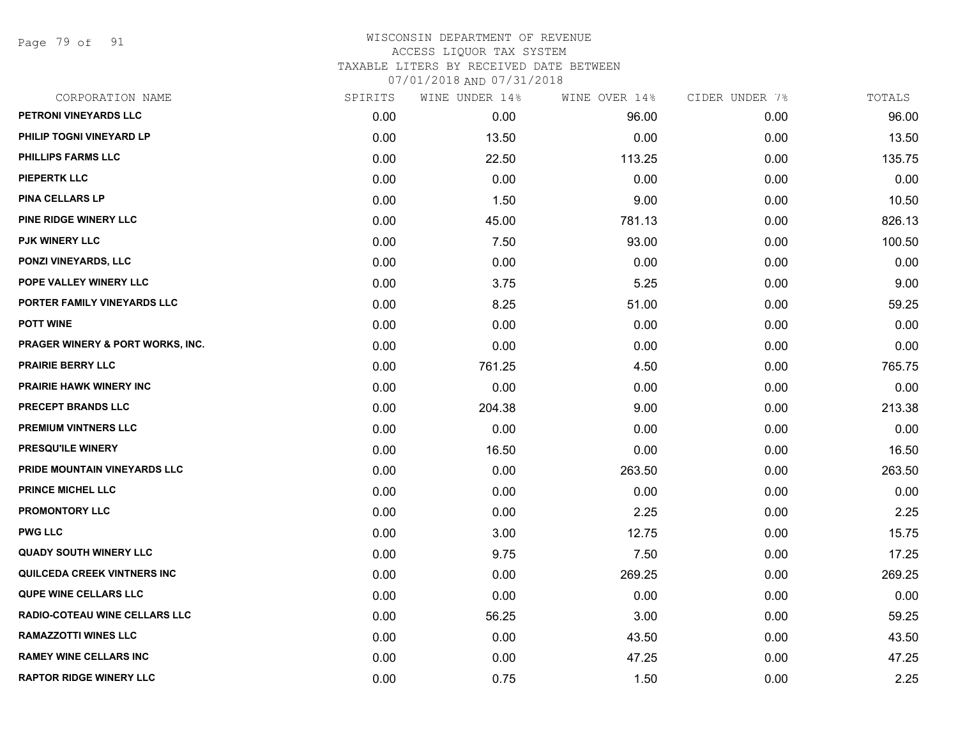Page 79 of 91

| CORPORATION NAME                     | SPIRITS | WINE UNDER 14% | WINE OVER 14% | CIDER UNDER 7% | TOTALS |
|--------------------------------------|---------|----------------|---------------|----------------|--------|
| PETRONI VINEYARDS LLC                | 0.00    | 0.00           | 96.00         | 0.00           | 96.00  |
| PHILIP TOGNI VINEYARD LP             | 0.00    | 13.50          | 0.00          | 0.00           | 13.50  |
| <b>PHILLIPS FARMS LLC</b>            | 0.00    | 22.50          | 113.25        | 0.00           | 135.75 |
| <b>PIEPERTK LLC</b>                  | 0.00    | 0.00           | 0.00          | 0.00           | 0.00   |
| <b>PINA CELLARS LP</b>               | 0.00    | 1.50           | 9.00          | 0.00           | 10.50  |
| PINE RIDGE WINERY LLC                | 0.00    | 45.00          | 781.13        | 0.00           | 826.13 |
| <b>PJK WINERY LLC</b>                | 0.00    | 7.50           | 93.00         | 0.00           | 100.50 |
| <b>PONZI VINEYARDS, LLC</b>          | 0.00    | 0.00           | 0.00          | 0.00           | 0.00   |
| POPE VALLEY WINERY LLC               | 0.00    | 3.75           | 5.25          | 0.00           | 9.00   |
| PORTER FAMILY VINEYARDS LLC          | 0.00    | 8.25           | 51.00         | 0.00           | 59.25  |
| <b>POTT WINE</b>                     | 0.00    | 0.00           | 0.00          | 0.00           | 0.00   |
| PRAGER WINERY & PORT WORKS, INC.     | 0.00    | 0.00           | 0.00          | 0.00           | 0.00   |
| <b>PRAIRIE BERRY LLC</b>             | 0.00    | 761.25         | 4.50          | 0.00           | 765.75 |
| <b>PRAIRIE HAWK WINERY INC</b>       | 0.00    | 0.00           | 0.00          | 0.00           | 0.00   |
| PRECEPT BRANDS LLC                   | 0.00    | 204.38         | 9.00          | 0.00           | 213.38 |
| PREMIUM VINTNERS LLC                 | 0.00    | 0.00           | 0.00          | 0.00           | 0.00   |
| PRESQU'ILE WINERY                    | 0.00    | 16.50          | 0.00          | 0.00           | 16.50  |
| PRIDE MOUNTAIN VINEYARDS LLC         | 0.00    | 0.00           | 263.50        | 0.00           | 263.50 |
| PRINCE MICHEL LLC                    | 0.00    | 0.00           | 0.00          | 0.00           | 0.00   |
| <b>PROMONTORY LLC</b>                | 0.00    | 0.00           | 2.25          | 0.00           | 2.25   |
| <b>PWG LLC</b>                       | 0.00    | 3.00           | 12.75         | 0.00           | 15.75  |
| <b>QUADY SOUTH WINERY LLC</b>        | 0.00    | 9.75           | 7.50          | 0.00           | 17.25  |
| QUILCEDA CREEK VINTNERS INC          | 0.00    | 0.00           | 269.25        | 0.00           | 269.25 |
| <b>QUPE WINE CELLARS LLC</b>         | 0.00    | 0.00           | 0.00          | 0.00           | 0.00   |
| <b>RADIO-COTEAU WINE CELLARS LLC</b> | 0.00    | 56.25          | 3.00          | 0.00           | 59.25  |
| <b>RAMAZZOTTI WINES LLC</b>          | 0.00    | 0.00           | 43.50         | 0.00           | 43.50  |
| <b>RAMEY WINE CELLARS INC</b>        | 0.00    | 0.00           | 47.25         | 0.00           | 47.25  |
| <b>RAPTOR RIDGE WINERY LLC</b>       | 0.00    | 0.75           | 1.50          | 0.00           | 2.25   |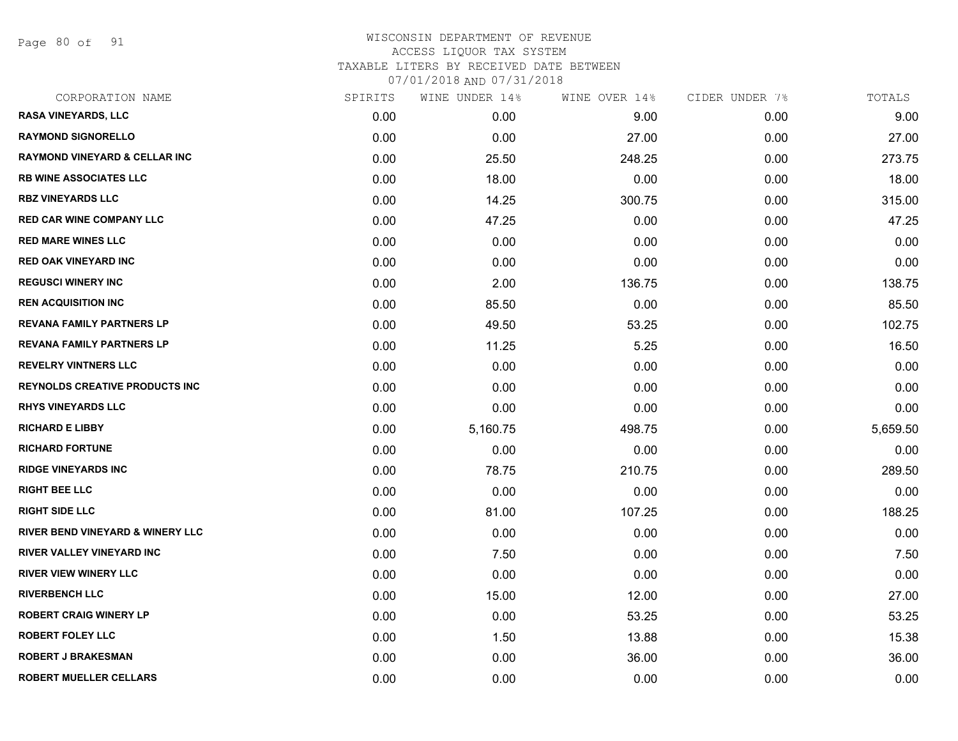Page 80 of 91

| CORPORATION NAME                            | SPIRITS | WINE UNDER 14% | WINE OVER 14% | CIDER UNDER 7% | TOTALS   |
|---------------------------------------------|---------|----------------|---------------|----------------|----------|
| <b>RASA VINEYARDS, LLC</b>                  | 0.00    | 0.00           | 9.00          | 0.00           | 9.00     |
| <b>RAYMOND SIGNORELLO</b>                   | 0.00    | 0.00           | 27.00         | 0.00           | 27.00    |
| <b>RAYMOND VINEYARD &amp; CELLAR INC</b>    | 0.00    | 25.50          | 248.25        | 0.00           | 273.75   |
| <b>RB WINE ASSOCIATES LLC</b>               | 0.00    | 18.00          | 0.00          | 0.00           | 18.00    |
| <b>RBZ VINEYARDS LLC</b>                    | 0.00    | 14.25          | 300.75        | 0.00           | 315.00   |
| <b>RED CAR WINE COMPANY LLC</b>             | 0.00    | 47.25          | 0.00          | 0.00           | 47.25    |
| <b>RED MARE WINES LLC</b>                   | 0.00    | 0.00           | 0.00          | 0.00           | 0.00     |
| <b>RED OAK VINEYARD INC</b>                 | 0.00    | 0.00           | 0.00          | 0.00           | 0.00     |
| <b>REGUSCI WINERY INC</b>                   | 0.00    | 2.00           | 136.75        | 0.00           | 138.75   |
| <b>REN ACQUISITION INC</b>                  | 0.00    | 85.50          | 0.00          | 0.00           | 85.50    |
| <b>REVANA FAMILY PARTNERS LP</b>            | 0.00    | 49.50          | 53.25         | 0.00           | 102.75   |
| <b>REVANA FAMILY PARTNERS LP</b>            | 0.00    | 11.25          | 5.25          | 0.00           | 16.50    |
| <b>REVELRY VINTNERS LLC</b>                 | 0.00    | 0.00           | 0.00          | 0.00           | 0.00     |
| <b>REYNOLDS CREATIVE PRODUCTS INC.</b>      | 0.00    | 0.00           | 0.00          | 0.00           | 0.00     |
| <b>RHYS VINEYARDS LLC</b>                   | 0.00    | 0.00           | 0.00          | 0.00           | 0.00     |
| <b>RICHARD E LIBBY</b>                      | 0.00    | 5,160.75       | 498.75        | 0.00           | 5,659.50 |
| <b>RICHARD FORTUNE</b>                      | 0.00    | 0.00           | 0.00          | 0.00           | 0.00     |
| <b>RIDGE VINEYARDS INC</b>                  | 0.00    | 78.75          | 210.75        | 0.00           | 289.50   |
| <b>RIGHT BEE LLC</b>                        | 0.00    | 0.00           | 0.00          | 0.00           | 0.00     |
| <b>RIGHT SIDE LLC</b>                       | 0.00    | 81.00          | 107.25        | 0.00           | 188.25   |
| <b>RIVER BEND VINEYARD &amp; WINERY LLC</b> | 0.00    | 0.00           | 0.00          | 0.00           | 0.00     |
| <b>RIVER VALLEY VINEYARD INC</b>            | 0.00    | 7.50           | 0.00          | 0.00           | 7.50     |
| <b>RIVER VIEW WINERY LLC</b>                | 0.00    | 0.00           | 0.00          | 0.00           | 0.00     |
| <b>RIVERBENCH LLC</b>                       | 0.00    | 15.00          | 12.00         | 0.00           | 27.00    |
| <b>ROBERT CRAIG WINERY LP</b>               | 0.00    | 0.00           | 53.25         | 0.00           | 53.25    |
| <b>ROBERT FOLEY LLC</b>                     | 0.00    | 1.50           | 13.88         | 0.00           | 15.38    |
| <b>ROBERT J BRAKESMAN</b>                   | 0.00    | 0.00           | 36.00         | 0.00           | 36.00    |
| <b>ROBERT MUELLER CELLARS</b>               | 0.00    | 0.00           | 0.00          | 0.00           | 0.00     |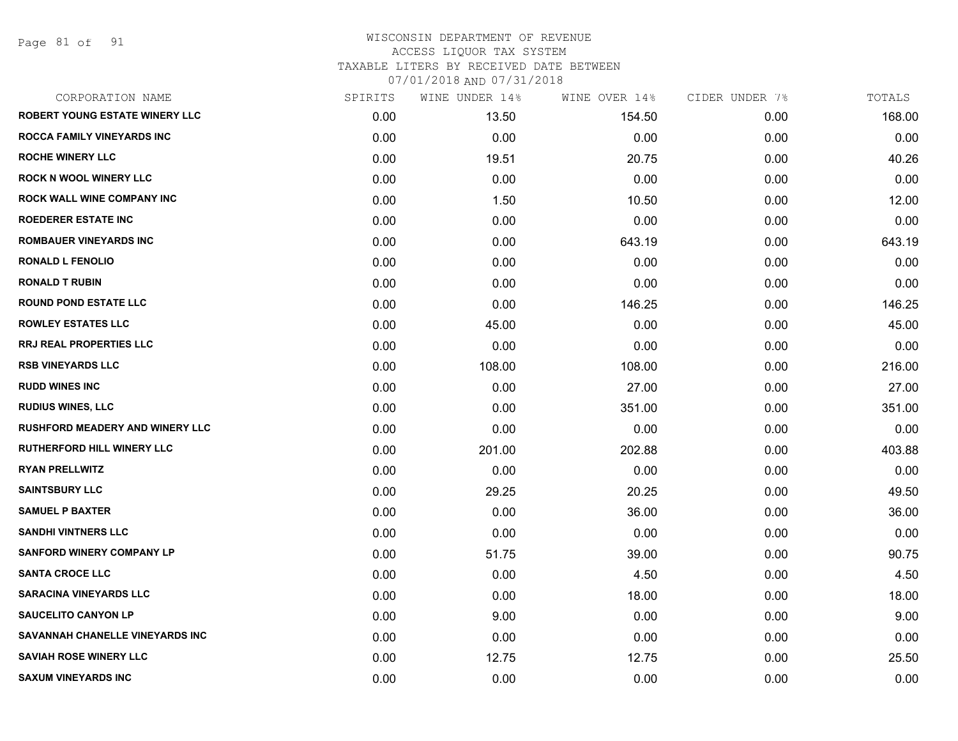Page 81 of 91

| CORPORATION NAME                       | SPIRITS | WINE UNDER 14% | WINE OVER 14% | CIDER UNDER 7% | TOTALS |
|----------------------------------------|---------|----------------|---------------|----------------|--------|
| <b>ROBERT YOUNG ESTATE WINERY LLC</b>  | 0.00    | 13.50          | 154.50        | 0.00           | 168.00 |
| <b>ROCCA FAMILY VINEYARDS INC</b>      | 0.00    | 0.00           | 0.00          | 0.00           | 0.00   |
| <b>ROCHE WINERY LLC</b>                | 0.00    | 19.51          | 20.75         | 0.00           | 40.26  |
| <b>ROCK N WOOL WINERY LLC</b>          | 0.00    | 0.00           | 0.00          | 0.00           | 0.00   |
| <b>ROCK WALL WINE COMPANY INC</b>      | 0.00    | 1.50           | 10.50         | 0.00           | 12.00  |
| <b>ROEDERER ESTATE INC</b>             | 0.00    | 0.00           | 0.00          | 0.00           | 0.00   |
| <b>ROMBAUER VINEYARDS INC</b>          | 0.00    | 0.00           | 643.19        | 0.00           | 643.19 |
| <b>RONALD L FENOLIO</b>                | 0.00    | 0.00           | 0.00          | 0.00           | 0.00   |
| <b>RONALD T RUBIN</b>                  | 0.00    | 0.00           | 0.00          | 0.00           | 0.00   |
| <b>ROUND POND ESTATE LLC</b>           | 0.00    | 0.00           | 146.25        | 0.00           | 146.25 |
| <b>ROWLEY ESTATES LLC</b>              | 0.00    | 45.00          | 0.00          | 0.00           | 45.00  |
| <b>RRJ REAL PROPERTIES LLC</b>         | 0.00    | 0.00           | 0.00          | 0.00           | 0.00   |
| <b>RSB VINEYARDS LLC</b>               | 0.00    | 108.00         | 108.00        | 0.00           | 216.00 |
| <b>RUDD WINES INC</b>                  | 0.00    | 0.00           | 27.00         | 0.00           | 27.00  |
| <b>RUDIUS WINES, LLC</b>               | 0.00    | 0.00           | 351.00        | 0.00           | 351.00 |
| <b>RUSHFORD MEADERY AND WINERY LLC</b> | 0.00    | 0.00           | 0.00          | 0.00           | 0.00   |
| <b>RUTHERFORD HILL WINERY LLC</b>      | 0.00    | 201.00         | 202.88        | 0.00           | 403.88 |
| <b>RYAN PRELLWITZ</b>                  | 0.00    | 0.00           | 0.00          | 0.00           | 0.00   |
| <b>SAINTSBURY LLC</b>                  | 0.00    | 29.25          | 20.25         | 0.00           | 49.50  |
| <b>SAMUEL P BAXTER</b>                 | 0.00    | 0.00           | 36.00         | 0.00           | 36.00  |
| <b>SANDHI VINTNERS LLC</b>             | 0.00    | 0.00           | 0.00          | 0.00           | 0.00   |
| <b>SANFORD WINERY COMPANY LP</b>       | 0.00    | 51.75          | 39.00         | 0.00           | 90.75  |
| <b>SANTA CROCE LLC</b>                 | 0.00    | 0.00           | 4.50          | 0.00           | 4.50   |
| <b>SARACINA VINEYARDS LLC</b>          | 0.00    | 0.00           | 18.00         | 0.00           | 18.00  |
| <b>SAUCELITO CANYON LP</b>             | 0.00    | 9.00           | 0.00          | 0.00           | 9.00   |
| SAVANNAH CHANELLE VINEYARDS INC        | 0.00    | 0.00           | 0.00          | 0.00           | 0.00   |
| <b>SAVIAH ROSE WINERY LLC</b>          | 0.00    | 12.75          | 12.75         | 0.00           | 25.50  |
| <b>SAXUM VINEYARDS INC</b>             | 0.00    | 0.00           | 0.00          | 0.00           | 0.00   |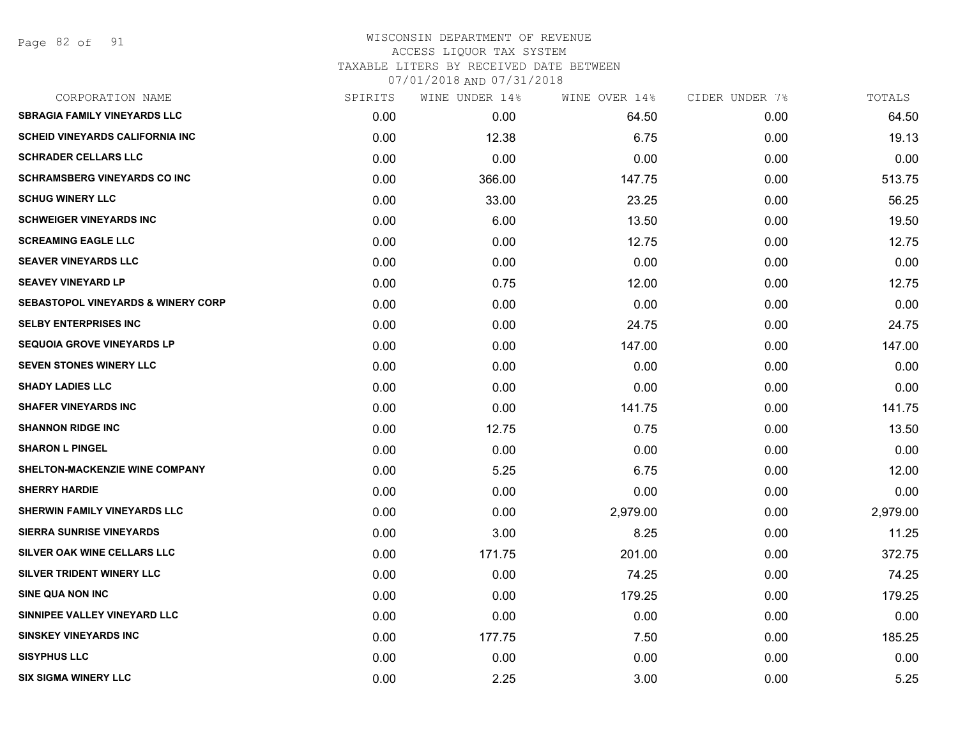### WISCONSIN DEPARTMENT OF REVENUE ACCESS LIQUOR TAX SYSTEM TAXABLE LITERS BY RECEIVED DATE BETWEEN

| CORPORATION NAME                              | SPIRITS | WINE UNDER 14% | WINE OVER 14% | CIDER UNDER 7% | TOTALS   |
|-----------------------------------------------|---------|----------------|---------------|----------------|----------|
| <b>SBRAGIA FAMILY VINEYARDS LLC</b>           | 0.00    | 0.00           | 64.50         | 0.00           | 64.50    |
| <b>SCHEID VINEYARDS CALIFORNIA INC</b>        | 0.00    | 12.38          | 6.75          | 0.00           | 19.13    |
| <b>SCHRADER CELLARS LLC</b>                   | 0.00    | 0.00           | 0.00          | 0.00           | 0.00     |
| <b>SCHRAMSBERG VINEYARDS CO INC</b>           | 0.00    | 366.00         | 147.75        | 0.00           | 513.75   |
| <b>SCHUG WINERY LLC</b>                       | 0.00    | 33.00          | 23.25         | 0.00           | 56.25    |
| <b>SCHWEIGER VINEYARDS INC</b>                | 0.00    | 6.00           | 13.50         | 0.00           | 19.50    |
| <b>SCREAMING EAGLE LLC</b>                    | 0.00    | 0.00           | 12.75         | 0.00           | 12.75    |
| <b>SEAVER VINEYARDS LLC</b>                   | 0.00    | 0.00           | 0.00          | 0.00           | 0.00     |
| <b>SEAVEY VINEYARD LP</b>                     | 0.00    | 0.75           | 12.00         | 0.00           | 12.75    |
| <b>SEBASTOPOL VINEYARDS &amp; WINERY CORP</b> | 0.00    | 0.00           | 0.00          | 0.00           | 0.00     |
| <b>SELBY ENTERPRISES INC</b>                  | 0.00    | 0.00           | 24.75         | 0.00           | 24.75    |
| <b>SEQUOIA GROVE VINEYARDS LP</b>             | 0.00    | 0.00           | 147.00        | 0.00           | 147.00   |
| <b>SEVEN STONES WINERY LLC</b>                | 0.00    | 0.00           | 0.00          | 0.00           | 0.00     |
| <b>SHADY LADIES LLC</b>                       | 0.00    | 0.00           | 0.00          | 0.00           | 0.00     |
| <b>SHAFER VINEYARDS INC</b>                   | 0.00    | 0.00           | 141.75        | 0.00           | 141.75   |
| <b>SHANNON RIDGE INC</b>                      | 0.00    | 12.75          | 0.75          | 0.00           | 13.50    |
| <b>SHARON L PINGEL</b>                        | 0.00    | 0.00           | 0.00          | 0.00           | 0.00     |
| <b>SHELTON-MACKENZIE WINE COMPANY</b>         | 0.00    | 5.25           | 6.75          | 0.00           | 12.00    |
| <b>SHERRY HARDIE</b>                          | 0.00    | 0.00           | 0.00          | 0.00           | 0.00     |
| <b>SHERWIN FAMILY VINEYARDS LLC</b>           | 0.00    | 0.00           | 2,979.00      | 0.00           | 2,979.00 |
| <b>SIERRA SUNRISE VINEYARDS</b>               | 0.00    | 3.00           | 8.25          | 0.00           | 11.25    |
| SILVER OAK WINE CELLARS LLC                   | 0.00    | 171.75         | 201.00        | 0.00           | 372.75   |
| SILVER TRIDENT WINERY LLC                     | 0.00    | 0.00           | 74.25         | 0.00           | 74.25    |
| <b>SINE QUA NON INC</b>                       | 0.00    | 0.00           | 179.25        | 0.00           | 179.25   |
| SINNIPEE VALLEY VINEYARD LLC                  | 0.00    | 0.00           | 0.00          | 0.00           | 0.00     |
| <b>SINSKEY VINEYARDS INC</b>                  | 0.00    | 177.75         | 7.50          | 0.00           | 185.25   |
| <b>SISYPHUS LLC</b>                           | 0.00    | 0.00           | 0.00          | 0.00           | 0.00     |
| <b>SIX SIGMA WINERY LLC</b>                   | 0.00    | 2.25           | 3.00          | 0.00           | 5.25     |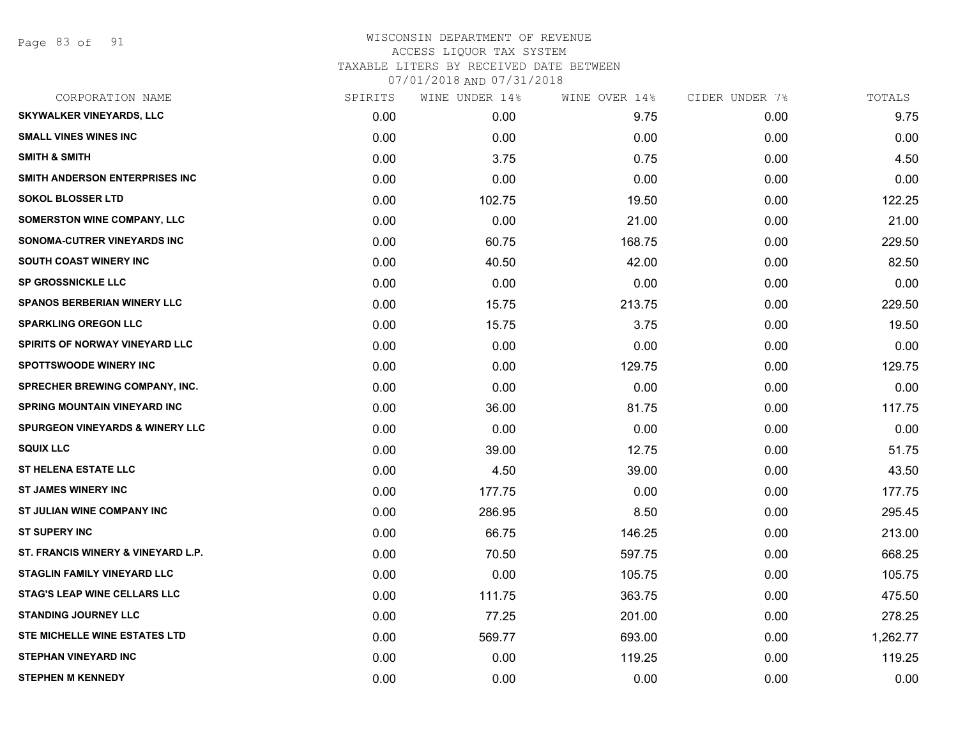| CORPORATION NAME                           | SPIRITS | WINE UNDER 14% | WINE OVER 14% | CIDER UNDER 7% | TOTALS   |
|--------------------------------------------|---------|----------------|---------------|----------------|----------|
| <b>SKYWALKER VINEYARDS, LLC</b>            | 0.00    | 0.00           | 9.75          | 0.00           | 9.75     |
| <b>SMALL VINES WINES INC</b>               | 0.00    | 0.00           | 0.00          | 0.00           | 0.00     |
| <b>SMITH &amp; SMITH</b>                   | 0.00    | 3.75           | 0.75          | 0.00           | 4.50     |
| SMITH ANDERSON ENTERPRISES INC             | 0.00    | 0.00           | 0.00          | 0.00           | 0.00     |
| <b>SOKOL BLOSSER LTD</b>                   | 0.00    | 102.75         | 19.50         | 0.00           | 122.25   |
| SOMERSTON WINE COMPANY, LLC                | 0.00    | 0.00           | 21.00         | 0.00           | 21.00    |
| SONOMA-CUTRER VINEYARDS INC                | 0.00    | 60.75          | 168.75        | 0.00           | 229.50   |
| <b>SOUTH COAST WINERY INC</b>              | 0.00    | 40.50          | 42.00         | 0.00           | 82.50    |
| <b>SP GROSSNICKLE LLC</b>                  | 0.00    | 0.00           | 0.00          | 0.00           | 0.00     |
| <b>SPANOS BERBERIAN WINERY LLC</b>         | 0.00    | 15.75          | 213.75        | 0.00           | 229.50   |
| <b>SPARKLING OREGON LLC</b>                | 0.00    | 15.75          | 3.75          | 0.00           | 19.50    |
| SPIRITS OF NORWAY VINEYARD LLC             | 0.00    | 0.00           | 0.00          | 0.00           | 0.00     |
| <b>SPOTTSWOODE WINERY INC</b>              | 0.00    | 0.00           | 129.75        | 0.00           | 129.75   |
| <b>SPRECHER BREWING COMPANY, INC.</b>      | 0.00    | 0.00           | 0.00          | 0.00           | 0.00     |
| <b>SPRING MOUNTAIN VINEYARD INC</b>        | 0.00    | 36.00          | 81.75         | 0.00           | 117.75   |
| <b>SPURGEON VINEYARDS &amp; WINERY LLC</b> | 0.00    | 0.00           | 0.00          | 0.00           | 0.00     |
| <b>SQUIX LLC</b>                           | 0.00    | 39.00          | 12.75         | 0.00           | 51.75    |
| <b>ST HELENA ESTATE LLC</b>                | 0.00    | 4.50           | 39.00         | 0.00           | 43.50    |
| <b>ST JAMES WINERY INC</b>                 | 0.00    | 177.75         | 0.00          | 0.00           | 177.75   |
| ST JULIAN WINE COMPANY INC                 | 0.00    | 286.95         | 8.50          | 0.00           | 295.45   |
| <b>ST SUPERY INC</b>                       | 0.00    | 66.75          | 146.25        | 0.00           | 213.00   |
| ST. FRANCIS WINERY & VINEYARD L.P.         | 0.00    | 70.50          | 597.75        | 0.00           | 668.25   |
| <b>STAGLIN FAMILY VINEYARD LLC</b>         | 0.00    | 0.00           | 105.75        | 0.00           | 105.75   |
| <b>STAG'S LEAP WINE CELLARS LLC</b>        | 0.00    | 111.75         | 363.75        | 0.00           | 475.50   |
| <b>STANDING JOURNEY LLC</b>                | 0.00    | 77.25          | 201.00        | 0.00           | 278.25   |
| STE MICHELLE WINE ESTATES LTD              | 0.00    | 569.77         | 693.00        | 0.00           | 1,262.77 |
| <b>STEPHAN VINEYARD INC</b>                | 0.00    | 0.00           | 119.25        | 0.00           | 119.25   |
| <b>STEPHEN M KENNEDY</b>                   | 0.00    | 0.00           | 0.00          | 0.00           | 0.00     |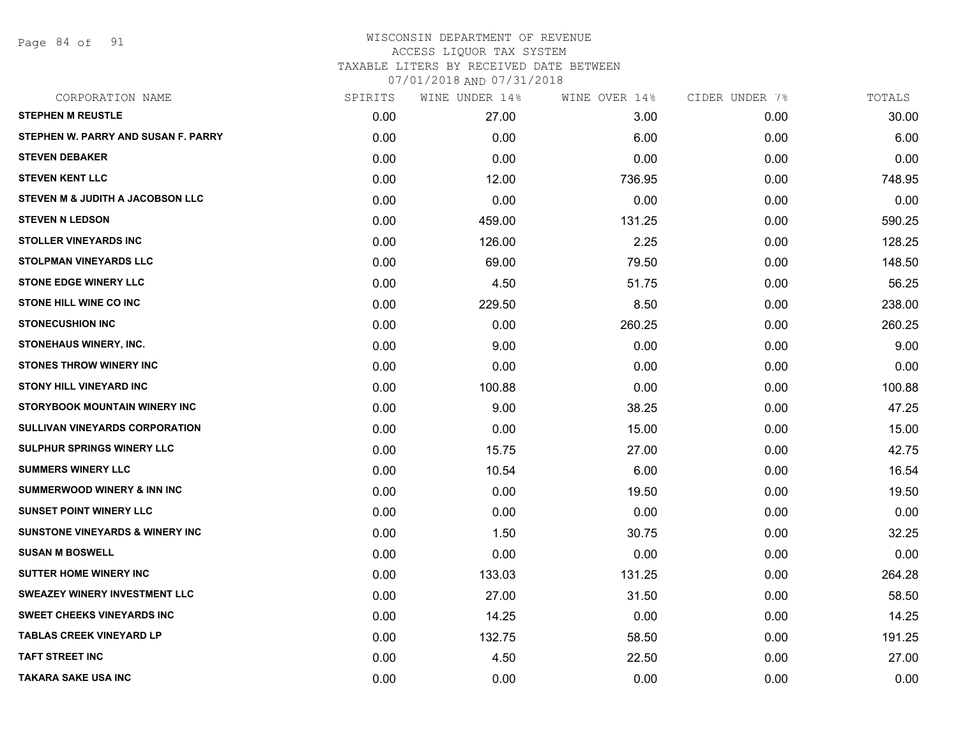Page 84 of 91

# WISCONSIN DEPARTMENT OF REVENUE ACCESS LIQUOR TAX SYSTEM TAXABLE LITERS BY RECEIVED DATE BETWEEN

| 07/01/2018 AND 07/31/2018 |  |
|---------------------------|--|
|---------------------------|--|

| CORPORATION NAME                            | SPIRITS | WINE UNDER 14% | WINE OVER 14% | CIDER UNDER 7% | TOTALS |
|---------------------------------------------|---------|----------------|---------------|----------------|--------|
| <b>STEPHEN M REUSTLE</b>                    | 0.00    | 27.00          | 3.00          | 0.00           | 30.00  |
| STEPHEN W. PARRY AND SUSAN F. PARRY         | 0.00    | 0.00           | 6.00          | 0.00           | 6.00   |
| <b>STEVEN DEBAKER</b>                       | 0.00    | 0.00           | 0.00          | 0.00           | 0.00   |
| <b>STEVEN KENT LLC</b>                      | 0.00    | 12.00          | 736.95        | 0.00           | 748.95 |
| STEVEN M & JUDITH A JACOBSON LLC            | 0.00    | 0.00           | 0.00          | 0.00           | 0.00   |
| <b>STEVEN N LEDSON</b>                      | 0.00    | 459.00         | 131.25        | 0.00           | 590.25 |
| <b>STOLLER VINEYARDS INC</b>                | 0.00    | 126.00         | 2.25          | 0.00           | 128.25 |
| <b>STOLPMAN VINEYARDS LLC</b>               | 0.00    | 69.00          | 79.50         | 0.00           | 148.50 |
| <b>STONE EDGE WINERY LLC</b>                | 0.00    | 4.50           | 51.75         | 0.00           | 56.25  |
| <b>STONE HILL WINE CO INC</b>               | 0.00    | 229.50         | 8.50          | 0.00           | 238.00 |
| <b>STONECUSHION INC</b>                     | 0.00    | 0.00           | 260.25        | 0.00           | 260.25 |
| STONEHAUS WINERY, INC.                      | 0.00    | 9.00           | 0.00          | 0.00           | 9.00   |
| <b>STONES THROW WINERY INC</b>              | 0.00    | 0.00           | 0.00          | 0.00           | 0.00   |
| <b>STONY HILL VINEYARD INC</b>              | 0.00    | 100.88         | 0.00          | 0.00           | 100.88 |
| STORYBOOK MOUNTAIN WINERY INC               | 0.00    | 9.00           | 38.25         | 0.00           | 47.25  |
| <b>SULLIVAN VINEYARDS CORPORATION</b>       | 0.00    | 0.00           | 15.00         | 0.00           | 15.00  |
| <b>SULPHUR SPRINGS WINERY LLC</b>           | 0.00    | 15.75          | 27.00         | 0.00           | 42.75  |
| <b>SUMMERS WINERY LLC</b>                   | 0.00    | 10.54          | 6.00          | 0.00           | 16.54  |
| <b>SUMMERWOOD WINERY &amp; INN INC</b>      | 0.00    | 0.00           | 19.50         | 0.00           | 19.50  |
| <b>SUNSET POINT WINERY LLC</b>              | 0.00    | 0.00           | 0.00          | 0.00           | 0.00   |
| <b>SUNSTONE VINEYARDS &amp; WINERY INC.</b> | 0.00    | 1.50           | 30.75         | 0.00           | 32.25  |
| <b>SUSAN M BOSWELL</b>                      | 0.00    | 0.00           | 0.00          | 0.00           | 0.00   |
| <b>SUTTER HOME WINERY INC.</b>              | 0.00    | 133.03         | 131.25        | 0.00           | 264.28 |
| <b>SWEAZEY WINERY INVESTMENT LLC</b>        | 0.00    | 27.00          | 31.50         | 0.00           | 58.50  |
| <b>SWEET CHEEKS VINEYARDS INC</b>           | 0.00    | 14.25          | 0.00          | 0.00           | 14.25  |
| <b>TABLAS CREEK VINEYARD LP</b>             | 0.00    | 132.75         | 58.50         | 0.00           | 191.25 |
| <b>TAFT STREET INC</b>                      | 0.00    | 4.50           | 22.50         | 0.00           | 27.00  |
| <b>TAKARA SAKE USA INC</b>                  | 0.00    | 0.00           | 0.00          | 0.00           | 0.00   |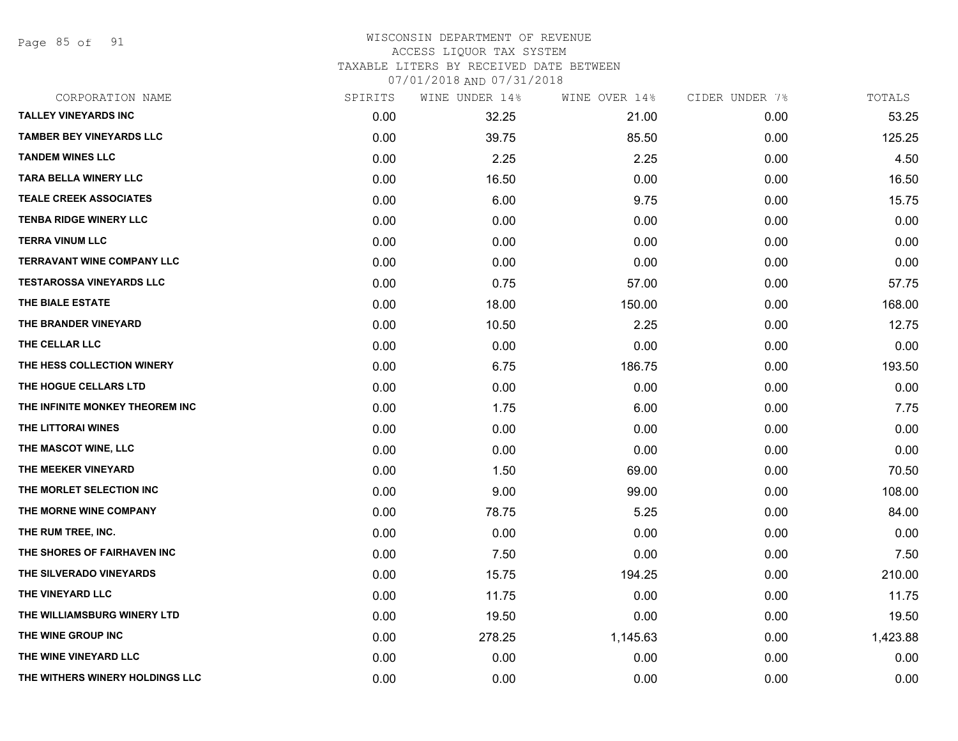Page 85 of 91

#### WISCONSIN DEPARTMENT OF REVENUE ACCESS LIQUOR TAX SYSTEM TAXABLE LITERS BY RECEIVED DATE BETWEEN

| CORPORATION NAME                  | SPIRITS | WINE UNDER 14% | WINE OVER 14% | CIDER UNDER 7% | TOTALS   |
|-----------------------------------|---------|----------------|---------------|----------------|----------|
| <b>TALLEY VINEYARDS INC</b>       | 0.00    | 32.25          | 21.00         | 0.00           | 53.25    |
| <b>TAMBER BEY VINEYARDS LLC</b>   | 0.00    | 39.75          | 85.50         | 0.00           | 125.25   |
| <b>TANDEM WINES LLC</b>           | 0.00    | 2.25           | 2.25          | 0.00           | 4.50     |
| <b>TARA BELLA WINERY LLC</b>      | 0.00    | 16.50          | 0.00          | 0.00           | 16.50    |
| <b>TEALE CREEK ASSOCIATES</b>     | 0.00    | 6.00           | 9.75          | 0.00           | 15.75    |
| <b>TENBA RIDGE WINERY LLC</b>     | 0.00    | 0.00           | 0.00          | 0.00           | 0.00     |
| <b>TERRA VINUM LLC</b>            | 0.00    | 0.00           | 0.00          | 0.00           | 0.00     |
| <b>TERRAVANT WINE COMPANY LLC</b> | 0.00    | 0.00           | 0.00          | 0.00           | 0.00     |
| <b>TESTAROSSA VINEYARDS LLC</b>   | 0.00    | 0.75           | 57.00         | 0.00           | 57.75    |
| THE BIALE ESTATE                  | 0.00    | 18.00          | 150.00        | 0.00           | 168.00   |
| THE BRANDER VINEYARD              | 0.00    | 10.50          | 2.25          | 0.00           | 12.75    |
| THE CELLAR LLC                    | 0.00    | 0.00           | 0.00          | 0.00           | 0.00     |
| THE HESS COLLECTION WINERY        | 0.00    | 6.75           | 186.75        | 0.00           | 193.50   |
| THE HOGUE CELLARS LTD             | 0.00    | 0.00           | 0.00          | 0.00           | 0.00     |
| THE INFINITE MONKEY THEOREM INC   | 0.00    | 1.75           | 6.00          | 0.00           | 7.75     |
| THE LITTORAI WINES                | 0.00    | 0.00           | 0.00          | 0.00           | 0.00     |
| THE MASCOT WINE, LLC              | 0.00    | 0.00           | 0.00          | 0.00           | 0.00     |
| THE MEEKER VINEYARD               | 0.00    | 1.50           | 69.00         | 0.00           | 70.50    |
| THE MORLET SELECTION INC          | 0.00    | 9.00           | 99.00         | 0.00           | 108.00   |
| THE MORNE WINE COMPANY            | 0.00    | 78.75          | 5.25          | 0.00           | 84.00    |
| THE RUM TREE, INC.                | 0.00    | 0.00           | 0.00          | 0.00           | 0.00     |
| THE SHORES OF FAIRHAVEN INC       | 0.00    | 7.50           | 0.00          | 0.00           | 7.50     |
| THE SILVERADO VINEYARDS           | 0.00    | 15.75          | 194.25        | 0.00           | 210.00   |
| THE VINEYARD LLC                  | 0.00    | 11.75          | 0.00          | 0.00           | 11.75    |
| THE WILLIAMSBURG WINERY LTD       | 0.00    | 19.50          | 0.00          | 0.00           | 19.50    |
| THE WINE GROUP INC                | 0.00    | 278.25         | 1,145.63      | 0.00           | 1,423.88 |
| THE WINE VINEYARD LLC             | 0.00    | 0.00           | 0.00          | 0.00           | 0.00     |
| THE WITHERS WINERY HOLDINGS LLC   | 0.00    | 0.00           | 0.00          | 0.00           | 0.00     |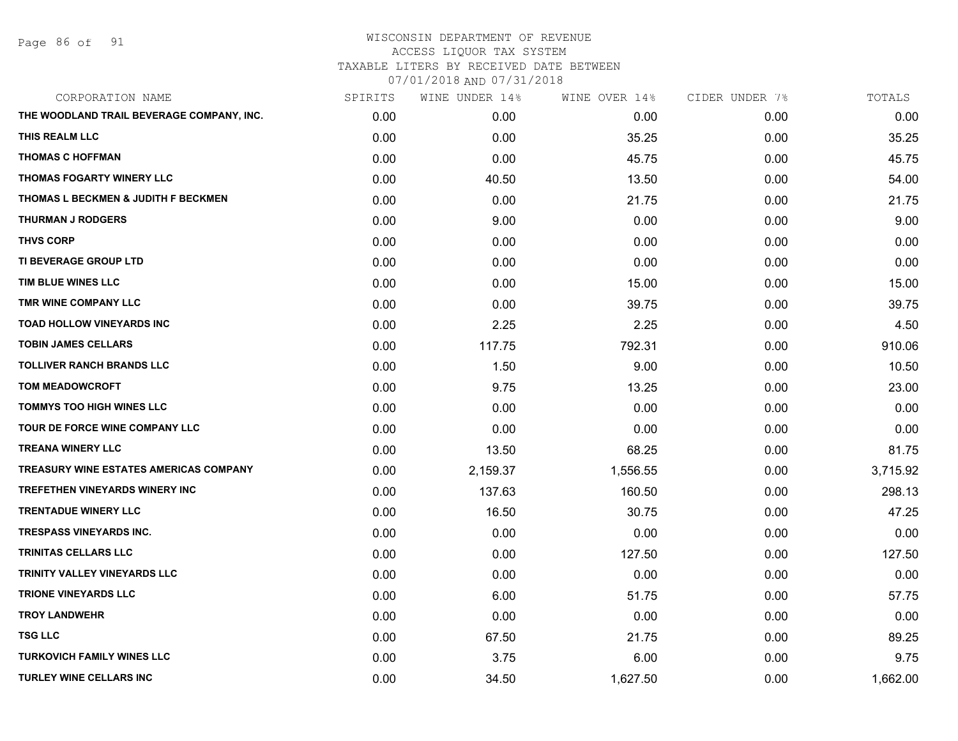Page 86 of 91

| CORPORATION NAME                              | SPIRITS | WINE UNDER 14% | WINE OVER 14% | CIDER UNDER 7% | TOTALS   |
|-----------------------------------------------|---------|----------------|---------------|----------------|----------|
| THE WOODLAND TRAIL BEVERAGE COMPANY, INC.     | 0.00    | 0.00           | 0.00          | 0.00           | 0.00     |
| THIS REALM LLC                                | 0.00    | 0.00           | 35.25         | 0.00           | 35.25    |
| <b>THOMAS C HOFFMAN</b>                       | 0.00    | 0.00           | 45.75         | 0.00           | 45.75    |
| <b>THOMAS FOGARTY WINERY LLC</b>              | 0.00    | 40.50          | 13.50         | 0.00           | 54.00    |
| THOMAS L BECKMEN & JUDITH F BECKMEN           | 0.00    | 0.00           | 21.75         | 0.00           | 21.75    |
| <b>THURMAN J RODGERS</b>                      | 0.00    | 9.00           | 0.00          | 0.00           | 9.00     |
| <b>THVS CORP</b>                              | 0.00    | 0.00           | 0.00          | 0.00           | 0.00     |
| TI BEVERAGE GROUP LTD                         | 0.00    | 0.00           | 0.00          | 0.00           | 0.00     |
| TIM BLUE WINES LLC                            | 0.00    | 0.00           | 15.00         | 0.00           | 15.00    |
| TMR WINE COMPANY LLC                          | 0.00    | 0.00           | 39.75         | 0.00           | 39.75    |
| TOAD HOLLOW VINEYARDS INC                     | 0.00    | 2.25           | 2.25          | 0.00           | 4.50     |
| <b>TOBIN JAMES CELLARS</b>                    | 0.00    | 117.75         | 792.31        | 0.00           | 910.06   |
| <b>TOLLIVER RANCH BRANDS LLC</b>              | 0.00    | 1.50           | 9.00          | 0.00           | 10.50    |
| <b>TOM MEADOWCROFT</b>                        | 0.00    | 9.75           | 13.25         | 0.00           | 23.00    |
| <b>TOMMYS TOO HIGH WINES LLC</b>              | 0.00    | 0.00           | 0.00          | 0.00           | 0.00     |
| TOUR DE FORCE WINE COMPANY LLC                | 0.00    | 0.00           | 0.00          | 0.00           | 0.00     |
| <b>TREANA WINERY LLC</b>                      | 0.00    | 13.50          | 68.25         | 0.00           | 81.75    |
| <b>TREASURY WINE ESTATES AMERICAS COMPANY</b> | 0.00    | 2,159.37       | 1,556.55      | 0.00           | 3,715.92 |
| <b>TREFETHEN VINEYARDS WINERY INC</b>         | 0.00    | 137.63         | 160.50        | 0.00           | 298.13   |
| <b>TRENTADUE WINERY LLC</b>                   | 0.00    | 16.50          | 30.75         | 0.00           | 47.25    |
| <b>TRESPASS VINEYARDS INC.</b>                | 0.00    | 0.00           | 0.00          | 0.00           | 0.00     |
| <b>TRINITAS CELLARS LLC</b>                   | 0.00    | 0.00           | 127.50        | 0.00           | 127.50   |
| TRINITY VALLEY VINEYARDS LLC                  | 0.00    | 0.00           | 0.00          | 0.00           | 0.00     |
| <b>TRIONE VINEYARDS LLC</b>                   | 0.00    | 6.00           | 51.75         | 0.00           | 57.75    |
| <b>TROY LANDWEHR</b>                          | 0.00    | 0.00           | 0.00          | 0.00           | 0.00     |
| <b>TSG LLC</b>                                | 0.00    | 67.50          | 21.75         | 0.00           | 89.25    |
| <b>TURKOVICH FAMILY WINES LLC</b>             | 0.00    | 3.75           | 6.00          | 0.00           | 9.75     |
| <b>TURLEY WINE CELLARS INC</b>                | 0.00    | 34.50          | 1,627.50      | 0.00           | 1,662.00 |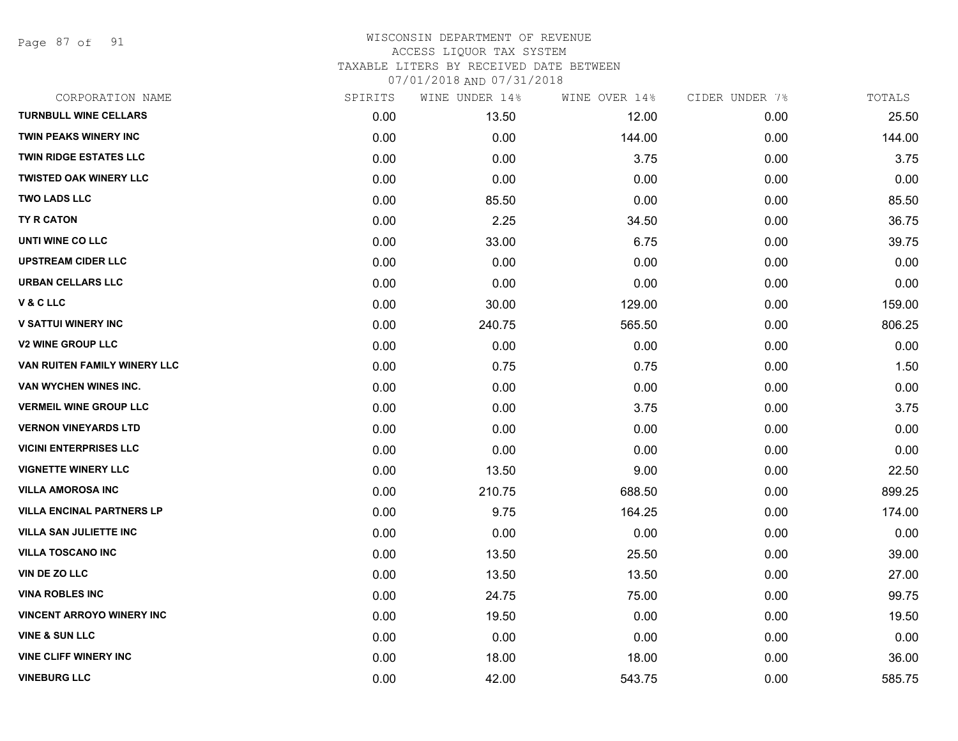Page 87 of 91

| CORPORATION NAME                 | SPIRITS | WINE UNDER 14% | WINE OVER 14% | CIDER UNDER 7% | TOTALS |
|----------------------------------|---------|----------------|---------------|----------------|--------|
| <b>TURNBULL WINE CELLARS</b>     | 0.00    | 13.50          | 12.00         | 0.00           | 25.50  |
| <b>TWIN PEAKS WINERY INC</b>     | 0.00    | 0.00           | 144.00        | 0.00           | 144.00 |
| <b>TWIN RIDGE ESTATES LLC</b>    | 0.00    | 0.00           | 3.75          | 0.00           | 3.75   |
| <b>TWISTED OAK WINERY LLC</b>    | 0.00    | 0.00           | 0.00          | 0.00           | 0.00   |
| <b>TWO LADS LLC</b>              | 0.00    | 85.50          | 0.00          | 0.00           | 85.50  |
| TY R CATON                       | 0.00    | 2.25           | 34.50         | 0.00           | 36.75  |
| UNTI WINE CO LLC                 | 0.00    | 33.00          | 6.75          | 0.00           | 39.75  |
| <b>UPSTREAM CIDER LLC</b>        | 0.00    | 0.00           | 0.00          | 0.00           | 0.00   |
| <b>URBAN CELLARS LLC</b>         | 0.00    | 0.00           | 0.00          | 0.00           | 0.00   |
| <b>V&amp;CLLC</b>                | 0.00    | 30.00          | 129.00        | 0.00           | 159.00 |
| <b>V SATTUI WINERY INC</b>       | 0.00    | 240.75         | 565.50        | 0.00           | 806.25 |
| <b>V2 WINE GROUP LLC</b>         | 0.00    | 0.00           | 0.00          | 0.00           | 0.00   |
| VAN RUITEN FAMILY WINERY LLC     | 0.00    | 0.75           | 0.75          | 0.00           | 1.50   |
| VAN WYCHEN WINES INC.            | 0.00    | 0.00           | 0.00          | 0.00           | 0.00   |
| <b>VERMEIL WINE GROUP LLC</b>    | 0.00    | 0.00           | 3.75          | 0.00           | 3.75   |
| <b>VERNON VINEYARDS LTD</b>      | 0.00    | 0.00           | 0.00          | 0.00           | 0.00   |
| <b>VICINI ENTERPRISES LLC</b>    | 0.00    | 0.00           | 0.00          | 0.00           | 0.00   |
| <b>VIGNETTE WINERY LLC</b>       | 0.00    | 13.50          | 9.00          | 0.00           | 22.50  |
| <b>VILLA AMOROSA INC</b>         | 0.00    | 210.75         | 688.50        | 0.00           | 899.25 |
| <b>VILLA ENCINAL PARTNERS LP</b> | 0.00    | 9.75           | 164.25        | 0.00           | 174.00 |
| <b>VILLA SAN JULIETTE INC</b>    | 0.00    | 0.00           | 0.00          | 0.00           | 0.00   |
| <b>VILLA TOSCANO INC</b>         | 0.00    | 13.50          | 25.50         | 0.00           | 39.00  |
| VIN DE ZO LLC                    | 0.00    | 13.50          | 13.50         | 0.00           | 27.00  |
| <b>VINA ROBLES INC</b>           | 0.00    | 24.75          | 75.00         | 0.00           | 99.75  |
| <b>VINCENT ARROYO WINERY INC</b> | 0.00    | 19.50          | 0.00          | 0.00           | 19.50  |
| <b>VINE &amp; SUN LLC</b>        | 0.00    | 0.00           | 0.00          | 0.00           | 0.00   |
| <b>VINE CLIFF WINERY INC</b>     | 0.00    | 18.00          | 18.00         | 0.00           | 36.00  |
| <b>VINEBURG LLC</b>              | 0.00    | 42.00          | 543.75        | 0.00           | 585.75 |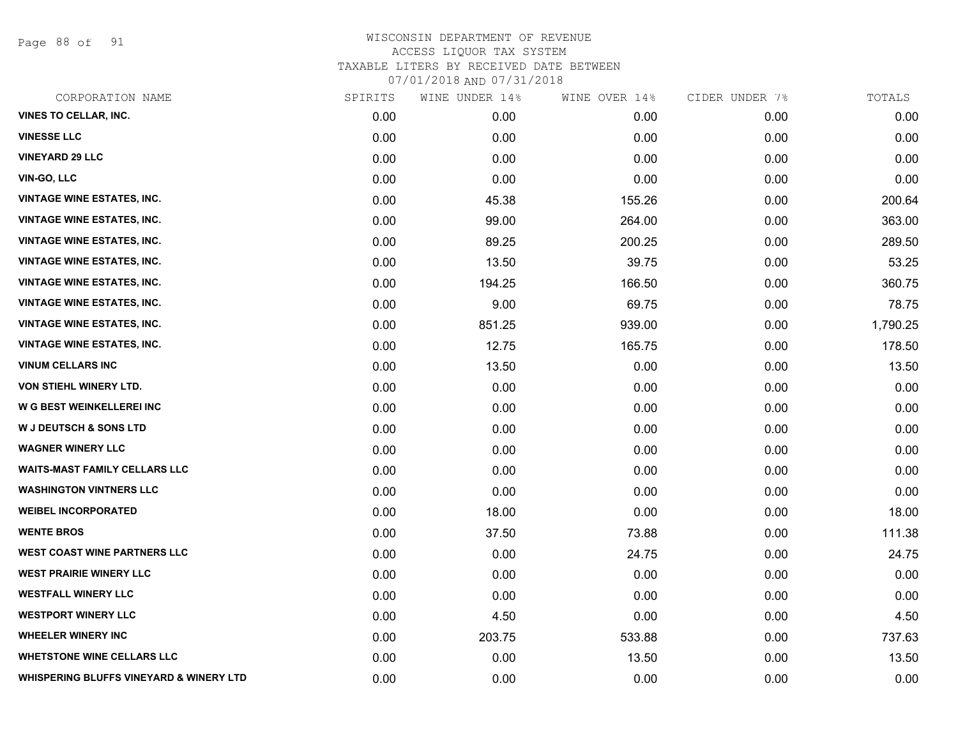Page 88 of 91

| CORPORATION NAME                                   | SPIRITS | WINE UNDER 14% | WINE OVER 14% | CIDER UNDER 7% | TOTALS   |
|----------------------------------------------------|---------|----------------|---------------|----------------|----------|
| <b>VINES TO CELLAR, INC.</b>                       | 0.00    | 0.00           | 0.00          | 0.00           | 0.00     |
| <b>VINESSE LLC</b>                                 | 0.00    | 0.00           | 0.00          | 0.00           | 0.00     |
| <b>VINEYARD 29 LLC</b>                             | 0.00    | 0.00           | 0.00          | 0.00           | 0.00     |
| <b>VIN-GO, LLC</b>                                 | 0.00    | 0.00           | 0.00          | 0.00           | 0.00     |
| <b>VINTAGE WINE ESTATES, INC.</b>                  | 0.00    | 45.38          | 155.26        | 0.00           | 200.64   |
| <b>VINTAGE WINE ESTATES, INC.</b>                  | 0.00    | 99.00          | 264.00        | 0.00           | 363.00   |
| <b>VINTAGE WINE ESTATES, INC.</b>                  | 0.00    | 89.25          | 200.25        | 0.00           | 289.50   |
| <b>VINTAGE WINE ESTATES, INC.</b>                  | 0.00    | 13.50          | 39.75         | 0.00           | 53.25    |
| <b>VINTAGE WINE ESTATES, INC.</b>                  | 0.00    | 194.25         | 166.50        | 0.00           | 360.75   |
| <b>VINTAGE WINE ESTATES, INC.</b>                  | 0.00    | 9.00           | 69.75         | 0.00           | 78.75    |
| <b>VINTAGE WINE ESTATES, INC.</b>                  | 0.00    | 851.25         | 939.00        | 0.00           | 1,790.25 |
| <b>VINTAGE WINE ESTATES, INC.</b>                  | 0.00    | 12.75          | 165.75        | 0.00           | 178.50   |
| <b>VINUM CELLARS INC</b>                           | 0.00    | 13.50          | 0.00          | 0.00           | 13.50    |
| VON STIEHL WINERY LTD.                             | 0.00    | 0.00           | 0.00          | 0.00           | 0.00     |
| W G BEST WEINKELLEREI INC                          | 0.00    | 0.00           | 0.00          | 0.00           | 0.00     |
| <b>W J DEUTSCH &amp; SONS LTD</b>                  | 0.00    | 0.00           | 0.00          | 0.00           | 0.00     |
| <b>WAGNER WINERY LLC</b>                           | 0.00    | 0.00           | 0.00          | 0.00           | 0.00     |
| <b>WAITS-MAST FAMILY CELLARS LLC</b>               | 0.00    | 0.00           | 0.00          | 0.00           | 0.00     |
| <b>WASHINGTON VINTNERS LLC</b>                     | 0.00    | 0.00           | 0.00          | 0.00           | 0.00     |
| <b>WEIBEL INCORPORATED</b>                         | 0.00    | 18.00          | 0.00          | 0.00           | 18.00    |
| <b>WENTE BROS</b>                                  | 0.00    | 37.50          | 73.88         | 0.00           | 111.38   |
| WEST COAST WINE PARTNERS LLC                       | 0.00    | 0.00           | 24.75         | 0.00           | 24.75    |
| <b>WEST PRAIRIE WINERY LLC</b>                     | 0.00    | 0.00           | 0.00          | 0.00           | 0.00     |
| <b>WESTFALL WINERY LLC</b>                         | 0.00    | 0.00           | 0.00          | 0.00           | 0.00     |
| <b>WESTPORT WINERY LLC</b>                         | 0.00    | 4.50           | 0.00          | 0.00           | 4.50     |
| <b>WHEELER WINERY INC</b>                          | 0.00    | 203.75         | 533.88        | 0.00           | 737.63   |
| <b>WHETSTONE WINE CELLARS LLC</b>                  | 0.00    | 0.00           | 13.50         | 0.00           | 13.50    |
| <b>WHISPERING BLUFFS VINEYARD &amp; WINERY LTD</b> | 0.00    | 0.00           | 0.00          | 0.00           | 0.00     |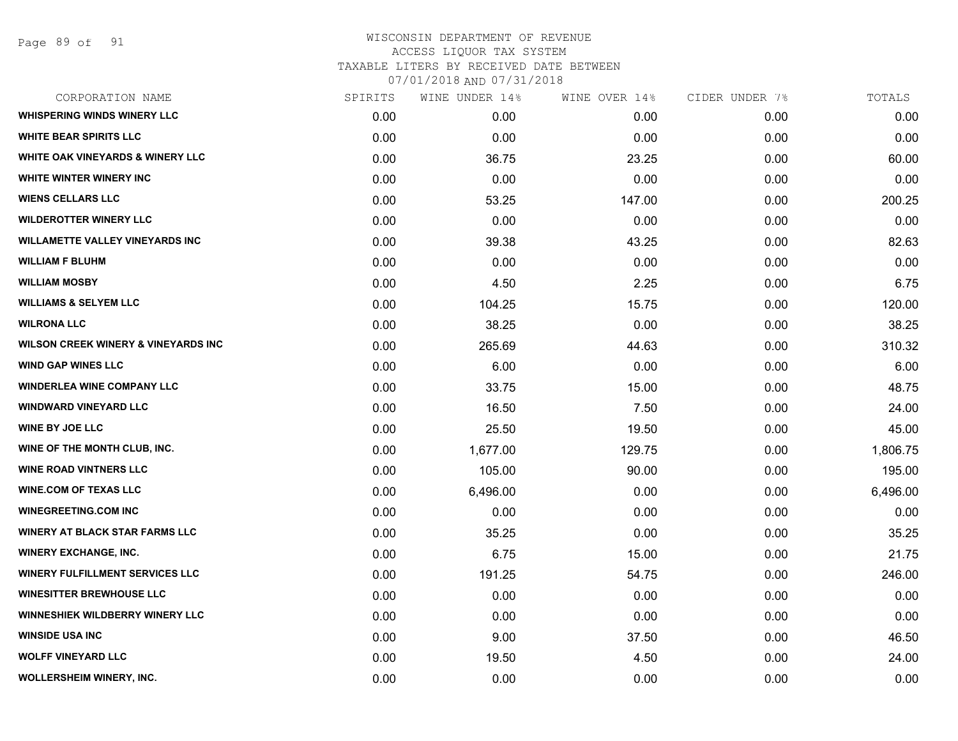Page 89 of 91

| CORPORATION NAME                               | SPIRITS | WINE UNDER 14% | WINE OVER 14% | CIDER UNDER 7% | TOTALS   |
|------------------------------------------------|---------|----------------|---------------|----------------|----------|
| <b>WHISPERING WINDS WINERY LLC</b>             | 0.00    | 0.00           | 0.00          | 0.00           | 0.00     |
| <b>WHITE BEAR SPIRITS LLC</b>                  | 0.00    | 0.00           | 0.00          | 0.00           | 0.00     |
| <b>WHITE OAK VINEYARDS &amp; WINERY LLC</b>    | 0.00    | 36.75          | 23.25         | 0.00           | 60.00    |
| <b>WHITE WINTER WINERY INC</b>                 | 0.00    | 0.00           | 0.00          | 0.00           | 0.00     |
| <b>WIENS CELLARS LLC</b>                       | 0.00    | 53.25          | 147.00        | 0.00           | 200.25   |
| <b>WILDEROTTER WINERY LLC</b>                  | 0.00    | 0.00           | 0.00          | 0.00           | 0.00     |
| <b>WILLAMETTE VALLEY VINEYARDS INC</b>         | 0.00    | 39.38          | 43.25         | 0.00           | 82.63    |
| <b>WILLIAM F BLUHM</b>                         | 0.00    | 0.00           | 0.00          | 0.00           | 0.00     |
| <b>WILLIAM MOSBY</b>                           | 0.00    | 4.50           | 2.25          | 0.00           | 6.75     |
| <b>WILLIAMS &amp; SELYEM LLC</b>               | 0.00    | 104.25         | 15.75         | 0.00           | 120.00   |
| <b>WILRONA LLC</b>                             | 0.00    | 38.25          | 0.00          | 0.00           | 38.25    |
| <b>WILSON CREEK WINERY &amp; VINEYARDS INC</b> | 0.00    | 265.69         | 44.63         | 0.00           | 310.32   |
| <b>WIND GAP WINES LLC</b>                      | 0.00    | 6.00           | 0.00          | 0.00           | 6.00     |
| <b>WINDERLEA WINE COMPANY LLC</b>              | 0.00    | 33.75          | 15.00         | 0.00           | 48.75    |
| <b>WINDWARD VINEYARD LLC</b>                   | 0.00    | 16.50          | 7.50          | 0.00           | 24.00    |
| <b>WINE BY JOE LLC</b>                         | 0.00    | 25.50          | 19.50         | 0.00           | 45.00    |
| WINE OF THE MONTH CLUB, INC.                   | 0.00    | 1,677.00       | 129.75        | 0.00           | 1,806.75 |
| <b>WINE ROAD VINTNERS LLC</b>                  | 0.00    | 105.00         | 90.00         | 0.00           | 195.00   |
| <b>WINE.COM OF TEXAS LLC</b>                   | 0.00    | 6,496.00       | 0.00          | 0.00           | 6,496.00 |
| <b>WINEGREETING.COM INC</b>                    | 0.00    | 0.00           | 0.00          | 0.00           | 0.00     |
| <b>WINERY AT BLACK STAR FARMS LLC</b>          | 0.00    | 35.25          | 0.00          | 0.00           | 35.25    |
| <b>WINERY EXCHANGE, INC.</b>                   | 0.00    | 6.75           | 15.00         | 0.00           | 21.75    |
| <b>WINERY FULFILLMENT SERVICES LLC</b>         | 0.00    | 191.25         | 54.75         | 0.00           | 246.00   |
| <b>WINESITTER BREWHOUSE LLC</b>                | 0.00    | 0.00           | 0.00          | 0.00           | 0.00     |
| WINNESHIEK WILDBERRY WINERY LLC                | 0.00    | 0.00           | 0.00          | 0.00           | 0.00     |
| <b>WINSIDE USA INC</b>                         | 0.00    | 9.00           | 37.50         | 0.00           | 46.50    |
| <b>WOLFF VINEYARD LLC</b>                      | 0.00    | 19.50          | 4.50          | 0.00           | 24.00    |
| WOLLERSHEIM WINERY, INC.                       | 0.00    | 0.00           | 0.00          | 0.00           | 0.00     |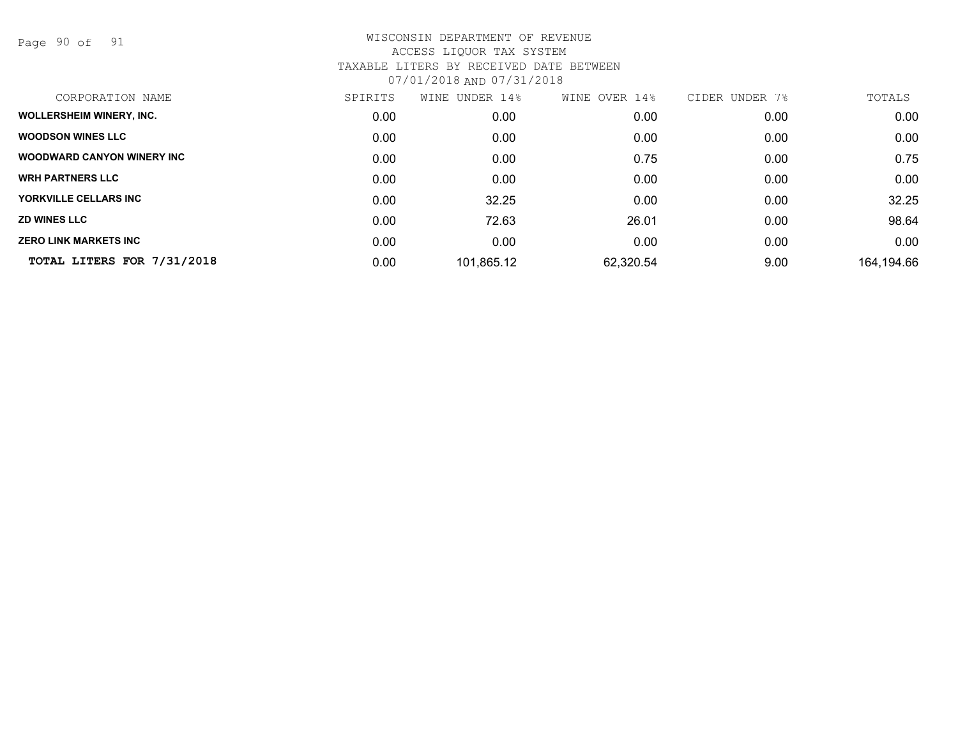Page 90 of 91

| SPIRITS | WINE UNDER 14% | WINE OVER 14% | CIDER UNDER<br>7% | TOTALS     |
|---------|----------------|---------------|-------------------|------------|
| 0.00    | 0.00           | 0.00          | 0.00              | 0.00       |
| 0.00    | 0.00           | 0.00          | 0.00              | 0.00       |
| 0.00    | 0.00           | 0.75          | 0.00              | 0.75       |
| 0.00    | 0.00           | 0.00          | 0.00              | 0.00       |
| 0.00    | 32.25          | 0.00          | 0.00              | 32.25      |
| 0.00    | 72.63          | 26.01         | 0.00              | 98.64      |
| 0.00    | 0.00           | 0.00          | 0.00              | 0.00       |
| 0.00    | 101,865.12     | 62,320.54     | 9.00              | 164,194.66 |
|         |                |               |                   |            |